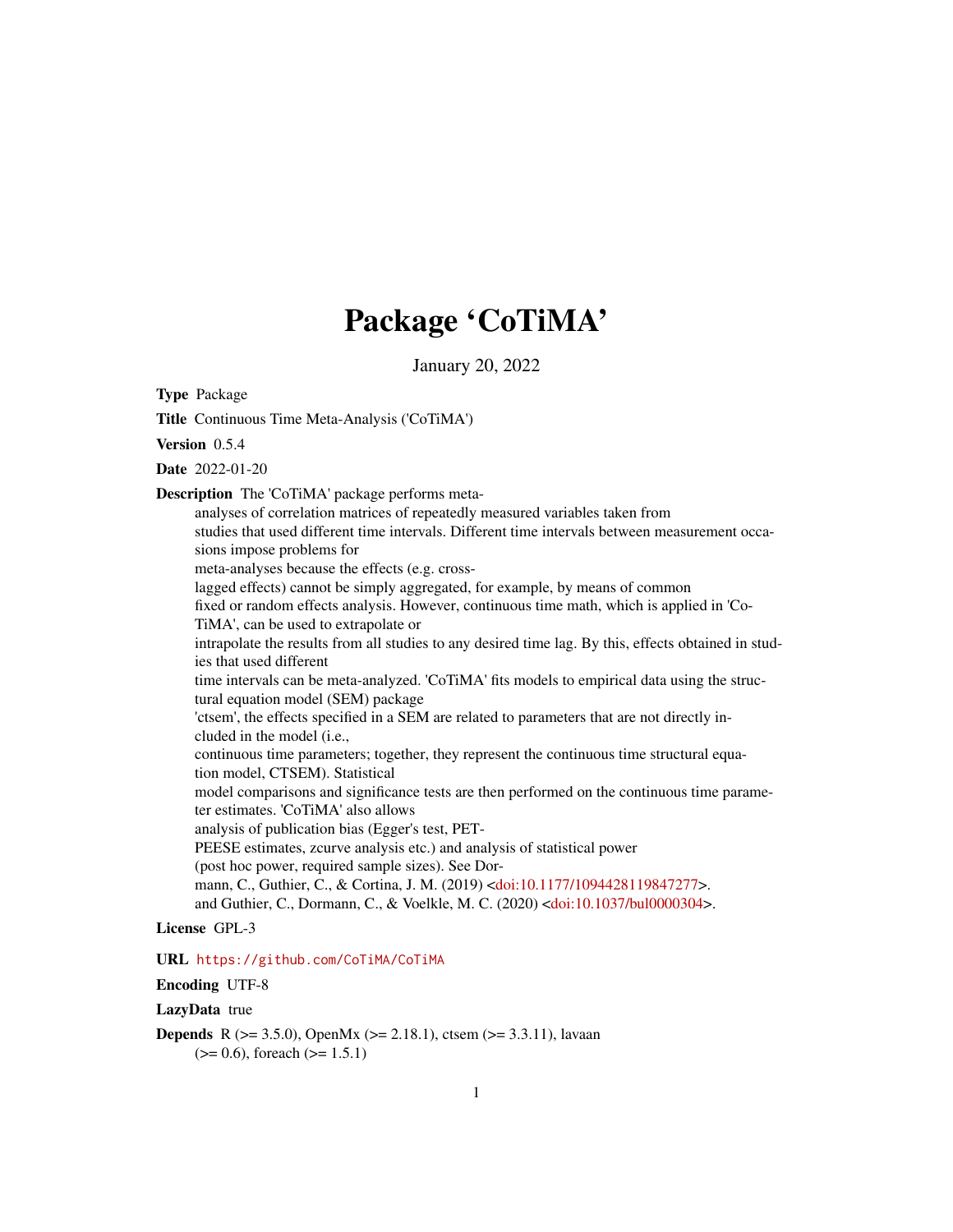# Package 'CoTiMA'

January 20, 2022

Type Package

Title Continuous Time Meta-Analysis ('CoTiMA') Version 0.5.4 Date 2022-01-20 Description The 'CoTiMA' package performs metaanalyses of correlation matrices of repeatedly measured variables taken from studies that used different time intervals. Different time intervals between measurement occasions impose problems for meta-analyses because the effects (e.g. crosslagged effects) cannot be simply aggregated, for example, by means of common fixed or random effects analysis. However, continuous time math, which is applied in 'Co-TiMA', can be used to extrapolate or intrapolate the results from all studies to any desired time lag. By this, effects obtained in studies that used different time intervals can be meta-analyzed. 'CoTiMA' fits models to empirical data using the structural equation model (SEM) package 'ctsem', the effects specified in a SEM are related to parameters that are not directly included in the model (i.e., continuous time parameters; together, they represent the continuous time structural equation model, CTSEM). Statistical model comparisons and significance tests are then performed on the continuous time parameter estimates. 'CoTiMA' also allows analysis of publication bias (Egger's test, PET-PEESE estimates, zcurve analysis etc.) and analysis of statistical power (post hoc power, required sample sizes). See Dormann, C., Guthier, C., & Cortina, J. M. (2019) [<doi:10.1177/1094428119847277>](https://doi.org/10.1177/1094428119847277). and Guthier, C., Dormann, C., & Voelkle, M. C. (2020) [<doi:10.1037/bul0000304>](https://doi.org/10.1037/bul0000304).

#### License GPL-3

URL <https://github.com/CoTiMA/CoTiMA>

### Encoding UTF-8

#### LazyData true

**Depends** R ( $> = 3.5.0$ ), OpenMx ( $> = 2.18.1$ ), ctsem ( $> = 3.3.11$ ), lavaan  $(>= 0.6)$ , foreach  $(>= 1.5.1)$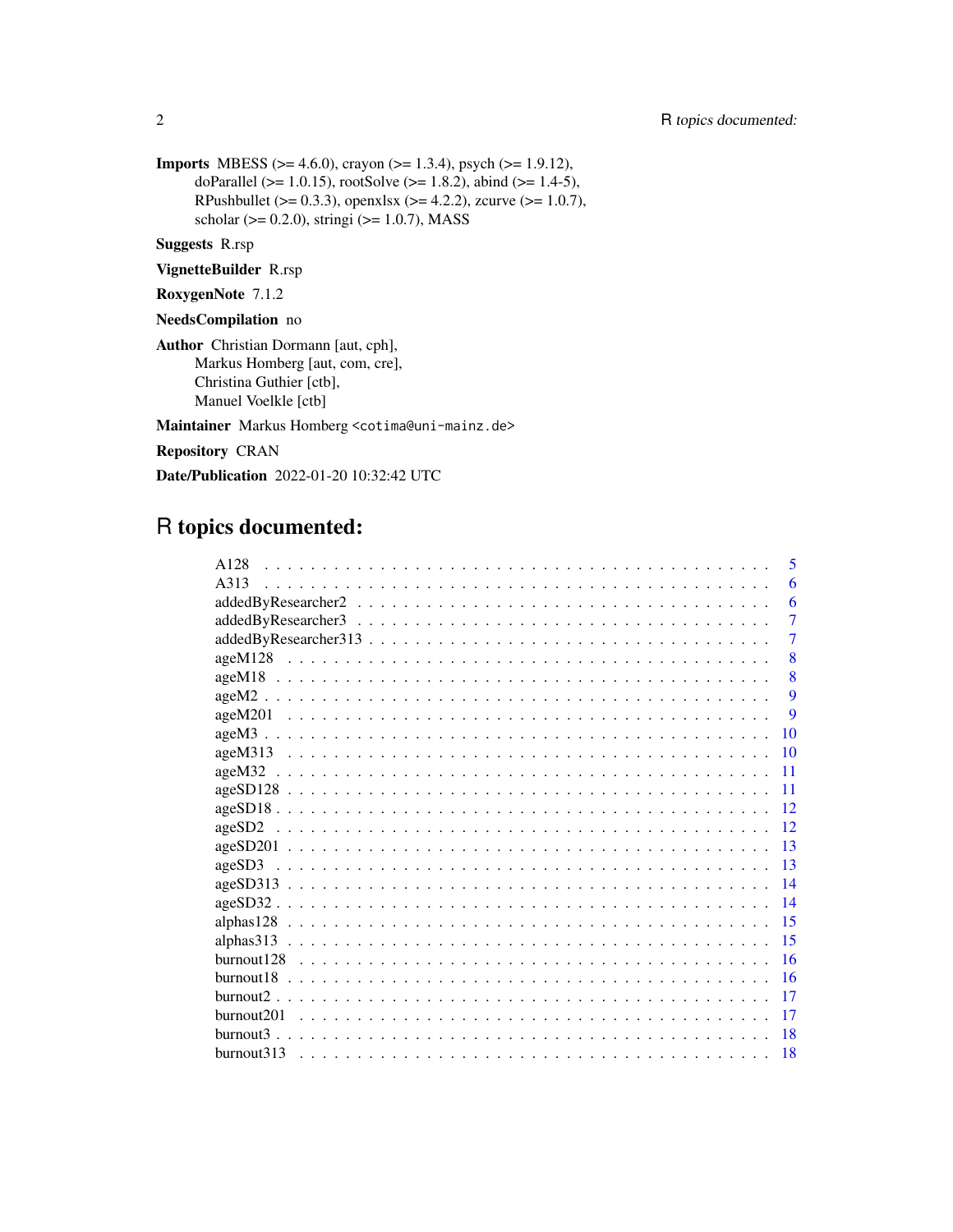2 R topics documented:

```
Imports MBESS (>= 4.6.0), crayon (>= 1.3.4), psych (>= 1.9.12),
      doParallel (>= 1.0.15), rootSolve (>= 1.8.2), abind (>= 1.4-5),
      RPushbullet (> = 0.3.3), openxlsx (>= 4.2.2), zcurve (>= 1.0.7),
      scholar (> = 0.2.0), stringi (> = 1.0.7), MASS
```
Suggests R.rsp

VignetteBuilder R.rsp

RoxygenNote 7.1.2

NeedsCompilation no

Author Christian Dormann [aut, cph], Markus Homberg [aut, com, cre], Christina Guthier [ctb], Manuel Voelkle [ctb]

Maintainer Markus Homberg <cotima@uni-mainz.de>

Repository CRAN

Date/Publication 2022-01-20 10:32:42 UTC

# R topics documented:

| A128<br>5                    |
|------------------------------|
| A313<br>6                    |
| 6                            |
| $\overline{7}$               |
| $\overline{7}$               |
| 8                            |
| 8                            |
| 9                            |
| $\mathbf Q$                  |
| $ageM3$<br>10                |
| $ageM313$<br>10              |
| 11                           |
| $ageSD128$<br>11             |
| $ageSD18$<br>12              |
| 12                           |
| 13                           |
| 13                           |
| $ageSD313$<br>14             |
| $ageSD32$<br>14              |
| 15                           |
| 15                           |
| 16                           |
| 16                           |
| 17                           |
| burnout <sub>201</sub><br>17 |
| 18                           |
| burnout313<br>18             |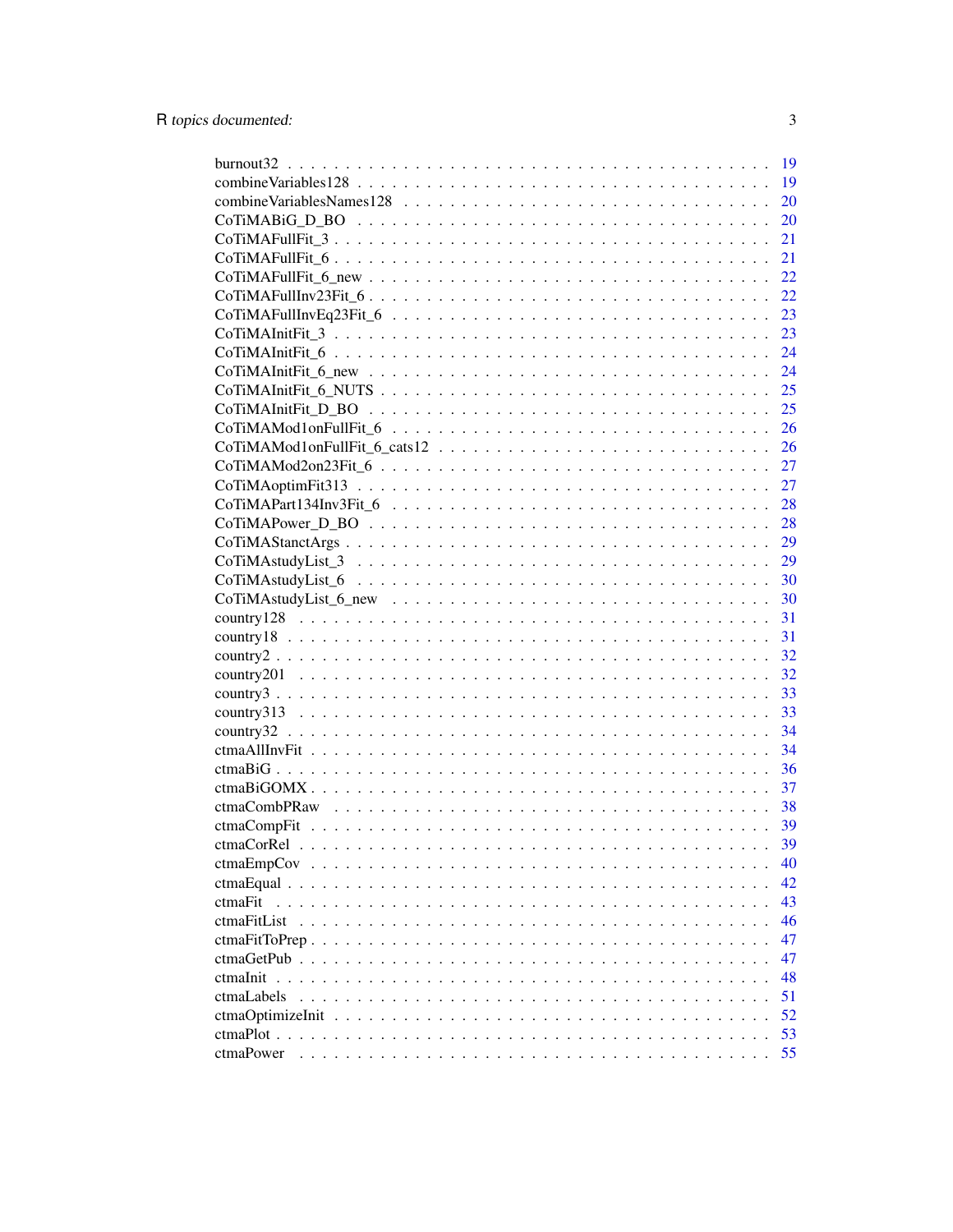|                  | <sup>19</sup> |
|------------------|---------------|
|                  | 19            |
|                  | 20            |
|                  | 20            |
|                  | 21            |
|                  | 21            |
|                  | 22            |
|                  | 22            |
|                  | 23            |
|                  | 23            |
|                  | 24            |
|                  | 24            |
|                  | 25            |
|                  | 25            |
|                  | 26            |
|                  | 26            |
|                  | 27            |
|                  | 27            |
|                  | 28            |
|                  | 28            |
|                  | 29            |
|                  | 29            |
|                  |               |
|                  |               |
|                  | 31            |
|                  | 31            |
|                  | 32            |
|                  | 32            |
|                  | 33            |
|                  | 33            |
|                  | 34            |
|                  | 34            |
|                  | 36            |
|                  | 37            |
|                  |               |
|                  |               |
|                  | 39            |
| ctmaEmpCov       | 40            |
|                  | 42            |
| ctmaFit          | 43            |
| ctmaFitList      | 46            |
| $ctmaFitToPrep$  | 47            |
| ctmaGetPub       | 47            |
| ctmaInit         | 48            |
| ctmaLabels       | 51            |
| ctmaOptimizeInit | 52            |
|                  | 53            |
| ctmaPower        | 55            |
|                  |               |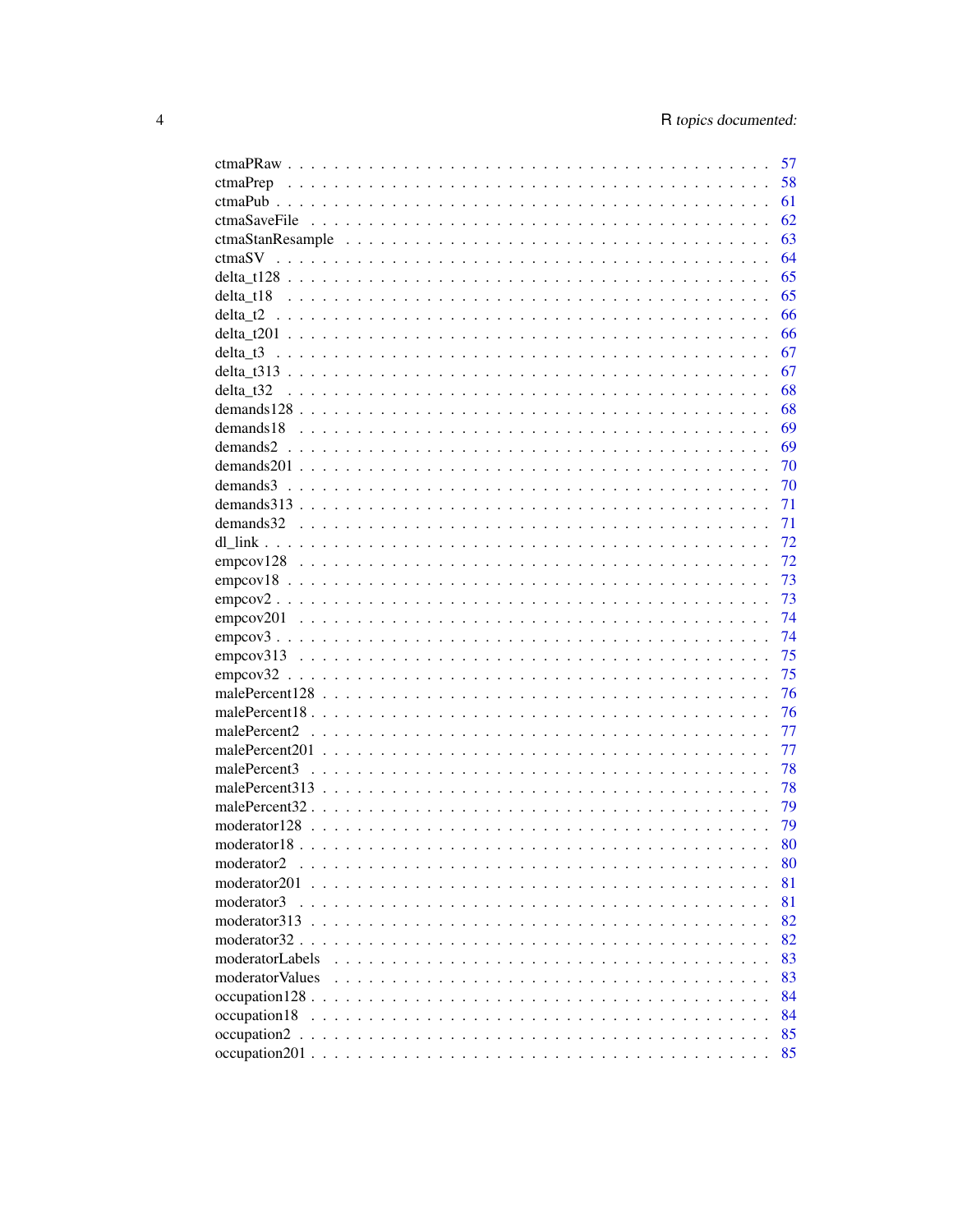|                   | 57 |
|-------------------|----|
|                   | 58 |
|                   | 61 |
|                   | 62 |
|                   | 63 |
|                   | 64 |
|                   | 65 |
|                   | 65 |
|                   | 66 |
|                   | 66 |
|                   | 67 |
|                   | 67 |
| delta t32         | 68 |
|                   | 68 |
|                   | 69 |
|                   | 69 |
|                   | 70 |
|                   | 70 |
|                   | 71 |
|                   | 71 |
|                   | 72 |
|                   | 72 |
|                   | 73 |
|                   | 73 |
|                   | 74 |
|                   | 74 |
|                   | 75 |
|                   | 75 |
|                   | 76 |
|                   | 76 |
|                   | 77 |
|                   | 77 |
|                   | 78 |
|                   | 78 |
|                   | 79 |
|                   | 79 |
|                   | 80 |
| moderator2        | 80 |
| moderator $201$ , | 81 |
| moderator3        | 81 |
|                   | 82 |
|                   | 82 |
| moderatorLabels   | 83 |
| moderator Values  | 83 |
|                   | 84 |
| occupation18      | 84 |
|                   | 85 |
|                   | 85 |
|                   |    |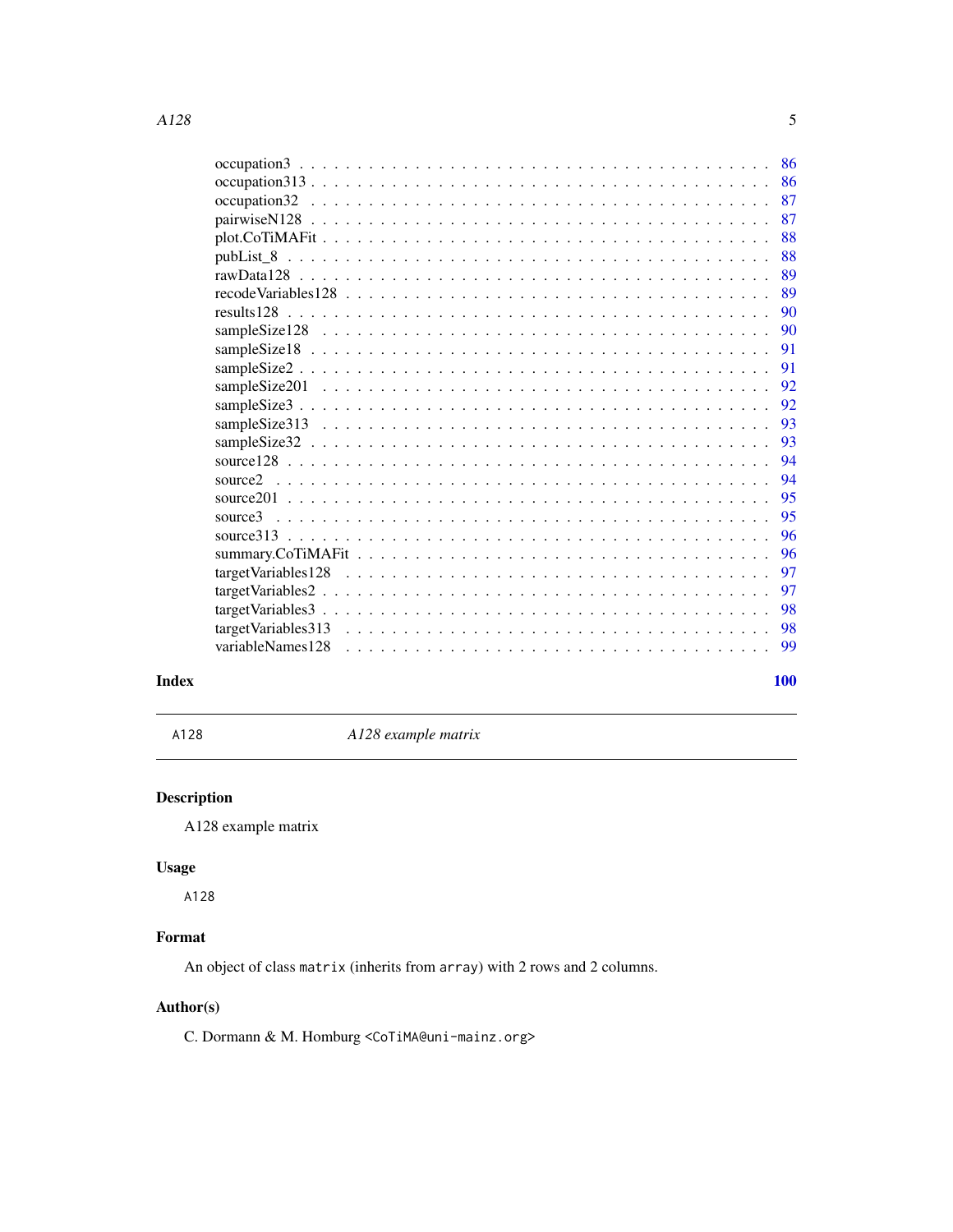<span id="page-4-0"></span>

|                                                                                                   | 86 |
|---------------------------------------------------------------------------------------------------|----|
|                                                                                                   | 87 |
|                                                                                                   | 87 |
|                                                                                                   | 88 |
|                                                                                                   | 88 |
|                                                                                                   | 89 |
|                                                                                                   | 89 |
|                                                                                                   | 90 |
|                                                                                                   | 90 |
|                                                                                                   | 91 |
|                                                                                                   | 91 |
|                                                                                                   | 92 |
|                                                                                                   | 92 |
|                                                                                                   | 93 |
|                                                                                                   | 93 |
|                                                                                                   | 94 |
|                                                                                                   | 94 |
|                                                                                                   | 95 |
|                                                                                                   | 95 |
|                                                                                                   | 96 |
|                                                                                                   | 96 |
|                                                                                                   | 97 |
|                                                                                                   | 97 |
| $targetVariables3 \ldots \ldots \ldots \ldots \ldots \ldots \ldots \ldots \ldots \ldots \ldots$   | 98 |
| $targetVariables313 \ldots \ldots \ldots \ldots \ldots \ldots \ldots \ldots \ldots \ldots \ldots$ | 98 |
| variableNames128                                                                                  | 99 |
|                                                                                                   |    |

#### $\blacksquare$

A128 *A128 example matrix*

# Description

A128 example matrix

# Usage

A128

# Format

An object of class matrix (inherits from array) with 2 rows and 2 columns.

#### Author(s)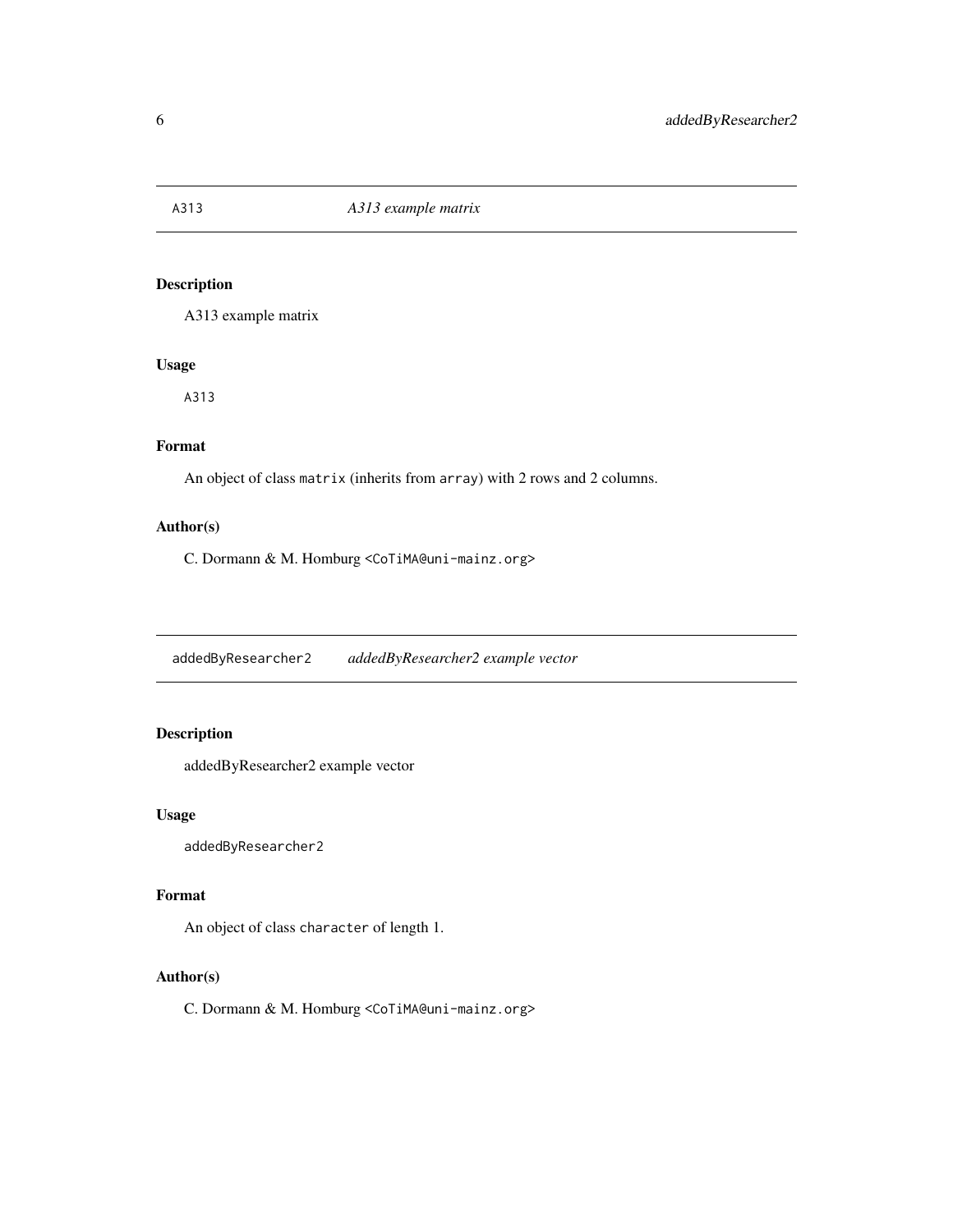<span id="page-5-0"></span>

A313 example matrix

#### Usage

A313

## Format

An object of class matrix (inherits from array) with 2 rows and 2 columns.

#### Author(s)

C. Dormann & M. Homburg <CoTiMA@uni-mainz.org>

addedByResearcher2 *addedByResearcher2 example vector*

### Description

addedByResearcher2 example vector

#### Usage

addedByResearcher2

#### Format

An object of class character of length 1.

#### Author(s)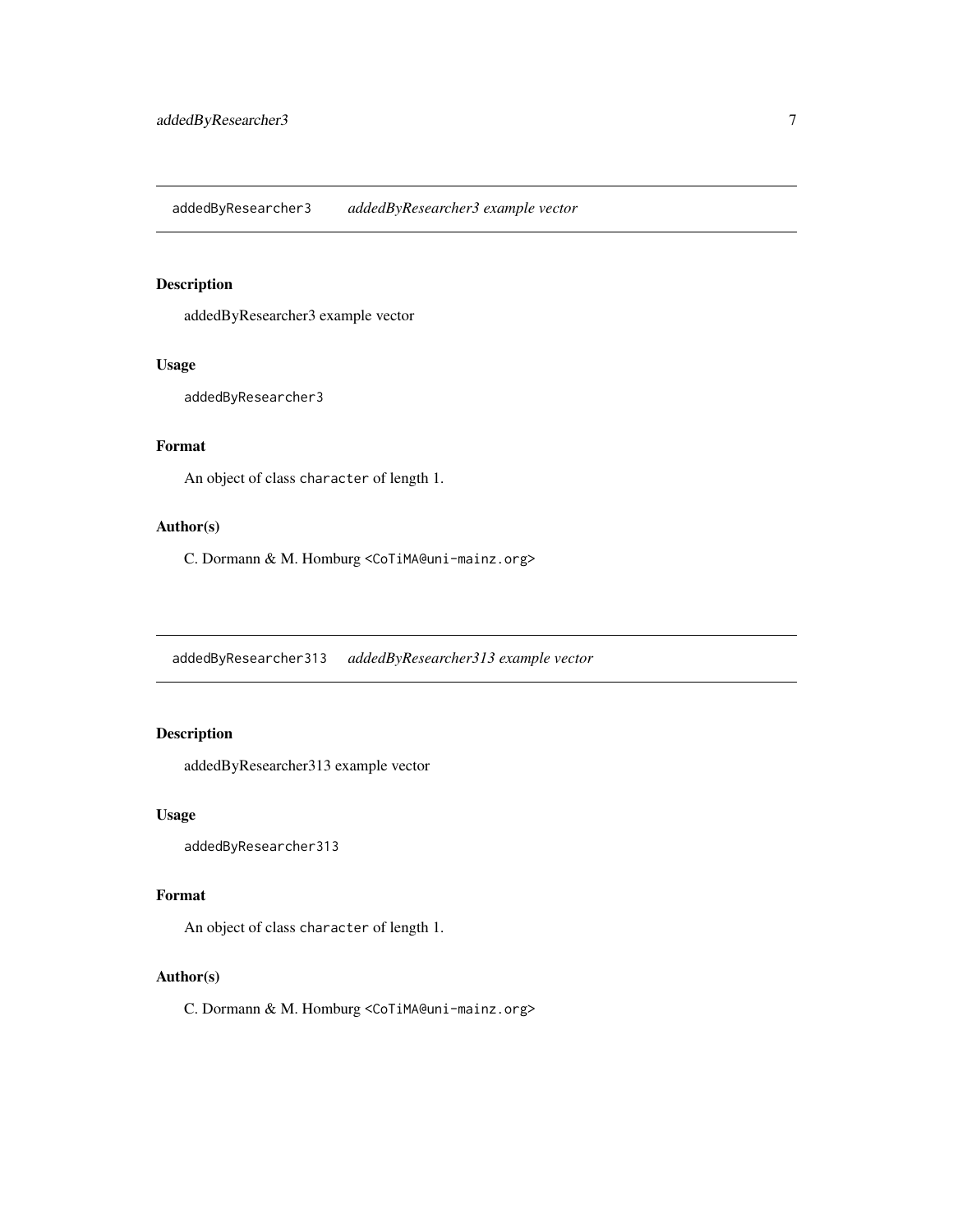<span id="page-6-0"></span>addedByResearcher3 *addedByResearcher3 example vector*

#### Description

addedByResearcher3 example vector

#### Usage

addedByResearcher3

#### Format

An object of class character of length 1.

#### Author(s)

C. Dormann & M. Homburg <CoTiMA@uni-mainz.org>

addedByResearcher313 *addedByResearcher313 example vector*

### Description

addedByResearcher313 example vector

#### Usage

addedByResearcher313

#### Format

An object of class character of length 1.

#### Author(s)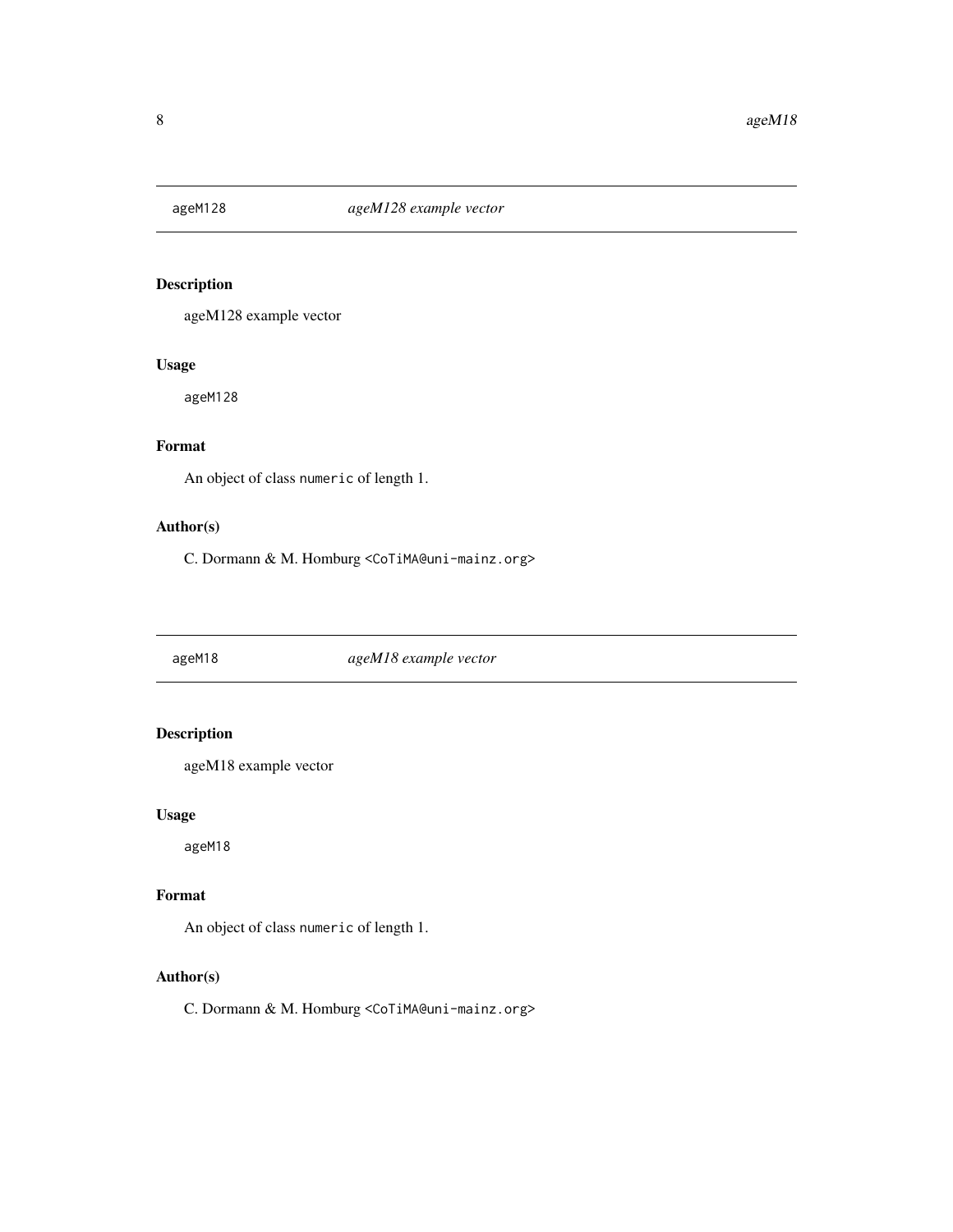<span id="page-7-0"></span>

ageM128 example vector

#### Usage

ageM128

# Format

An object of class numeric of length 1.

#### Author(s)

C. Dormann & M. Homburg <CoTiMA@uni-mainz.org>

ageM18 *ageM18 example vector*

# Description

ageM18 example vector

#### Usage

ageM18

#### Format

An object of class numeric of length 1.

#### Author(s)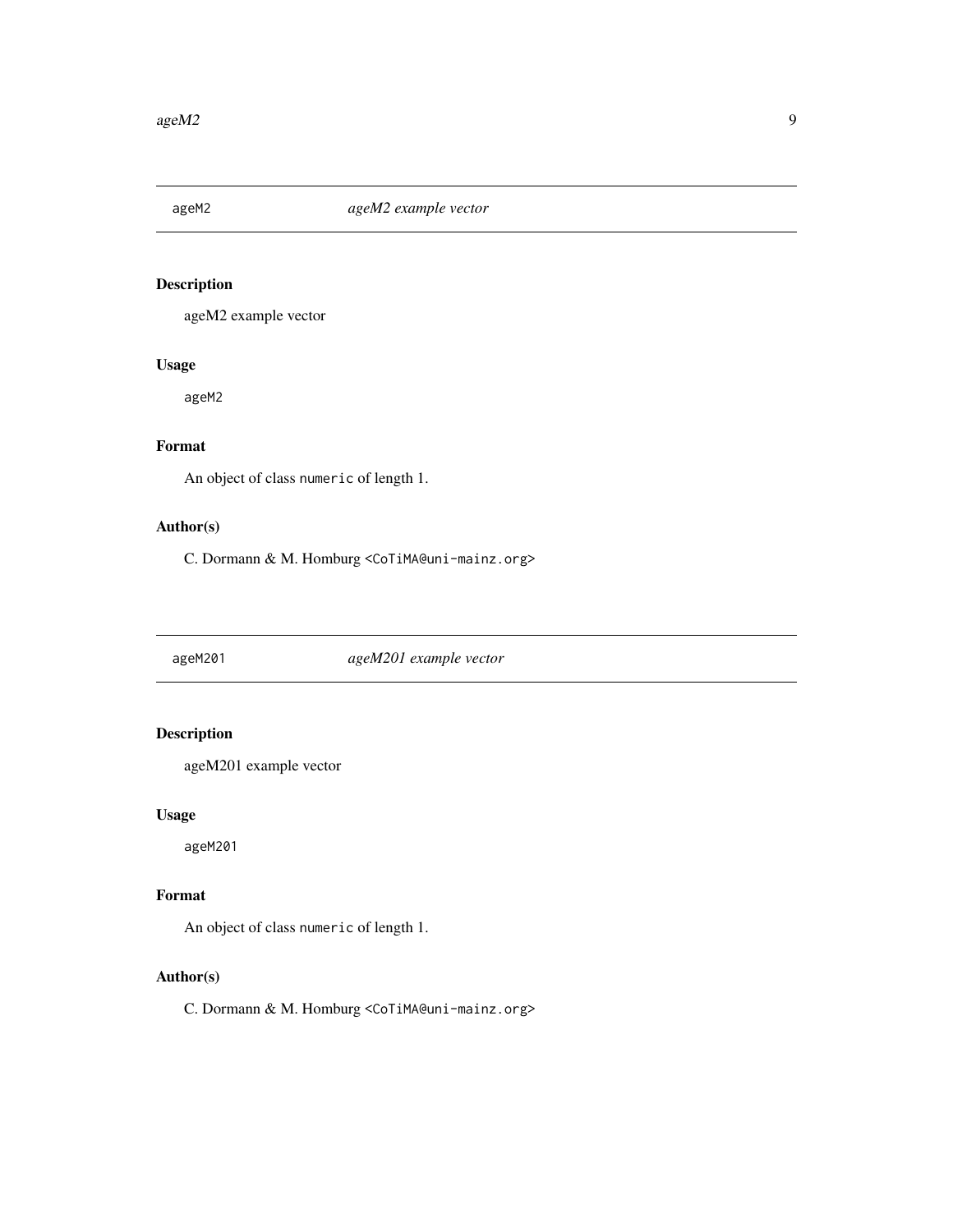<span id="page-8-0"></span>

ageM2 example vector

# Usage

ageM2

# Format

An object of class numeric of length 1.

#### Author(s)

C. Dormann & M. Homburg <CoTiMA@uni-mainz.org>

ageM201 *ageM201 example vector*

# Description

ageM201 example vector

#### Usage

ageM201

#### Format

An object of class numeric of length 1.

#### Author(s)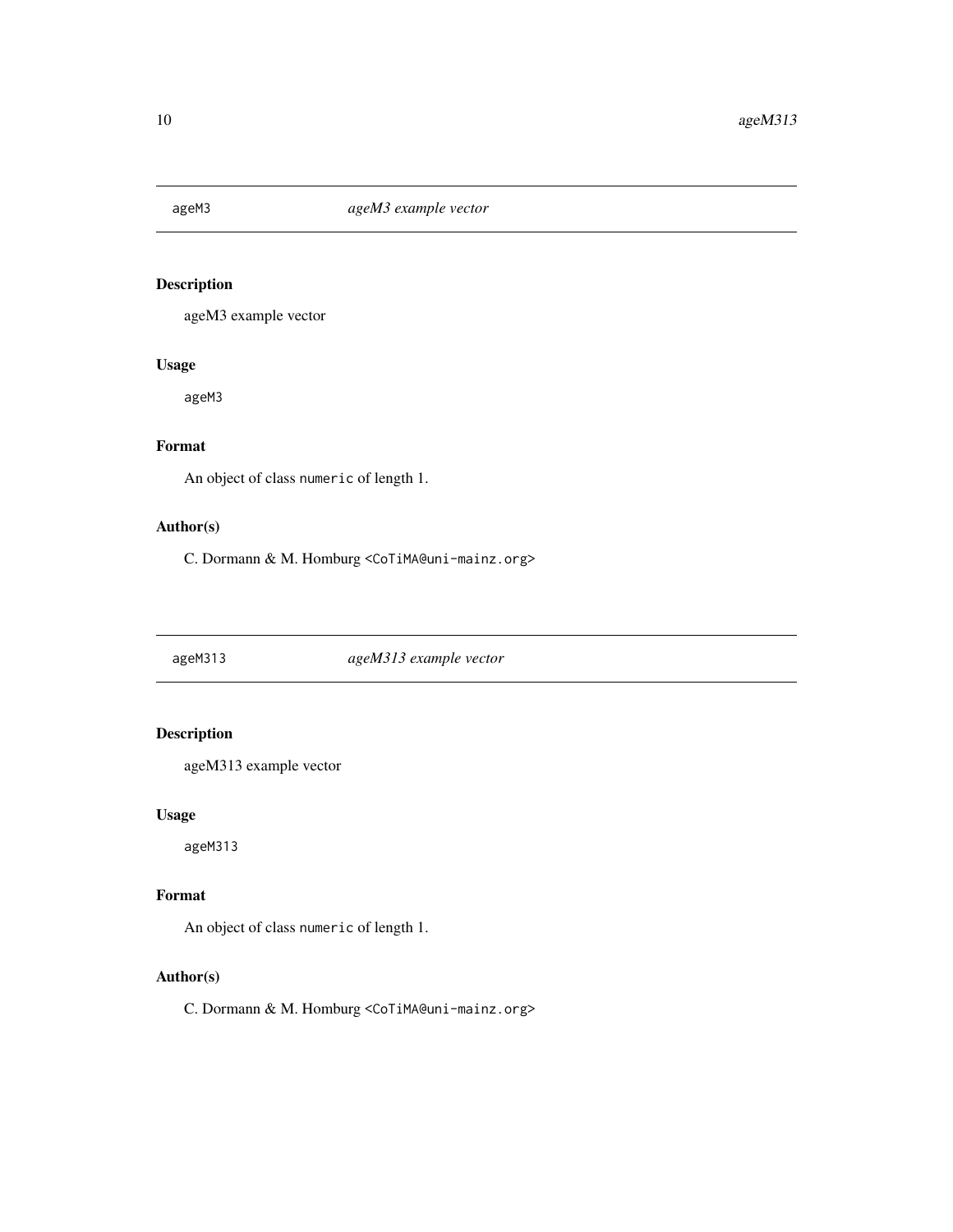<span id="page-9-0"></span>

ageM3 example vector

#### Usage

ageM3

# Format

An object of class numeric of length 1.

#### Author(s)

C. Dormann & M. Homburg <CoTiMA@uni-mainz.org>

ageM313 *ageM313 example vector*

# Description

ageM313 example vector

#### Usage

ageM313

#### Format

An object of class numeric of length 1.

#### Author(s)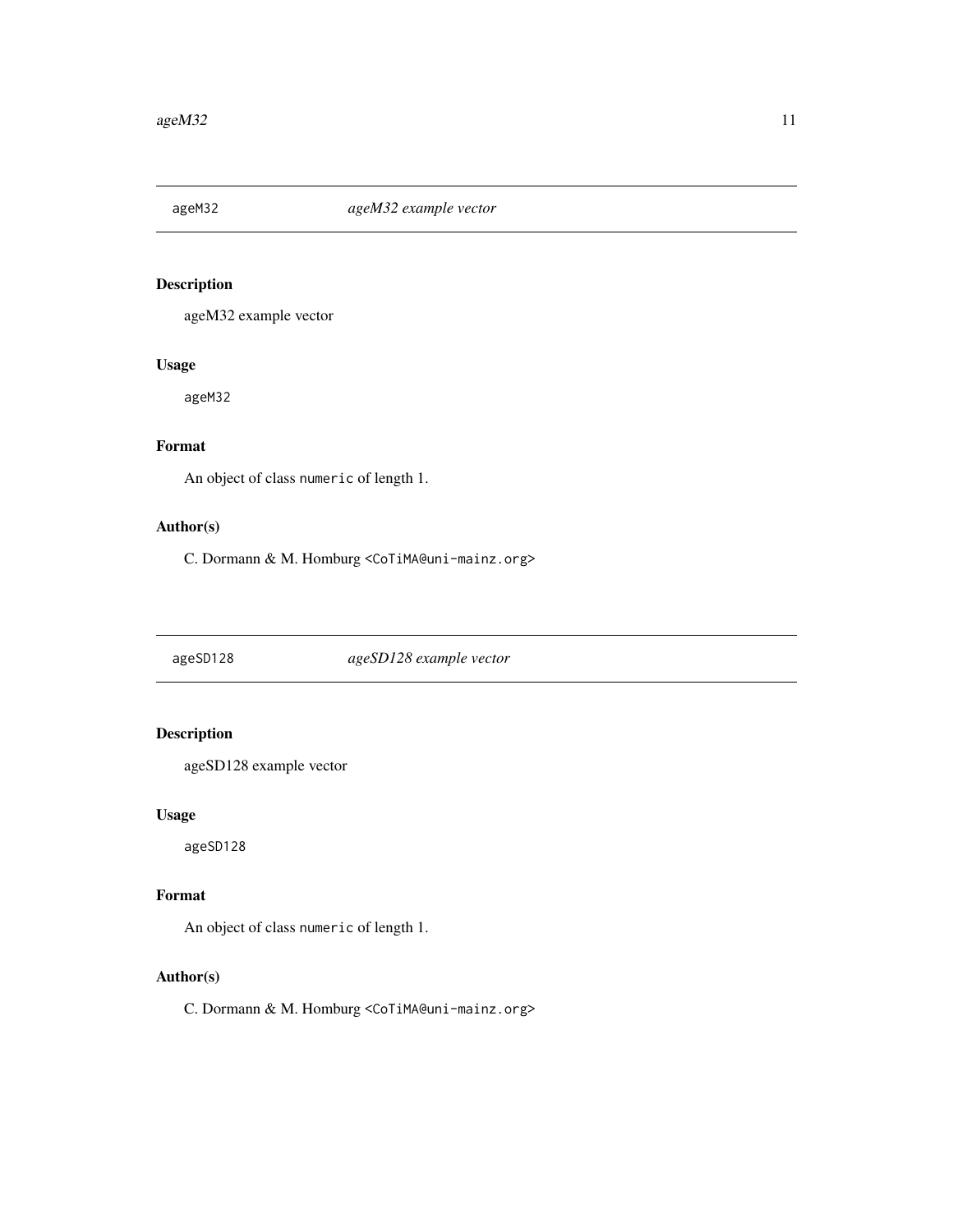<span id="page-10-0"></span>

ageM32 example vector

# Usage

ageM32

# Format

An object of class numeric of length 1.

#### Author(s)

C. Dormann & M. Homburg <CoTiMA@uni-mainz.org>

ageSD128 *ageSD128 example vector*

# Description

ageSD128 example vector

#### Usage

ageSD128

#### Format

An object of class numeric of length 1.

#### Author(s)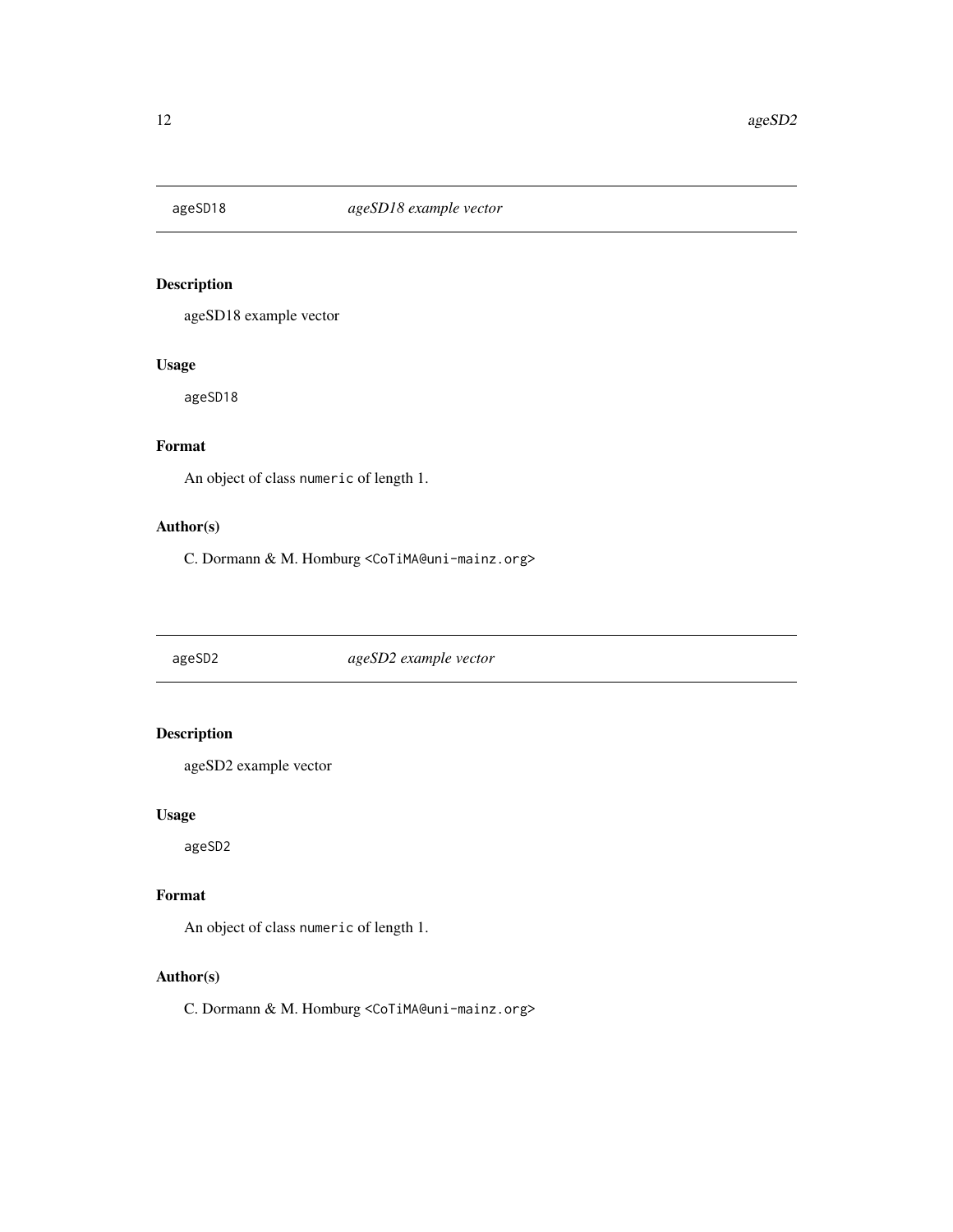<span id="page-11-0"></span>

ageSD18 example vector

#### Usage

ageSD18

# Format

An object of class numeric of length 1.

#### Author(s)

C. Dormann & M. Homburg <CoTiMA@uni-mainz.org>

ageSD2 *ageSD2 example vector*

# Description

ageSD2 example vector

#### Usage

ageSD2

# Format

An object of class numeric of length 1.

#### Author(s)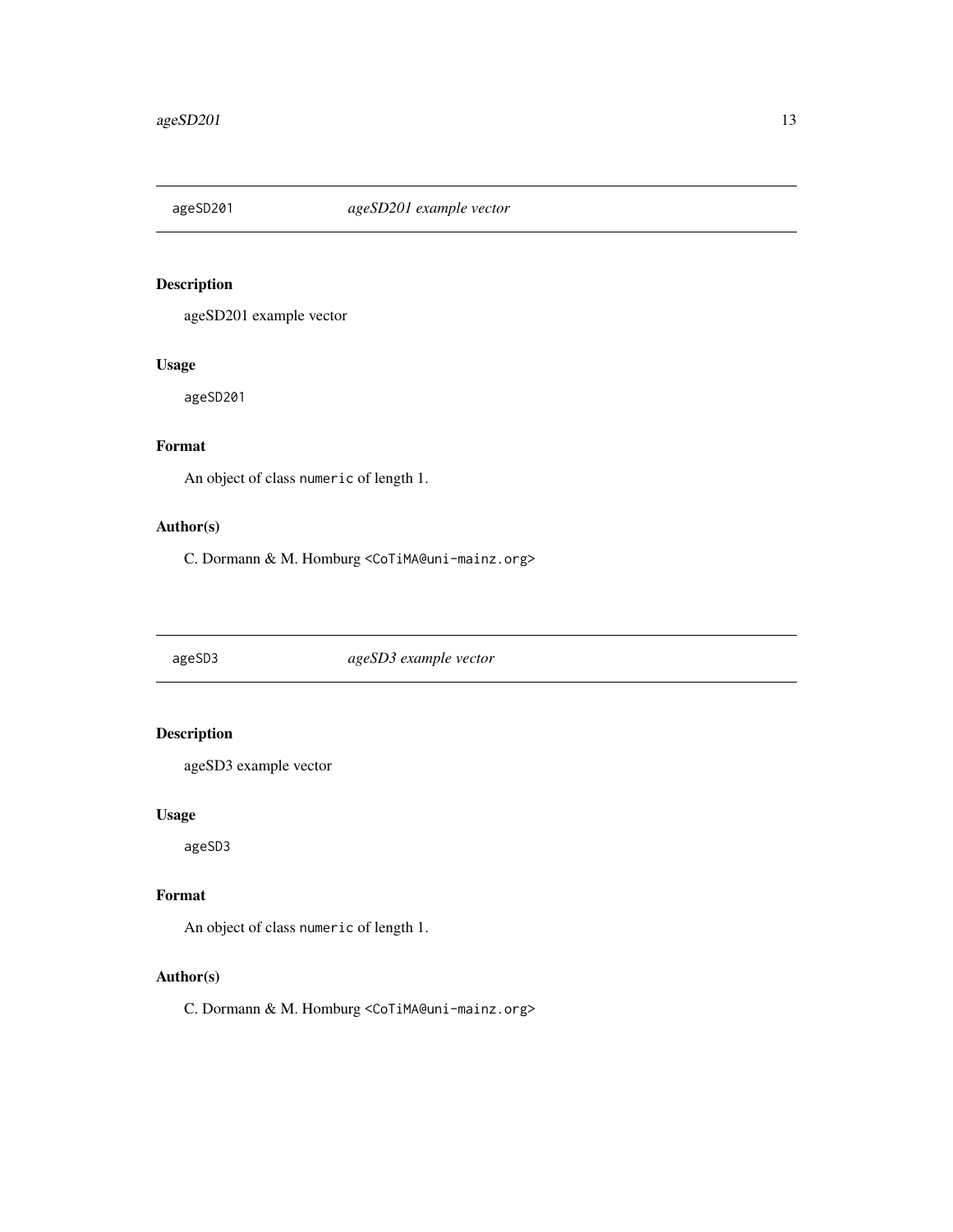<span id="page-12-0"></span>

ageSD201 example vector

#### Usage

ageSD201

# Format

An object of class numeric of length 1.

#### Author(s)

C. Dormann & M. Homburg <CoTiMA@uni-mainz.org>

ageSD3 *ageSD3 example vector*

# Description

ageSD3 example vector

#### Usage

ageSD3

# Format

An object of class numeric of length 1.

#### Author(s)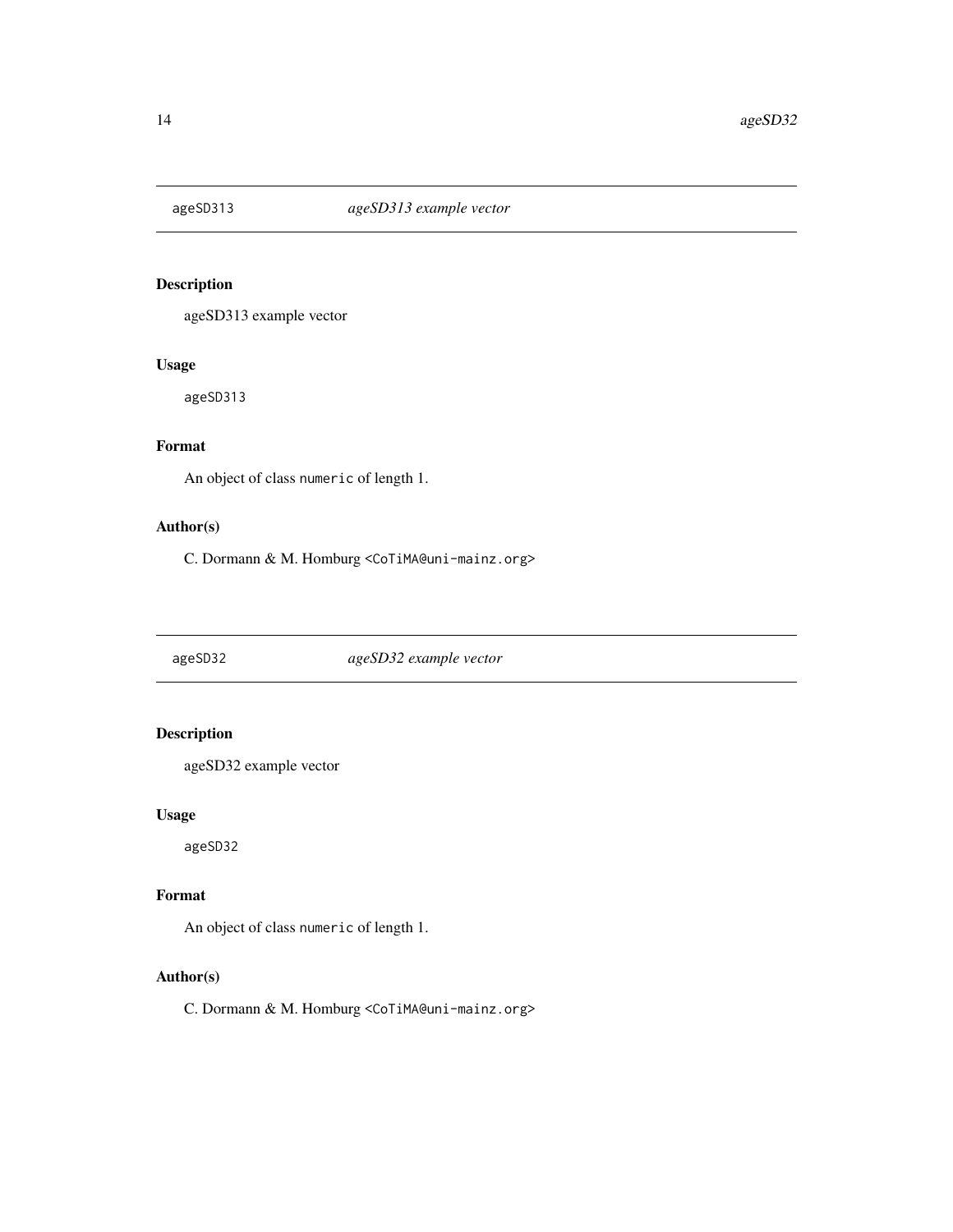<span id="page-13-0"></span>

ageSD313 example vector

# Usage

ageSD313

# Format

An object of class numeric of length 1.

#### Author(s)

C. Dormann & M. Homburg <CoTiMA@uni-mainz.org>

ageSD32 *ageSD32 example vector*

# Description

ageSD32 example vector

#### Usage

ageSD32

#### Format

An object of class numeric of length 1.

#### Author(s)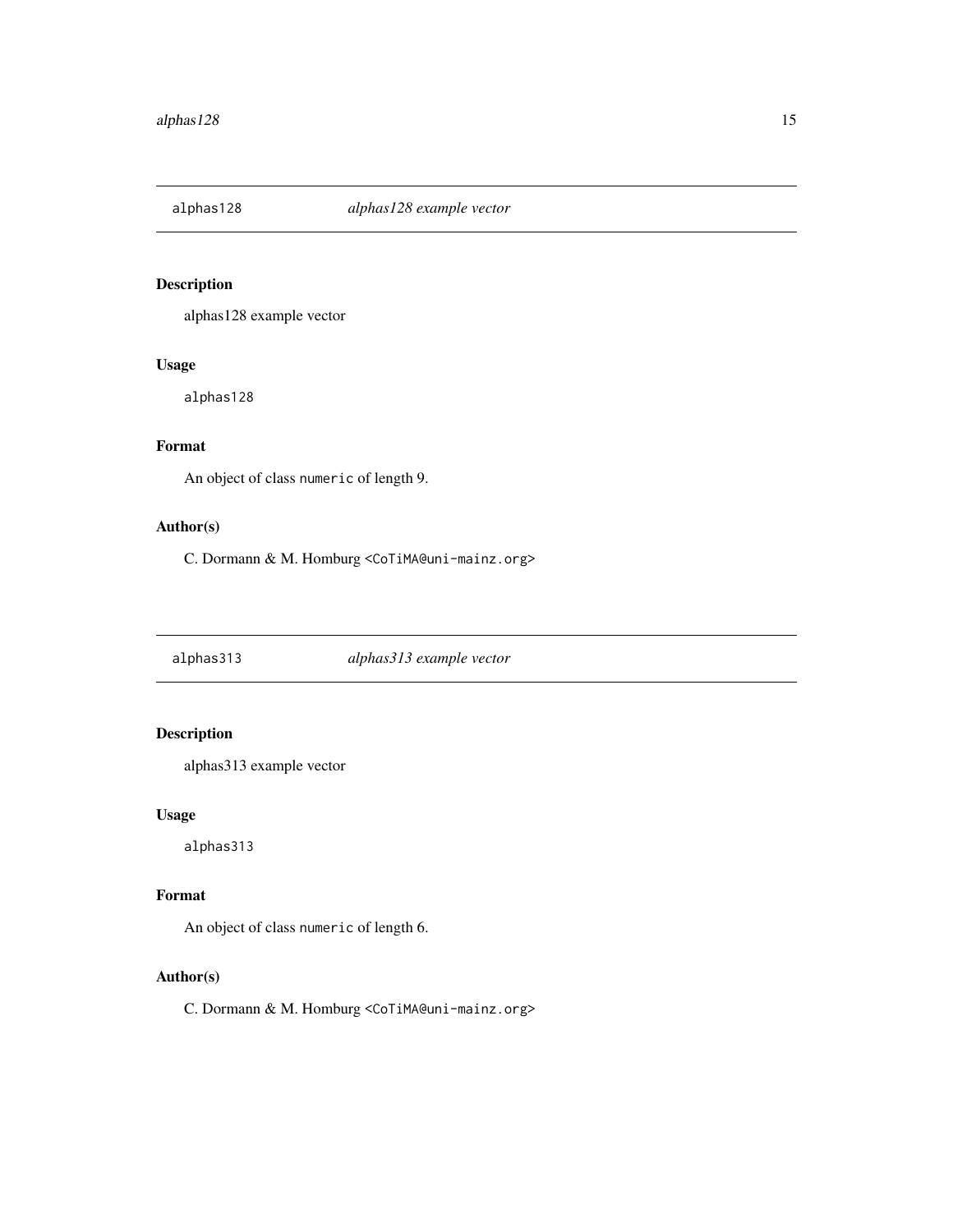<span id="page-14-0"></span>

alphas128 example vector

#### Usage

alphas128

# Format

An object of class numeric of length 9.

#### Author(s)

C. Dormann & M. Homburg <CoTiMA@uni-mainz.org>

alphas313 *alphas313 example vector*

# Description

alphas313 example vector

#### Usage

alphas313

# Format

An object of class numeric of length 6.

#### Author(s)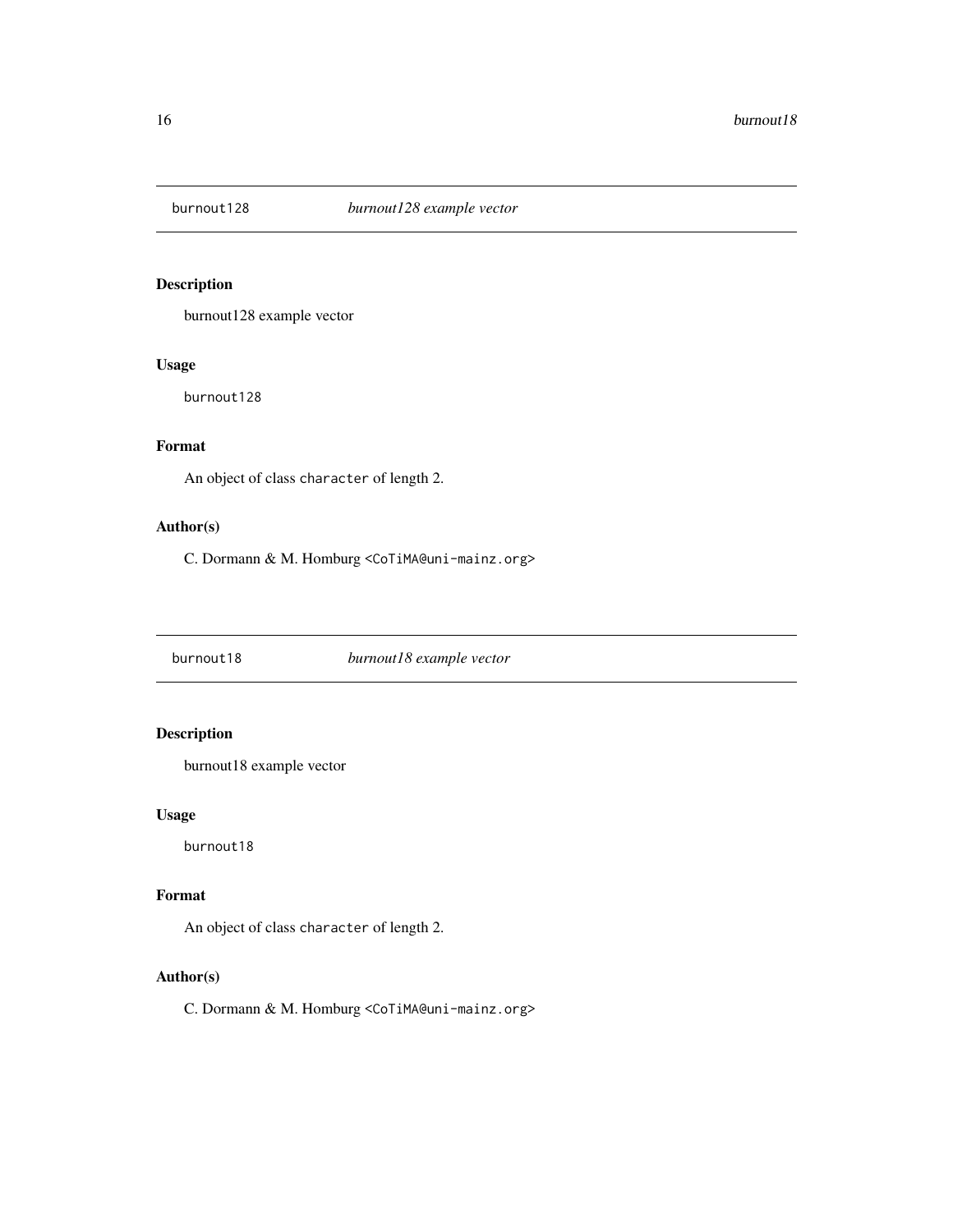<span id="page-15-0"></span>

burnout128 example vector

#### Usage

burnout128

# Format

An object of class character of length 2.

#### Author(s)

C. Dormann & M. Homburg <CoTiMA@uni-mainz.org>

burnout18 *burnout18 example vector*

# Description

burnout18 example vector

#### Usage

burnout18

#### Format

An object of class character of length 2.

#### Author(s)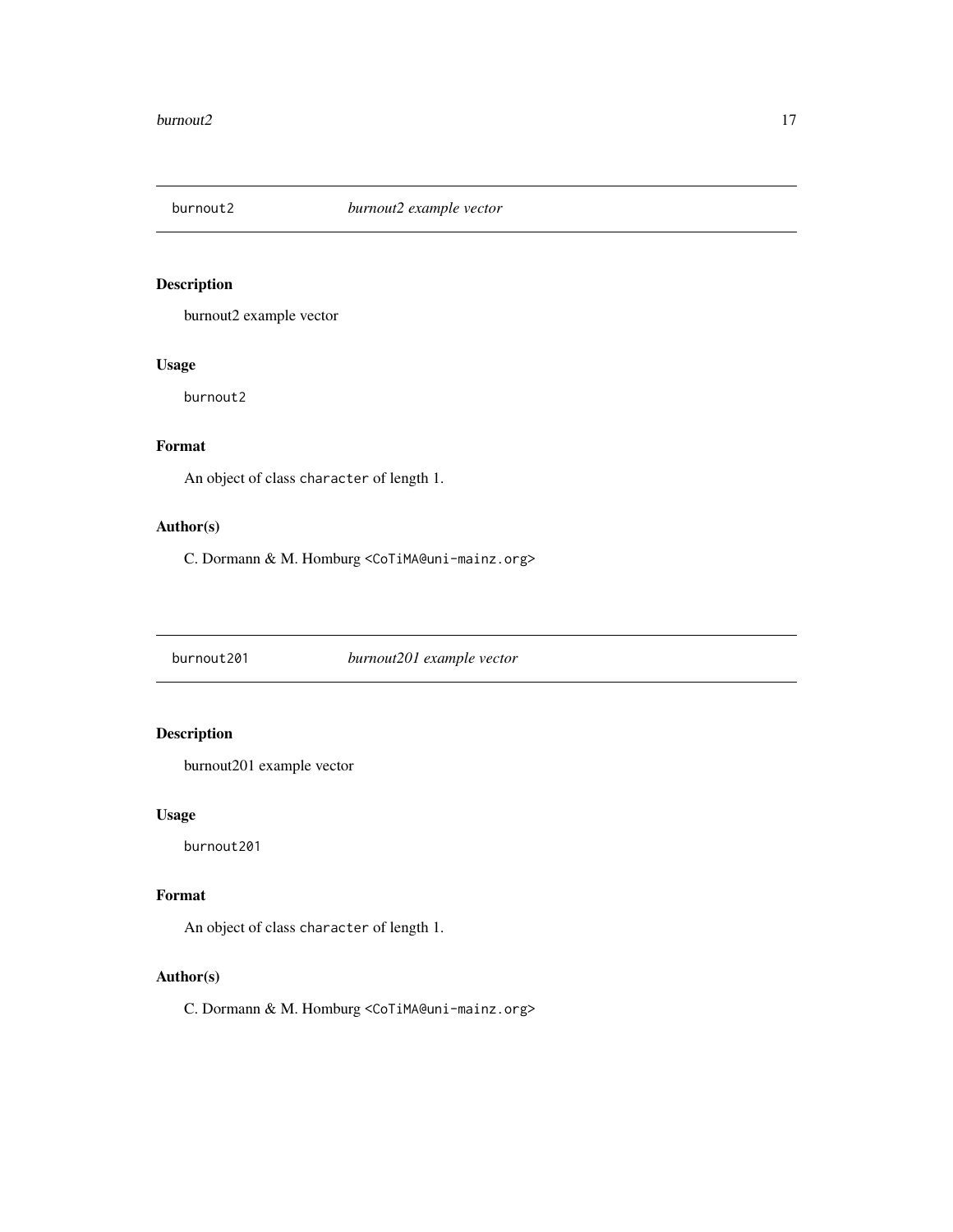<span id="page-16-0"></span>

burnout2 example vector

#### Usage

burnout2

# Format

An object of class character of length 1.

#### Author(s)

C. Dormann & M. Homburg <CoTiMA@uni-mainz.org>

burnout201 *burnout201 example vector*

### Description

burnout201 example vector

#### Usage

burnout201

#### Format

An object of class character of length 1.

#### Author(s)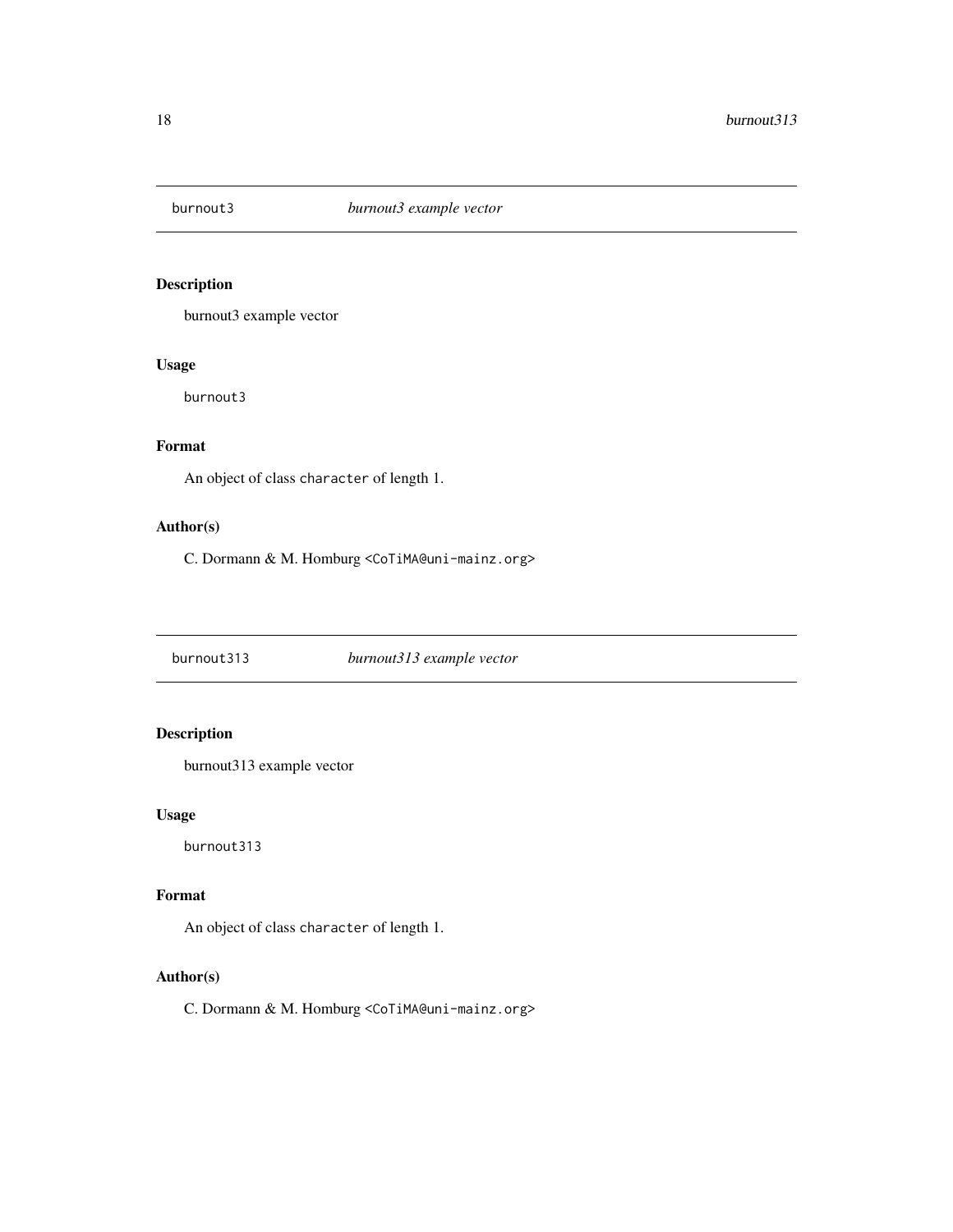<span id="page-17-0"></span>

burnout3 example vector

#### Usage

burnout3

# Format

An object of class character of length 1.

#### Author(s)

C. Dormann & M. Homburg <CoTiMA@uni-mainz.org>

burnout313 *burnout313 example vector*

# Description

burnout313 example vector

#### Usage

burnout313

#### Format

An object of class character of length 1.

#### Author(s)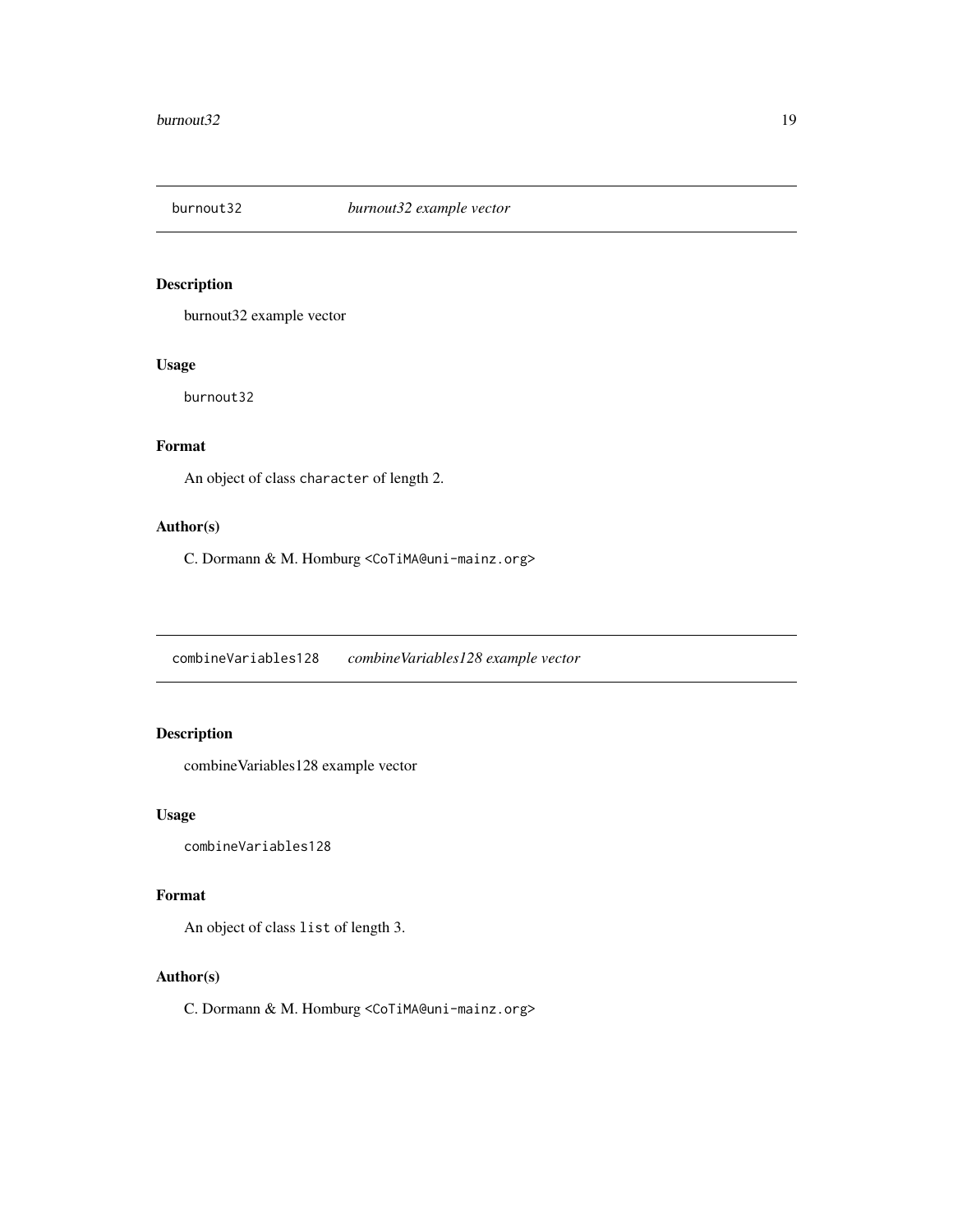<span id="page-18-0"></span>

burnout32 example vector

#### Usage

burnout32

# Format

An object of class character of length 2.

#### Author(s)

C. Dormann & M. Homburg <CoTiMA@uni-mainz.org>

combineVariables128 *combineVariables128 example vector*

# Description

combineVariables128 example vector

#### Usage

combineVariables128

#### Format

An object of class list of length 3.

#### Author(s)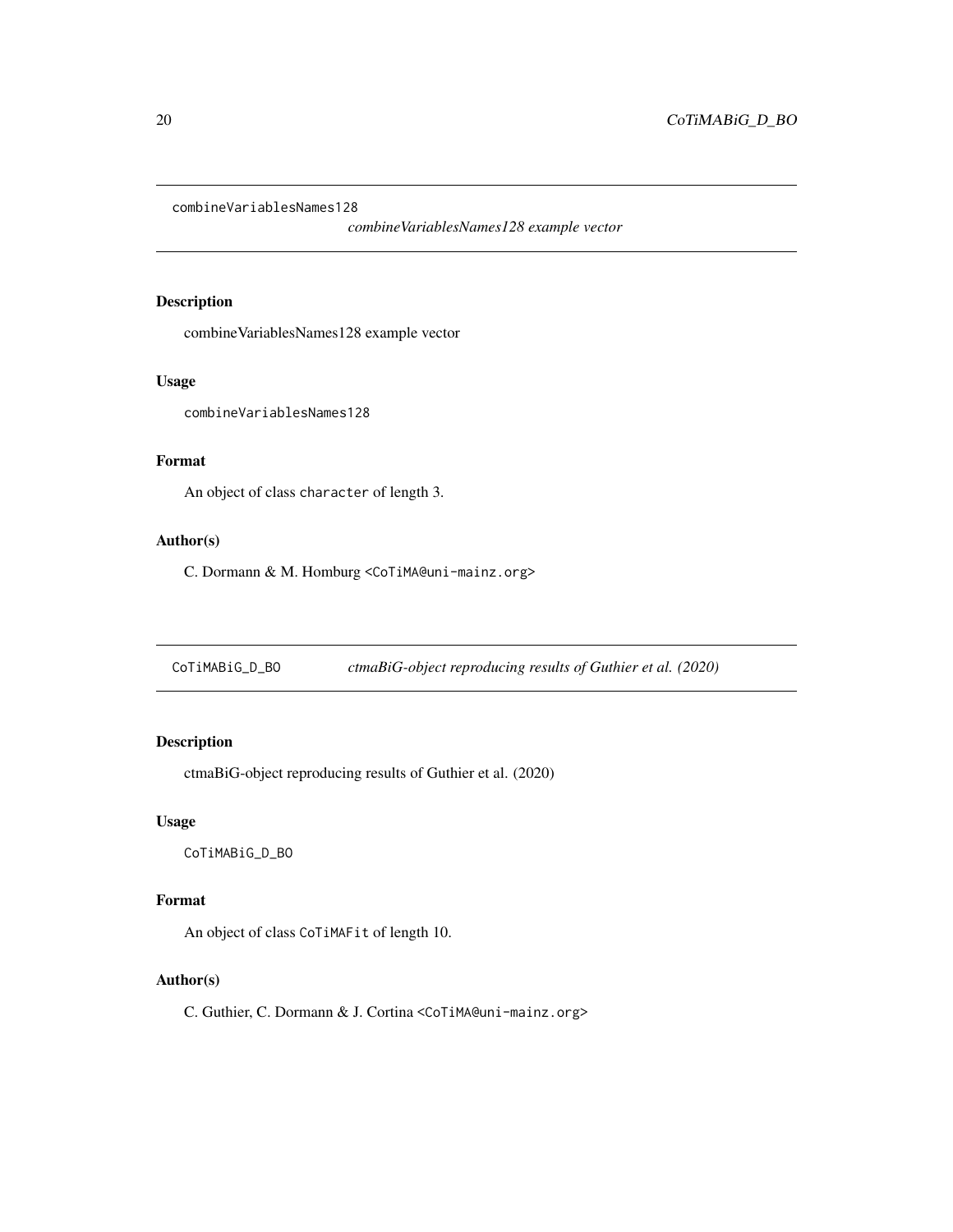<span id="page-19-0"></span>combineVariablesNames128

*combineVariablesNames128 example vector*

# Description

combineVariablesNames128 example vector

#### Usage

combineVariablesNames128

#### Format

An object of class character of length 3.

# Author(s)

C. Dormann & M. Homburg <CoTiMA@uni-mainz.org>

CoTiMABiG\_D\_BO *ctmaBiG-object reproducing results of Guthier et al. (2020)*

# Description

ctmaBiG-object reproducing results of Guthier et al. (2020)

#### Usage

CoTiMABiG\_D\_BO

#### Format

An object of class CoTiMAFit of length 10.

#### Author(s)

C. Guthier, C. Dormann & J. Cortina <CoTiMA@uni-mainz.org>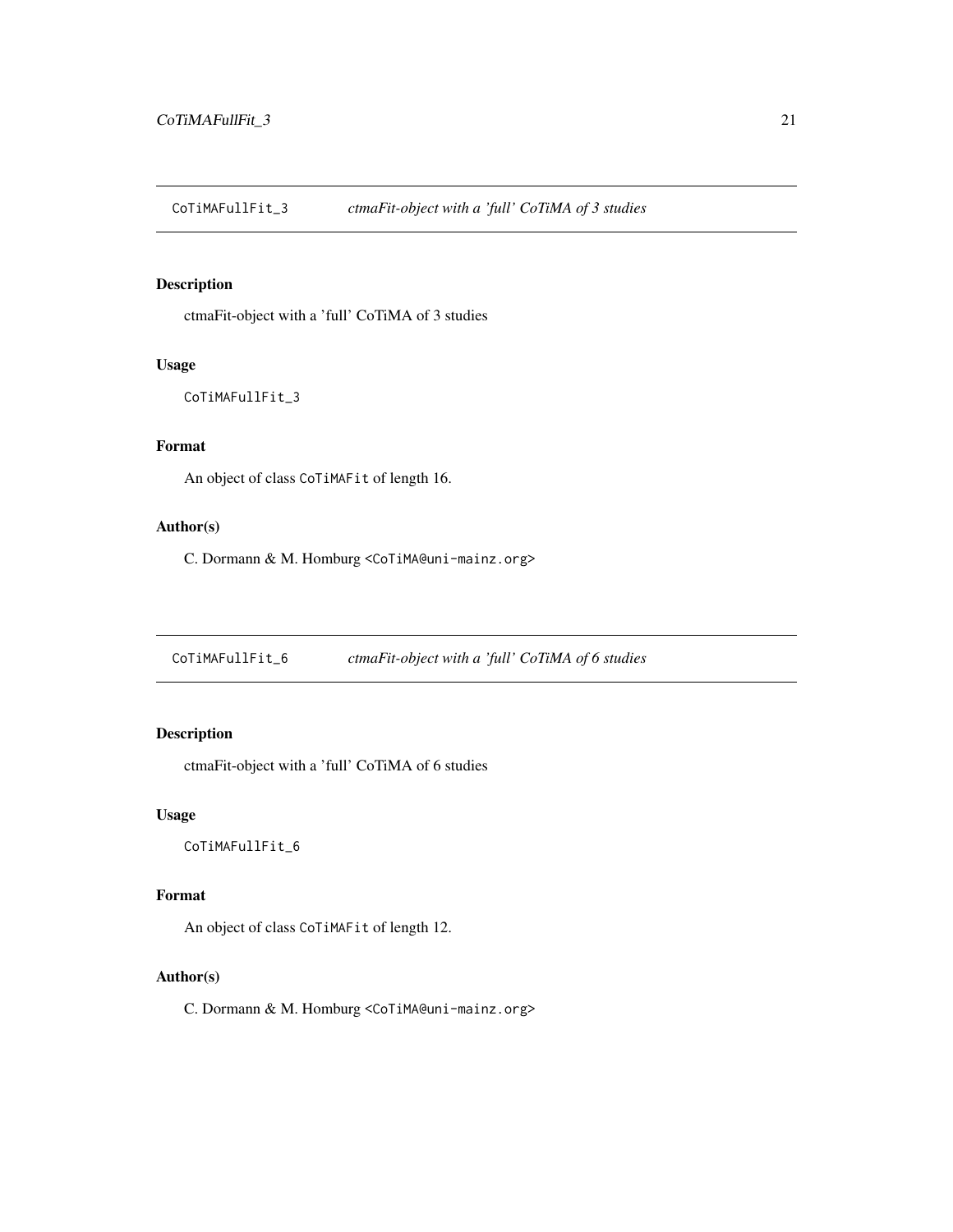<span id="page-20-0"></span>CoTiMAFullFit\_3 *ctmaFit-object with a 'full' CoTiMA of 3 studies*

#### Description

ctmaFit-object with a 'full' CoTiMA of 3 studies

#### Usage

```
CoTiMAFullFit_3
```
#### Format

An object of class CoTiMAFit of length 16.

#### Author(s)

C. Dormann & M. Homburg <CoTiMA@uni-mainz.org>

CoTiMAFullFit\_6 *ctmaFit-object with a 'full' CoTiMA of 6 studies*

### Description

ctmaFit-object with a 'full' CoTiMA of 6 studies

#### Usage

CoTiMAFullFit\_6

#### Format

An object of class CoTiMAFit of length 12.

#### Author(s)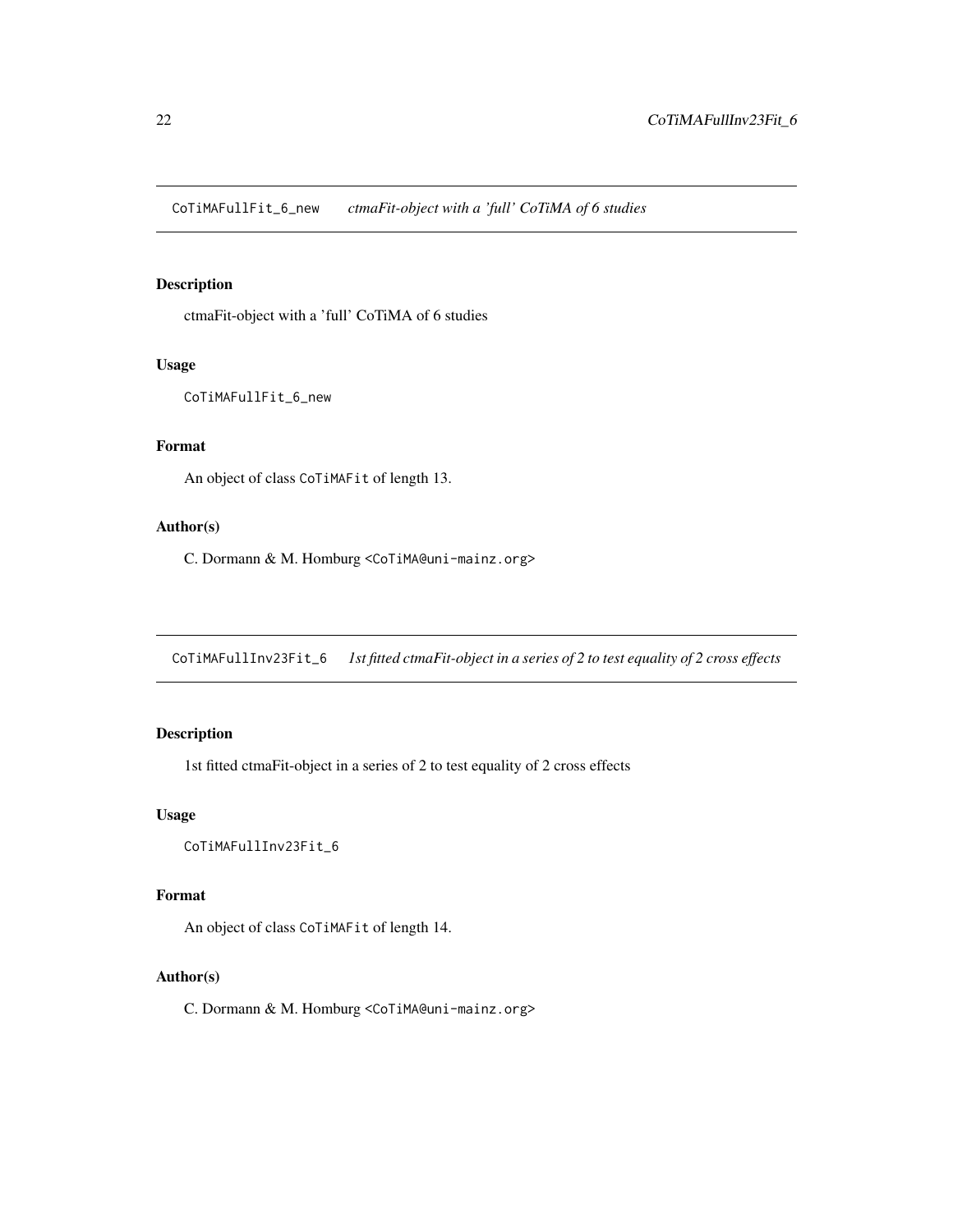<span id="page-21-0"></span>CoTiMAFullFit\_6\_new *ctmaFit-object with a 'full' CoTiMA of 6 studies*

#### Description

ctmaFit-object with a 'full' CoTiMA of 6 studies

#### Usage

CoTiMAFullFit\_6\_new

#### Format

An object of class CoTiMAFit of length 13.

#### Author(s)

C. Dormann & M. Homburg <CoTiMA@uni-mainz.org>

CoTiMAFullInv23Fit\_6 *1st fitted ctmaFit-object in a series of 2 to test equality of 2 cross effects*

### Description

1st fitted ctmaFit-object in a series of 2 to test equality of 2 cross effects

#### Usage

```
CoTiMAFullInv23Fit_6
```
#### Format

An object of class CoTiMAFit of length 14.

#### Author(s)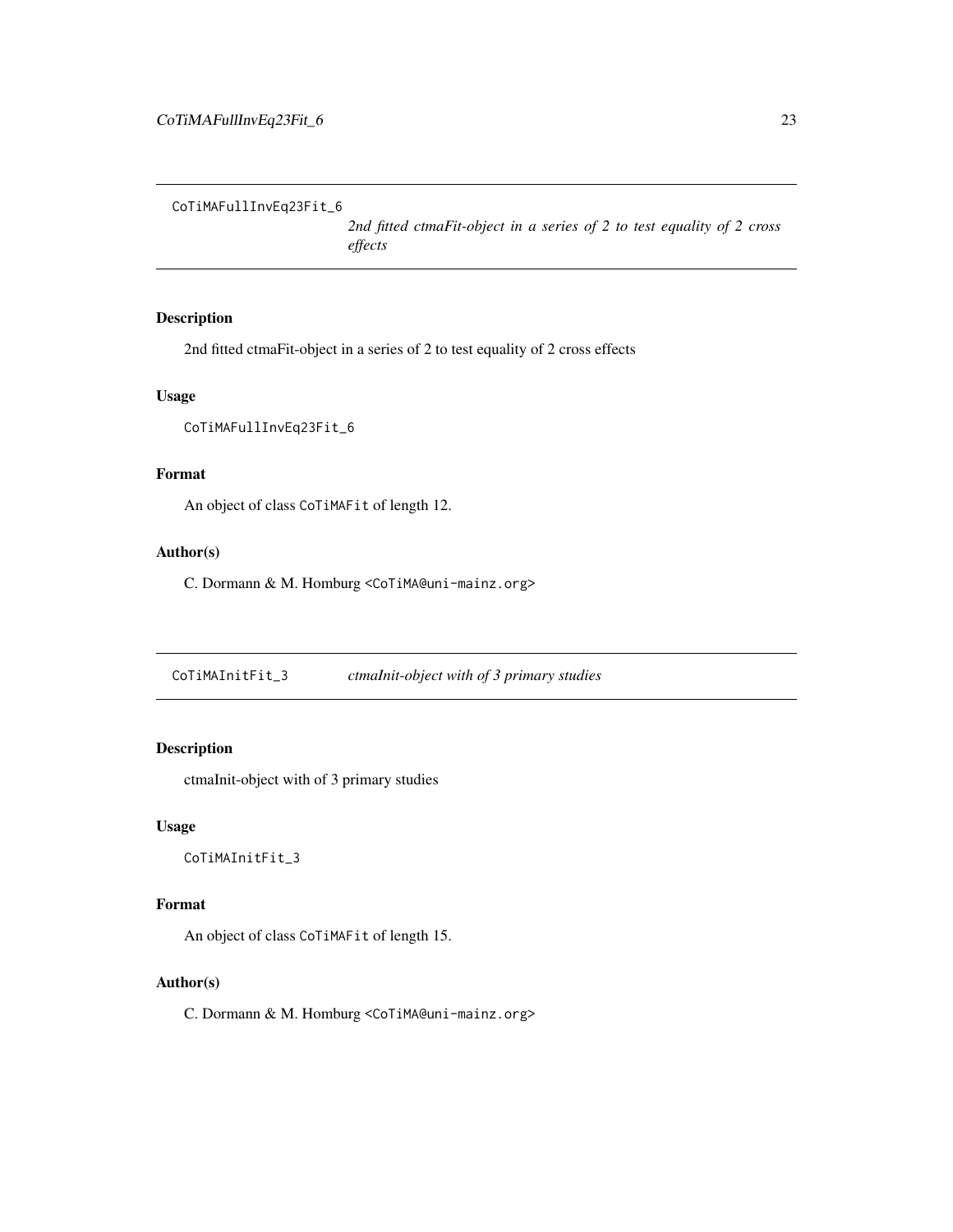<span id="page-22-0"></span>CoTiMAFullInvEq23Fit\_6

*2nd fitted ctmaFit-object in a series of 2 to test equality of 2 cross effects*

#### Description

2nd fitted ctmaFit-object in a series of 2 to test equality of 2 cross effects

#### Usage

```
CoTiMAFullInvEq23Fit_6
```
#### Format

An object of class CoTiMAFit of length 12.

#### Author(s)

C. Dormann & M. Homburg <CoTiMA@uni-mainz.org>

CoTiMAInitFit\_3 *ctmaInit-object with of 3 primary studies*

#### Description

ctmaInit-object with of 3 primary studies

#### Usage

CoTiMAInitFit\_3

### Format

An object of class CoTiMAFit of length 15.

### Author(s)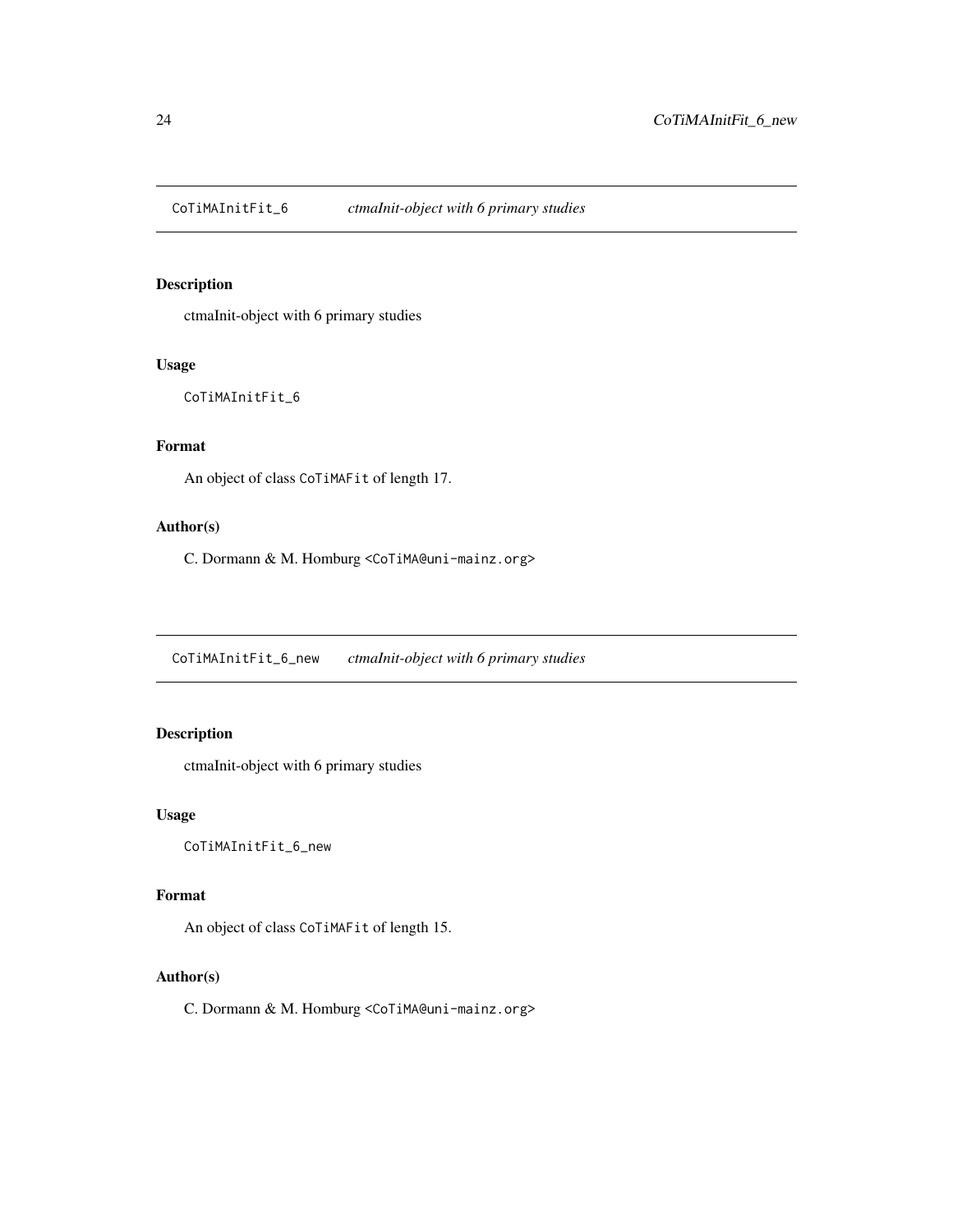<span id="page-23-0"></span>CoTiMAInitFit\_6 *ctmaInit-object with 6 primary studies*

#### Description

ctmaInit-object with 6 primary studies

#### Usage

CoTiMAInitFit\_6

## Format

An object of class CoTiMAFit of length 17.

#### Author(s)

C. Dormann & M. Homburg <CoTiMA@uni-mainz.org>

CoTiMAInitFit\_6\_new *ctmaInit-object with 6 primary studies*

### Description

ctmaInit-object with 6 primary studies

#### Usage

CoTiMAInitFit\_6\_new

#### Format

An object of class CoTiMAFit of length 15.

#### Author(s)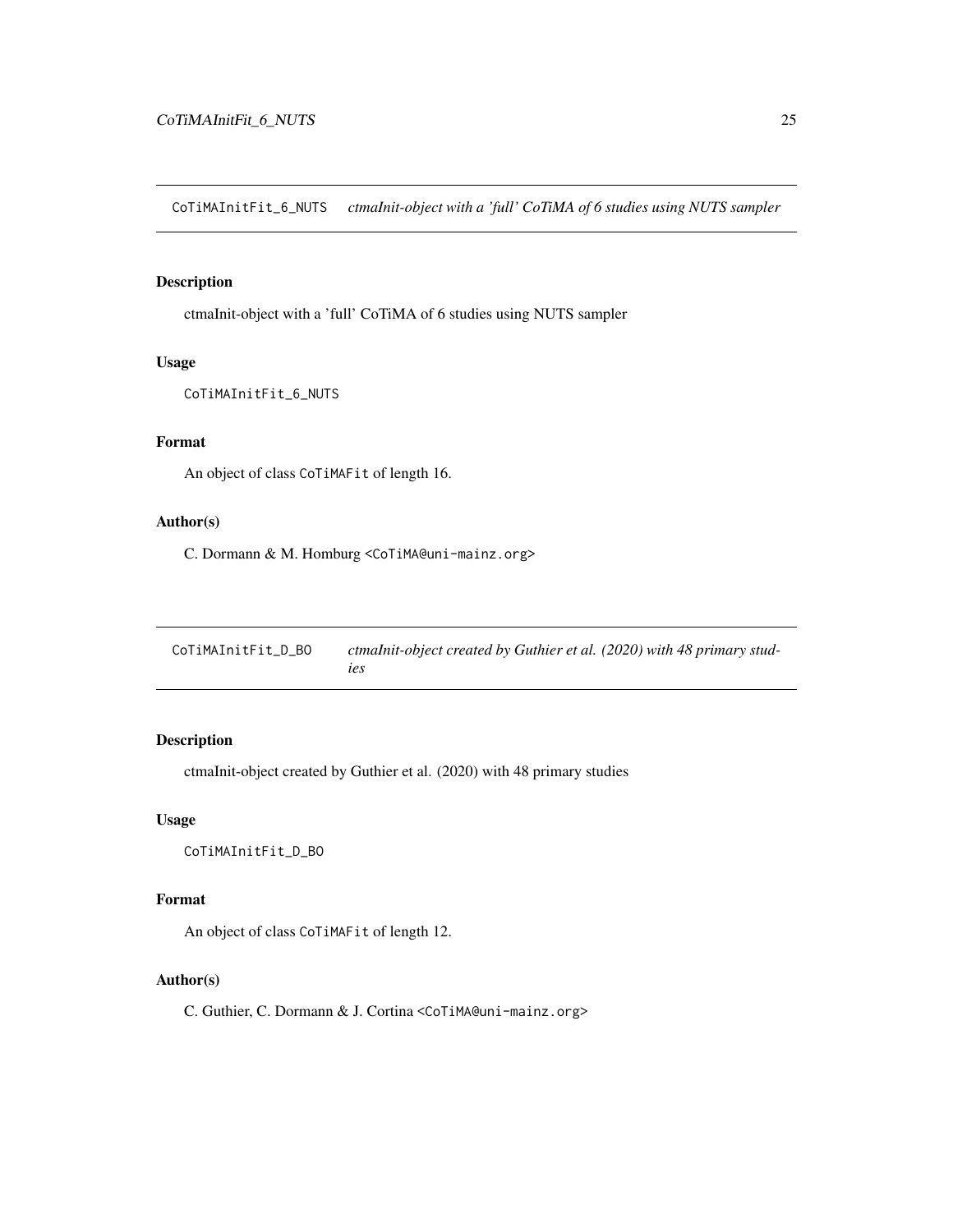<span id="page-24-0"></span>CoTiMAInitFit\_6\_NUTS *ctmaInit-object with a 'full' CoTiMA of 6 studies using NUTS sampler*

# Description

ctmaInit-object with a 'full' CoTiMA of 6 studies using NUTS sampler

#### Usage

```
CoTiMAInitFit_6_NUTS
```
### Format

An object of class CoTiMAFit of length 16.

#### Author(s)

C. Dormann & M. Homburg <CoTiMA@uni-mainz.org>

| CoTiMAInitFit_D_BO | ctmaInit-object created by Guthier et al. (2020) with 48 primary stud- |
|--------------------|------------------------------------------------------------------------|
|                    | <i>ies</i>                                                             |

# Description

ctmaInit-object created by Guthier et al. (2020) with 48 primary studies

# Usage

CoTiMAInitFit\_D\_BO

#### Format

An object of class CoTiMAFit of length 12.

#### Author(s)

C. Guthier, C. Dormann & J. Cortina <CoTiMA@uni-mainz.org>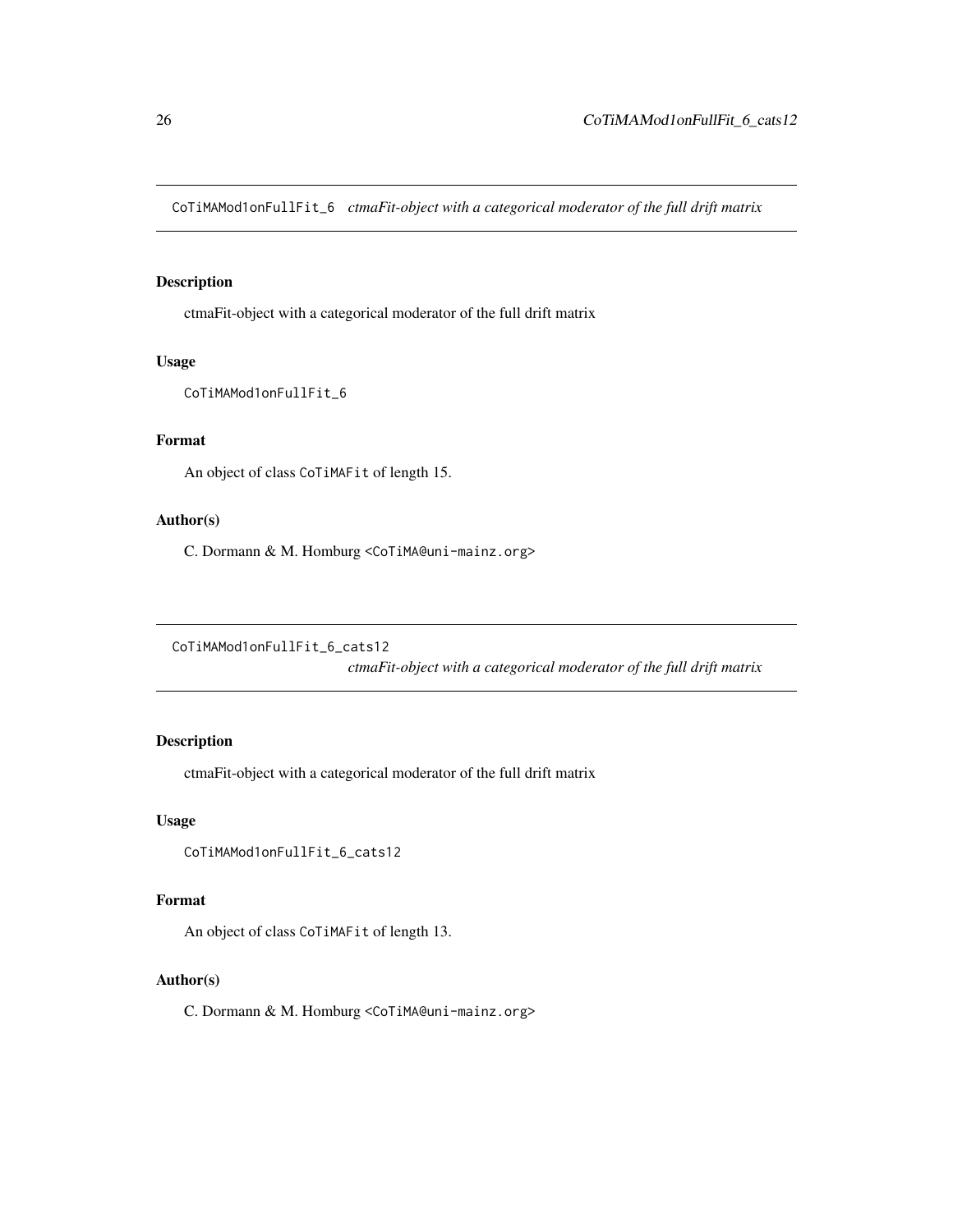<span id="page-25-0"></span>CoTiMAMod1onFullFit\_6 *ctmaFit-object with a categorical moderator of the full drift matrix*

# Description

ctmaFit-object with a categorical moderator of the full drift matrix

#### Usage

```
CoTiMAMod1onFullFit_6
```
#### Format

An object of class CoTiMAFit of length 15.

#### Author(s)

C. Dormann & M. Homburg <CoTiMA@uni-mainz.org>

CoTiMAMod1onFullFit\_6\_cats12

*ctmaFit-object with a categorical moderator of the full drift matrix*

#### Description

ctmaFit-object with a categorical moderator of the full drift matrix

#### Usage

```
CoTiMAMod1onFullFit_6_cats12
```
#### Format

An object of class CoTiMAFit of length 13.

#### Author(s)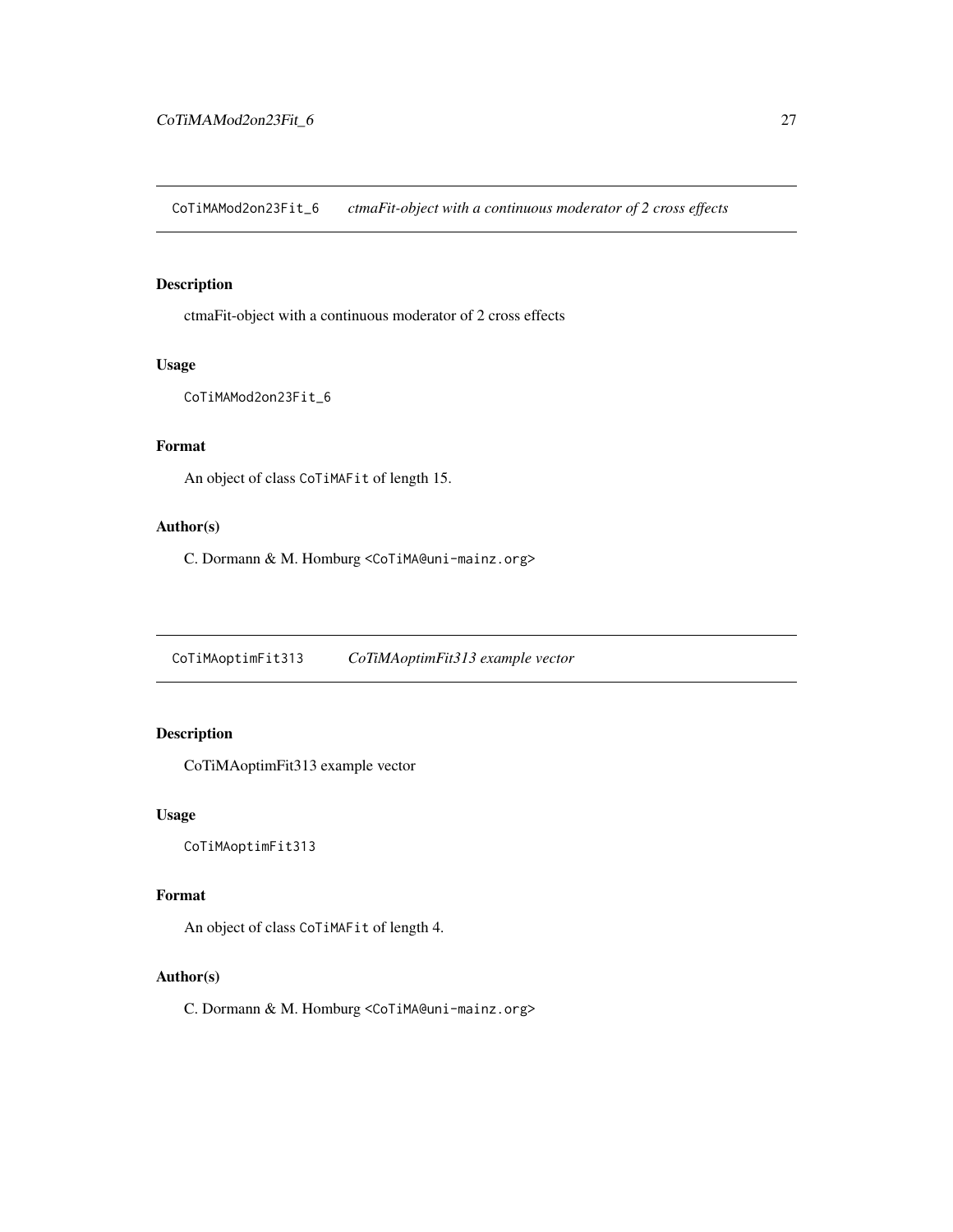<span id="page-26-0"></span>CoTiMAMod2on23Fit\_6 *ctmaFit-object with a continuous moderator of 2 cross effects*

#### Description

ctmaFit-object with a continuous moderator of 2 cross effects

#### Usage

```
CoTiMAMod2on23Fit_6
```
## Format

An object of class CoTiMAFit of length 15.

#### Author(s)

C. Dormann & M. Homburg <CoTiMA@uni-mainz.org>

CoTiMAoptimFit313 *CoTiMAoptimFit313 example vector*

### Description

CoTiMAoptimFit313 example vector

#### Usage

CoTiMAoptimFit313

#### Format

An object of class CoTiMAFit of length 4.

#### Author(s)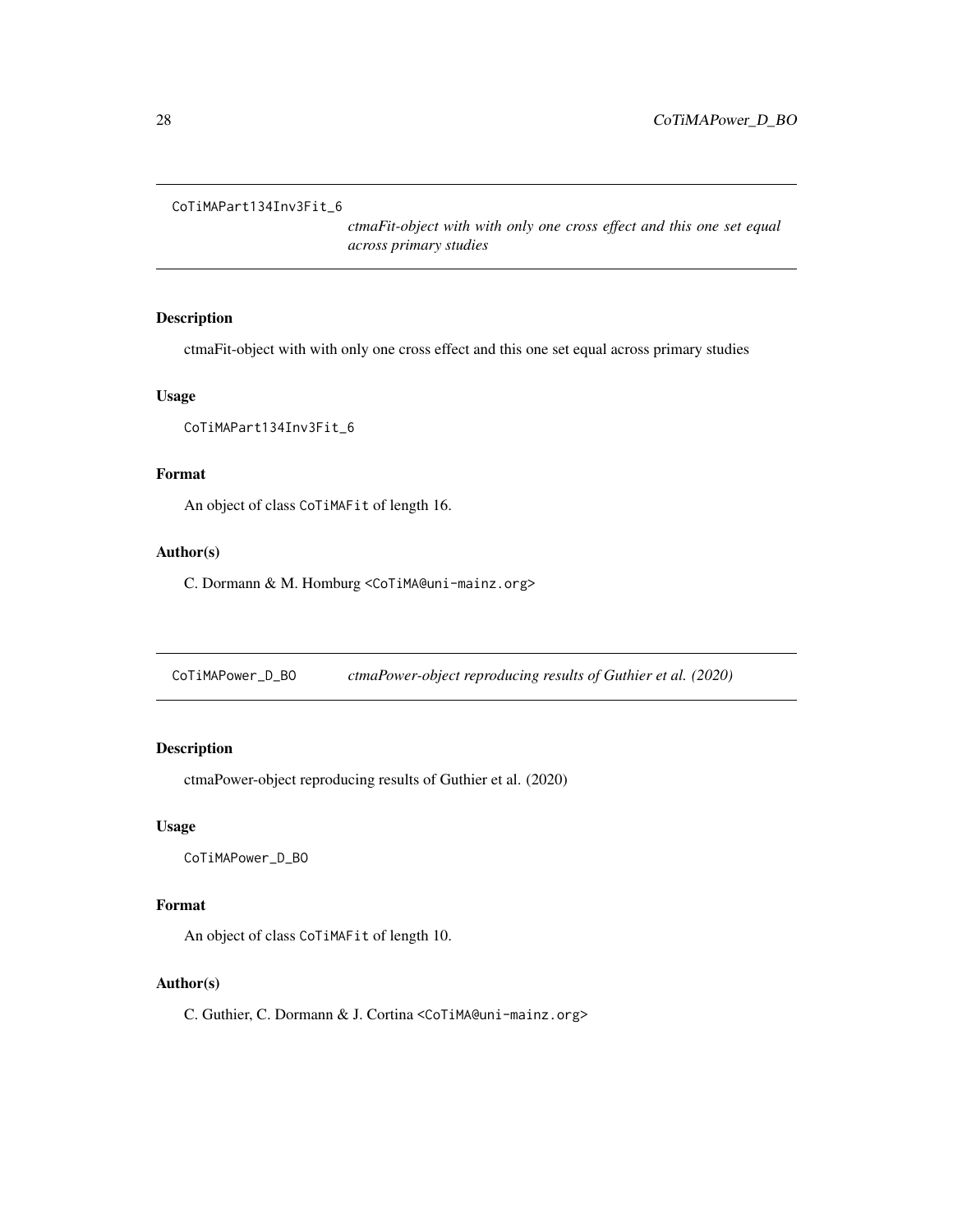<span id="page-27-0"></span>CoTiMAPart134Inv3Fit\_6

*ctmaFit-object with with only one cross effect and this one set equal across primary studies*

#### Description

ctmaFit-object with with only one cross effect and this one set equal across primary studies

#### Usage

```
CoTiMAPart134Inv3Fit_6
```
#### Format

An object of class CoTiMAFit of length 16.

#### Author(s)

C. Dormann & M. Homburg <CoTiMA@uni-mainz.org>

CoTiMAPower\_D\_BO *ctmaPower-object reproducing results of Guthier et al. (2020)*

#### Description

ctmaPower-object reproducing results of Guthier et al. (2020)

#### Usage

CoTiMAPower\_D\_BO

#### Format

An object of class CoTiMAFit of length 10.

### Author(s)

C. Guthier, C. Dormann & J. Cortina <CoTiMA@uni-mainz.org>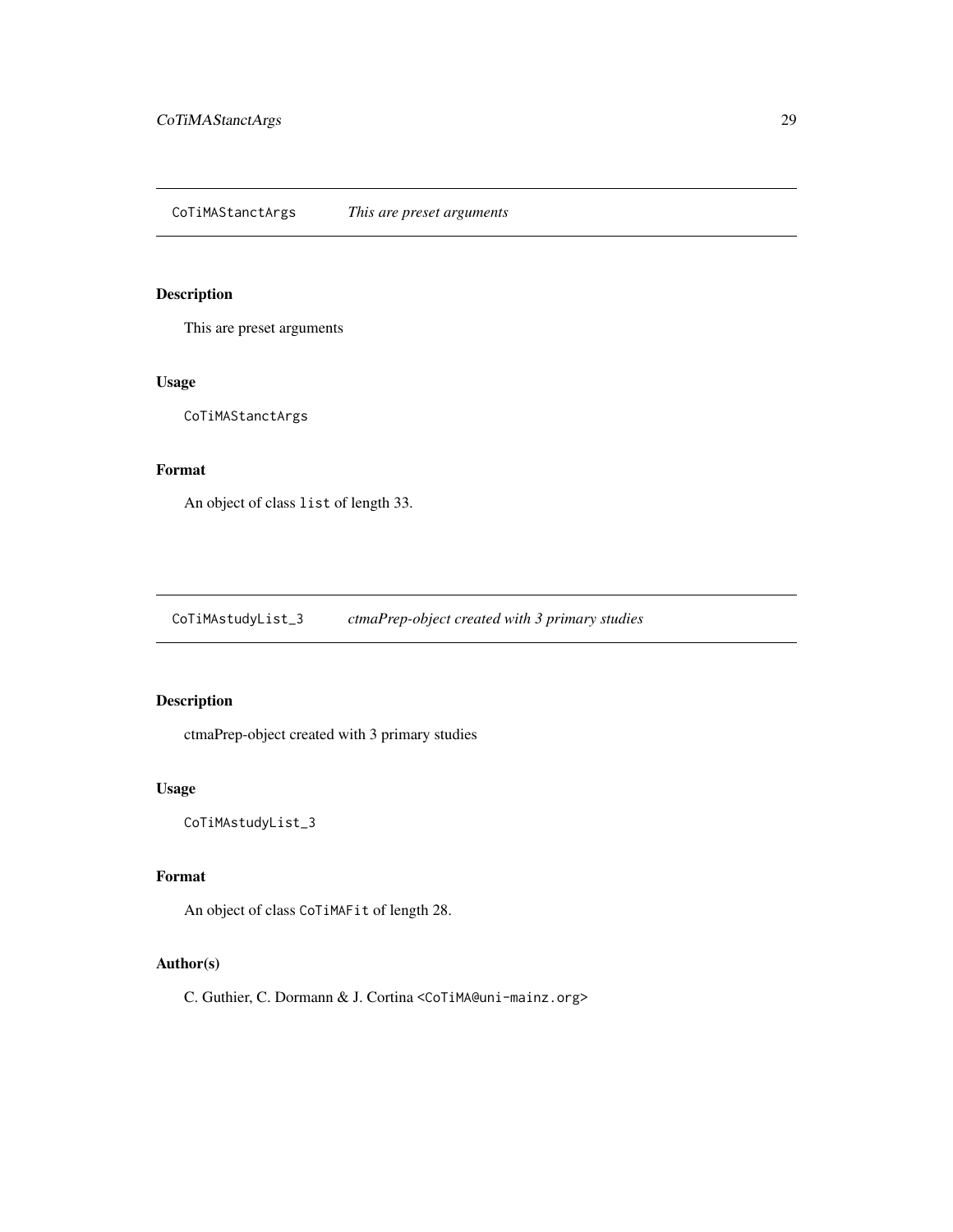<span id="page-28-0"></span>This are preset arguments

#### Usage

CoTiMAStanctArgs

#### Format

An object of class list of length 33.

CoTiMAstudyList\_3 *ctmaPrep-object created with 3 primary studies*

# Description

ctmaPrep-object created with 3 primary studies

### Usage

CoTiMAstudyList\_3

#### Format

An object of class CoTiMAFit of length 28.

### Author(s)

C. Guthier, C. Dormann & J. Cortina <CoTiMA@uni-mainz.org>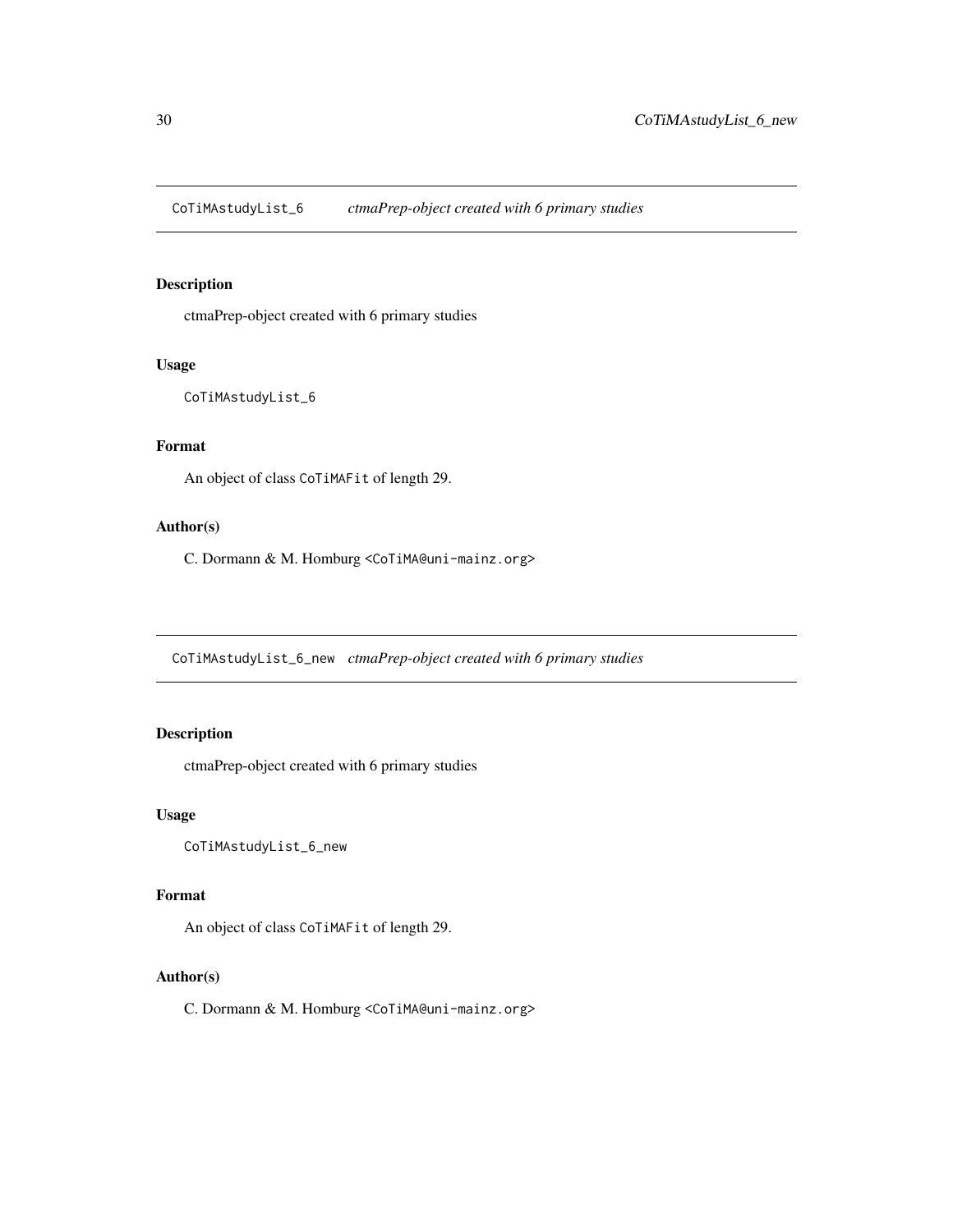<span id="page-29-0"></span>CoTiMAstudyList\_6 *ctmaPrep-object created with 6 primary studies*

#### Description

ctmaPrep-object created with 6 primary studies

#### Usage

```
CoTiMAstudyList_6
```
# Format

An object of class CoTiMAFit of length 29.

#### Author(s)

C. Dormann & M. Homburg <CoTiMA@uni-mainz.org>

CoTiMAstudyList\_6\_new *ctmaPrep-object created with 6 primary studies*

#### Description

ctmaPrep-object created with 6 primary studies

#### Usage

CoTiMAstudyList\_6\_new

#### Format

An object of class CoTiMAFit of length 29.

#### Author(s)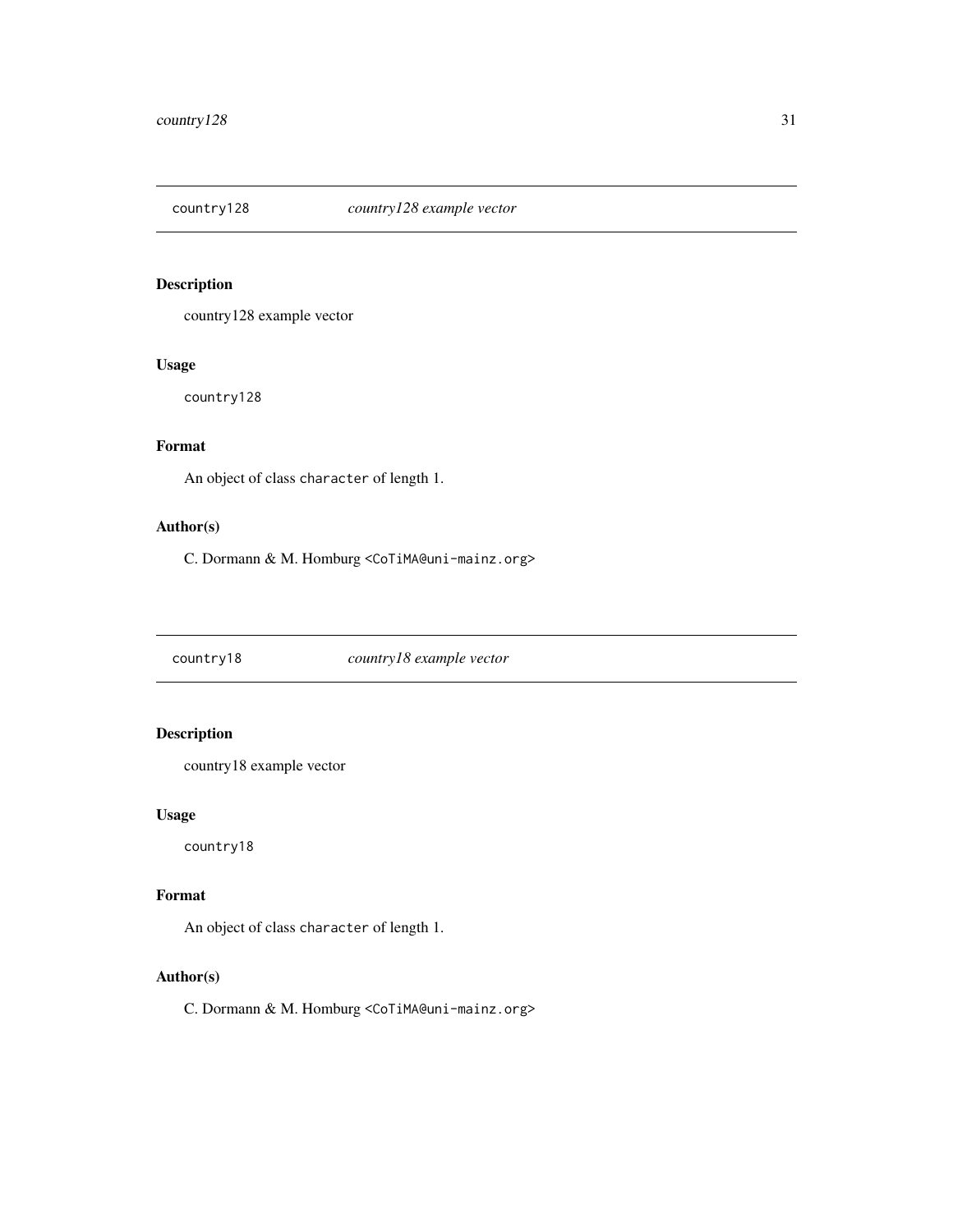<span id="page-30-0"></span>

country128 example vector

#### Usage

country128

# Format

An object of class character of length 1.

#### Author(s)

C. Dormann & M. Homburg <CoTiMA@uni-mainz.org>

country18 *country18 example vector*

# Description

country18 example vector

#### Usage

country18

#### Format

An object of class character of length 1.

#### Author(s)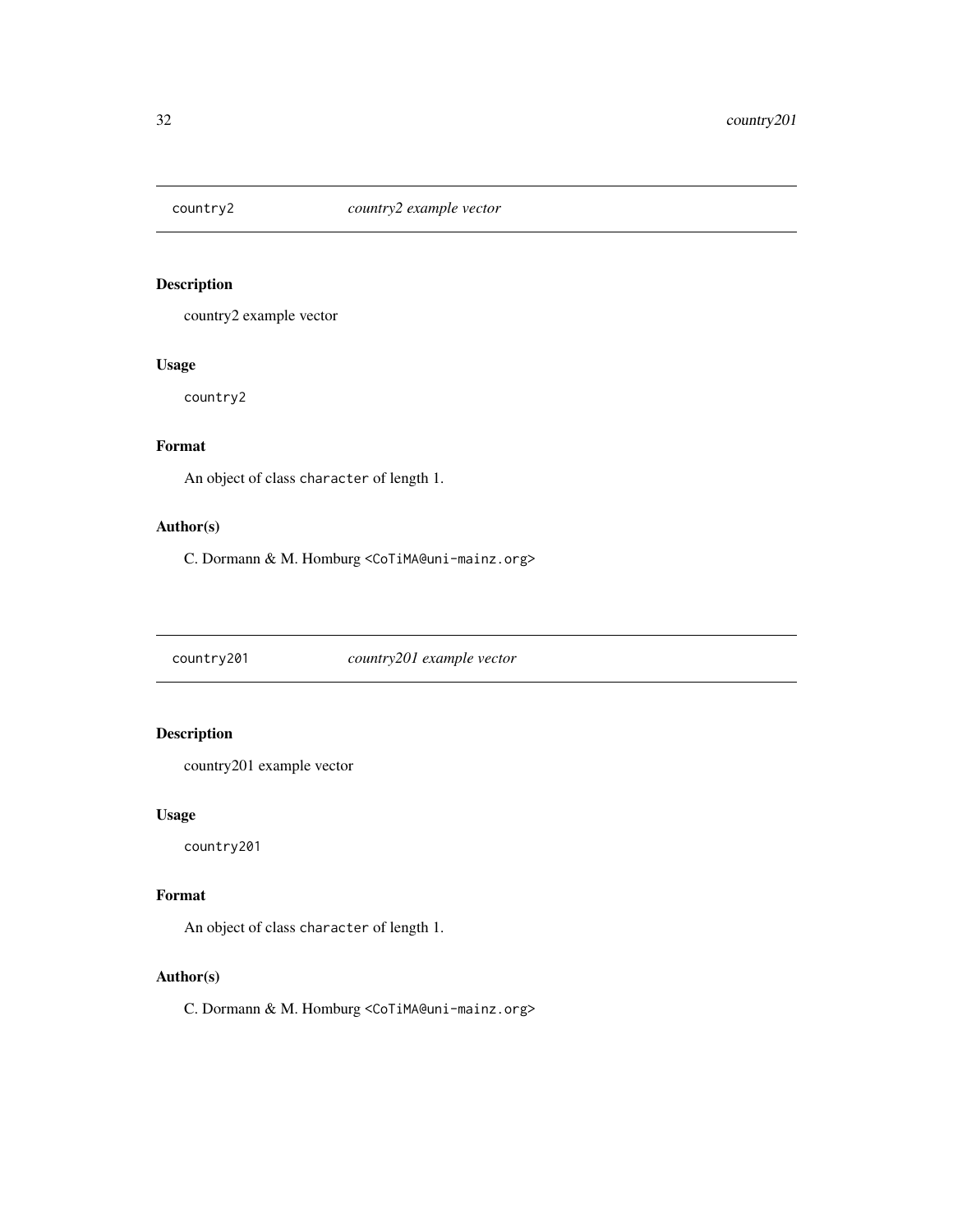<span id="page-31-0"></span>

country2 example vector

#### Usage

country2

# Format

An object of class character of length 1.

#### Author(s)

C. Dormann & M. Homburg <CoTiMA@uni-mainz.org>

country201 *country201 example vector*

# Description

country201 example vector

#### Usage

country201

#### Format

An object of class character of length 1.

#### Author(s)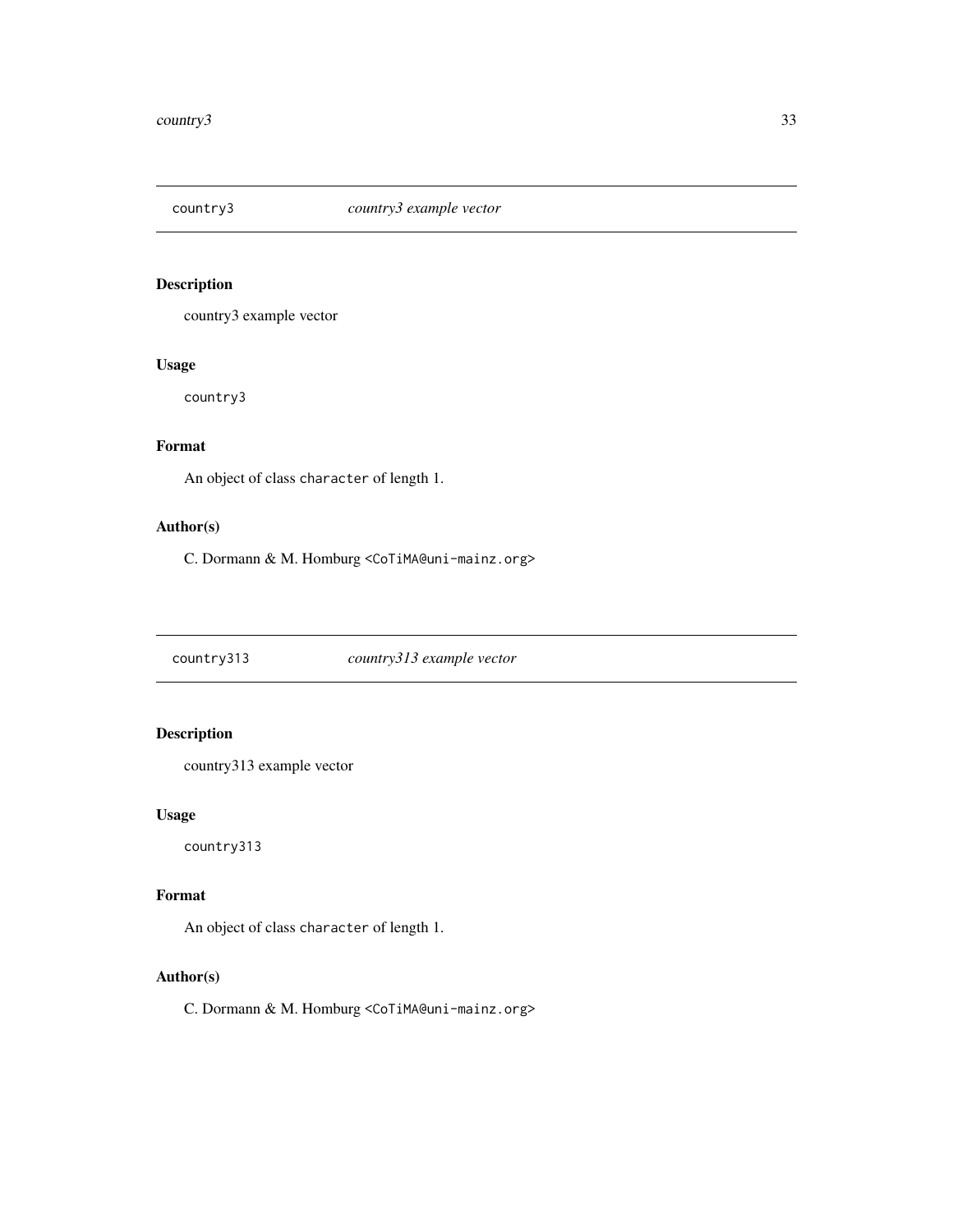<span id="page-32-0"></span>

country3 example vector

#### Usage

country3

# Format

An object of class character of length 1.

#### Author(s)

C. Dormann & M. Homburg <CoTiMA@uni-mainz.org>

country313 *country313 example vector*

# Description

country313 example vector

#### Usage

country313

#### Format

An object of class character of length 1.

#### Author(s)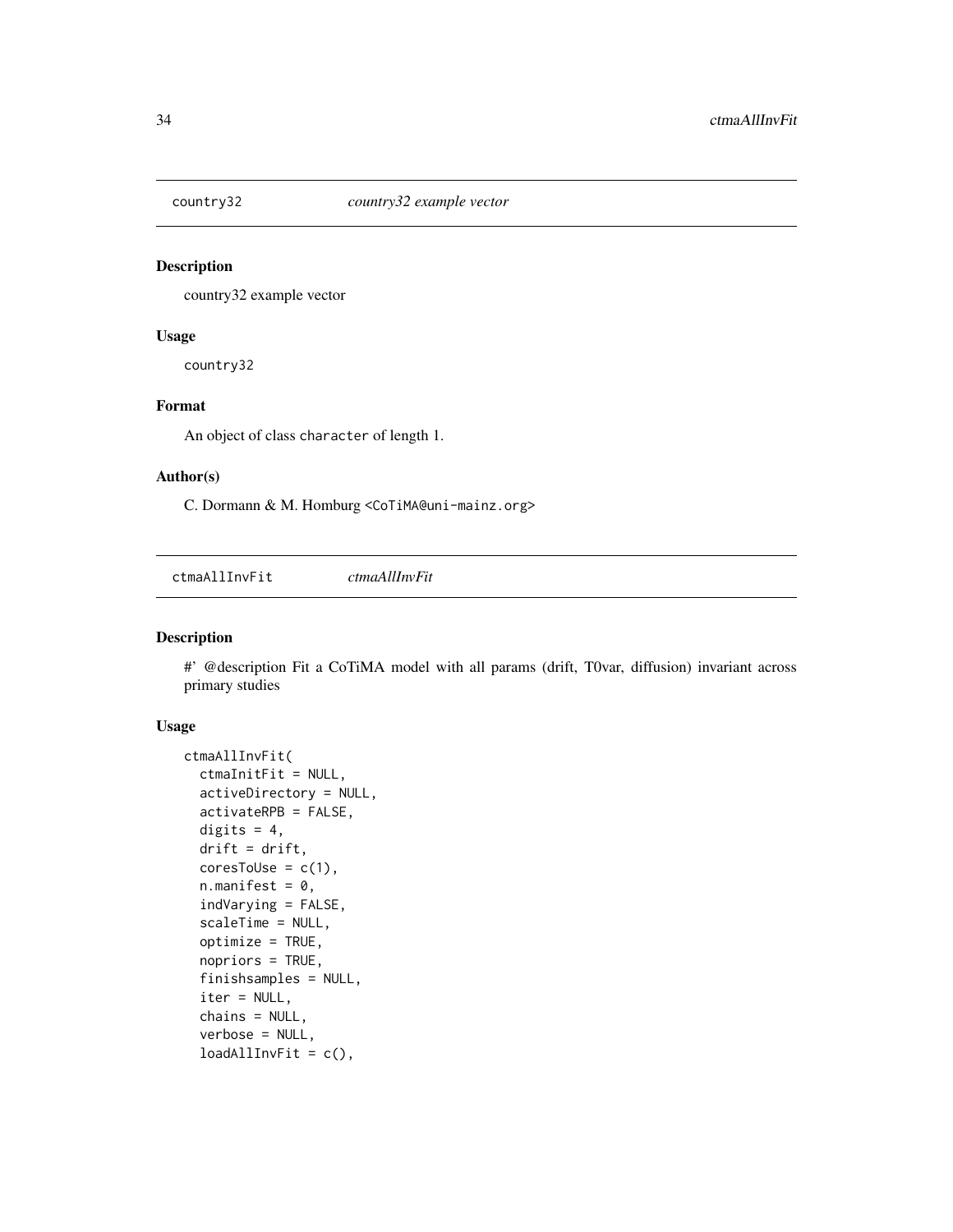<span id="page-33-0"></span>

country32 example vector

#### Usage

country32

# Format

An object of class character of length 1.

#### Author(s)

C. Dormann & M. Homburg <CoTiMA@uni-mainz.org>

ctmaAllInvFit *ctmaAllInvFit*

### Description

#' @description Fit a CoTiMA model with all params (drift, T0var, diffusion) invariant across primary studies

#### Usage

```
ctmaAllInvFit(
  ctmaInitFit = NULL,
  activeDirectory = NULL,
  activateRPB = FALSE,
  digits = 4,
  drift = drift,coresTolse = c(1),n.mainloop.manifest = 0,
  indVarying = FALSE,
  scaleTime = NULL,
  optimize = TRUE,
  nopriors = TRUE,
  finishsamples = NULL,
  iter = NULL,
  chains = NULL,
  verbose = NULL,
  loadAllInvFit = c(),
```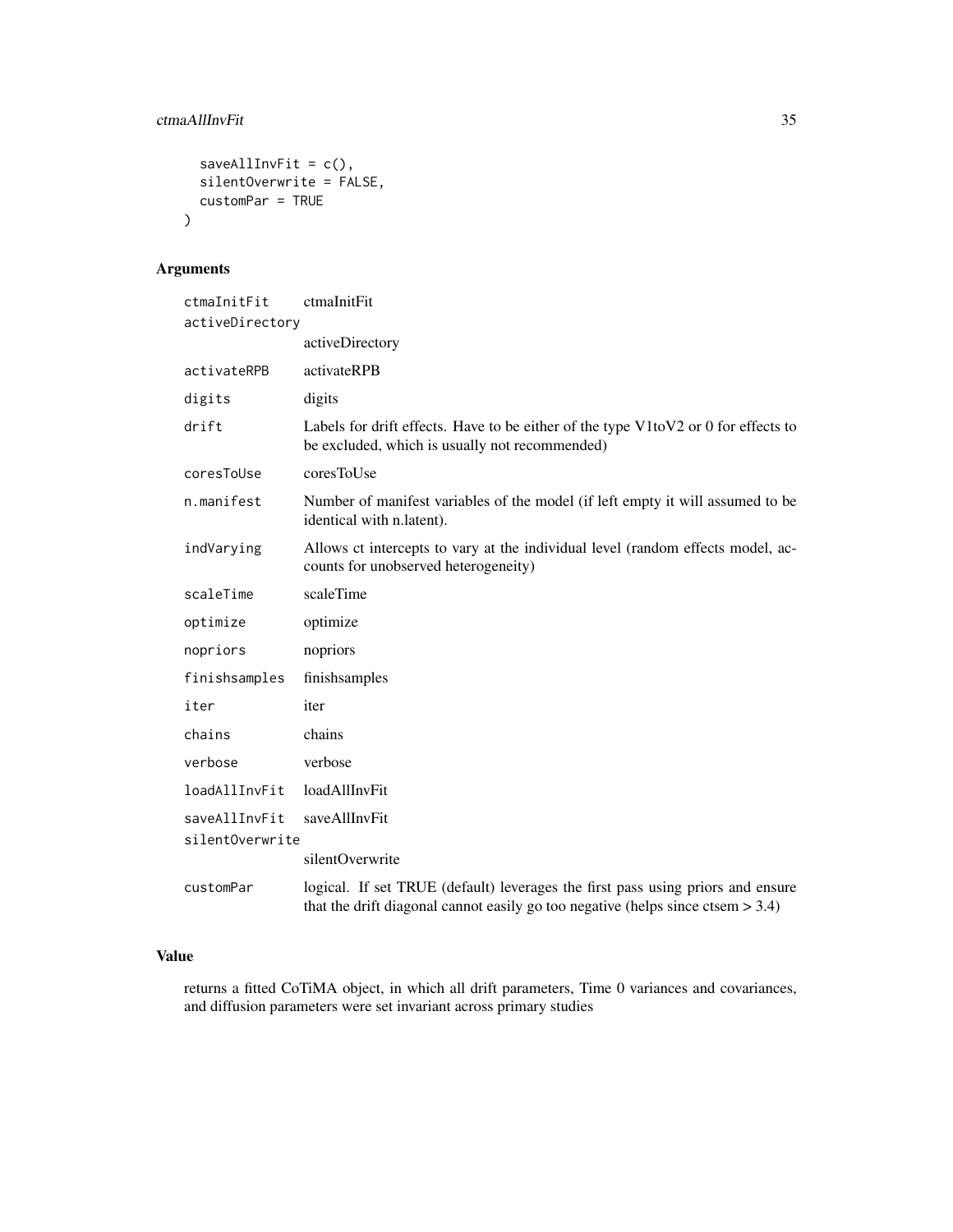# ctmaAllInvFit 35

```
saveAllInvFit = c(),
  silentOverwrite = FALSE,
  customPar = TRUE
\mathcal{L}
```
# Arguments

| ctmaInitFit     | ctmaInitFit                                                                                                                                                           |  |  |
|-----------------|-----------------------------------------------------------------------------------------------------------------------------------------------------------------------|--|--|
| activeDirectory |                                                                                                                                                                       |  |  |
|                 | activeDirectory                                                                                                                                                       |  |  |
| activateRPB     | activateRPB                                                                                                                                                           |  |  |
| digits          | digits                                                                                                                                                                |  |  |
| drift           | Labels for drift effects. Have to be either of the type V1toV2 or 0 for effects to<br>be excluded, which is usually not recommended)                                  |  |  |
| coresToUse      | coresToUse                                                                                                                                                            |  |  |
| n.manifest      | Number of manifest variables of the model (if left empty it will assumed to be<br>identical with n.latent).                                                           |  |  |
| indVarying      | Allows ct intercepts to vary at the individual level (random effects model, ac-<br>counts for unobserved heterogeneity)                                               |  |  |
| scaleTime       | scaleTime                                                                                                                                                             |  |  |
| optimize        | optimize                                                                                                                                                              |  |  |
| nopriors        | nopriors                                                                                                                                                              |  |  |
| finishsamples   | finishsamples                                                                                                                                                         |  |  |
| iter            | iter                                                                                                                                                                  |  |  |
| chains          | chains                                                                                                                                                                |  |  |
| verbose         | verbose                                                                                                                                                               |  |  |
| loadAllInvFit   | loadAllInvFit                                                                                                                                                         |  |  |
| saveAllInvFit   | saveAllInvFit                                                                                                                                                         |  |  |
| silentOverwrite |                                                                                                                                                                       |  |  |
|                 | silentOverwrite                                                                                                                                                       |  |  |
| customPar       | logical. If set TRUE (default) leverages the first pass using priors and ensure<br>that the drift diagonal cannot easily go too negative (helps since ctsem $> 3.4$ ) |  |  |

#### Value

returns a fitted CoTiMA object, in which all drift parameters, Time 0 variances and covariances, and diffusion parameters were set invariant across primary studies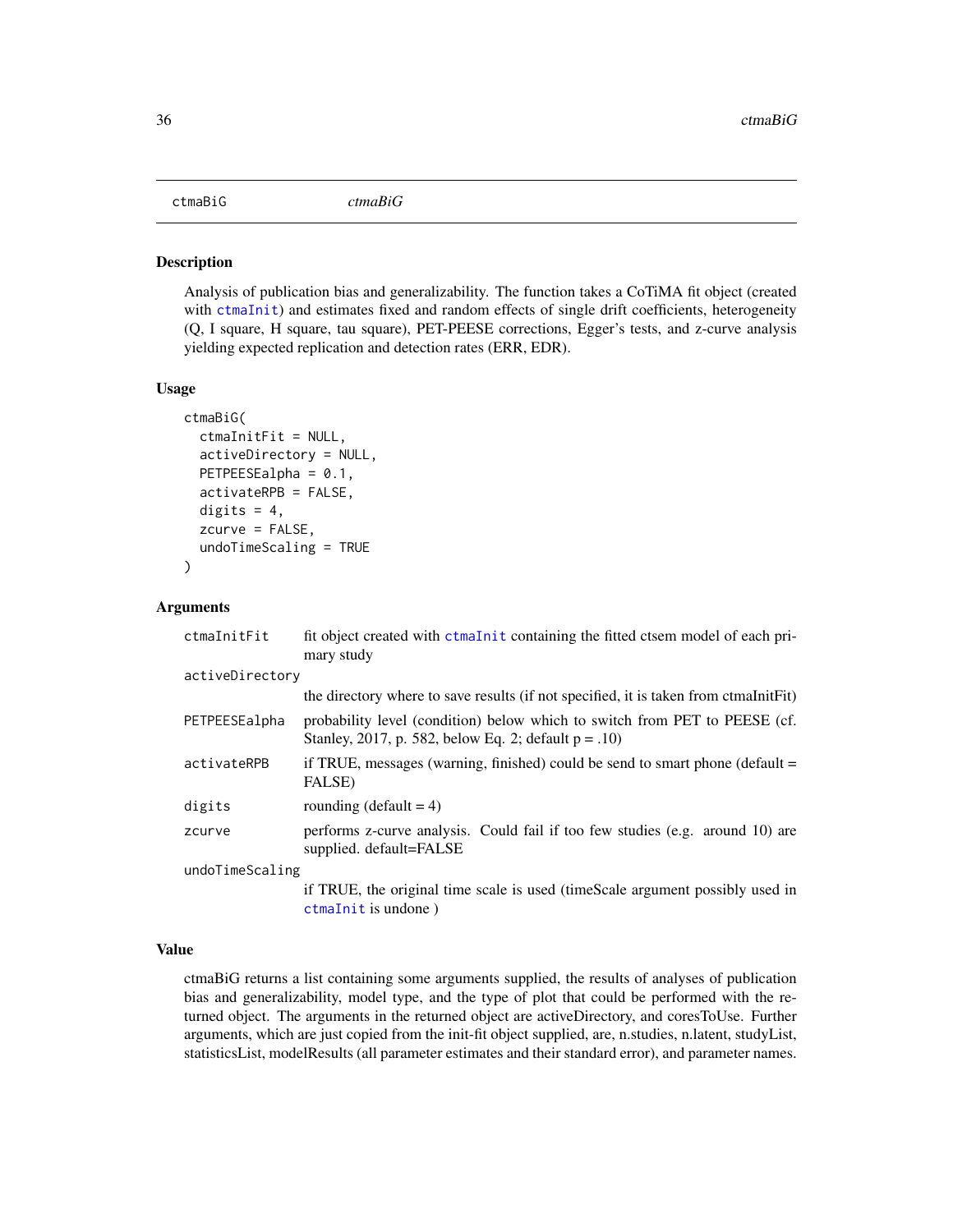<span id="page-35-0"></span>Analysis of publication bias and generalizability. The function takes a CoTiMA fit object (created with [ctmaInit](#page-47-1)) and estimates fixed and random effects of single drift coefficients, heterogeneity (Q, I square, H square, tau square), PET-PEESE corrections, Egger's tests, and z-curve analysis yielding expected replication and detection rates (ERR, EDR).

#### Usage

```
ctmaBiG(
  ctmaInitFit = NULL,
  activeDirectory = NULL,
 PETPEESEalpha = 0.1,
  activateRPB = FALSE,
  digits = 4,
  zcurve = FALSE,undoTimeScaling = TRUE
)
```
#### Arguments

| ctmaInitFit     | fit object created with ctmaInit containing the fitted ctsem model of each pri-<br>mary study                                         |  |
|-----------------|---------------------------------------------------------------------------------------------------------------------------------------|--|
| activeDirectory |                                                                                                                                       |  |
|                 | the directory where to save results (if not specified, it is taken from ctmaInitFit)                                                  |  |
| PETPEESEalpha   | probability level (condition) below which to switch from PET to PEESE (cf.<br>Stanley, 2017, p. 582, below Eq. 2; default $p = .10$ ) |  |
| activateRPB     | if TRUE, messages (warning, finished) could be send to smart phone (default $=$<br>FALSE)                                             |  |
| digits          | rounding (default = $4$ )                                                                                                             |  |
| zcurve          | performs z-curve analysis. Could fail if too few studies (e.g. around 10) are<br>supplied. default=FALSE                              |  |
| undoTimeScaling |                                                                                                                                       |  |
|                 | if TRUE, the original time scale is used (timeScale argument possibly used in<br>$ctmalnit$ is undone)                                |  |

#### Value

ctmaBiG returns a list containing some arguments supplied, the results of analyses of publication bias and generalizability, model type, and the type of plot that could be performed with the returned object. The arguments in the returned object are activeDirectory, and coresToUse. Further arguments, which are just copied from the init-fit object supplied, are, n.studies, n.latent, studyList, statisticsList, modelResults (all parameter estimates and their standard error), and parameter names.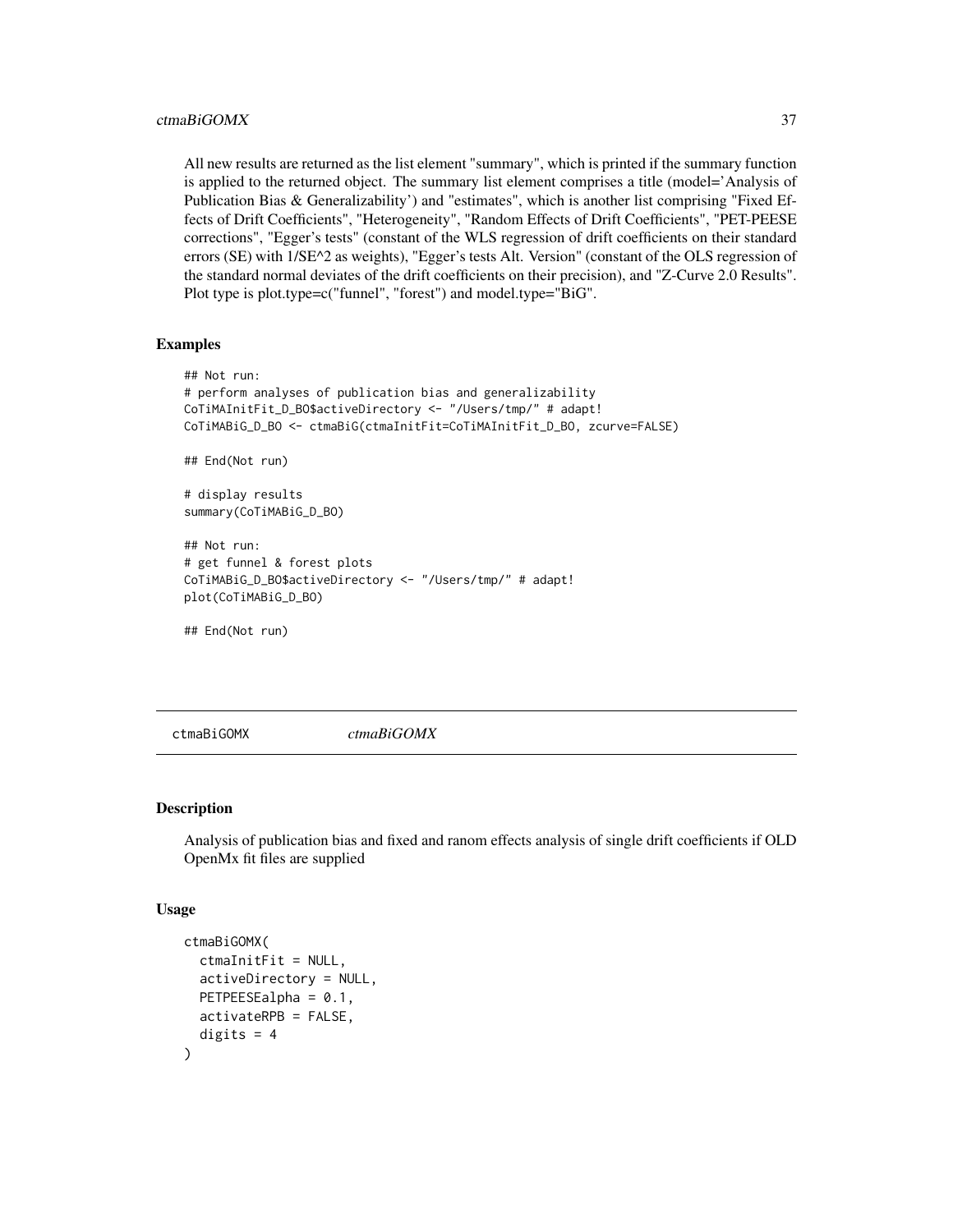## ctmaBiGOMX 37

All new results are returned as the list element "summary", which is printed if the summary function is applied to the returned object. The summary list element comprises a title (model='Analysis of Publication Bias & Generalizability') and "estimates", which is another list comprising "Fixed Effects of Drift Coefficients", "Heterogeneity", "Random Effects of Drift Coefficients", "PET-PEESE corrections", "Egger's tests" (constant of the WLS regression of drift coefficients on their standard errors (SE) with 1/SE^2 as weights), "Egger's tests Alt. Version" (constant of the OLS regression of the standard normal deviates of the drift coefficients on their precision), and "Z-Curve 2.0 Results". Plot type is plot.type=c("funnel", "forest") and model.type="BiG".

#### Examples

```
## Not run:
# perform analyses of publication bias and generalizability
CoTiMAInitFit_D_BO$activeDirectory <- "/Users/tmp/" # adapt!
CoTiMABiG_D_BO <- ctmaBiG(ctmaInitFit=CoTiMAInitFit_D_BO, zcurve=FALSE)
## End(Not run)
# display results
summary(CoTiMABiG_D_BO)
## Not run:
# get funnel & forest plots
CoTiMABiG_D_BO$activeDirectory <- "/Users/tmp/" # adapt!
plot(CoTiMABiG_D_BO)
```
## End(Not run)

ctmaBiGOMX *ctmaBiGOMX*

#### **Description**

Analysis of publication bias and fixed and ranom effects analysis of single drift coefficients if OLD OpenMx fit files are supplied

#### Usage

```
ctmaBiGOMX(
  ctmaInitFit = NULL,
  activeDirectory = NULL,
  PETPEESEalpha = 0.1,
  activateRPB = FALSE,
  digits = 4)
```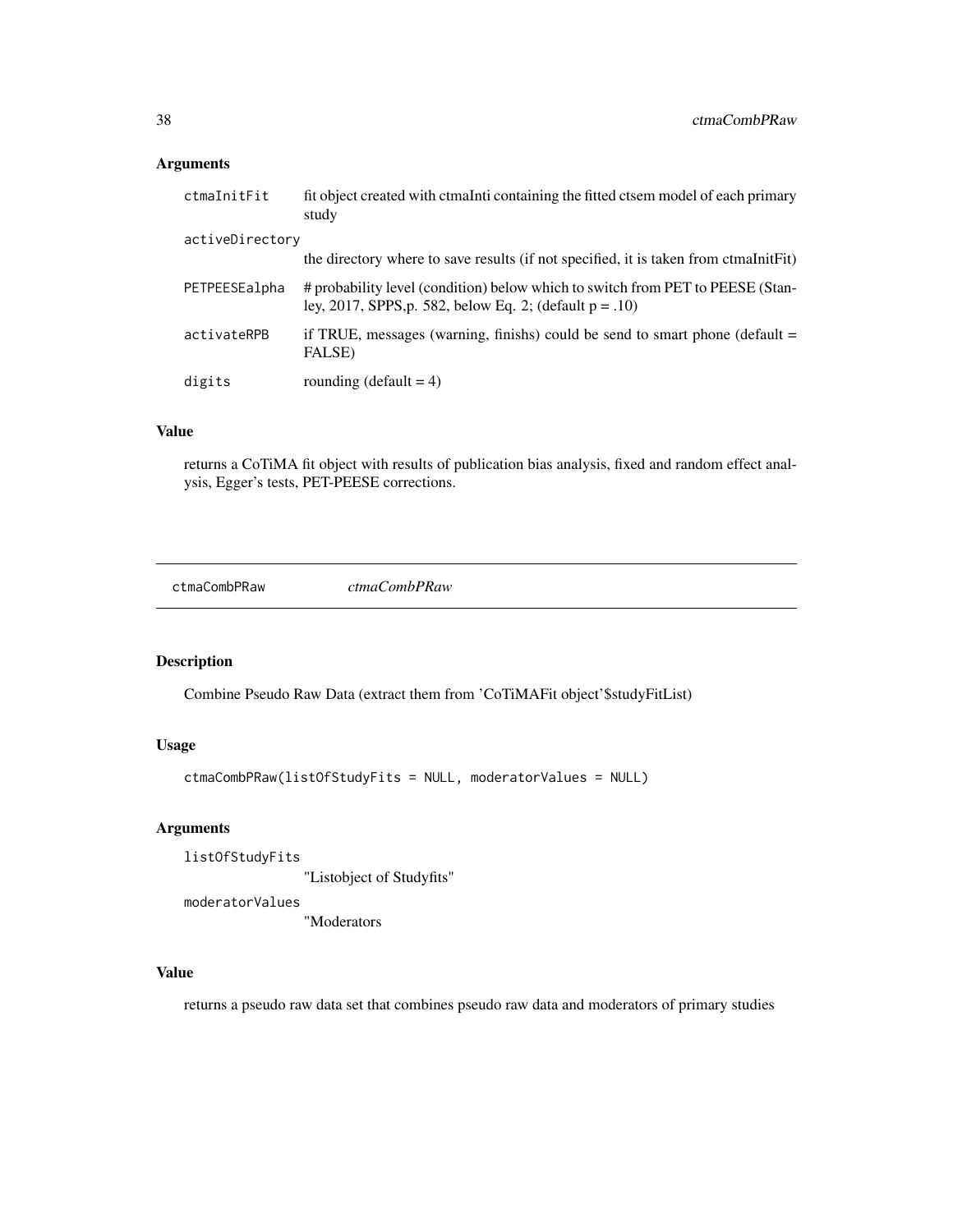# Arguments

| ctmaInitFit     | fit object created with ctmaInti containing the fitted ctsem model of each primary<br>study                                                  |
|-----------------|----------------------------------------------------------------------------------------------------------------------------------------------|
| activeDirectory |                                                                                                                                              |
|                 | the directory where to save results (if not specified, it is taken from ctmalniterit)                                                        |
| PETPEESEalpha   | # probability level (condition) below which to switch from PET to PEESE (Stan-<br>ley, 2017, SPPS, p. 582, below Eq. 2; (default $p = .10$ ) |
| activateRPB     | if TRUE, messages (warning, finishs) could be send to smart phone (default $=$<br>FALSE)                                                     |
| digits          | rounding (default $= 4$ )                                                                                                                    |

# Value

returns a CoTiMA fit object with results of publication bias analysis, fixed and random effect analysis, Egger's tests, PET-PEESE corrections.

ctmaCombPRaw *ctmaCombPRaw*

# Description

Combine Pseudo Raw Data (extract them from 'CoTiMAFit object'\$studyFitList)

## Usage

ctmaCombPRaw(listOfStudyFits = NULL, moderatorValues = NULL)

# Arguments

listOfStudyFits

"Listobject of Studyfits"

moderatorValues

"Moderators

#### Value

returns a pseudo raw data set that combines pseudo raw data and moderators of primary studies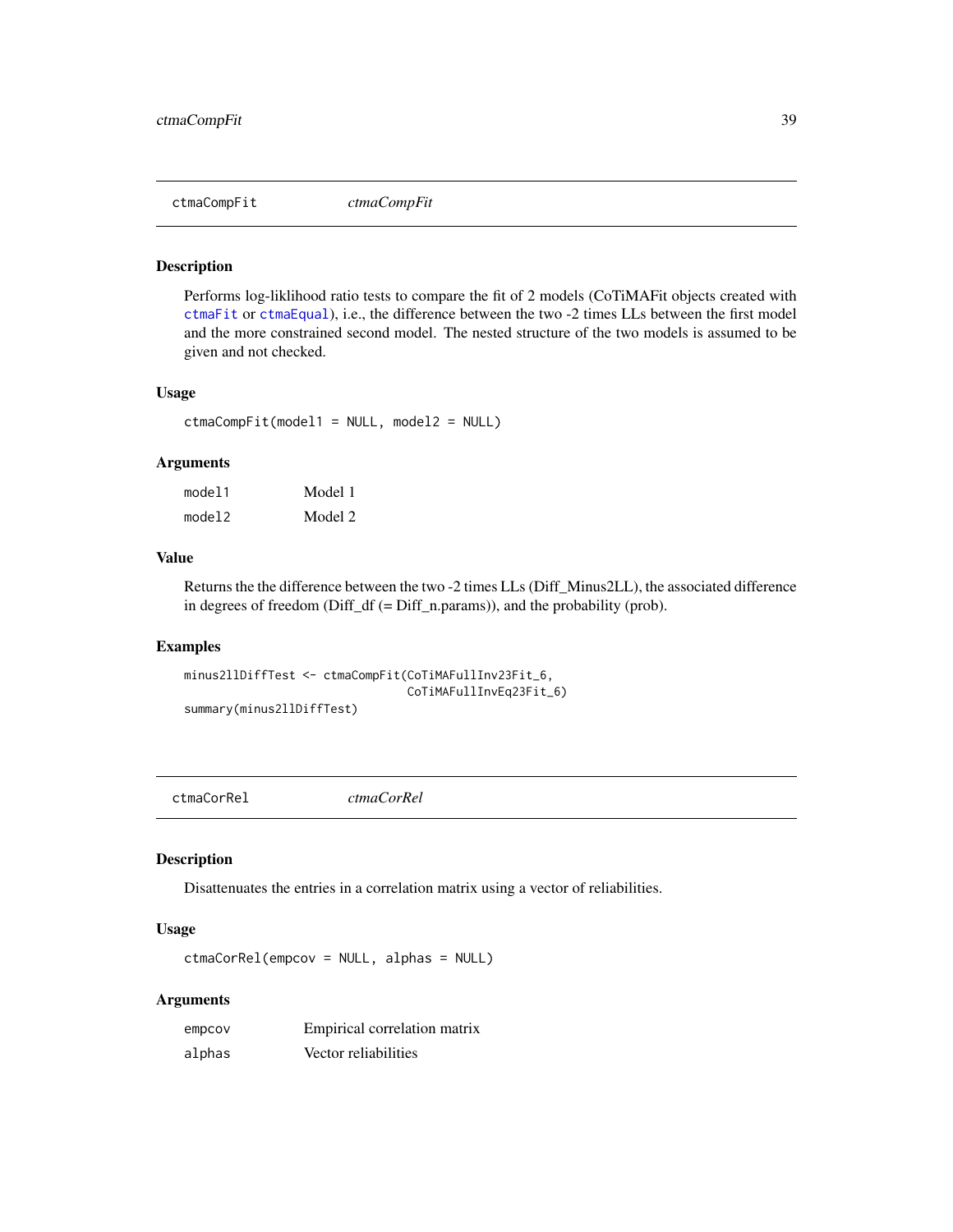Performs log-liklihood ratio tests to compare the fit of 2 models (CoTiMAFit objects created with [ctmaFit](#page-42-0) or [ctmaEqual](#page-41-0)), i.e., the difference between the two -2 times LLs between the first model and the more constrained second model. The nested structure of the two models is assumed to be given and not checked.

# Usage

ctmaCompFit(model1 = NULL, model2 = NULL)

#### Arguments

| model1 | Model 1 |
|--------|---------|
| model2 | Model 2 |

#### Value

Returns the the difference between the two -2 times LLs (Diff\_Minus2LL), the associated difference in degrees of freedom (Diff\_df (= Diff\_n.params)), and the probability (prob).

#### Examples

```
minus2llDiffTest <- ctmaCompFit(CoTiMAFullInv23Fit_6,
                                CoTiMAFullInvEq23Fit_6)
summary(minus2llDiffTest)
```
ctmaCorRel *ctmaCorRel*

# Description

Disattenuates the entries in a correlation matrix using a vector of reliabilities.

#### Usage

ctmaCorRel(empcov = NULL, alphas = NULL)

# Arguments

| empcov | Empirical correlation matrix |
|--------|------------------------------|
| alphas | Vector reliabilities         |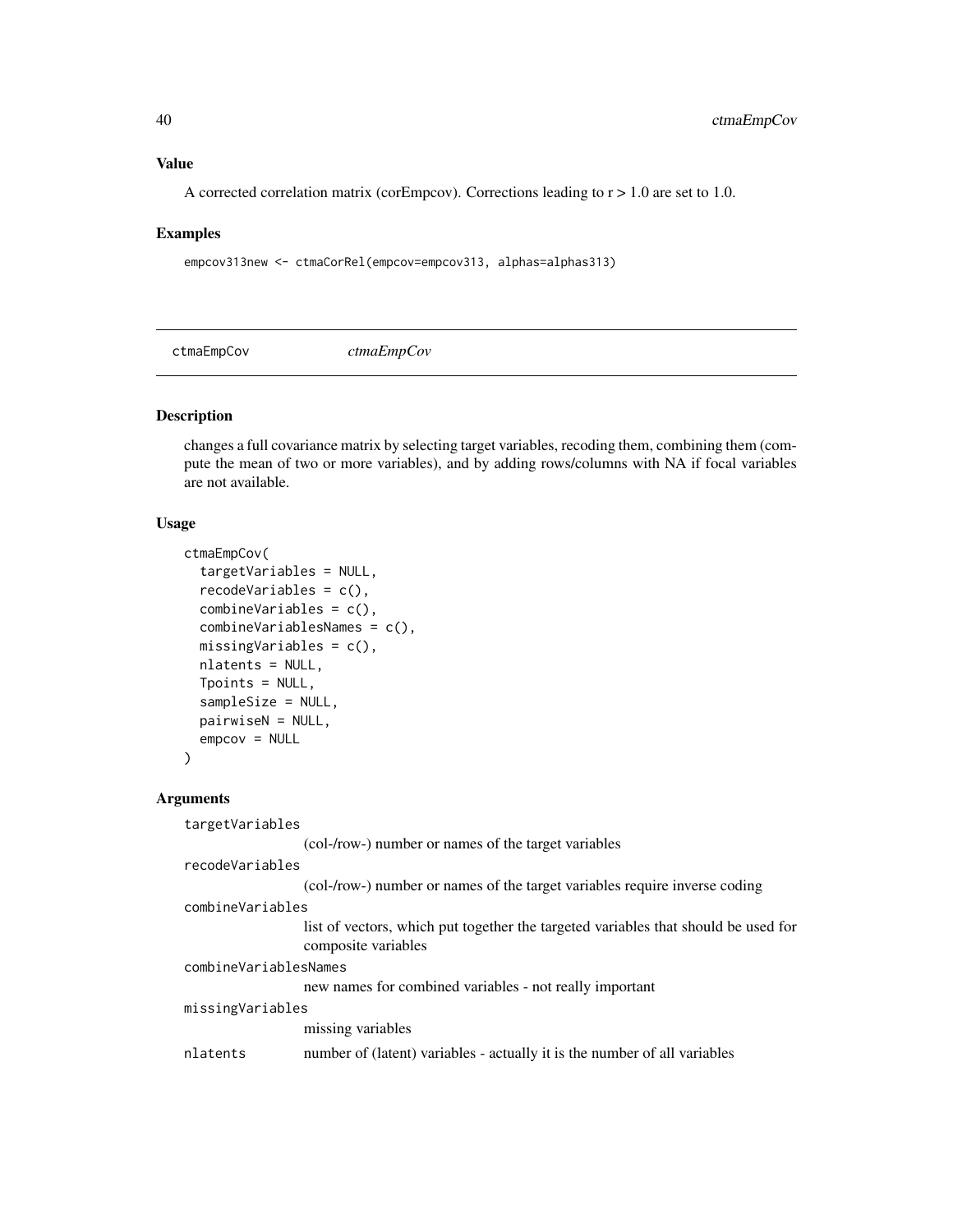#### Value

A corrected correlation matrix (corEmpcov). Corrections leading to  $r > 1.0$  are set to 1.0.

#### Examples

```
empcov313new <- ctmaCorRel(empcov=empcov313, alphas=alphas313)
```
ctmaEmpCov *ctmaEmpCov*

#### Description

changes a full covariance matrix by selecting target variables, recoding them, combining them (compute the mean of two or more variables), and by adding rows/columns with NA if focal variables are not available.

## Usage

```
ctmaEmpCov(
  targetVariables = NULL,
  recodeVariables = c(),
  combineVariables = c(),
  combineVariablesNames = c(),
  missingVariables = c(),
  nlatents = NULL,
  Tpoints = NULL,
  sampleSize = NULL,
  pairwiseN = NULL,
  empcov = NULL)
```
#### Arguments

targetVariables

(col-/row-) number or names of the target variables

recodeVariables

(col-/row-) number or names of the target variables require inverse coding

combineVariables

list of vectors, which put together the targeted variables that should be used for composite variables

combineVariablesNames

new names for combined variables - not really important

missingVariables

missing variables

nlatents number of (latent) variables - actually it is the number of all variables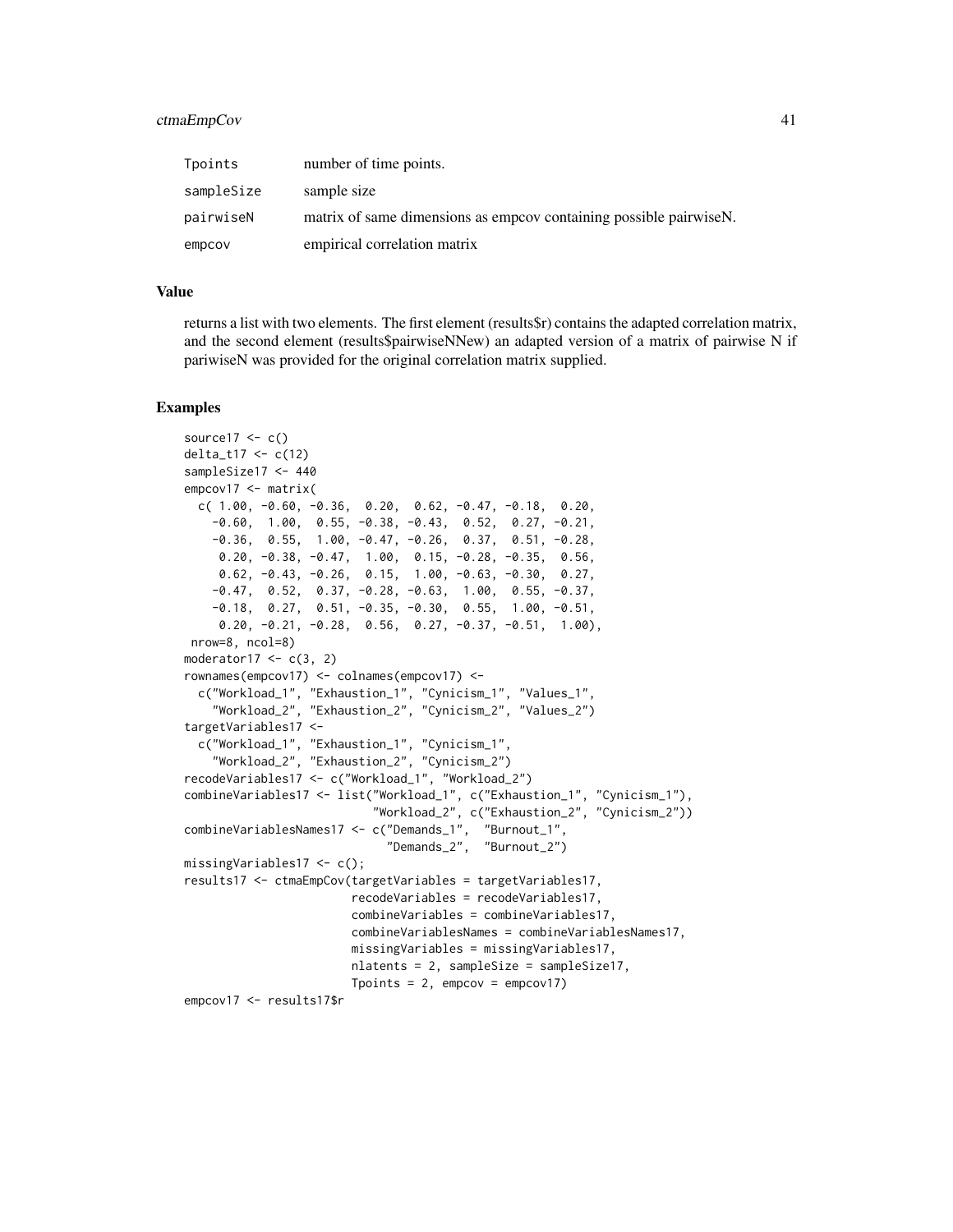#### ctmaEmpCov 41

| Tpoints    | number of time points.                                            |
|------------|-------------------------------------------------------------------|
| sampleSize | sample size                                                       |
| pairwiseN  | matrix of same dimensions as empcov containing possible pairwise. |
| empcov     | empirical correlation matrix                                      |

#### Value

returns a list with two elements. The first element (results\$r) contains the adapted correlation matrix, and the second element (results\$pairwiseNNew) an adapted version of a matrix of pairwise N if pariwiseN was provided for the original correlation matrix supplied.

#### Examples

```
source17 < -c()delta_t17 <- c(12)
sampleSize17 <- 440
empcov17 <- matrix(
 c( 1.00, -0.60, -0.36, 0.20, 0.62, -0.47, -0.18, 0.20,
    -0.60, 1.00, 0.55, -0.38, -0.43, 0.52, 0.27, -0.21,
   -0.36, 0.55, 1.00, -0.47, -0.26, 0.37, 0.51, -0.28,
    0.20, -0.38, -0.47, 1.00, 0.15, -0.28, -0.35, 0.56,
     0.62, -0.43, -0.26, 0.15, 1.00, -0.63, -0.30, 0.27,
    -0.47, 0.52, 0.37, -0.28, -0.63, 1.00, 0.55, -0.37,
    -0.18, 0.27, 0.51, -0.35, -0.30, 0.55, 1.00, -0.51,
     0.20, -0.21, -0.28, 0.56, 0.27, -0.37, -0.51, 1.00),
nrow=8, ncol=8)
moderator17 < -c(3, 2)rownames(empcov17) <- colnames(empcov17) <-
 c("Workload_1", "Exhaustion_1", "Cynicism_1", "Values_1",
    "Workload_2", "Exhaustion_2", "Cynicism_2", "Values_2")
targetVariables17 <-
 c("Workload_1", "Exhaustion_1", "Cynicism_1",
    "Workload_2", "Exhaustion_2", "Cynicism_2")
recodeVariables17 <- c("Workload_1", "Workload_2")
combineVariables17 <- list("Workload_1", c("Exhaustion_1", "Cynicism_1"),
                           "Workload_2", c("Exhaustion_2", "Cynicism_2"))
combineVariablesNames17 <- c("Demands_1", "Burnout_1",
                             "Demands_2", "Burnout_2")
missingVariables17 <- c();
results17 <- ctmaEmpCov(targetVariables = targetVariables17,
                       recodeVariables = recodeVariables17,
                       combineVariables = combineVariables17,
                       combineVariablesNames = combineVariablesNames17,
                       missingVariables = missingVariables17,
                       nlatents = 2, sampleSize = sampleSize17,
                       Tpoints = 2, empcov = empcov17)
empcov17 <- results17$r
```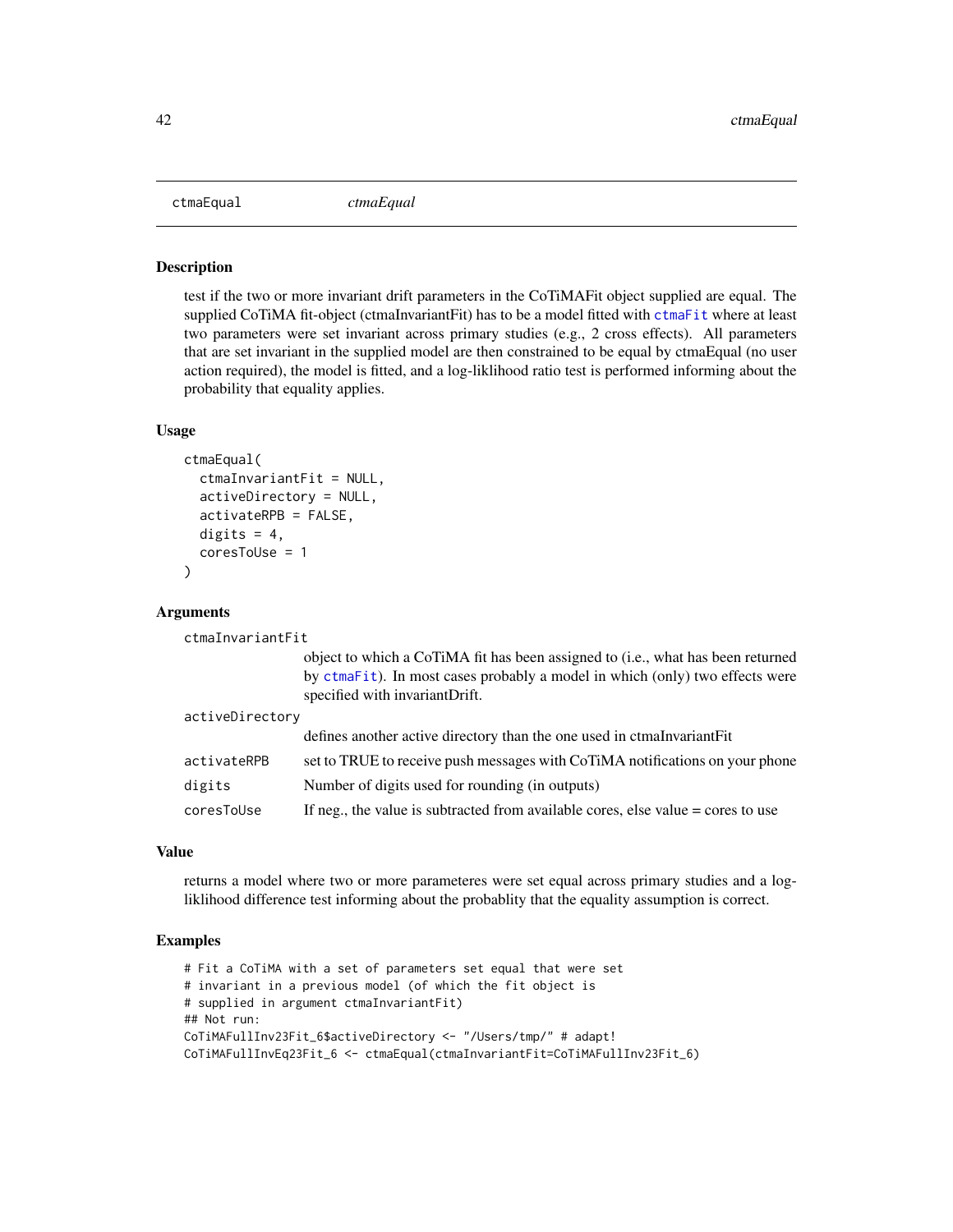<span id="page-41-0"></span>

test if the two or more invariant drift parameters in the CoTiMAFit object supplied are equal. The supplied CoTiMA fit-object (ctmaInvariantFit) has to be a model fitted with [ctmaFit](#page-42-0) where at least two parameters were set invariant across primary studies (e.g., 2 cross effects). All parameters that are set invariant in the supplied model are then constrained to be equal by ctmaEqual (no user action required), the model is fitted, and a log-liklihood ratio test is performed informing about the probability that equality applies.

#### Usage

```
ctmaEqual(
  ctmaInvariantFit = NULL,
  activeDirectory = NULL,
  activateRPB = FALSE,
  digits = 4,
  coresToUse = 1
)
```
#### Arguments

ctmaInvariantFit

object to which a CoTiMA fit has been assigned to (i.e., what has been returned by [ctmaFit](#page-42-0)). In most cases probably a model in which (only) two effects were specified with invariantDrift.

| activeDirectory |                                                                                    |
|-----------------|------------------------------------------------------------------------------------|
|                 | defines another active directory than the one used in ctmaInvariantFit             |
| activateRPB     | set to TRUE to receive push messages with CoTiMA notifications on your phone       |
| digits          | Number of digits used for rounding (in outputs)                                    |
| coresToUse      | If neg., the value is subtracted from available cores, else value $=$ cores to use |

## Value

returns a model where two or more parameteres were set equal across primary studies and a logliklihood difference test informing about the probablity that the equality assumption is correct.

#### Examples

```
# Fit a CoTiMA with a set of parameters set equal that were set
# invariant in a previous model (of which the fit object is
# supplied in argument ctmaInvariantFit)
## Not run:
CoTiMAFullInv23Fit_6$activeDirectory <- "/Users/tmp/" # adapt!
CoTiMAFullInvEq23Fit_6 <- ctmaEqual(ctmaInvariantFit=CoTiMAFullInv23Fit_6)
```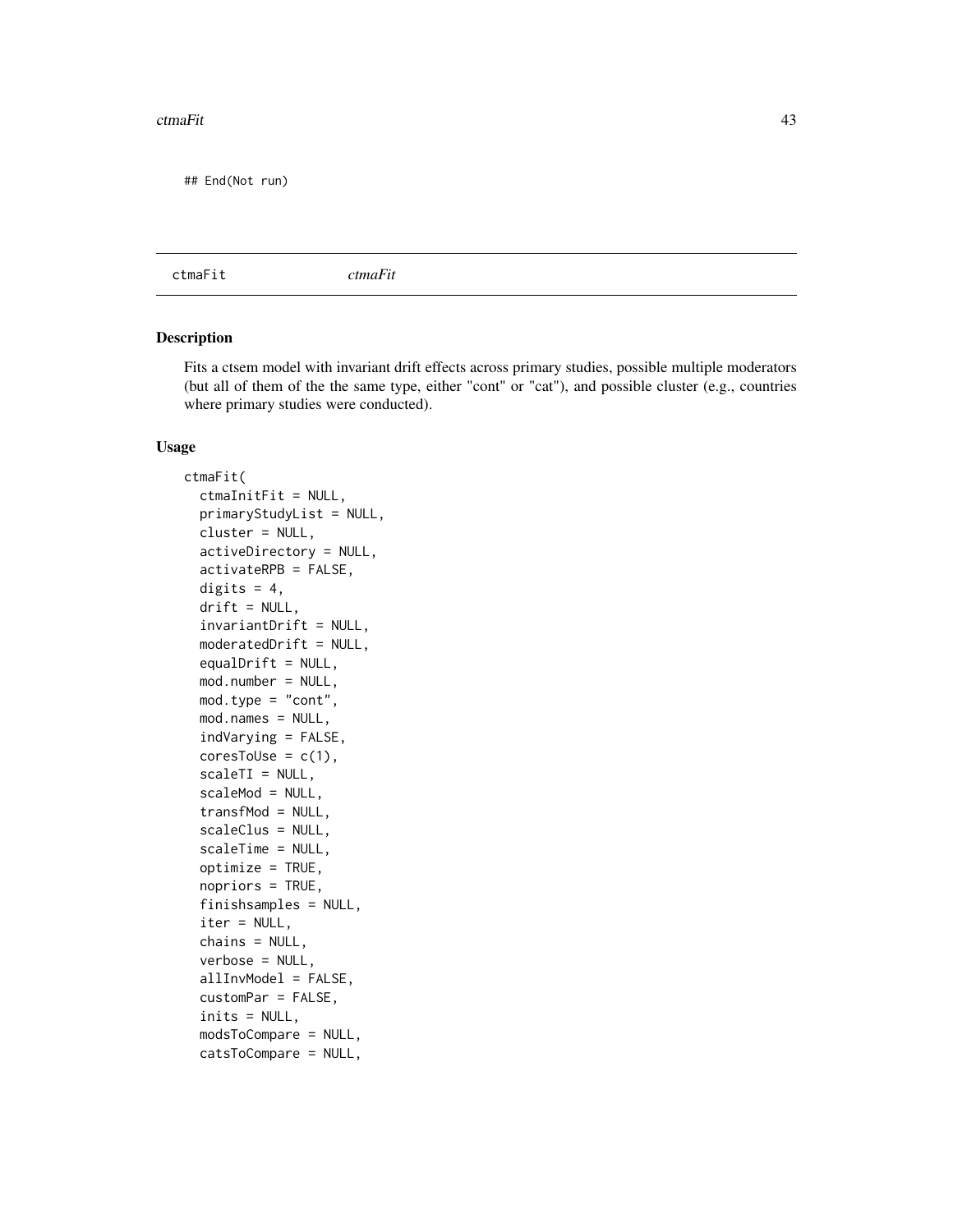#### ctmaFit 43

## End(Not run)

<span id="page-42-0"></span>ctmaFit *ctmaFit*

# Description

Fits a ctsem model with invariant drift effects across primary studies, possible multiple moderators (but all of them of the the same type, either "cont" or "cat"), and possible cluster (e.g., countries where primary studies were conducted).

#### Usage

```
ctmaFit(
  ctmaInitFit = NULL,
  primaryStudyList = NULL,
  cluster = NULL,
  activeDirectory = NULL,
  activateRPB = FALSE,
  digits = 4,
  drift = NULL,invariantDrift = NULL,
  moderatedDrift = NULL,
  equalDrift = NULL,mod.number = NULL,
  mod.type = "cont",
  mod.names = NULL,
  indVarying = FALSE,
  coresTolse = c(1),
  scaleTI = NULL,scaleMod = NULL,
  transfMod = NULL,
  scaleClus = NULL,
  scaleTime = NULL,
  optimize = TRUE,
  nopriors = TRUE,
  finishsamples = NULL,
  iter = NULL,
  chains = NULL,
  verbose = NULL,
  allInvModel = FALSE,
  customPar = FALSE,
  inits = NULL,
  modsToCompare = NULL,
  catsToCompare = NULL,
```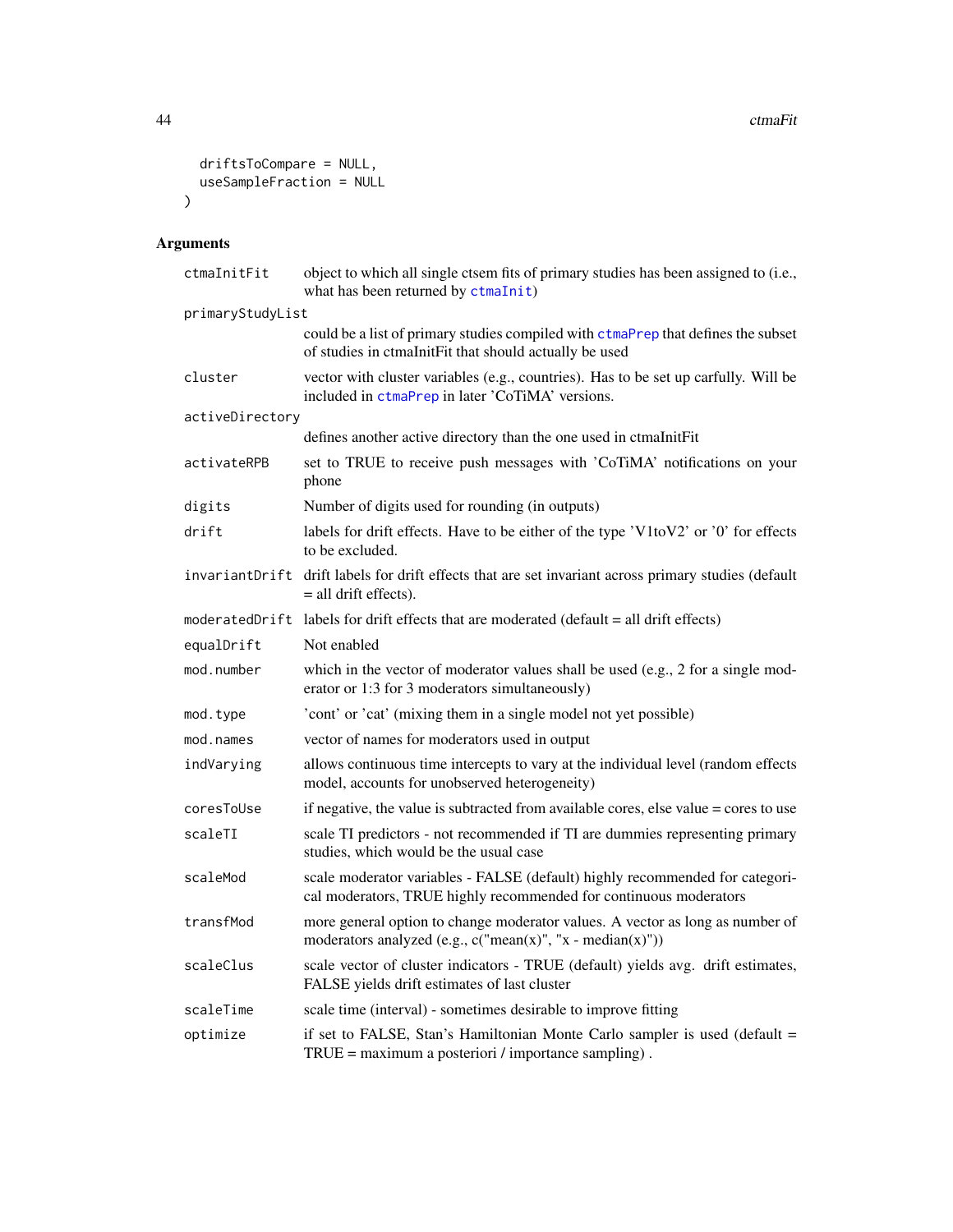```
driftsToCompare = NULL,
  useSampleFraction = NULL
\mathcal{L}
```
# Arguments

| ctmaInitFit      | object to which all single ctsem fits of primary studies has been assigned to (i.e.,<br>what has been returned by ctmaInit)                       |
|------------------|---------------------------------------------------------------------------------------------------------------------------------------------------|
| primaryStudyList |                                                                                                                                                   |
|                  | could be a list of primary studies compiled with ctmaPrep that defines the subset<br>of studies in ctmaInitFit that should actually be used       |
| cluster          | vector with cluster variables (e.g., countries). Has to be set up carfully. Will be<br>included in ctmaPrep in later 'CoTiMA' versions.           |
| activeDirectory  |                                                                                                                                                   |
|                  | defines another active directory than the one used in ctmaInitFit                                                                                 |
| activateRPB      | set to TRUE to receive push messages with 'CoTiMA' notifications on your<br>phone                                                                 |
| digits           | Number of digits used for rounding (in outputs)                                                                                                   |
| drift            | labels for drift effects. Have to be either of the type 'V1toV2' or '0' for effects<br>to be excluded.                                            |
|                  | invariantDrift drift labels for drift effects that are set invariant across primary studies (default<br>$=$ all drift effects).                   |
|                  | moderatedDrift labels for drift effects that are moderated (default = all drift effects)                                                          |
| equalDrift       | Not enabled                                                                                                                                       |
| mod.number       | which in the vector of moderator values shall be used (e.g., 2 for a single mod-<br>erator or 1:3 for 3 moderators simultaneously)                |
| mod.type         | 'cont' or 'cat' (mixing them in a single model not yet possible)                                                                                  |
| mod.names        | vector of names for moderators used in output                                                                                                     |
| indVarying       | allows continuous time intercepts to vary at the individual level (random effects<br>model, accounts for unobserved heterogeneity)                |
| coresToUse       | if negative, the value is subtracted from available cores, else value = cores to use                                                              |
| scaleTI          | scale TI predictors - not recommended if TI are dummies representing primary<br>studies, which would be the usual case                            |
| scaleMod         | scale moderator variables - FALSE (default) highly recommended for categori-<br>cal moderators, TRUE highly recommended for continuous moderators |
| transfMod        | more general option to change moderator values. A vector as long as number of<br>moderators analyzed (e.g., $c("mean(x)", "x - median(x)"))$ )    |
| scaleClus        | scale vector of cluster indicators - TRUE (default) yields avg. drift estimates,<br>FALSE yields drift estimates of last cluster                  |
| scaleTime        | scale time (interval) - sometimes desirable to improve fitting                                                                                    |
| optimize         | if set to FALSE, Stan's Hamiltonian Monte Carlo sampler is used (default =<br>$TRUE = maximum$ a posteriori / importance sampling).               |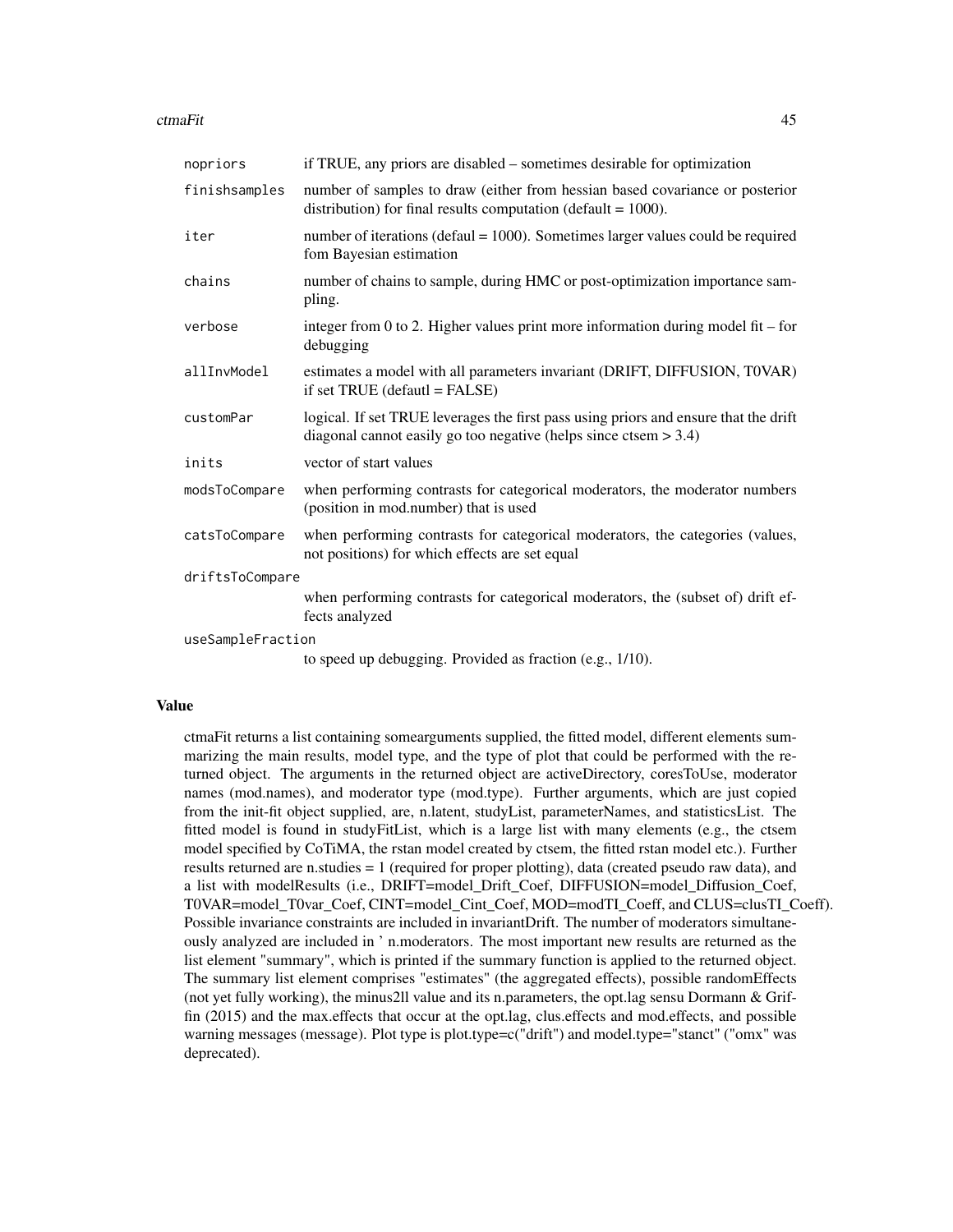#### ctmaFit 45

| nopriors          | if TRUE, any priors are disabled – sometimes desirable for optimization                                                                                     |  |
|-------------------|-------------------------------------------------------------------------------------------------------------------------------------------------------------|--|
| finishsamples     | number of samples to draw (either from hessian based covariance or posterior<br>distribution) for final results computation (default = $1000$ ).            |  |
| iter              | number of iterations (defaul = $1000$ ). Sometimes larger values could be required<br>fom Bayesian estimation                                               |  |
| chains            | number of chains to sample, during HMC or post-optimization importance sam-<br>pling.                                                                       |  |
| verbose           | integer from 0 to 2. Higher values print more information during model fit – for<br>debugging                                                               |  |
| allInvModel       | estimates a model with all parameters invariant (DRIFT, DIFFUSION, T0VAR)<br>if set $TRUE$ (defautl = $FALSE$ )                                             |  |
| customPar         | logical. If set TRUE leverages the first pass using priors and ensure that the drift<br>diagonal cannot easily go too negative (helps since ctsem $> 3.4$ ) |  |
| inits             | vector of start values                                                                                                                                      |  |
| modsToCompare     | when performing contrasts for categorical moderators, the moderator numbers<br>(position in mod.number) that is used                                        |  |
| catsToCompare     | when performing contrasts for categorical moderators, the categories (values,<br>not positions) for which effects are set equal                             |  |
| driftsToCompare   |                                                                                                                                                             |  |
|                   | when performing contrasts for categorical moderators, the (subset of) drift ef-<br>fects analyzed                                                           |  |
| useSampleFraction |                                                                                                                                                             |  |

to speed up debugging. Provided as fraction (e.g., 1/10).

#### Value

ctmaFit returns a list containing somearguments supplied, the fitted model, different elements summarizing the main results, model type, and the type of plot that could be performed with the returned object. The arguments in the returned object are activeDirectory, coresToUse, moderator names (mod.names), and moderator type (mod.type). Further arguments, which are just copied from the init-fit object supplied, are, n.latent, studyList, parameterNames, and statisticsList. The fitted model is found in studyFitList, which is a large list with many elements (e.g., the ctsem model specified by CoTiMA, the rstan model created by ctsem, the fitted rstan model etc.). Further results returned are n.studies = 1 (required for proper plotting), data (created pseudo raw data), and a list with modelResults (i.e., DRIFT=model\_Drift\_Coef, DIFFUSION=model\_Diffusion\_Coef, T0VAR=model\_T0var\_Coef, CINT=model\_Cint\_Coef, MOD=modTI\_Coeff, and CLUS=clusTI\_Coeff). Possible invariance constraints are included in invariantDrift. The number of moderators simultaneously analyzed are included in ' n.moderators. The most important new results are returned as the list element "summary", which is printed if the summary function is applied to the returned object. The summary list element comprises "estimates" (the aggregated effects), possible randomEffects (not yet fully working), the minus2ll value and its n.parameters, the opt. lag sensu Dormann  $\&$  Griffin (2015) and the max.effects that occur at the opt.lag, clus.effects and mod.effects, and possible warning messages (message). Plot type is plot.type=c("drift") and model.type="stanct" ("omx" was deprecated).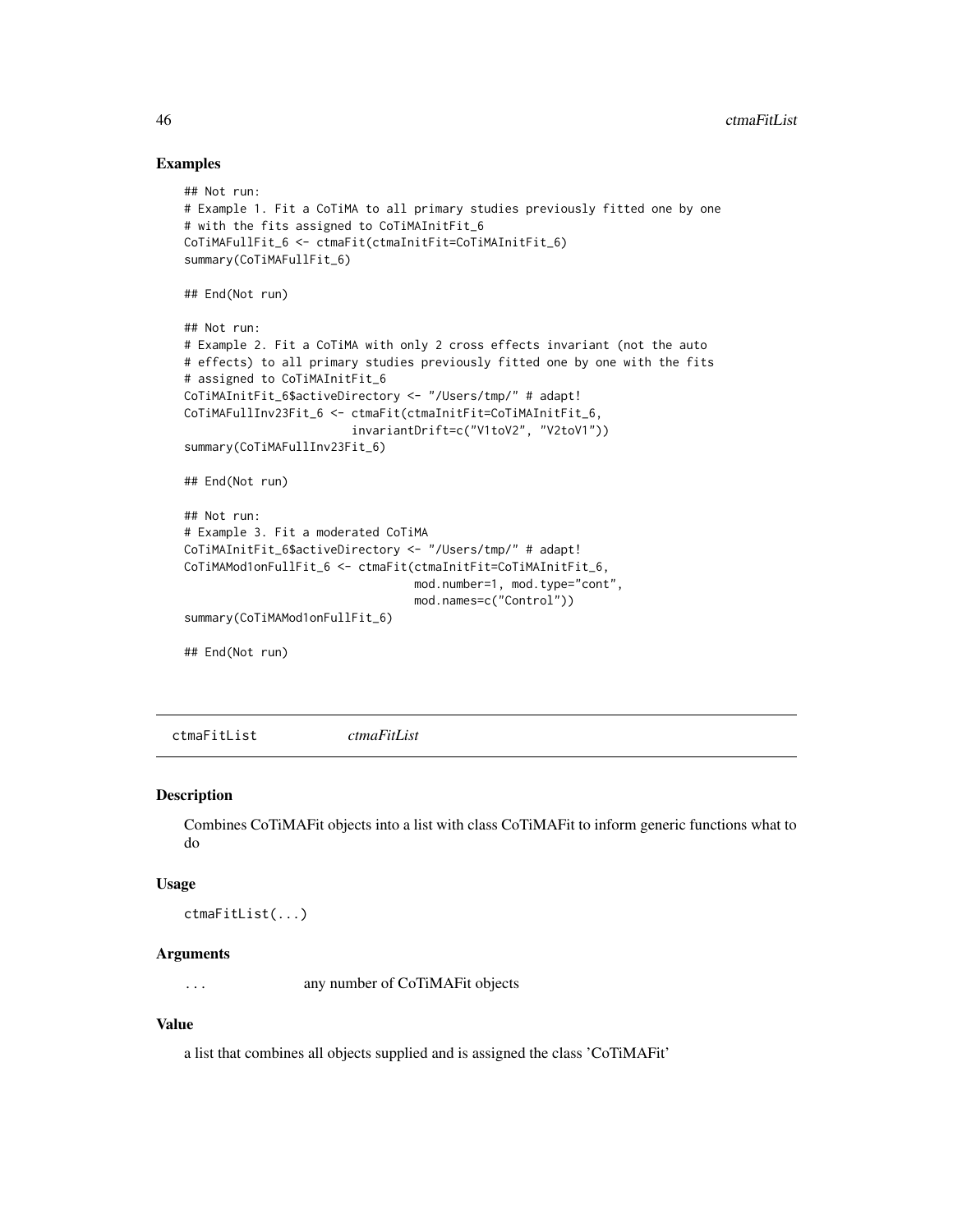#### Examples

```
## Not run:
# Example 1. Fit a CoTiMA to all primary studies previously fitted one by one
# with the fits assigned to CoTiMAInitFit_6
CoTiMAFullFit_6 <- ctmaFit(ctmaInitFit=CoTiMAInitFit_6)
summary(CoTiMAFullFit_6)
## End(Not run)
## Not run:
# Example 2. Fit a CoTiMA with only 2 cross effects invariant (not the auto
# effects) to all primary studies previously fitted one by one with the fits
# assigned to CoTiMAInitFit_6
CoTiMAInitFit_6$activeDirectory <- "/Users/tmp/" # adapt!
CoTiMAFullInv23Fit_6 <- ctmaFit(ctmaInitFit=CoTiMAInitFit_6,
                        invariantDrift=c("V1toV2", "V2toV1"))
summary(CoTiMAFullInv23Fit_6)
## End(Not run)
## Not run:
# Example 3. Fit a moderated CoTiMA
CoTiMAInitFit_6$activeDirectory <- "/Users/tmp/" # adapt!
CoTiMAMod1onFullFit_6 <- ctmaFit(ctmaInitFit=CoTiMAInitFit_6,
                                 mod.number=1, mod.type="cont",
                                 mod.names=c("Control"))
summary(CoTiMAMod1onFullFit_6)
## End(Not run)
```
ctmaFitList *ctmaFitList*

#### Description

Combines CoTiMAFit objects into a list with class CoTiMAFit to inform generic functions what to do

#### Usage

ctmaFitList(...)

#### Arguments

... any number of CoTiMAFit objects

## Value

a list that combines all objects supplied and is assigned the class 'CoTiMAFit'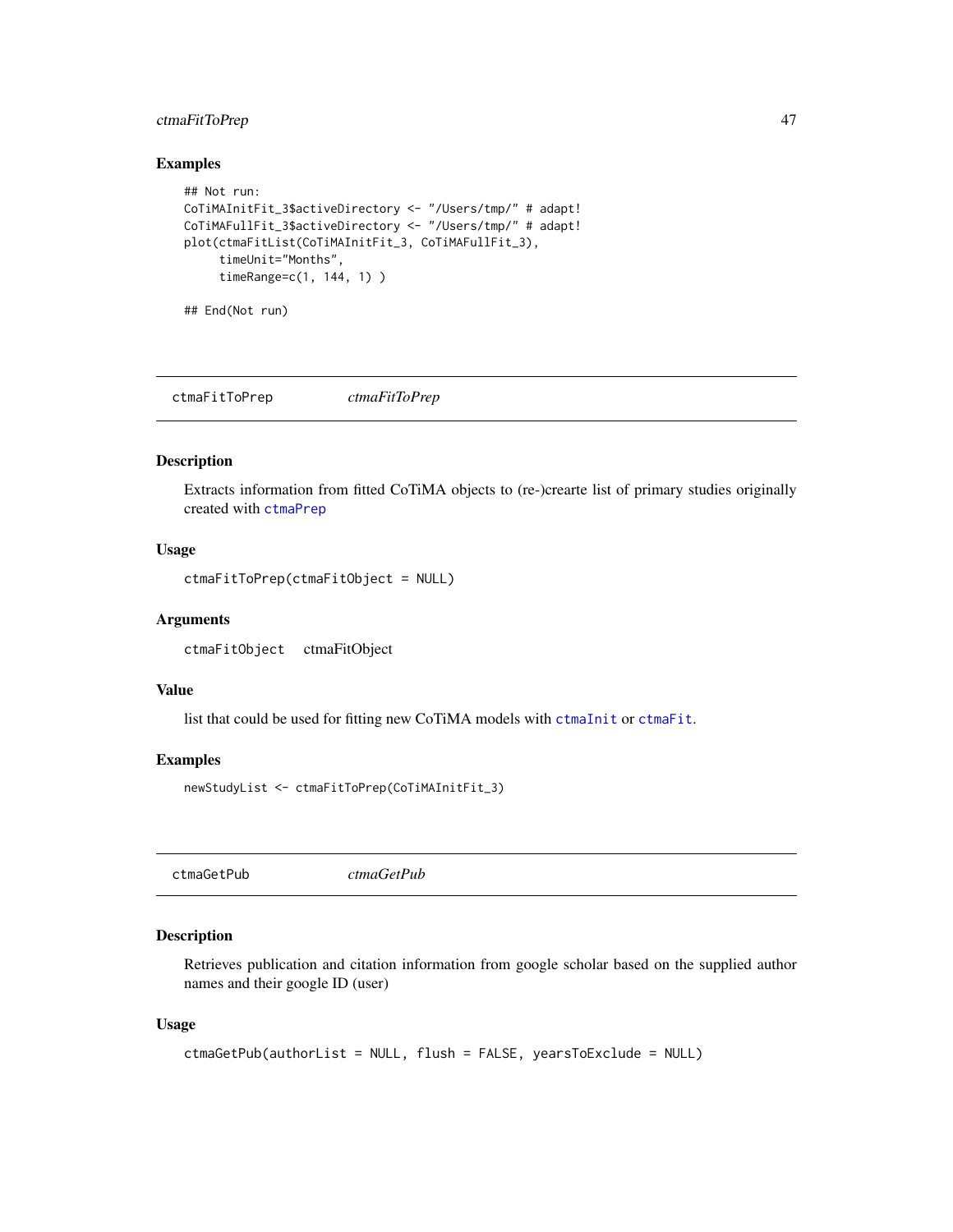# ctmaFitToPrep 47

# Examples

```
## Not run:
CoTiMAInitFit_3$activeDirectory <- "/Users/tmp/" # adapt!
CoTiMAFullFit_3$activeDirectory <- "/Users/tmp/" # adapt!
plot(ctmaFitList(CoTiMAInitFit_3, CoTiMAFullFit_3),
     timeUnit="Months",
     timeRange=c(1, 144, 1) )
```
## End(Not run)

<span id="page-46-0"></span>ctmaFitToPrep *ctmaFitToPrep*

# Description

Extracts information from fitted CoTiMA objects to (re-)crearte list of primary studies originally created with [ctmaPrep](#page-57-0)

## Usage

ctmaFitToPrep(ctmaFitObject = NULL)

#### Arguments

ctmaFitObject ctmaFitObject

#### Value

list that could be used for fitting new CoTiMA models with [ctmaInit](#page-47-0) or [ctmaFit](#page-42-0).

#### Examples

newStudyList <- ctmaFitToPrep(CoTiMAInitFit\_3)

<span id="page-46-1"></span>ctmaGetPub *ctmaGetPub*

#### Description

Retrieves publication and citation information from google scholar based on the supplied author names and their google ID (user)

#### Usage

```
ctmaGetPub(authorList = NULL, flush = FALSE, yearsToExclude = NULL)
```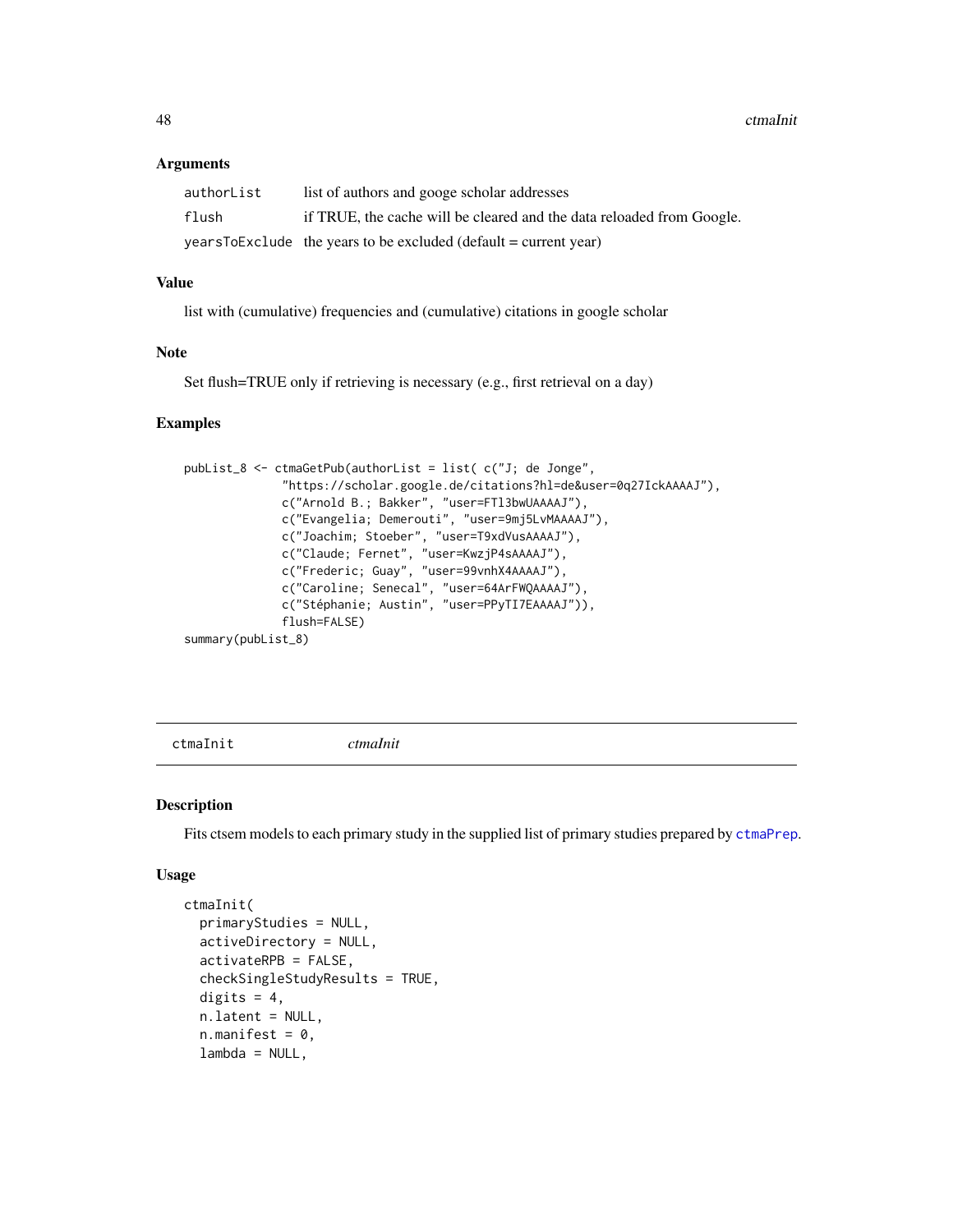#### **Arguments**

| authorList | list of authors and googe scholar addresses                           |
|------------|-----------------------------------------------------------------------|
| flush      | if TRUE, the cache will be cleared and the data reloaded from Google. |
|            | $yearsToExclude$ the years to be excluded (default = current year)    |

#### Value

list with (cumulative) frequencies and (cumulative) citations in google scholar

#### Note

Set flush=TRUE only if retrieving is necessary (e.g., first retrieval on a day)

#### Examples

```
pubList_8 <- ctmaGetPub(authorList = list( c("J; de Jonge",
              "https://scholar.google.de/citations?hl=de&user=0q27IckAAAAJ"),
              c("Arnold B.; Bakker", "user=FTl3bwUAAAAJ"),
              c("Evangelia; Demerouti", "user=9mj5LvMAAAAJ"),
              c("Joachim; Stoeber", "user=T9xdVusAAAAJ"),
              c("Claude; Fernet", "user=KwzjP4sAAAAJ"),
              c("Frederic; Guay", "user=99vnhX4AAAAJ"),
              c("Caroline; Senecal", "user=64ArFWQAAAAJ"),
              c("Stéphanie; Austin", "user=PPyTI7EAAAAJ")),
              flush=FALSE)
summary(pubList_8)
```
<span id="page-47-0"></span>ctmaInit *ctmaInit*

#### Description

Fits ctsem models to each primary study in the supplied list of primary studies prepared by  $ctmaprep$ .

#### Usage

```
ctmaInit(
  primaryStudies = NULL,
  activeDirectory = NULL,
  activateRPB = FALSE,
  checkSingleStudyResults = TRUE,
  digits = 4,
  n.latent = NULL,
  n.manifest = 0,
  lambda = NULL,
```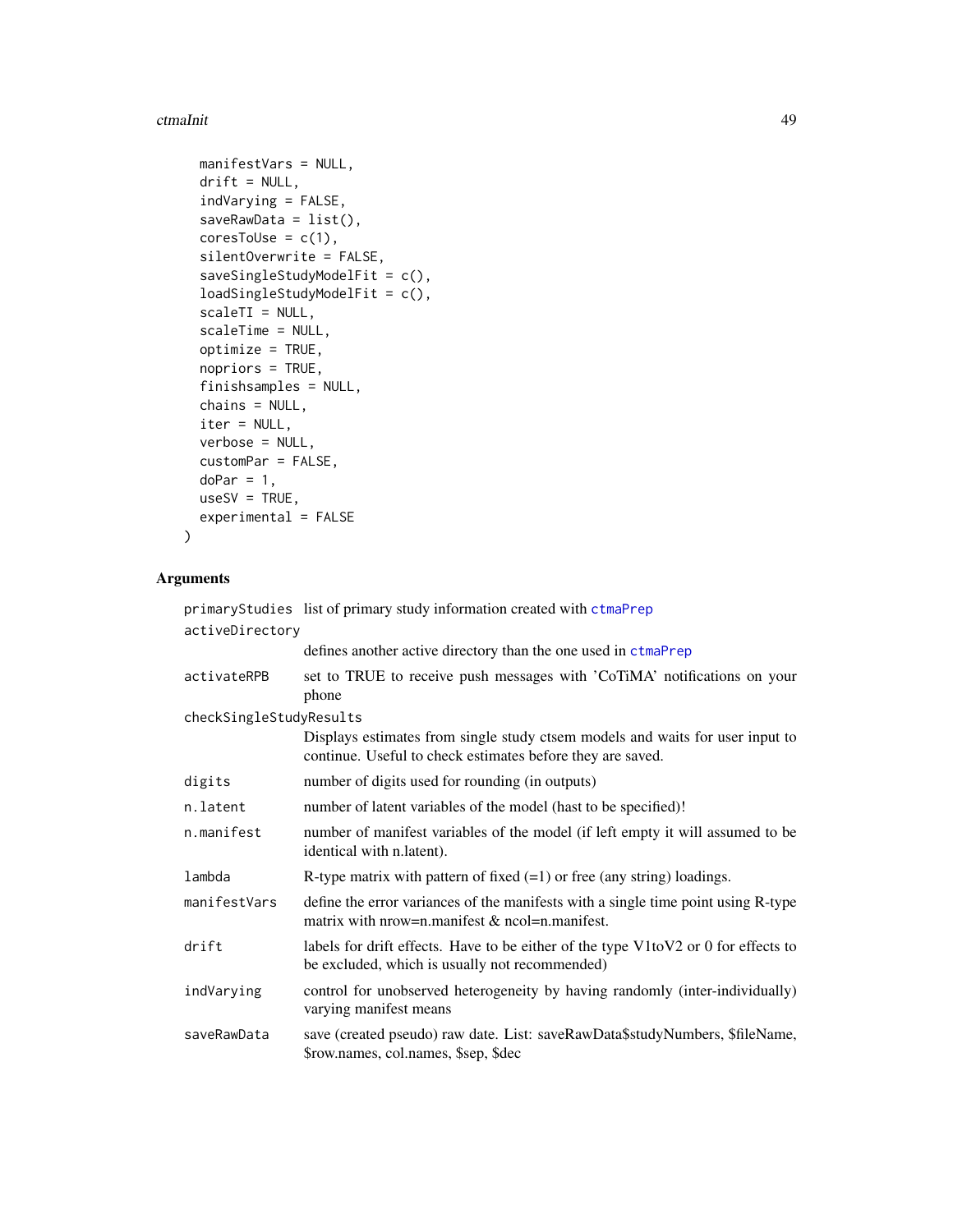#### ctmaInit 49

```
manifestVars = NULL,
drift = NULL,indVarying = FALSE,
saveRawData = list(),
coresTolse = c(1),silentOverwrite = FALSE,
saveSingleStudyModelFit = c(),
loadSingleStudyModelFit = c(),
scaleTI = NULL,
scaleTime = NULL,
optimize = TRUE,
nopriors = TRUE,
finishsamples = NULL,
chains = NULL,
iter = NULL,
verbose = NULL,
customPar = FALSE,
doPar = 1,
useSV = TRUE,experimental = FALSE
```
# Arguments

)

|                         | primaryStudies list of primary study information created with ctmaPrep                                                                      |
|-------------------------|---------------------------------------------------------------------------------------------------------------------------------------------|
| activeDirectory         |                                                                                                                                             |
|                         | defines another active directory than the one used in ctmaPrep                                                                              |
| activateRPB             | set to TRUE to receive push messages with 'CoTiMA' notifications on your<br>phone                                                           |
| checkSingleStudyResults |                                                                                                                                             |
|                         | Displays estimates from single study ctsem models and waits for user input to<br>continue. Useful to check estimates before they are saved. |
| digits                  | number of digits used for rounding (in outputs)                                                                                             |
| n.latent                | number of latent variables of the model (hast to be specified)!                                                                             |
| n.manifest              | number of manifest variables of the model (if left empty it will assumed to be<br>identical with n.latent).                                 |
| lambda                  | R-type matrix with pattern of fixed $(=1)$ or free (any string) loadings.                                                                   |
| manifestVars            | define the error variances of the manifests with a single time point using R-type<br>matrix with nrow=n.manifest & ncol=n.manifest.         |
| drift                   | labels for drift effects. Have to be either of the type V1toV2 or 0 for effects to<br>be excluded, which is usually not recommended)        |
| indVarying              | control for unobserved heterogeneity by having randomly (inter-individually)<br>varying manifest means                                      |
| saveRawData             | save (created pseudo) raw date. List: saveRawData\$studyNumbers, \$fileName,<br>\$row.names, col.names, \$sep, \$dec                        |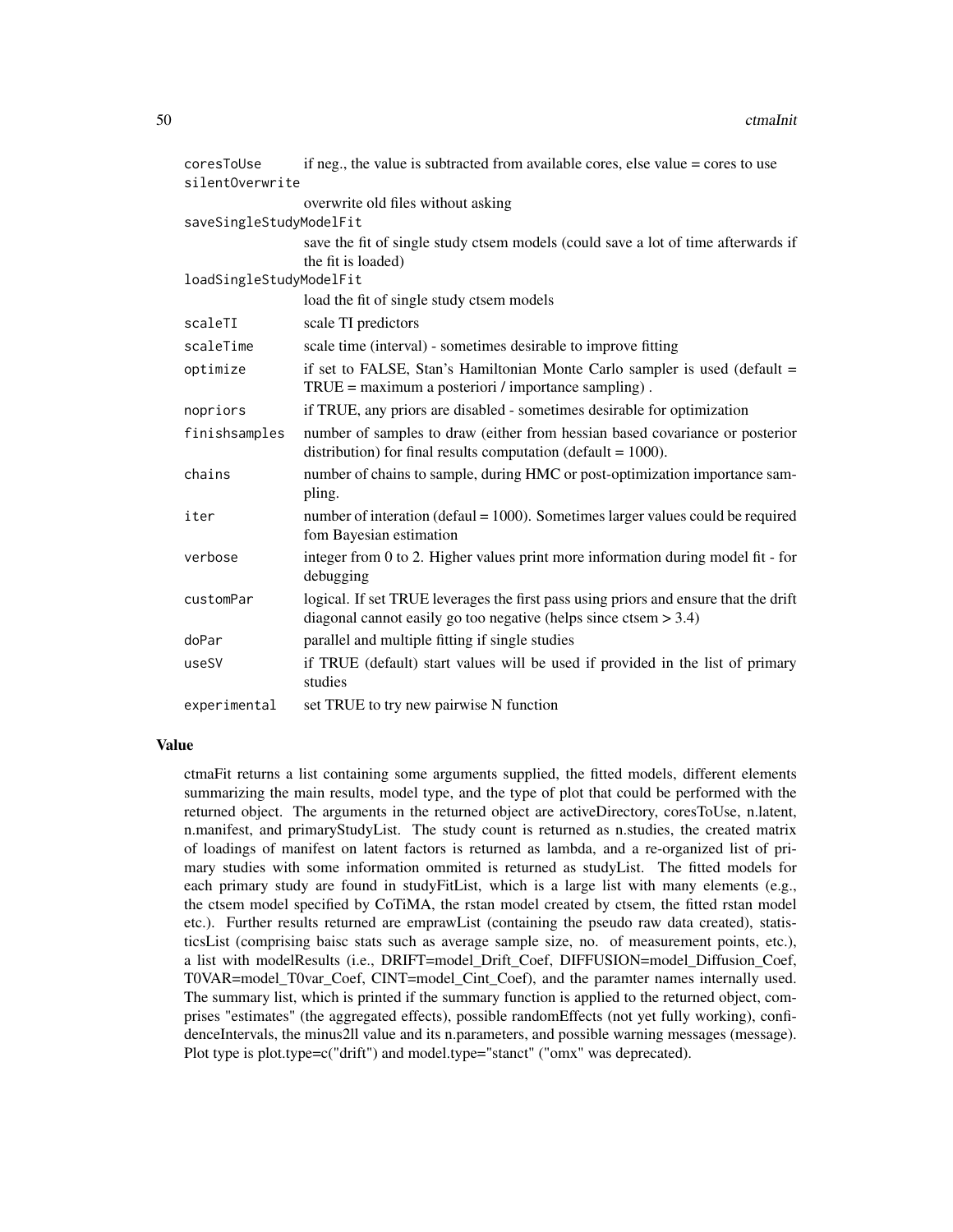| coresToUse              | if neg., the value is subtracted from available cores, else value $=$ cores to use                                                                          |
|-------------------------|-------------------------------------------------------------------------------------------------------------------------------------------------------------|
| silentOverwrite         |                                                                                                                                                             |
|                         | overwrite old files without asking                                                                                                                          |
| saveSingleStudyModelFit |                                                                                                                                                             |
|                         | save the fit of single study ctsem models (could save a lot of time afterwards if                                                                           |
|                         | the fit is loaded)                                                                                                                                          |
| loadSingleStudyModelFit |                                                                                                                                                             |
|                         | load the fit of single study ctsem models                                                                                                                   |
| scaleTI                 | scale TI predictors                                                                                                                                         |
| scaleTime               | scale time (interval) - sometimes desirable to improve fitting                                                                                              |
| optimize                | if set to FALSE, Stan's Hamiltonian Monte Carlo sampler is used (default $=$<br>$TRUE = maximum$ a posteriori / importance sampling).                       |
| nopriors                | if TRUE, any priors are disabled - sometimes desirable for optimization                                                                                     |
| finishsamples           | number of samples to draw (either from hessian based covariance or posterior<br>distribution) for final results computation (default = $1000$ ).            |
| chains                  | number of chains to sample, during HMC or post-optimization importance sam-<br>pling.                                                                       |
| iter                    | number of interation (defaul $= 1000$ ). Sometimes larger values could be required<br>fom Bayesian estimation                                               |
| verbose                 | integer from 0 to 2. Higher values print more information during model fit - for<br>debugging                                                               |
| customPar               | logical. If set TRUE leverages the first pass using priors and ensure that the drift<br>diagonal cannot easily go too negative (helps since ctsem $> 3.4$ ) |
| doPar                   | parallel and multiple fitting if single studies                                                                                                             |
| useSV                   | if TRUE (default) start values will be used if provided in the list of primary<br>studies                                                                   |
| experimental            | set TRUE to try new pairwise N function                                                                                                                     |

#### Value

ctmaFit returns a list containing some arguments supplied, the fitted models, different elements summarizing the main results, model type, and the type of plot that could be performed with the returned object. The arguments in the returned object are activeDirectory, coresToUse, n.latent, n.manifest, and primaryStudyList. The study count is returned as n.studies, the created matrix of loadings of manifest on latent factors is returned as lambda, and a re-organized list of primary studies with some information ommited is returned as studyList. The fitted models for each primary study are found in studyFitList, which is a large list with many elements (e.g., the ctsem model specified by CoTiMA, the rstan model created by ctsem, the fitted rstan model etc.). Further results returned are emprawList (containing the pseudo raw data created), statisticsList (comprising baisc stats such as average sample size, no. of measurement points, etc.), a list with modelResults (i.e., DRIFT=model\_Drift\_Coef, DIFFUSION=model\_Diffusion\_Coef, T0VAR=model\_T0var\_Coef, CINT=model\_Cint\_Coef), and the paramter names internally used. The summary list, which is printed if the summary function is applied to the returned object, comprises "estimates" (the aggregated effects), possible randomEffects (not yet fully working), confidenceIntervals, the minus2ll value and its n.parameters, and possible warning messages (message). Plot type is plot.type=c("drift") and model.type="stanct" ("omx" was deprecated).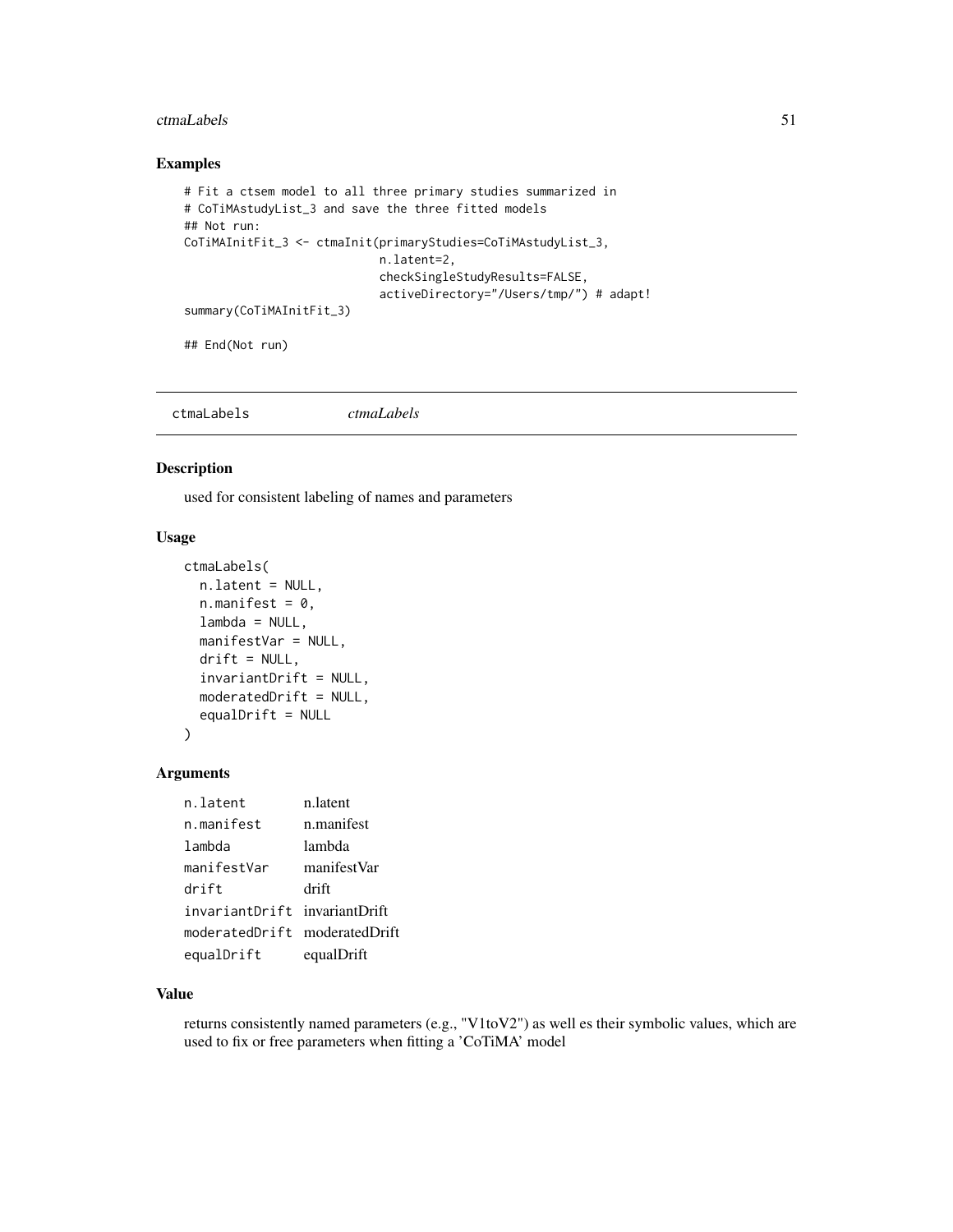#### ctmaLabels 51

## Examples

```
# Fit a ctsem model to all three primary studies summarized in
# CoTiMAstudyList_3 and save the three fitted models
## Not run:
CoTiMAInitFit_3 <- ctmaInit(primaryStudies=CoTiMAstudyList_3,
                            n.latent=2,
                            checkSingleStudyResults=FALSE,
                            activeDirectory="/Users/tmp/") # adapt!
summary(CoTiMAInitFit_3)
```
## End(Not run)

ctmaLabels *ctmaLabels*

#### Description

used for consistent labeling of names and parameters

## Usage

```
ctmaLabels(
  n.latent = NULL,
  n.mainloop.manifest = 0,
  lambda = NULL,manifestVar = NULL,
  drift = NULL,
  invariantDrift = NULL,
 moderatedDrift = NULL,
  equalDrift = NULL)
```
# Arguments

| n.latent                      | n.latent    |
|-------------------------------|-------------|
| n.manifest                    | n.manifest  |
| lambda                        | lambda      |
| manifestVar                   | manifestVar |
| drift                         | drift       |
| invariantDrift invariantDrift |             |
| moderatedDrift moderatedDrift |             |
| equalDrift                    | equalDrift  |

# Value

returns consistently named parameters (e.g., "V1toV2") as well es their symbolic values, which are used to fix or free parameters when fitting a 'CoTiMA' model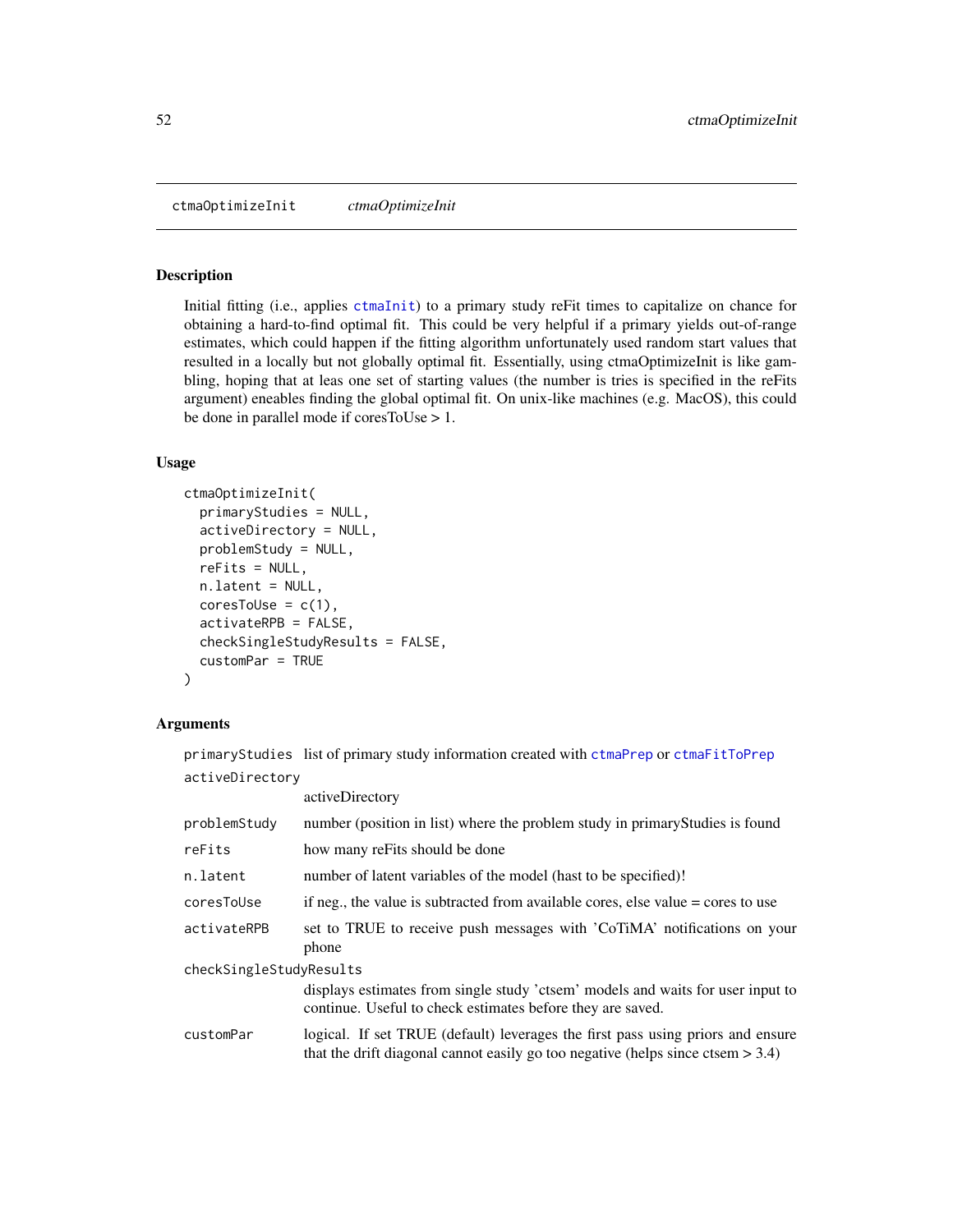ctmaOptimizeInit *ctmaOptimizeInit*

#### Description

Initial fitting (i.e., applies [ctmaInit](#page-47-0)) to a primary study reFit times to capitalize on chance for obtaining a hard-to-find optimal fit. This could be very helpful if a primary yields out-of-range estimates, which could happen if the fitting algorithm unfortunately used random start values that resulted in a locally but not globally optimal fit. Essentially, using ctmaOptimizeInit is like gambling, hoping that at leas one set of starting values (the number is tries is specified in the reFits argument) eneables finding the global optimal fit. On unix-like machines (e.g. MacOS), this could be done in parallel mode if coresToUse > 1.

# Usage

```
ctmaOptimizeInit(
  primaryStudies = NULL,
  activeDirectory = NULL,
  problemStudy = NULL,
  reFits = NULL,
  n.latent = NULL,
  coresTolse = c(1),activateRPB = FALSE,
  checkSingleStudyResults = FALSE,
  customPar = TRUE
\lambda
```
## Arguments

primaryStudies list of primary study information created with [ctmaPrep](#page-57-0) or [ctmaFitToPrep](#page-46-0) activeDirectory

|                         | activeDirectory                                                                                                                                                       |  |
|-------------------------|-----------------------------------------------------------------------------------------------------------------------------------------------------------------------|--|
| problemStudy            | number (position in list) where the problem study in primary Studies is found                                                                                         |  |
| reFits                  | how many refits should be done                                                                                                                                        |  |
| n.latent                | number of latent variables of the model (hast to be specified)!                                                                                                       |  |
| coresToUse              | if neg., the value is subtracted from available cores, else value = cores to use                                                                                      |  |
| activateRPB             | set to TRUE to receive push messages with 'CoTiMA' notifications on your<br>phone                                                                                     |  |
| checkSingleStudyResults |                                                                                                                                                                       |  |
|                         | displays estimates from single study 'ctsem' models and waits for user input to<br>continue. Useful to check estimates before they are saved.                         |  |
| customPar               | logical. If set TRUE (default) leverages the first pass using priors and ensure<br>that the drift diagonal cannot easily go too negative (helps since ctsem $> 3.4$ ) |  |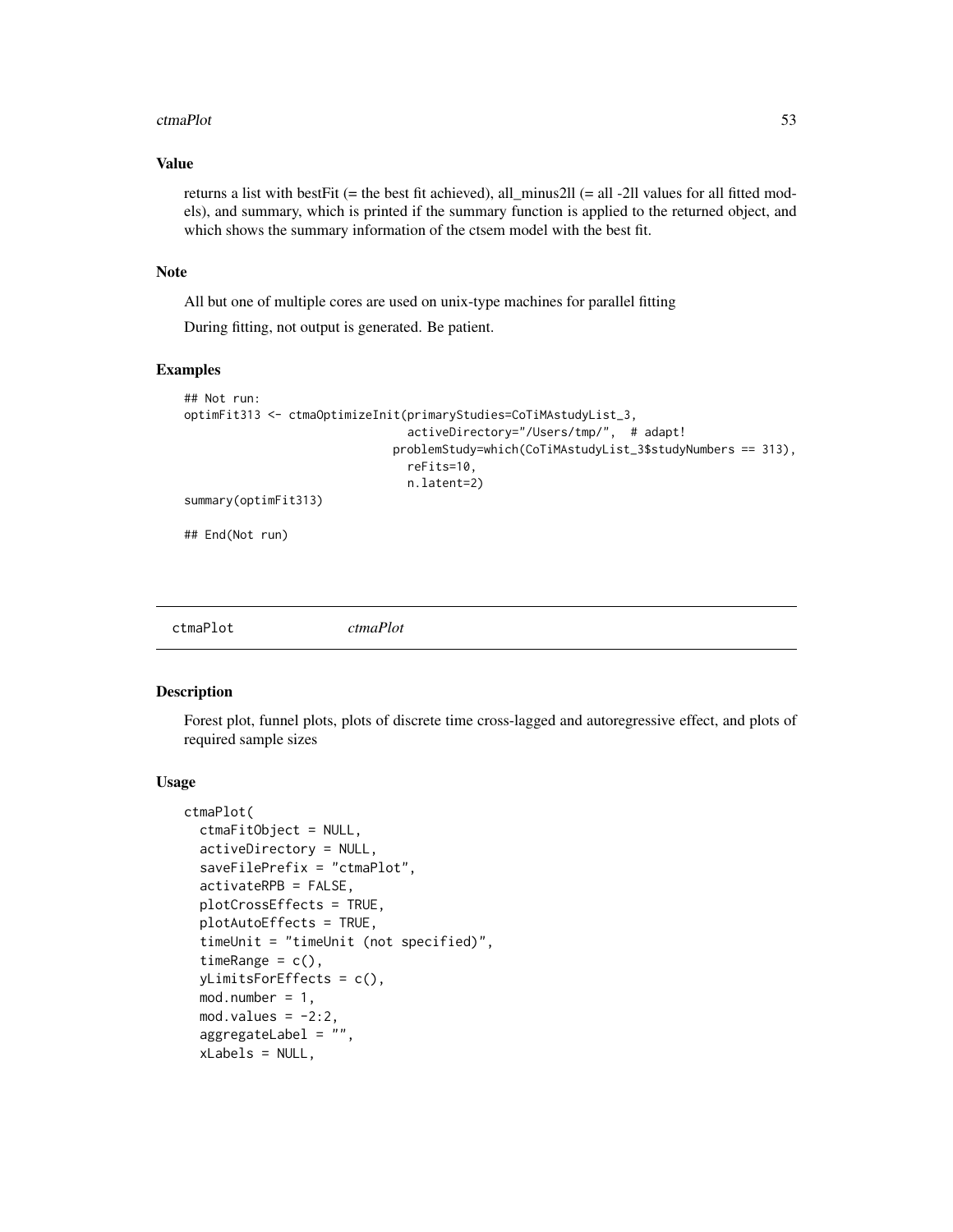#### ctmaPlot 53

# Value

returns a list with bestFit (= the best fit achieved), all\_minus2ll (= all -2ll values for all fitted models), and summary, which is printed if the summary function is applied to the returned object, and which shows the summary information of the ctsem model with the best fit.

## Note

All but one of multiple cores are used on unix-type machines for parallel fitting

During fitting, not output is generated. Be patient.

## Examples

```
## Not run:
optimFit313 <- ctmaOptimizeInit(primaryStudies=CoTiMAstudyList_3,
                                activeDirectory="/Users/tmp/", # adapt!
                              problemStudy=which(CoTiMAstudyList_3$studyNumbers == 313),
                                reFits=10,
                                n.latent=2)
summary(optimFit313)
## End(Not run)
```

# Description

Forest plot, funnel plots, plots of discrete time cross-lagged and autoregressive effect, and plots of required sample sizes

#### Usage

```
ctmaPlot(
  ctmaFitObject = NULL,
  activeDirectory = NULL,
  saveFilePrefix = "ctmaPlot",
  activateRPB = FALSE,
 plotCrossEffects = TRUE,
  plotAutoEffects = TRUE,
  timeUnit = "timeUnit (not specified)",
  timeRange = c(),
  yLimitsForEffects = c(),
  mod.number = 1,
 mod.values = -2:2,
  aggregateLabel = "",
  xLabels = NULL,
```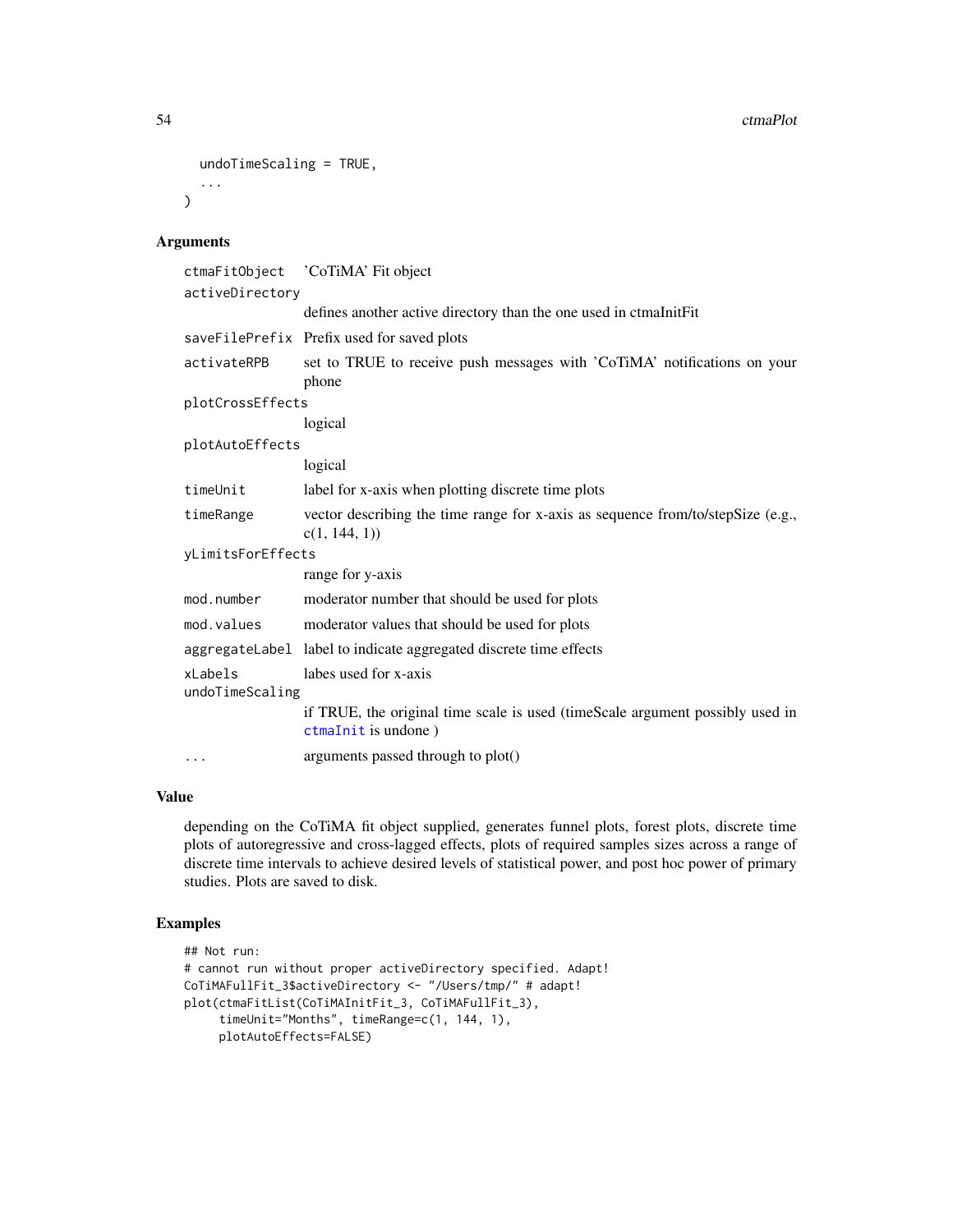```
undoTimeScaling = TRUE,
  ...
\mathcal{L}
```
# Arguments

| ctmaFitObject 'CoTiMA' Fit object                                                                    |
|------------------------------------------------------------------------------------------------------|
| activeDirectory                                                                                      |
| defines another active directory than the one used in ctmaInitFit                                    |
| saveFilePrefix Prefix used for saved plots                                                           |
| set to TRUE to receive push messages with 'CoTiMA' notifications on your<br>phone                    |
| plotCrossEffects                                                                                     |
| logical                                                                                              |
| plotAutoEffects                                                                                      |
| logical                                                                                              |
| label for x-axis when plotting discrete time plots                                                   |
| vector describing the time range for x-axis as sequence from/to/stepSize (e.g.,<br>c(1, 144, 1)      |
| yLimitsForEffects                                                                                    |
| range for y-axis                                                                                     |
| moderator number that should be used for plots                                                       |
| moderator values that should be used for plots                                                       |
| aggregateLabel label to indicate aggregated discrete time effects                                    |
| labes used for x-axis                                                                                |
| undoTimeScaling                                                                                      |
| if TRUE, the original time scale is used (timeScale argument possibly used in<br>ctmaInit is undone) |
| arguments passed through to plot()                                                                   |
|                                                                                                      |

#### Value

depending on the CoTiMA fit object supplied, generates funnel plots, forest plots, discrete time plots of autoregressive and cross-lagged effects, plots of required samples sizes across a range of discrete time intervals to achieve desired levels of statistical power, and post hoc power of primary studies. Plots are saved to disk.

# Examples

```
## Not run:
# cannot run without proper activeDirectory specified. Adapt!
CoTiMAFullFit_3$activeDirectory <- "/Users/tmp/" # adapt!
plot(ctmaFitList(CoTiMAInitFit_3, CoTiMAFullFit_3),
     timeUnit="Months", timeRange=c(1, 144, 1),
     plotAutoEffects=FALSE)
```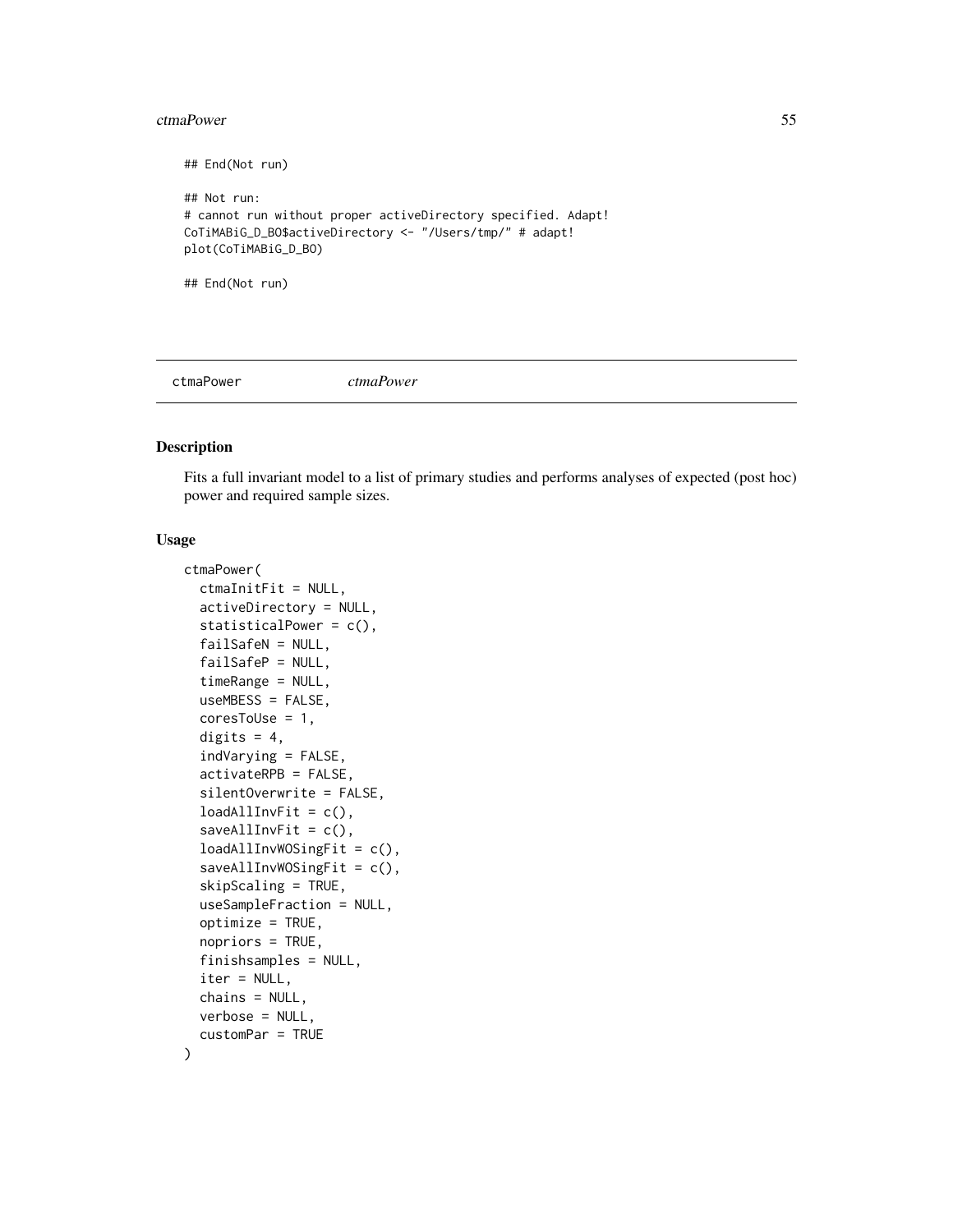#### ctmaPower 55

## End(Not run) ## Not run: # cannot run without proper activeDirectory specified. Adapt! CoTiMABiG\_D\_BO\$activeDirectory <- "/Users/tmp/" # adapt! plot(CoTiMABiG\_D\_BO) ## End(Not run)

ctmaPower *ctmaPower*

#### Description

Fits a full invariant model to a list of primary studies and performs analyses of expected (post hoc) power and required sample sizes.

# Usage

```
ctmaPower(
  ctmaInitFit = NULL,
  activeDirectory = NULL,
  statisticalPower = c(),
  failSafeN = NULL,
  failSafeP = NULL,
  timeRange = NULL,
  useMBESS = FALSE,
  coresTolve = 1,digits = 4,
  indVarying = FALSE,
  activateRPB = FALSE,
  silentOverwrite = FALSE,
  loadAllInvFit = c(),
  saveAllInvFit = c(),
  loadAllInvWOSingFit = c(),
  saveAllInvWOSingFit = c(),skipScaling = TRUE,
  useSampleFraction = NULL,
  optimize = TRUE,nopriors = TRUE,
  finishsamples = NULL,
  iter = NULL,
  chains = NULL,
  verbose = NULL,
  customPar = TRUE
)
```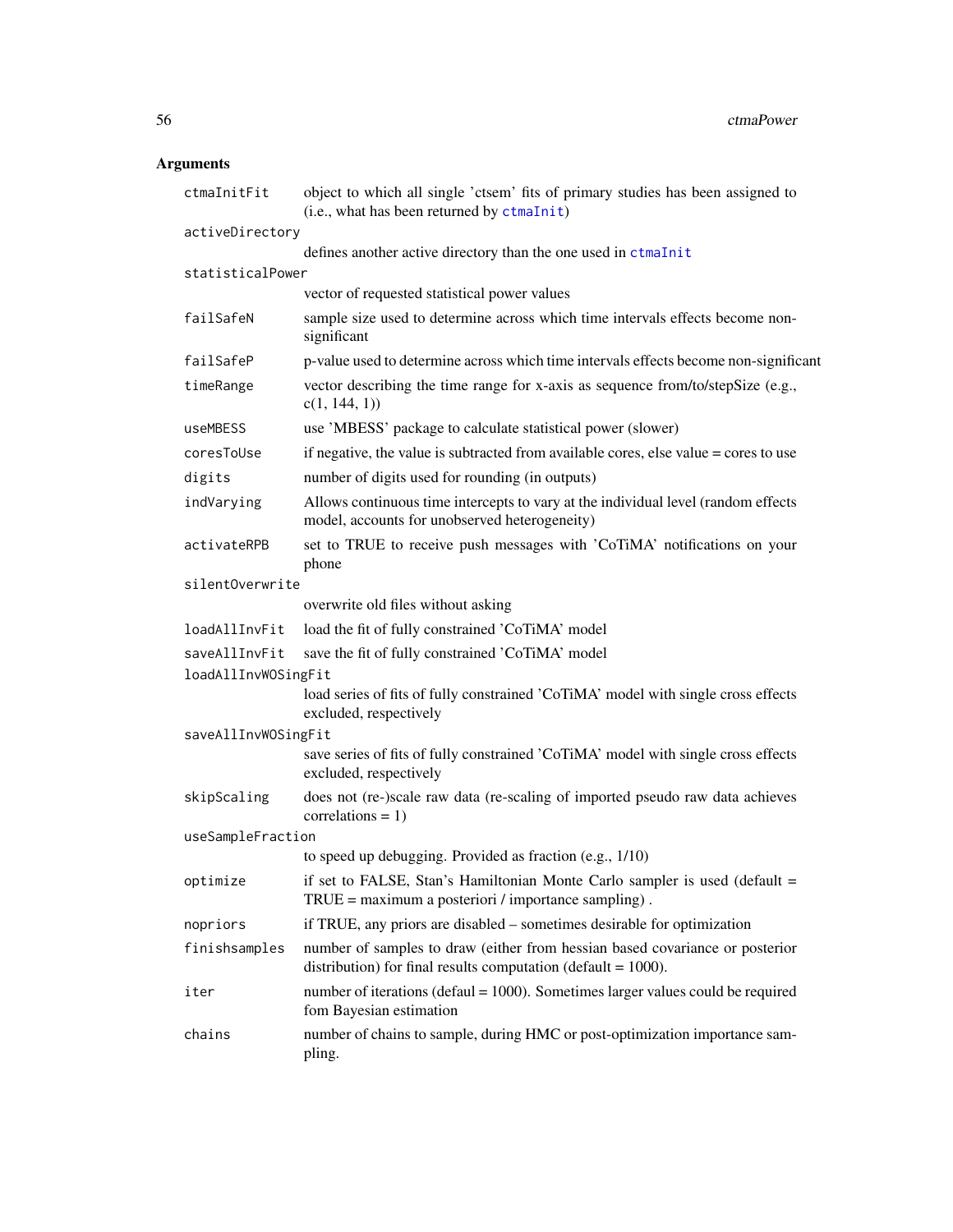# Arguments

| ctmaInitFit         | object to which all single 'ctsem' fits of primary studies has been assigned to<br>(i.e., what has been returned by ctmaInit)                    |
|---------------------|--------------------------------------------------------------------------------------------------------------------------------------------------|
| activeDirectory     |                                                                                                                                                  |
|                     | defines another active directory than the one used in ctmaInit                                                                                   |
| statisticalPower    |                                                                                                                                                  |
|                     | vector of requested statistical power values                                                                                                     |
| failSafeN           | sample size used to determine across which time intervals effects become non-<br>significant                                                     |
| failSafeP           | p-value used to determine across which time intervals effects become non-significant                                                             |
| timeRange           | vector describing the time range for x-axis as sequence from/to/stepSize (e.g.,<br>c(1, 144, 1)                                                  |
| useMBESS            | use 'MBESS' package to calculate statistical power (slower)                                                                                      |
| coresToUse          | if negative, the value is subtracted from available cores, else value $=$ cores to use                                                           |
| digits              | number of digits used for rounding (in outputs)                                                                                                  |
| indVarying          | Allows continuous time intercepts to vary at the individual level (random effects<br>model, accounts for unobserved heterogeneity)               |
| activateRPB         | set to TRUE to receive push messages with 'CoTiMA' notifications on your<br>phone                                                                |
| silentOverwrite     |                                                                                                                                                  |
|                     | overwrite old files without asking                                                                                                               |
| loadAllInvFit       | load the fit of fully constrained 'CoTiMA' model                                                                                                 |
| saveAllInvFit       | save the fit of fully constrained 'CoTiMA' model                                                                                                 |
| loadAllInvWOSingFit |                                                                                                                                                  |
|                     | load series of fits of fully constrained 'CoTiMA' model with single cross effects<br>excluded, respectively                                      |
| saveAllInvWOSingFit |                                                                                                                                                  |
|                     | save series of fits of fully constrained 'CoTiMA' model with single cross effects<br>excluded, respectively                                      |
| skipScaling         | does not (re-)scale raw data (re-scaling of imported pseudo raw data achieves<br>correlations = $1)$                                             |
| useSampleFraction   |                                                                                                                                                  |
|                     | to speed up debugging. Provided as fraction (e.g., 1/10)                                                                                         |
| optimize            | if set to FALSE, Stan's Hamiltonian Monte Carlo sampler is used (default =<br>$TRUE = maximum$ a posteriori / importance sampling).              |
| nopriors            | if TRUE, any priors are disabled – sometimes desirable for optimization                                                                          |
| finishsamples       | number of samples to draw (either from hessian based covariance or posterior<br>distribution) for final results computation (default = $1000$ ). |
| iter                | number of iterations (defaul $= 1000$ ). Sometimes larger values could be required<br>fom Bayesian estimation                                    |
| chains              | number of chains to sample, during HMC or post-optimization importance sam-<br>pling.                                                            |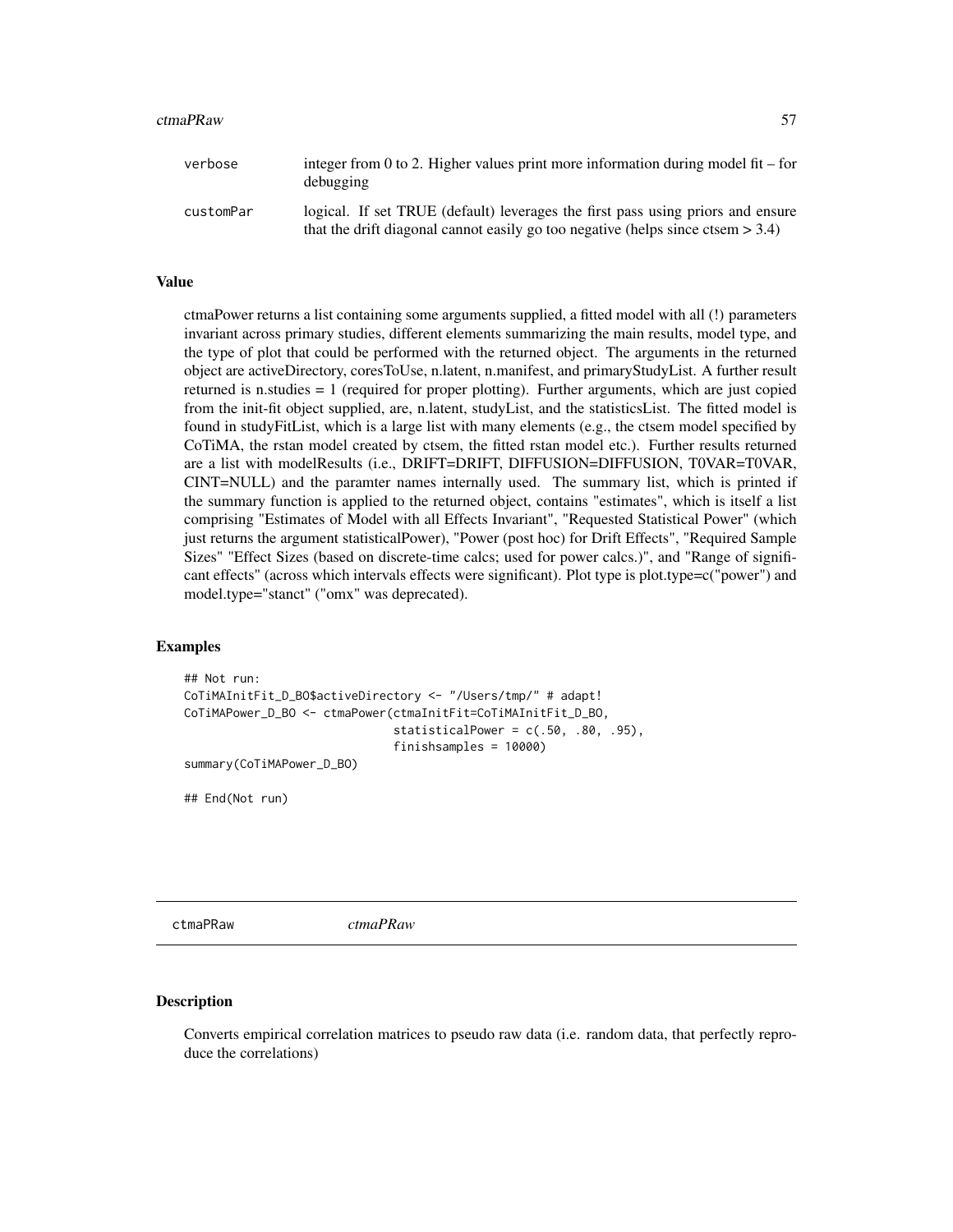#### ctmaPRaw 57

| verbose   | integer from 0 to 2. Higher values print more information during model fit – for<br>debugging                                                                         |
|-----------|-----------------------------------------------------------------------------------------------------------------------------------------------------------------------|
| customPar | logical. If set TRUE (default) leverages the first pass using priors and ensure<br>that the drift diagonal cannot easily go too negative (helps since ctsem $> 3.4$ ) |

#### Value

ctmaPower returns a list containing some arguments supplied, a fitted model with all (!) parameters invariant across primary studies, different elements summarizing the main results, model type, and the type of plot that could be performed with the returned object. The arguments in the returned object are activeDirectory, coresToUse, n.latent, n.manifest, and primaryStudyList. A further result returned is n.studies = 1 (required for proper plotting). Further arguments, which are just copied from the init-fit object supplied, are, n.latent, studyList, and the statisticsList. The fitted model is found in studyFitList, which is a large list with many elements (e.g., the ctsem model specified by CoTiMA, the rstan model created by ctsem, the fitted rstan model etc.). Further results returned are a list with modelResults (i.e., DRIFT=DRIFT, DIFFUSION=DIFFUSION, T0VAR=T0VAR, CINT=NULL) and the paramter names internally used. The summary list, which is printed if the summary function is applied to the returned object, contains "estimates", which is itself a list comprising "Estimates of Model with all Effects Invariant", "Requested Statistical Power" (which just returns the argument statisticalPower), "Power (post hoc) for Drift Effects", "Required Sample Sizes" "Effect Sizes (based on discrete-time calcs; used for power calcs.)", and "Range of significant effects" (across which intervals effects were significant). Plot type is plot.type=c("power") and model.type="stanct" ("omx" was deprecated).

#### Examples

```
## Not run:
CoTiMAInitFit_D_BO$activeDirectory <- "/Users/tmp/" # adapt!
CoTiMAPower_D_BO <- ctmaPower(ctmaInitFit=CoTiMAInitFit_D_BO,
                              statisticalPower = c(.50, .80, .95),
                              finishsamples = 10000)
summary(CoTiMAPower_D_BO)
```
## End(Not run)

ctmaPRaw *ctmaPRaw*

#### Description

Converts empirical correlation matrices to pseudo raw data (i.e. random data, that perfectly reproduce the correlations)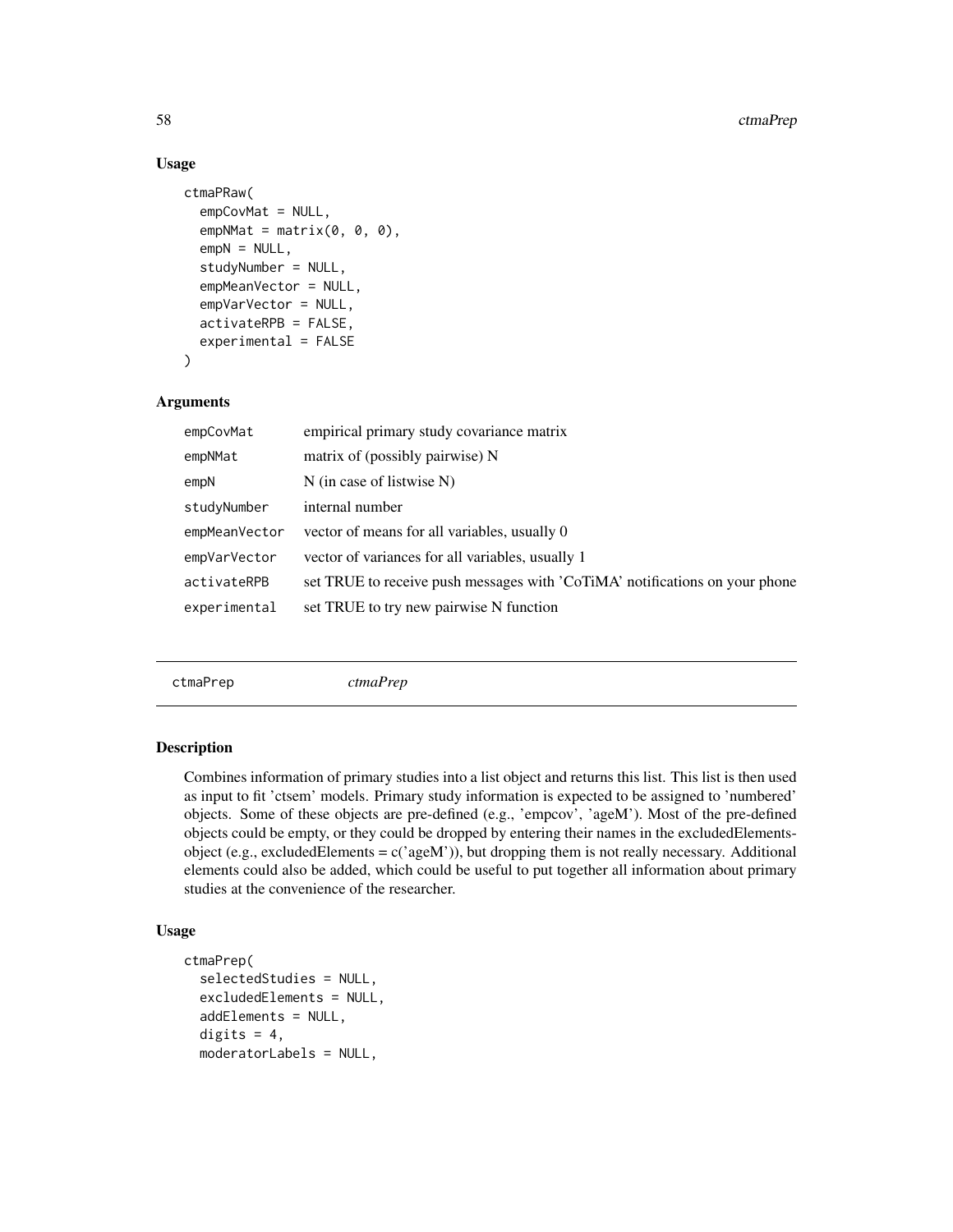# Usage

```
ctmaPRaw(
  empCovMat = NULL,
  empNMat = matrix(0, 0, 0),empN = NULL,studyNumber = NULL,
  empMeanVector = NULL,
  empVarVector = NULL,
  activateRPB = FALSE,
  experimental = FALSE
)
```
# Arguments

| empCovMat     | empirical primary study covariance matrix                                   |
|---------------|-----------------------------------------------------------------------------|
| empNMat       | matrix of (possibly pairwise) N                                             |
| empN          | $N$ (in case of listwise N)                                                 |
| studyNumber   | internal number                                                             |
| empMeanVector | vector of means for all variables, usually 0                                |
| empVarVector  | vector of variances for all variables, usually 1                            |
| activateRPB   | set TRUE to receive push messages with 'CoTiMA' notifications on your phone |
| experimental  | set TRUE to try new pairwise N function                                     |
|               |                                                                             |

<span id="page-57-0"></span>ctmaPrep *ctmaPrep*

#### Description

Combines information of primary studies into a list object and returns this list. This list is then used as input to fit 'ctsem' models. Primary study information is expected to be assigned to 'numbered' objects. Some of these objects are pre-defined (e.g., 'empcov', 'ageM'). Most of the pre-defined objects could be empty, or they could be dropped by entering their names in the excludedElementsobject (e.g., excludedElements =  $c$ ('ageM')), but dropping them is not really necessary. Additional elements could also be added, which could be useful to put together all information about primary studies at the convenience of the researcher.

## Usage

```
ctmaPrep(
  selectedStudies = NULL,
  excludedElements = NULL,
  addElements = NULL,
  digits = 4,
  moderatorLabels = NULL,
```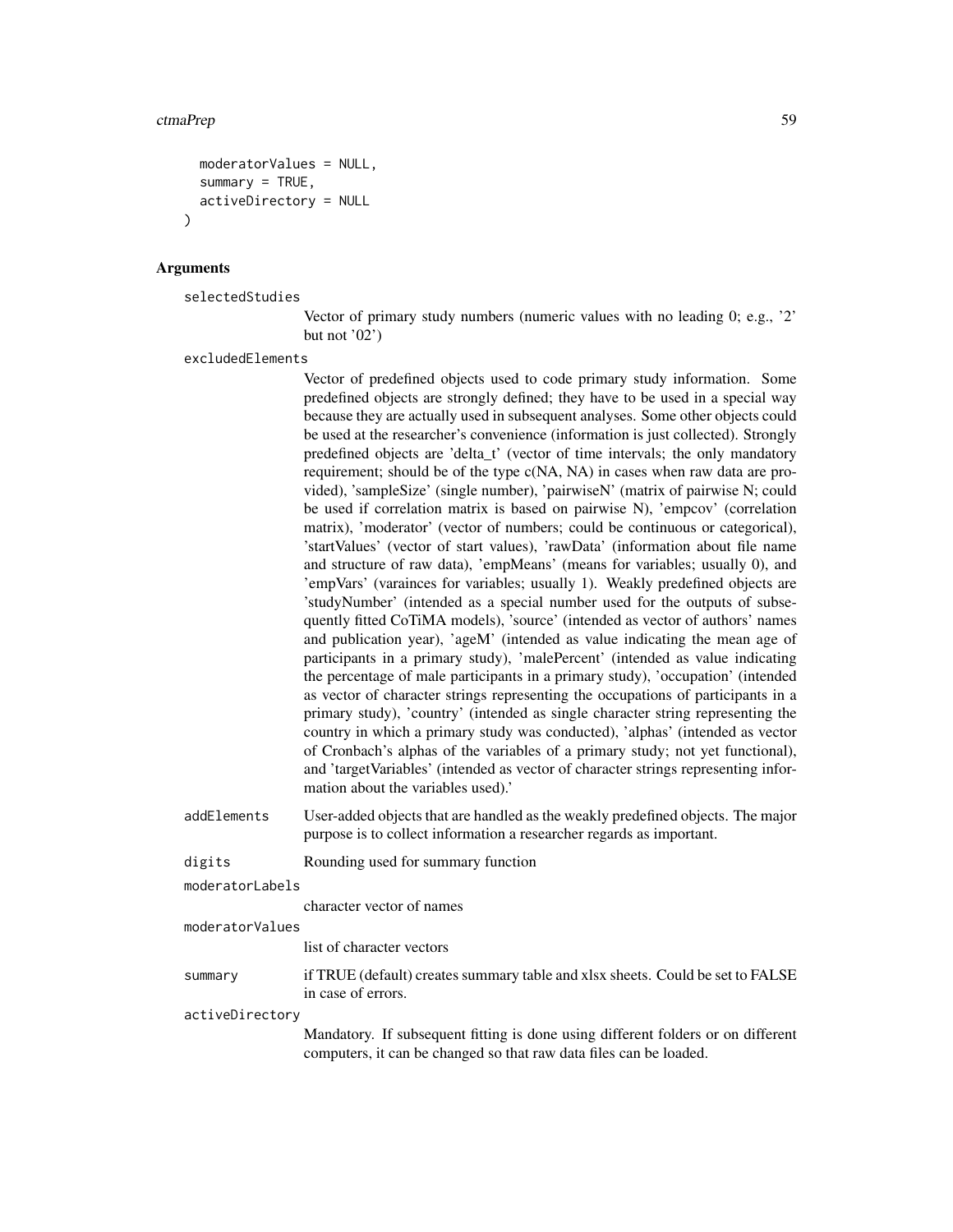#### ctmaPrep 59

```
moderatorValues = NULL,
  summary = TRUE,activeDirectory = NULL
)
```
#### Arguments

selectedStudies

Vector of primary study numbers (numeric values with no leading 0; e.g., '2' but not '02')

excludedElements

Vector of predefined objects used to code primary study information. Some predefined objects are strongly defined; they have to be used in a special way because they are actually used in subsequent analyses. Some other objects could be used at the researcher's convenience (information is just collected). Strongly predefined objects are 'delta\_t' (vector of time intervals; the only mandatory requirement; should be of the type c(NA, NA) in cases when raw data are provided), 'sampleSize' (single number), 'pairwiseN' (matrix of pairwise N; could be used if correlation matrix is based on pairwise N), 'empcov' (correlation matrix), 'moderator' (vector of numbers; could be continuous or categorical), 'startValues' (vector of start values), 'rawData' (information about file name and structure of raw data), 'empMeans' (means for variables; usually 0), and 'empVars' (varainces for variables; usually 1). Weakly predefined objects are 'studyNumber' (intended as a special number used for the outputs of subsequently fitted CoTiMA models), 'source' (intended as vector of authors' names and publication year), 'ageM' (intended as value indicating the mean age of participants in a primary study), 'malePercent' (intended as value indicating the percentage of male participants in a primary study), 'occupation' (intended as vector of character strings representing the occupations of participants in a primary study), 'country' (intended as single character string representing the country in which a primary study was conducted), 'alphas' (intended as vector of Cronbach's alphas of the variables of a primary study; not yet functional), and 'targetVariables' (intended as vector of character strings representing information about the variables used).'

addElements User-added objects that are handled as the weakly predefined objects. The major purpose is to collect information a researcher regards as important.

digits Rounding used for summary function

moderatorLabels

character vector of names

```
moderatorValues
```
list of character vectors

summary if TRUE (default) creates summary table and xlsx sheets. Could be set to FALSE in case of errors.

activeDirectory

Mandatory. If subsequent fitting is done using different folders or on different computers, it can be changed so that raw data files can be loaded.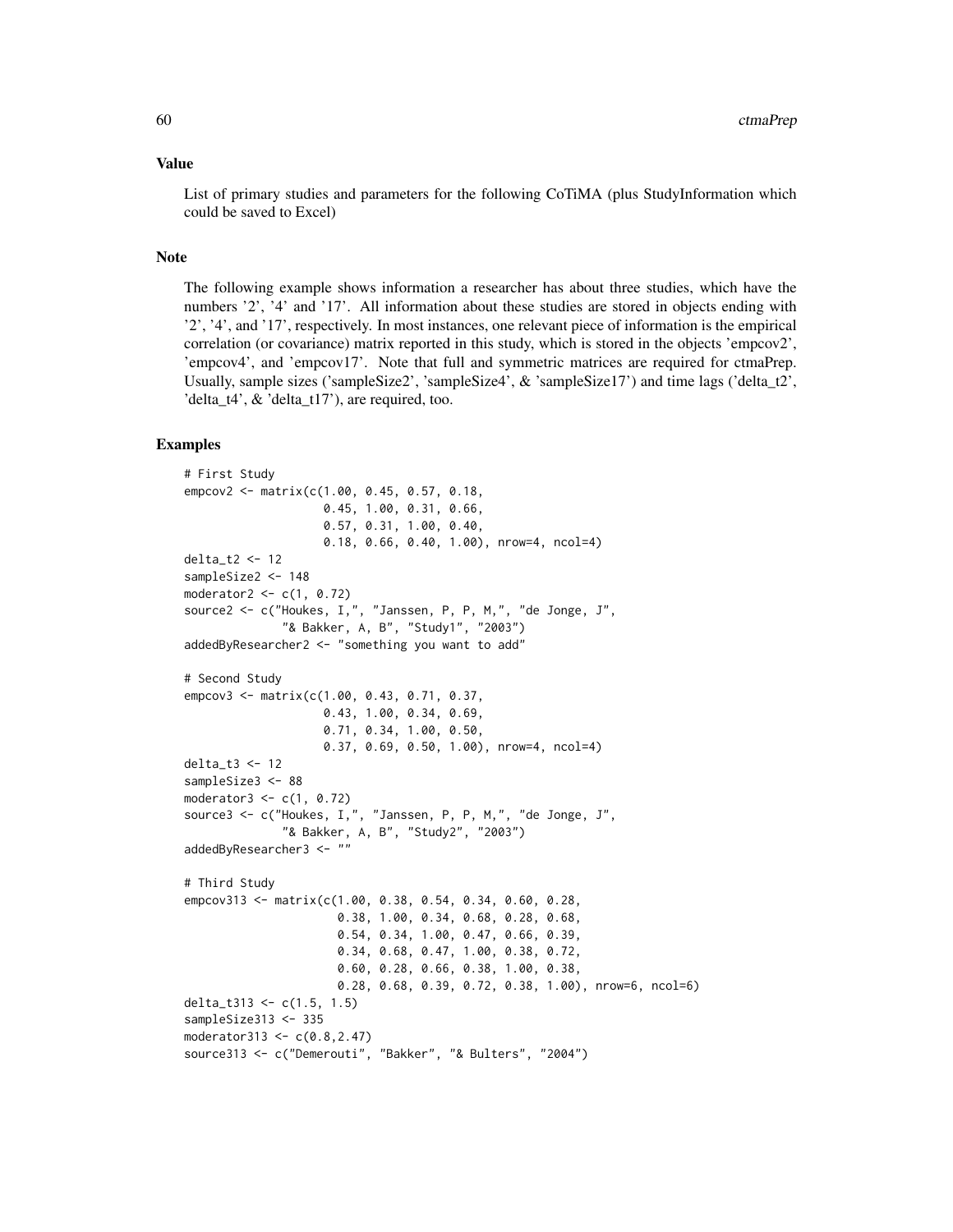#### Value

List of primary studies and parameters for the following CoTiMA (plus StudyInformation which could be saved to Excel)

#### Note

The following example shows information a researcher has about three studies, which have the numbers '2', '4' and '17'. All information about these studies are stored in objects ending with '2', '4', and '17', respectively. In most instances, one relevant piece of information is the empirical correlation (or covariance) matrix reported in this study, which is stored in the objects 'empcov2', 'empcov4', and 'empcov17'. Note that full and symmetric matrices are required for ctmaPrep. Usually, sample sizes ('sampleSize2', 'sampleSize4',  $\&$  'sampleSize17') and time lags ('delta t2', 'delta\_t4', & 'delta\_t17'), are required, too.

## Examples

```
# First Study
empcov2 <- matrix(c(1.00, 0.45, 0.57, 0.18,
                    0.45, 1.00, 0.31, 0.66,
                    0.57, 0.31, 1.00, 0.40,
                    0.18, 0.66, 0.40, 1.00), nrow=4, ncol=4)
delta_t2 <- 12
sampleSize2 <- 148
moderator2 \leq c(1, 0.72)source2 <- c("Houkes, I,", "Janssen, P, P, M,", "de Jonge, J",
              "& Bakker, A, B", "Study1", "2003")
addedByResearcher2 <- "something you want to add"
# Second Study
empcov3 <- matrix(c(1.00, 0.43, 0.71, 0.37,
                    0.43, 1.00, 0.34, 0.69,
                    0.71, 0.34, 1.00, 0.50,
                    0.37, 0.69, 0.50, 1.00), nrow=4, ncol=4)
delta_t3 <- 12
sampleSize3 <- 88
moderator3 <- c(1, 0.72)
source3 <- c("Houkes, I,", "Janssen, P, P, M,", "de Jonge, J",
              "& Bakker, A, B", "Study2", "2003")
addedByResearcher3 <- ""
# Third Study
empcov313 <- matrix(c(1.00, 0.38, 0.54, 0.34, 0.60, 0.28,
                      0.38, 1.00, 0.34, 0.68, 0.28, 0.68,
                      0.54, 0.34, 1.00, 0.47, 0.66, 0.39,
                      0.34, 0.68, 0.47, 1.00, 0.38, 0.72,
                      0.60, 0.28, 0.66, 0.38, 1.00, 0.38,
                      0.28, 0.68, 0.39, 0.72, 0.38, 1.00), nrow=6, ncol=6)
delta_t313 <- c(1.5, 1.5)
sampleSize313 <- 335
moderator313 <- c(0.8,2.47)
source313 <- c("Demerouti", "Bakker", "& Bulters", "2004")
```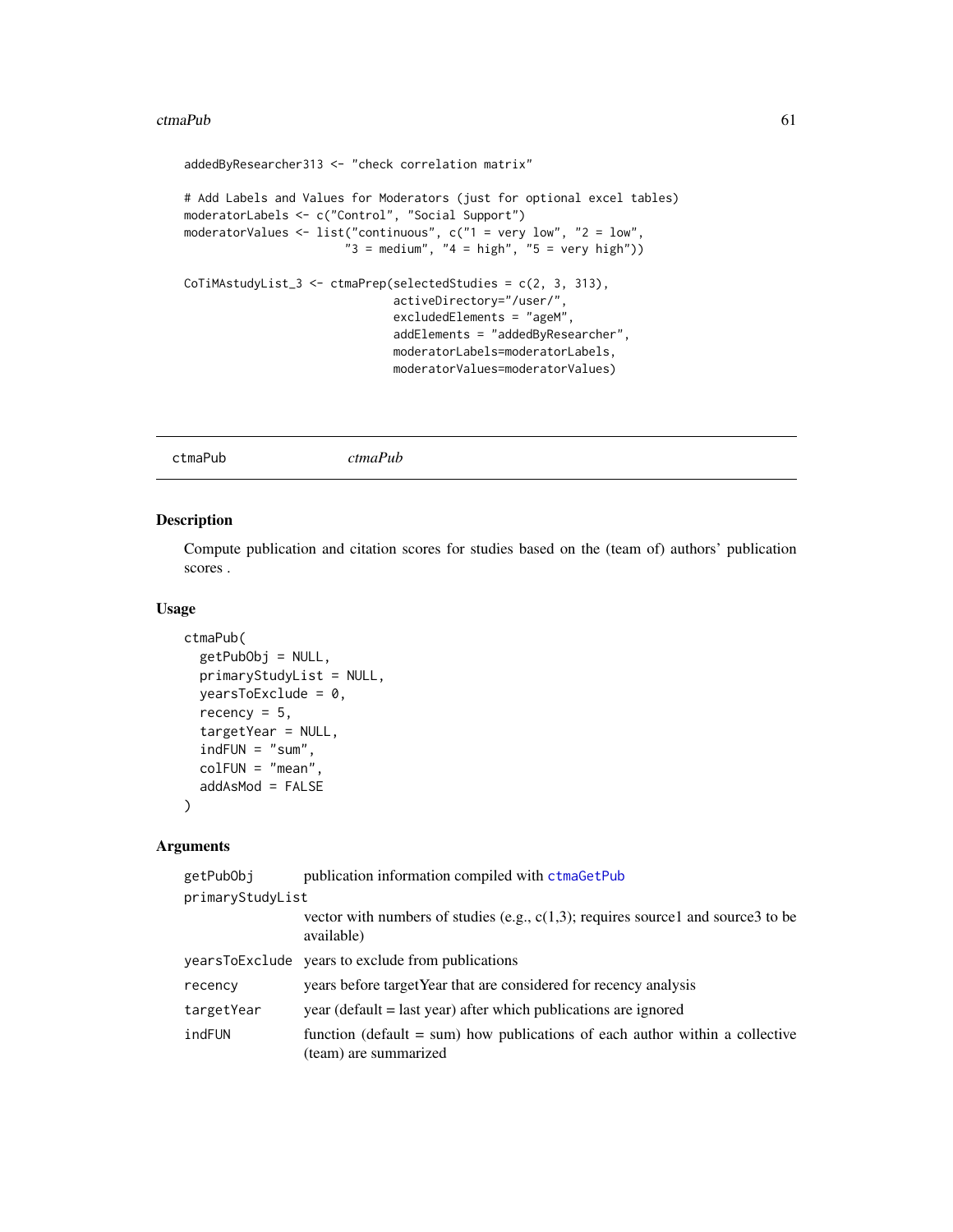#### ctmaPub 61

```
addedByResearcher313 <- "check correlation matrix"
# Add Labels and Values for Moderators (just for optional excel tables)
moderatorLabels <- c("Control", "Social Support")
moderatorValues <- list("continuous", c("1 = very low", "2 = low",
                        "3 = \text{medium"}, "4 = \text{high"}, "5 = \text{very high"})CoTiMAstudyList_3 <- ctmaPrep(selectedStudies = c(2, 3, 313),
                               activeDirectory="/user/",
                               excludedElements = "ageM",
                               addElements = "addedByResearcher",
                               moderatorLabels=moderatorLabels,
                               moderatorValues=moderatorValues)
```
ctmaPub *ctmaPub*

#### Description

Compute publication and citation scores for studies based on the (team of) authors' publication scores .

## Usage

```
ctmaPub(
  getPubObj = NULL,
  primaryStudyList = NULL,
  yearsToExclude = 0,
  recency = 5,
  targetYear = NULL,
  indFUN = "sum",colFUN = "mean",
  addAsMod = FALSE
)
```
# Arguments

| getPubObj        | publication information compiled with ctmaGetPub                                                        |  |
|------------------|---------------------------------------------------------------------------------------------------------|--|
| primaryStudyList |                                                                                                         |  |
|                  | vector with numbers of studies (e.g., $c(1,3)$ ; requires source1 and source3 to be<br>available)       |  |
|                  | yearsToExclude years to exclude from publications                                                       |  |
| recency          | years before target Year that are considered for recency analysis                                       |  |
| targetYear       | year (default = last year) after which publications are ignored                                         |  |
| indFUN           | function (default $=$ sum) how publications of each author within a collective<br>(team) are summarized |  |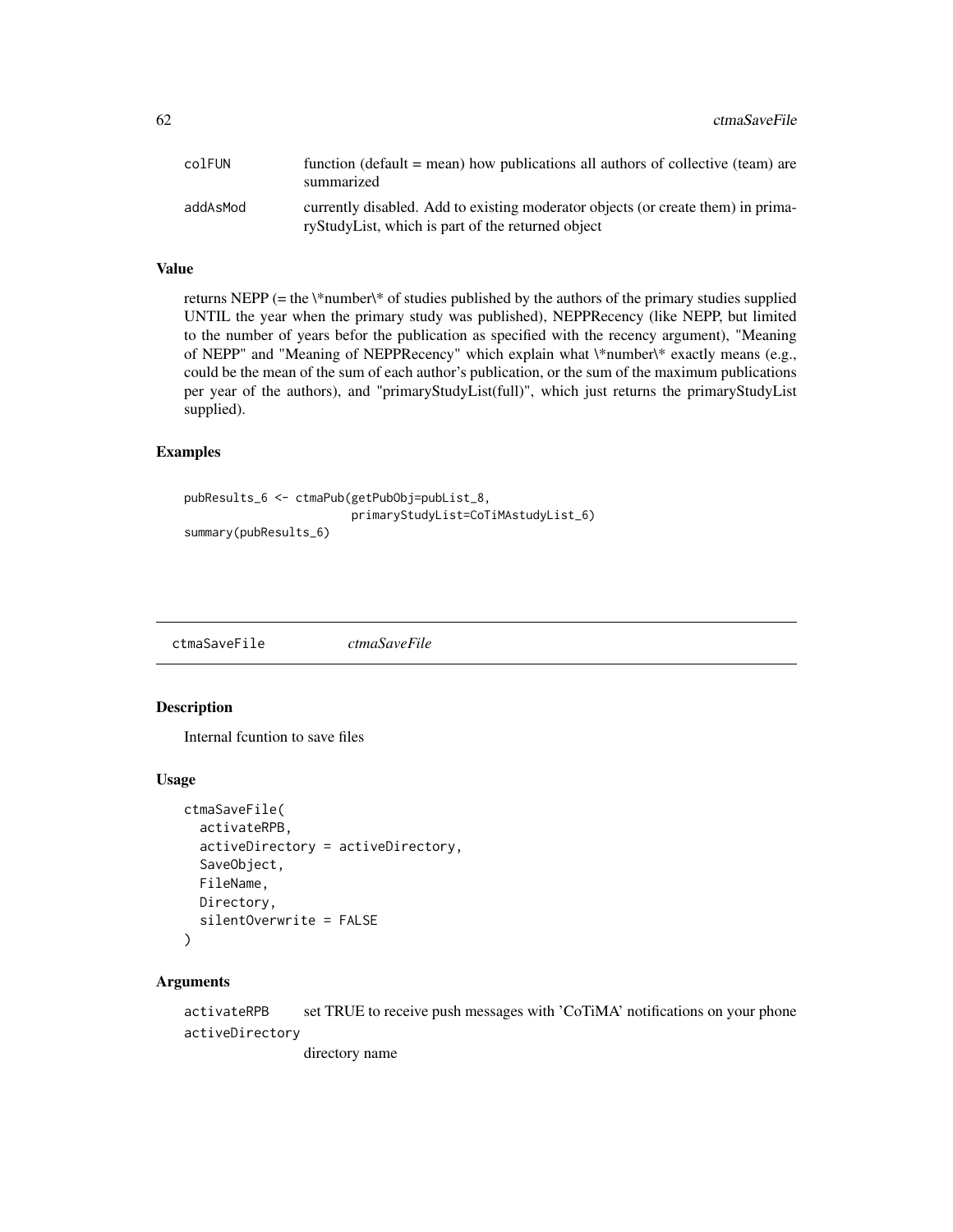| colFUN   | function (default $=$ mean) how publications all authors of collective (team) are<br>summarized                                       |
|----------|---------------------------------------------------------------------------------------------------------------------------------------|
| addAsMod | currently disabled. Add to existing moderator objects (or create them) in prima-<br>ryStudyList, which is part of the returned object |

#### Value

returns NEPP (= the  $\forall$ number $\forall$ <sup>s</sup> of studies published by the authors of the primary studies supplied UNTIL the year when the primary study was published), NEPPRecency (like NEPP, but limited to the number of years befor the publication as specified with the recency argument), "Meaning of NEPP" and "Meaning of NEPPRecency" which explain what \\*number\\* exactly means (e.g., could be the mean of the sum of each author's publication, or the sum of the maximum publications per year of the authors), and "primaryStudyList(full)", which just returns the primaryStudyList supplied).

#### Examples

```
pubResults_6 <- ctmaPub(getPubObj=pubList_8,
                        primaryStudyList=CoTiMAstudyList_6)
summary(pubResults_6)
```
ctmaSaveFile *ctmaSaveFile*

#### Description

Internal fcuntion to save files

#### Usage

```
ctmaSaveFile(
  activateRPB,
  activeDirectory = activeDirectory,
  SaveObject,
  FileName,
  Directory,
  silentOverwrite = FALSE
)
```
## Arguments

activateRPB set TRUE to receive push messages with 'CoTiMA' notifications on your phone activeDirectory

directory name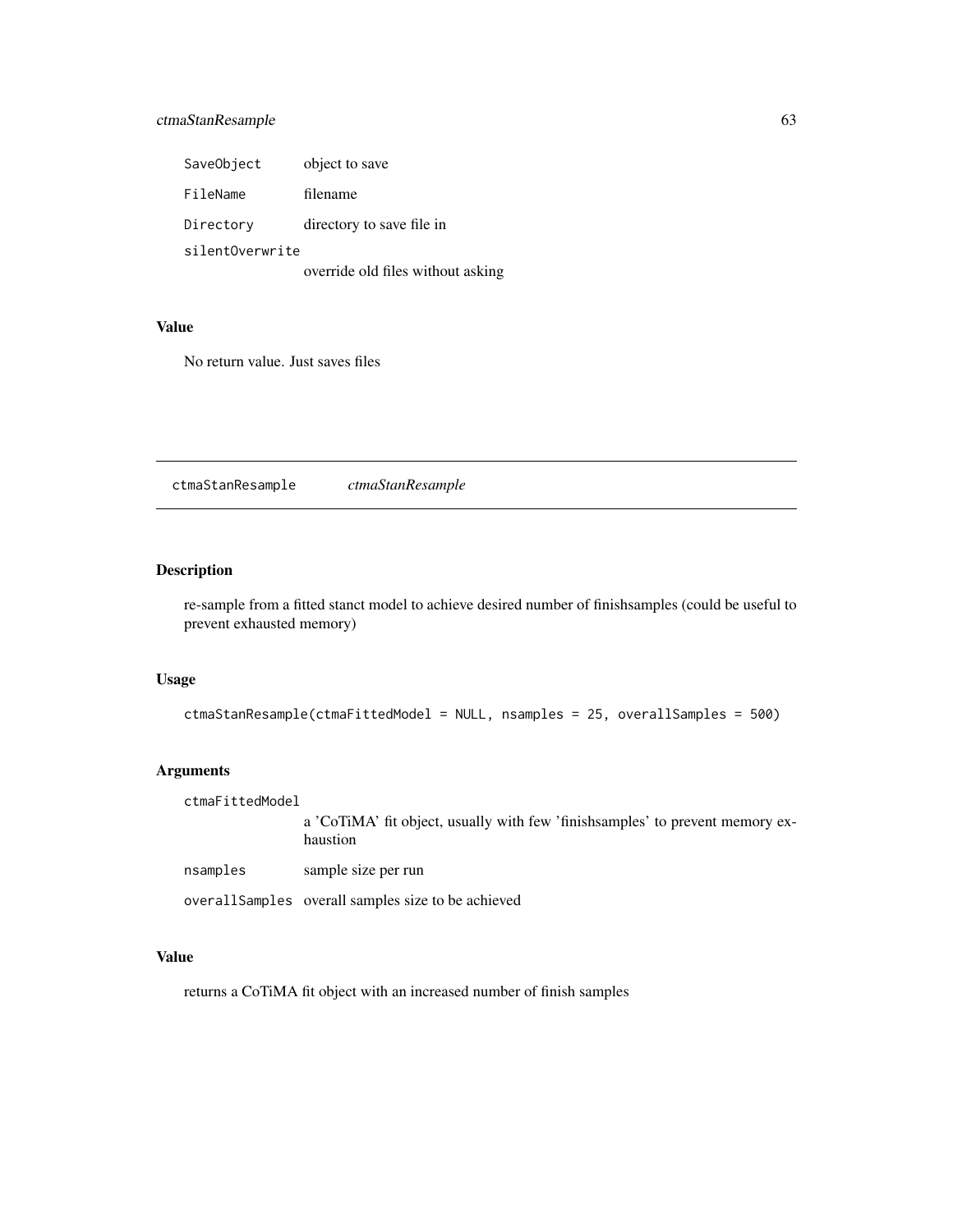# ctmaStanResample 63

| SaveObject      | object to save                    |
|-----------------|-----------------------------------|
| FileName        | filename                          |
| Directory       | directory to save file in         |
| silentOverwrite |                                   |
|                 | override old files without asking |

#### Value

No return value. Just saves files

ctmaStanResample *ctmaStanResample*

# Description

re-sample from a fitted stanct model to achieve desired number of finishsamples (could be useful to prevent exhausted memory)

# Usage

```
ctmaStanResample(ctmaFittedModel = NULL, nsamples = 25, overallSamples = 500)
```
# Arguments

ctmaFittedModel a 'CoTiMA' fit object, usually with few 'finishsamples' to prevent memory exhaustion nsamples sample size per run

overallSamples overall samples size to be achieved

#### Value

returns a CoTiMA fit object with an increased number of finish samples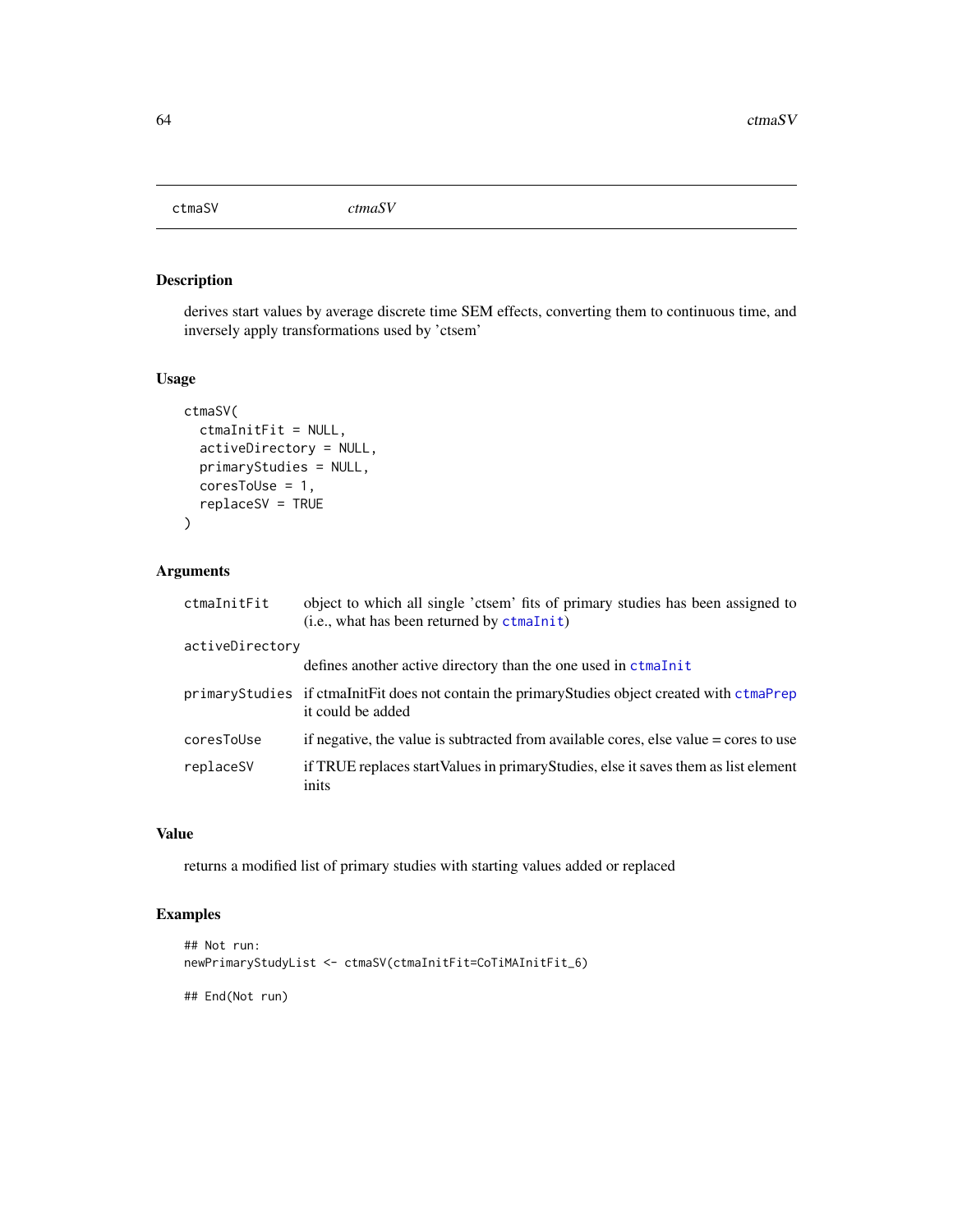ctmaSV *ctmaSV*

# Description

derives start values by average discrete time SEM effects, converting them to continuous time, and inversely apply transformations used by 'ctsem'

#### Usage

```
ctmaSV(
  ctmaInitFit = NULL,
  activeDirectory = NULL,
  primaryStudies = NULL,
  coresToUse = 1,
  replaceSV = TRUE
\mathcal{E}
```
#### Arguments

| ctmaInitFit     | object to which all single 'ctsem' fits of primary studies has been assigned to<br>$(i.e., what has been returned by ctm of (i.e., what is the same)$ |
|-----------------|-------------------------------------------------------------------------------------------------------------------------------------------------------|
| activeDirectory |                                                                                                                                                       |
|                 | defines another active directory than the one used in ctmaInit                                                                                        |
|                 | primaryStudies if ctmaInitFit does not contain the primaryStudies object created with ctmaPrep<br>it could be added                                   |
| coresToUse      | if negative, the value is subtracted from available cores, else value = cores to use                                                                  |
| replaceSV       | if TRUE replaces startValues in primaryStudies, else it saves them as list element<br>inits                                                           |

## Value

returns a modified list of primary studies with starting values added or replaced

# Examples

```
## Not run:
newPrimaryStudyList <- ctmaSV(ctmaInitFit=CoTiMAInitFit_6)
```
## End(Not run)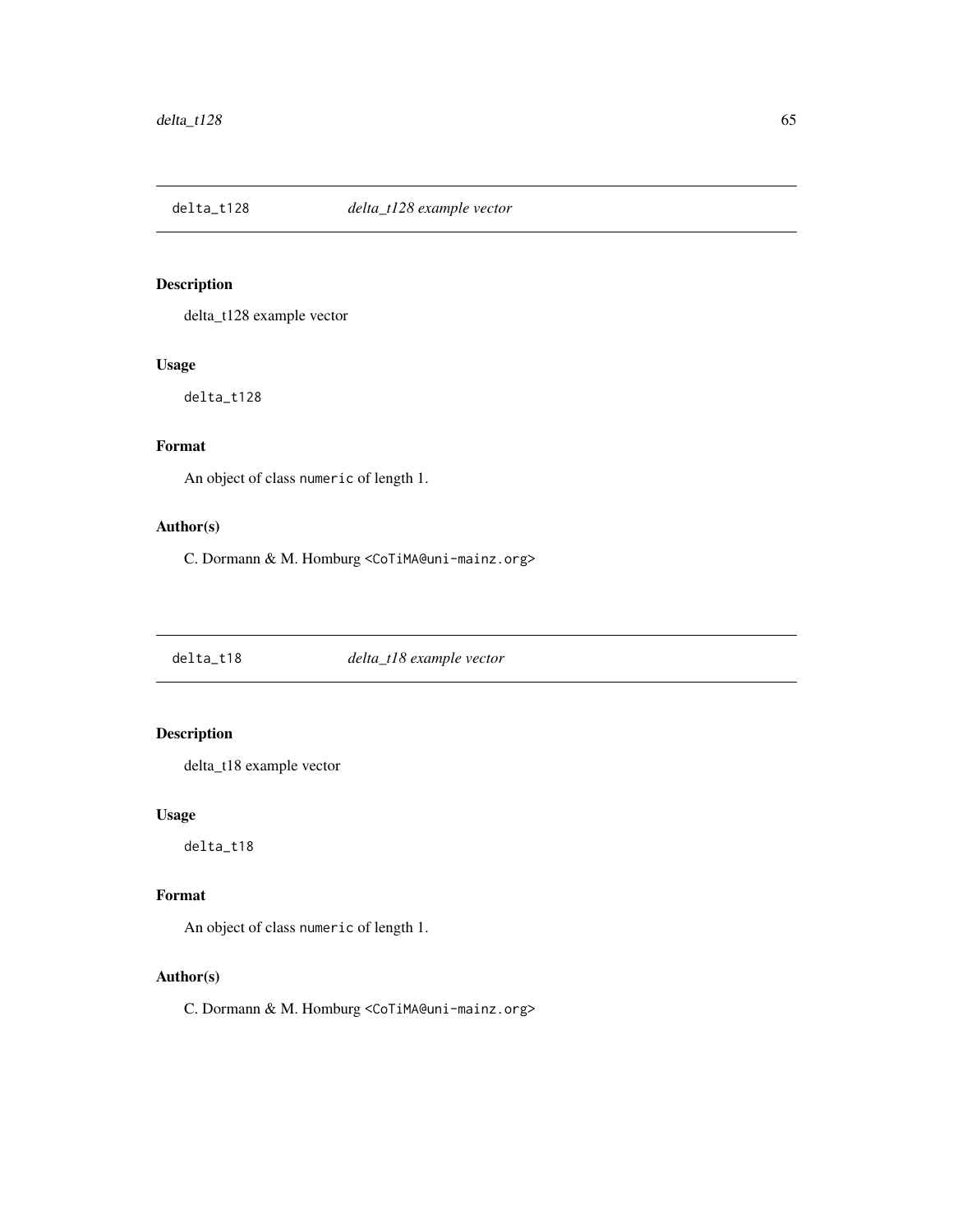delta\_t128 example vector

#### Usage

delta\_t128

# Format

An object of class numeric of length 1.

# Author(s)

C. Dormann & M. Homburg <CoTiMA@uni-mainz.org>

delta\_t18 *delta\_t18 example vector*

# Description

delta\_t18 example vector

## Usage

delta\_t18

# Format

An object of class numeric of length 1.

# Author(s)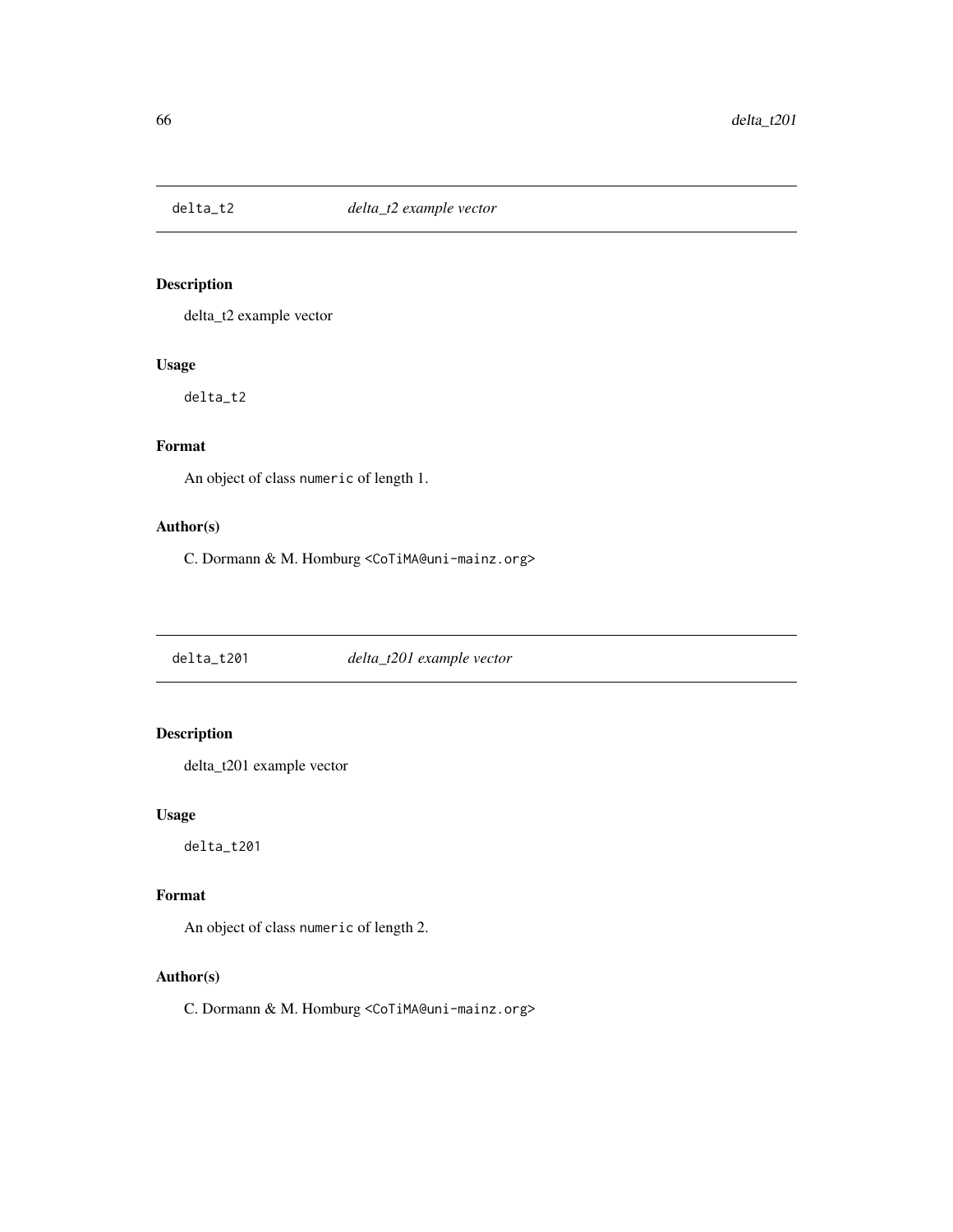delta\_t2 example vector

#### Usage

delta\_t2

# Format

An object of class numeric of length 1.

# Author(s)

C. Dormann & M. Homburg <CoTiMA@uni-mainz.org>

delta\_t201 *delta\_t201 example vector*

# Description

delta\_t201 example vector

## Usage

delta\_t201

# Format

An object of class numeric of length 2.

# Author(s)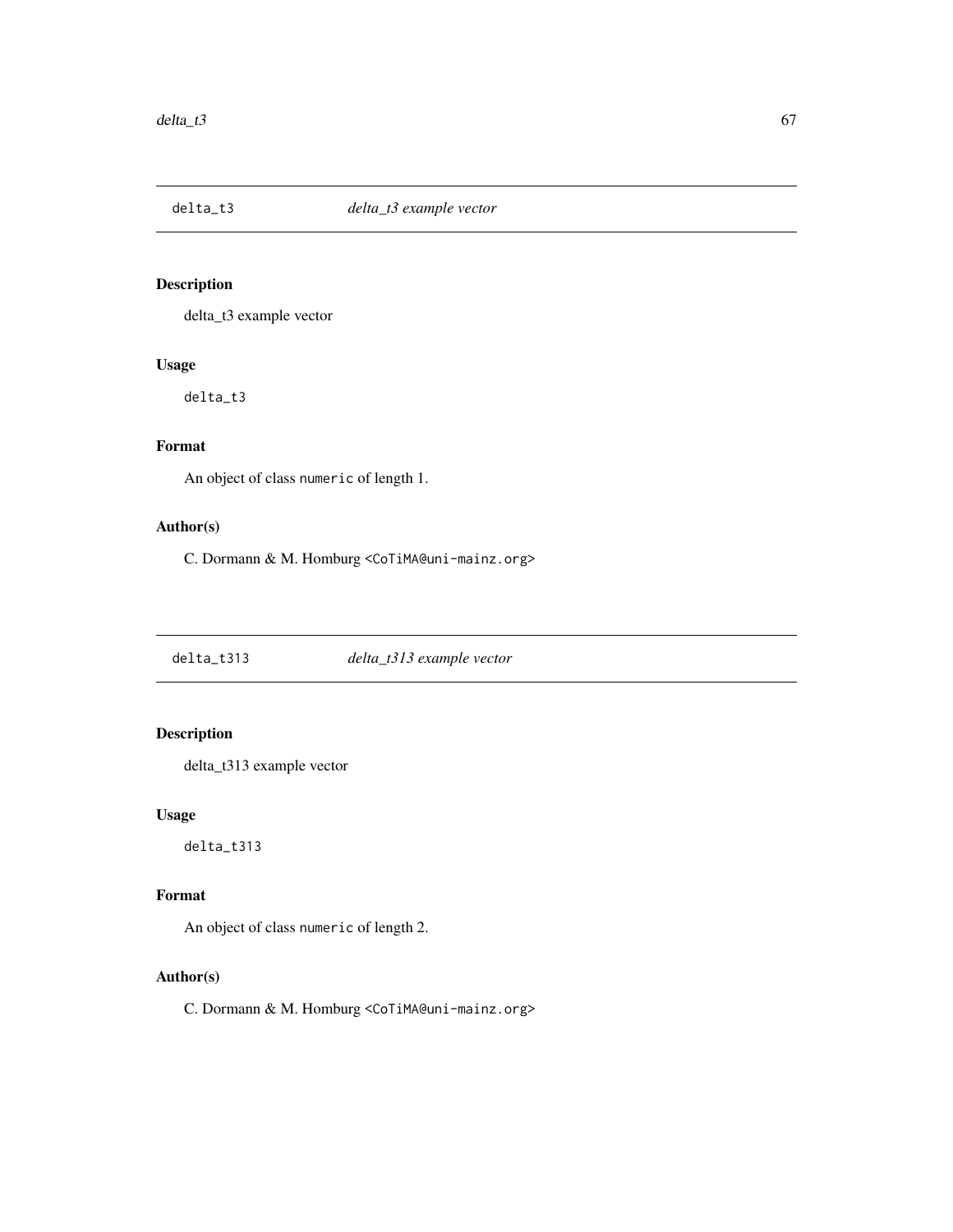delta\_t3 example vector

#### Usage

delta\_t3

# Format

An object of class numeric of length 1.

# Author(s)

C. Dormann & M. Homburg <CoTiMA@uni-mainz.org>

delta\_t313 *delta\_t313 example vector*

# Description

delta\_t313 example vector

# Usage

delta\_t313

# Format

An object of class numeric of length 2.

# Author(s)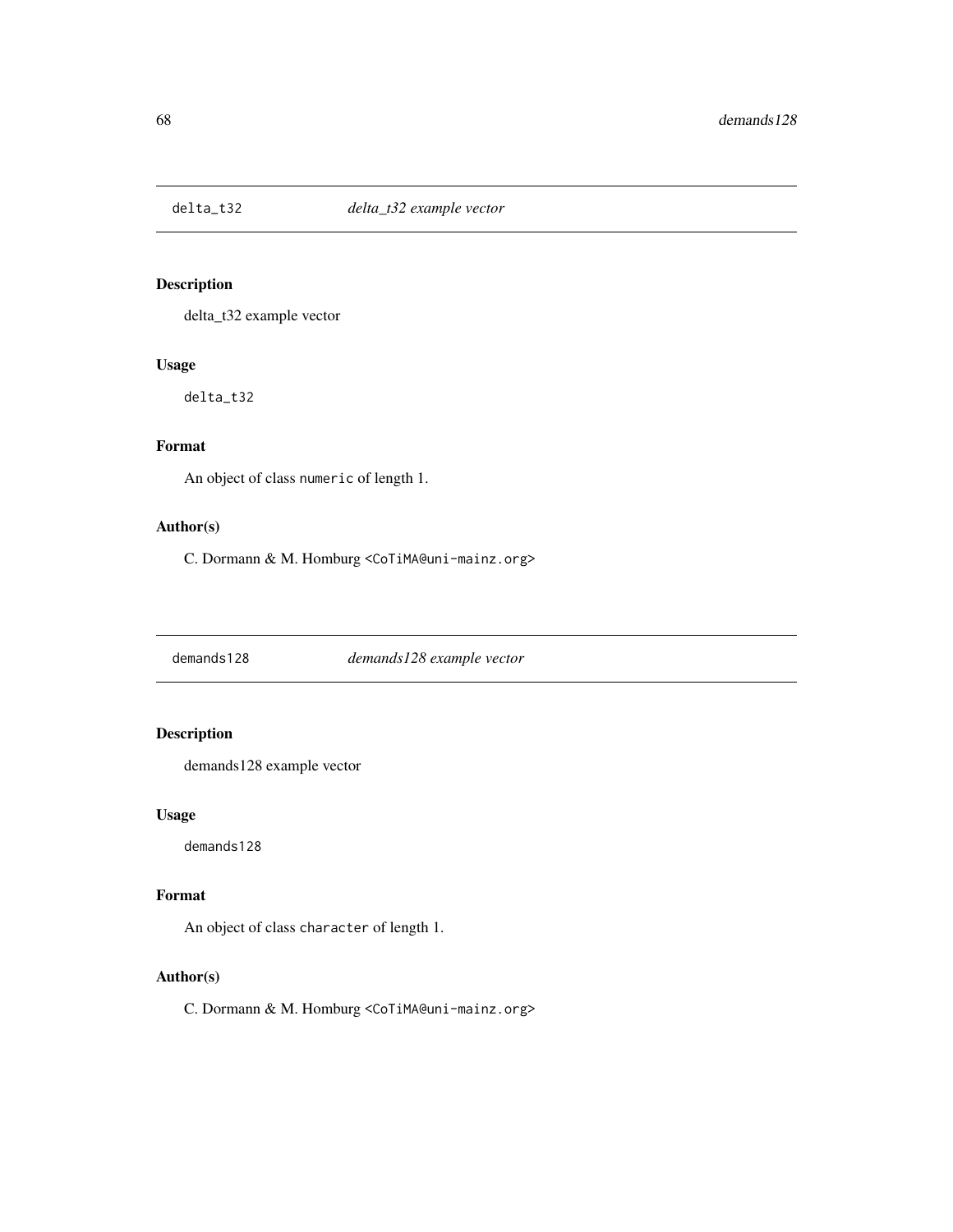delta\_t32 example vector

#### Usage

delta\_t32

# Format

An object of class numeric of length 1.

# Author(s)

C. Dormann & M. Homburg <CoTiMA@uni-mainz.org>

demands128 *demands128 example vector*

# Description

demands128 example vector

## Usage

demands128

## Format

An object of class character of length 1.

# Author(s)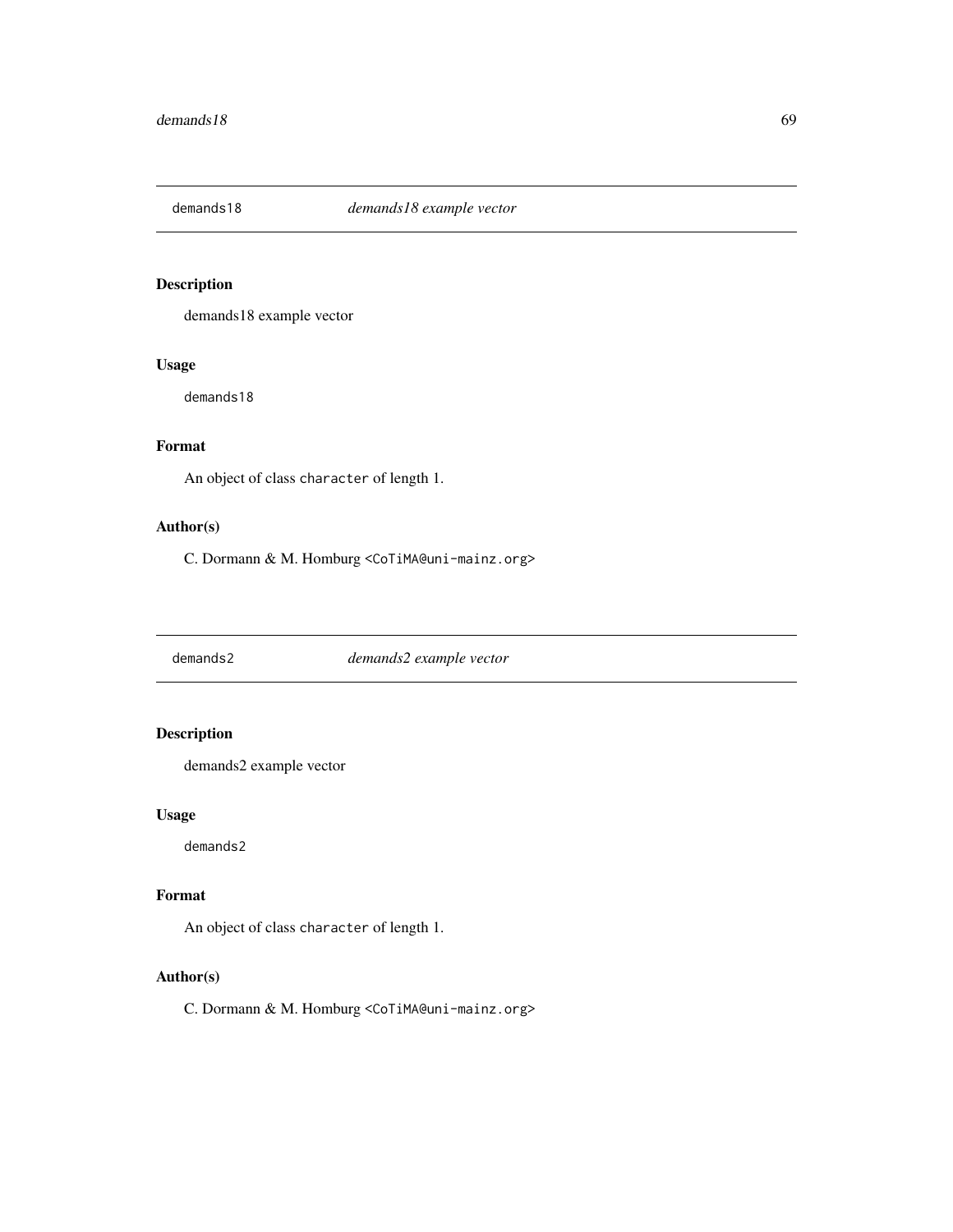demands18 example vector

# Usage

demands18

# Format

An object of class character of length 1.

# Author(s)

C. Dormann & M. Homburg <CoTiMA@uni-mainz.org>

demands2 *demands2 example vector*

# Description

demands2 example vector

# Usage

demands2

# Format

An object of class character of length 1.

# Author(s)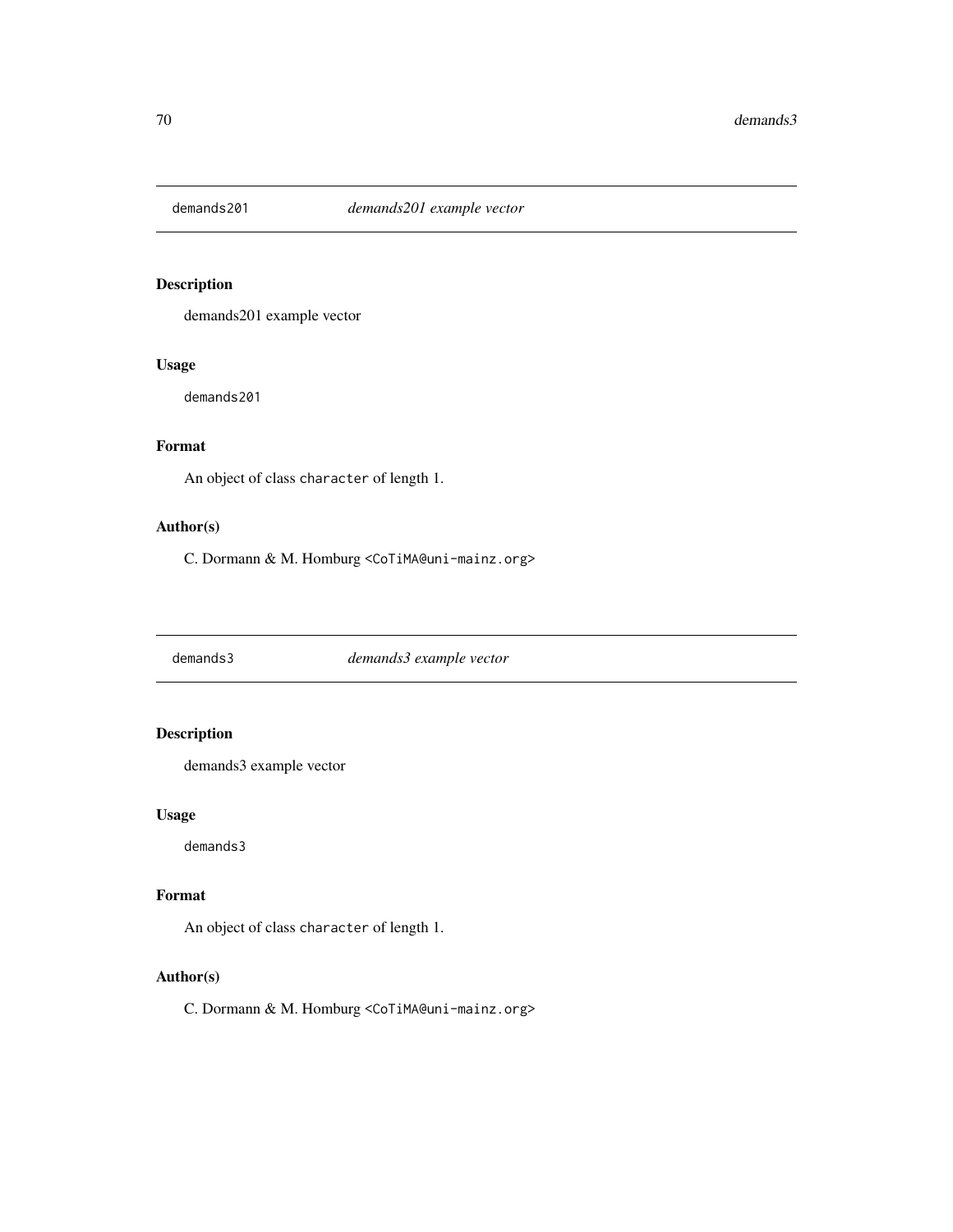demands201 example vector

# Usage

demands201

# Format

An object of class character of length 1.

# Author(s)

C. Dormann & M. Homburg <CoTiMA@uni-mainz.org>

demands3 *demands3 example vector*

# Description

demands3 example vector

## Usage

demands3

## Format

An object of class character of length 1.

# Author(s)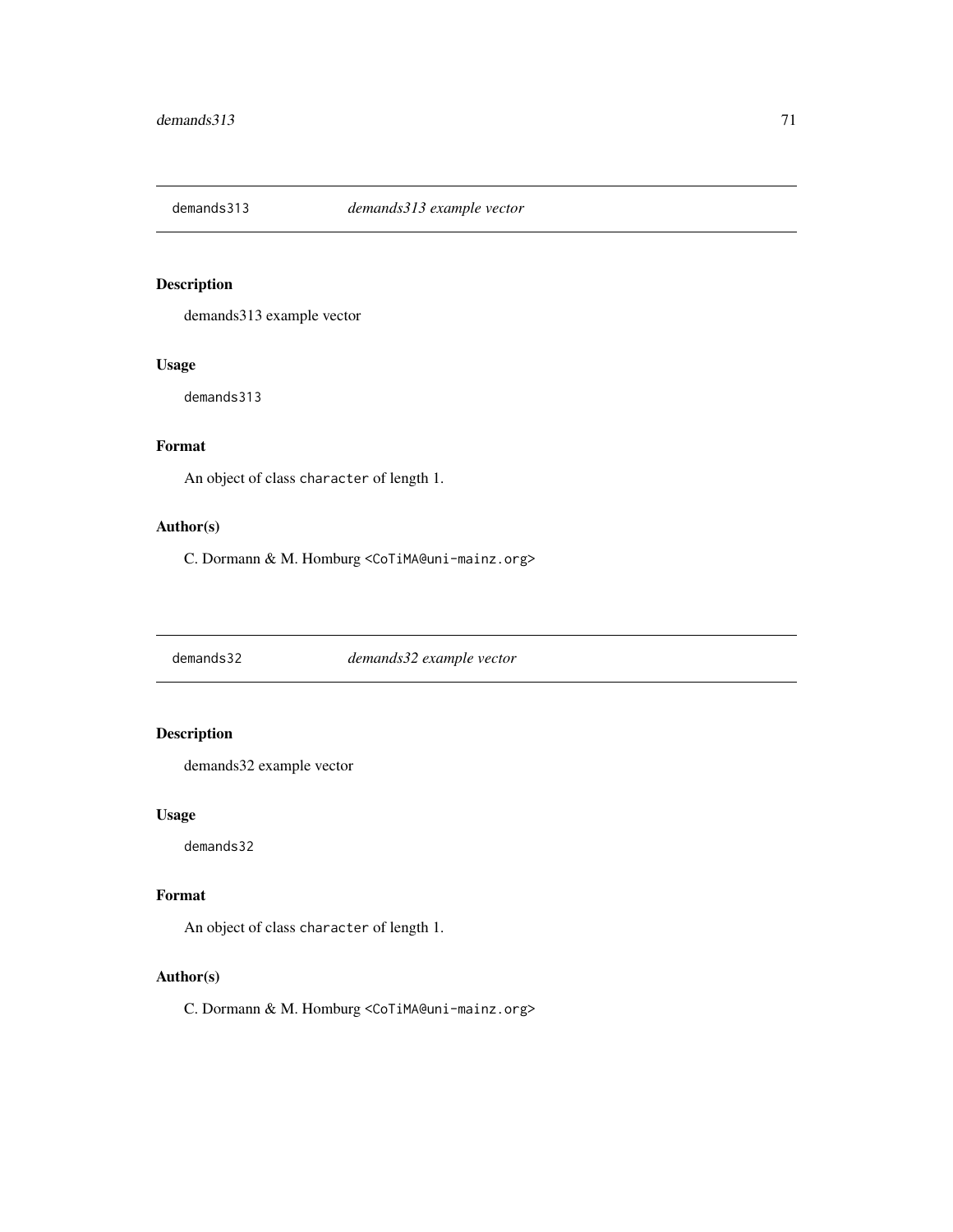demands313 example vector

# Usage

demands313

# Format

An object of class character of length 1.

# Author(s)

C. Dormann & M. Homburg <CoTiMA@uni-mainz.org>

demands32 *demands32 example vector*

# Description

demands32 example vector

# Usage

demands32

## Format

An object of class character of length 1.

# Author(s)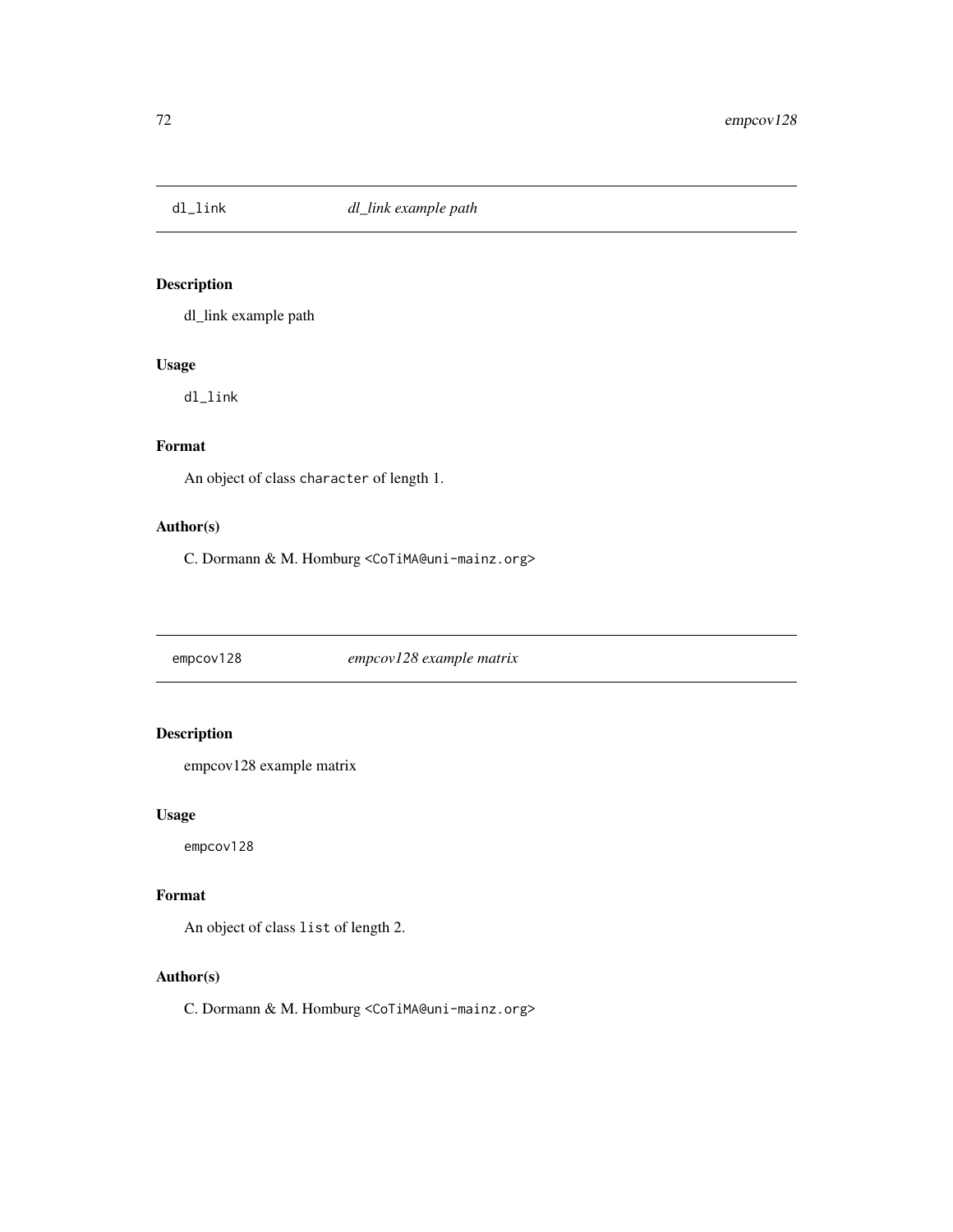dl\_link example path

# Usage

dl\_link

# Format

An object of class character of length 1.

# Author(s)

C. Dormann & M. Homburg <CoTiMA@uni-mainz.org>

empcov128 *empcov128 example matrix*

# Description

empcov128 example matrix

## Usage

empcov128

# Format

An object of class list of length 2.

# Author(s)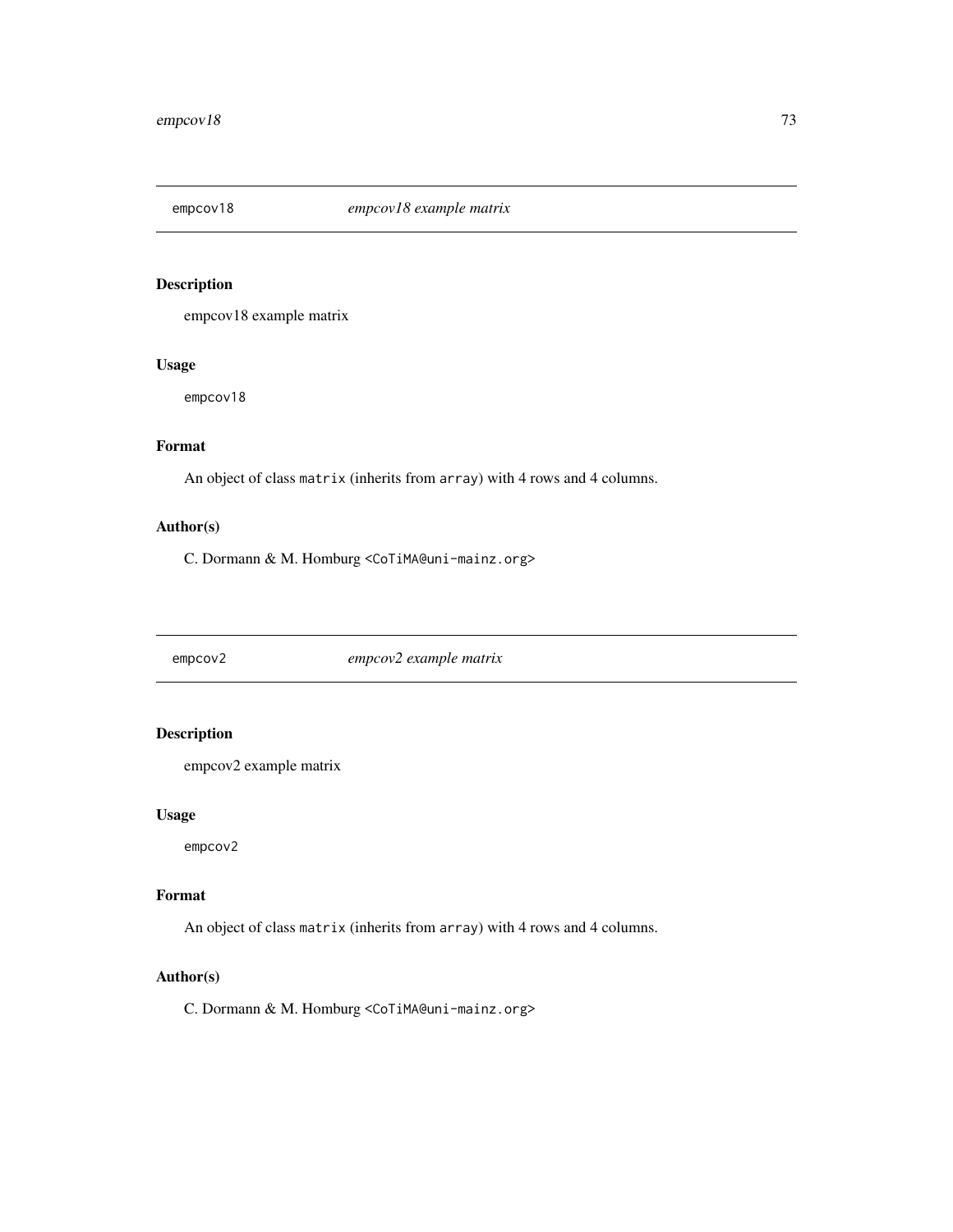<span id="page-72-0"></span>

empcov18 example matrix

#### Usage

empcov18

# Format

An object of class matrix (inherits from array) with 4 rows and 4 columns.

#### Author(s)

C. Dormann & M. Homburg <CoTiMA@uni-mainz.org>

empcov2 *empcov2 example matrix*

## Description

empcov2 example matrix

#### Usage

empcov2

#### Format

An object of class matrix (inherits from array) with 4 rows and 4 columns.

#### Author(s)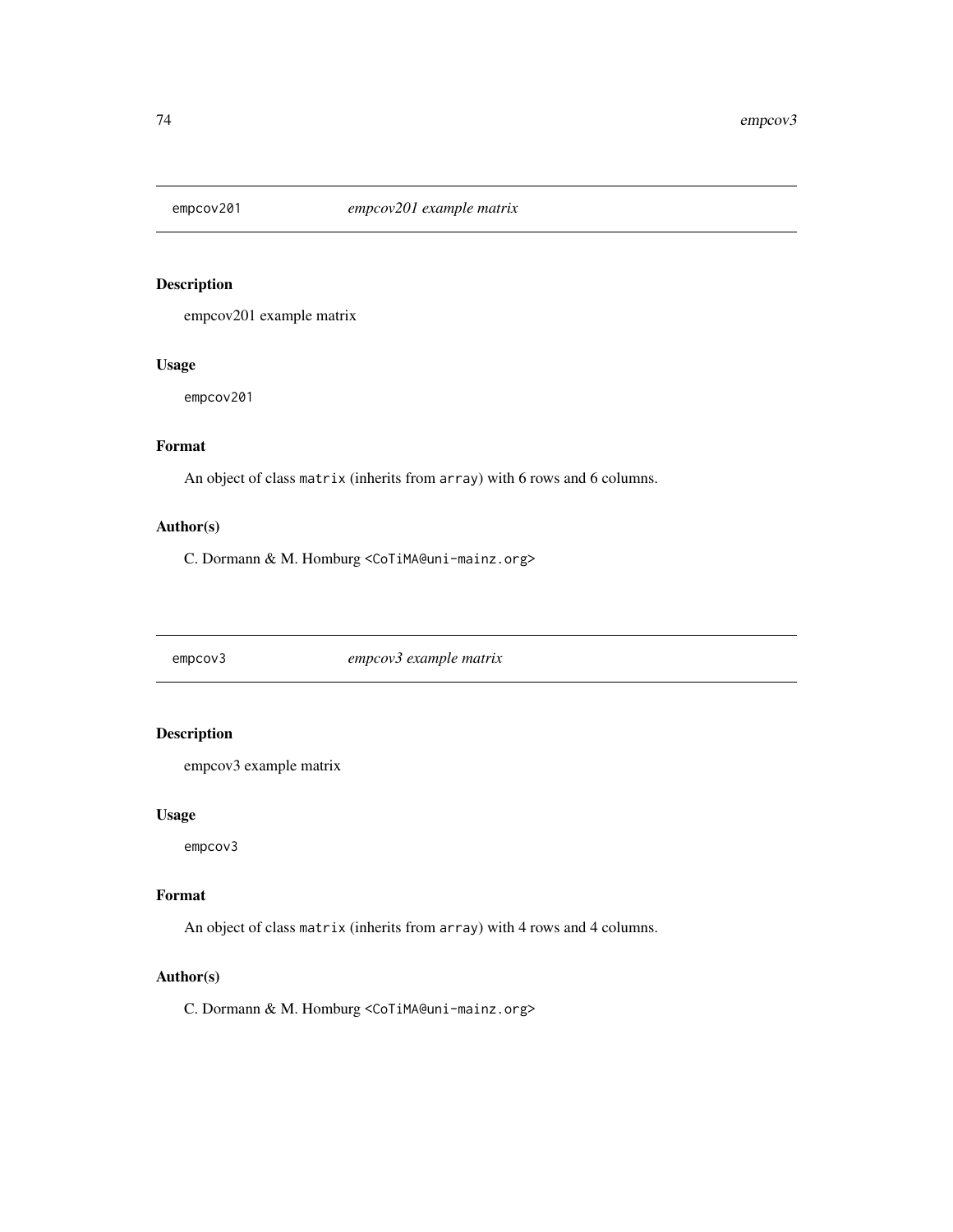<span id="page-73-0"></span>

empcov201 example matrix

#### Usage

empcov201

# Format

An object of class matrix (inherits from array) with 6 rows and 6 columns.

#### Author(s)

C. Dormann & M. Homburg <CoTiMA@uni-mainz.org>

empcov3 *empcov3 example matrix*

## Description

empcov3 example matrix

#### Usage

empcov3

#### Format

An object of class matrix (inherits from array) with 4 rows and 4 columns.

#### Author(s)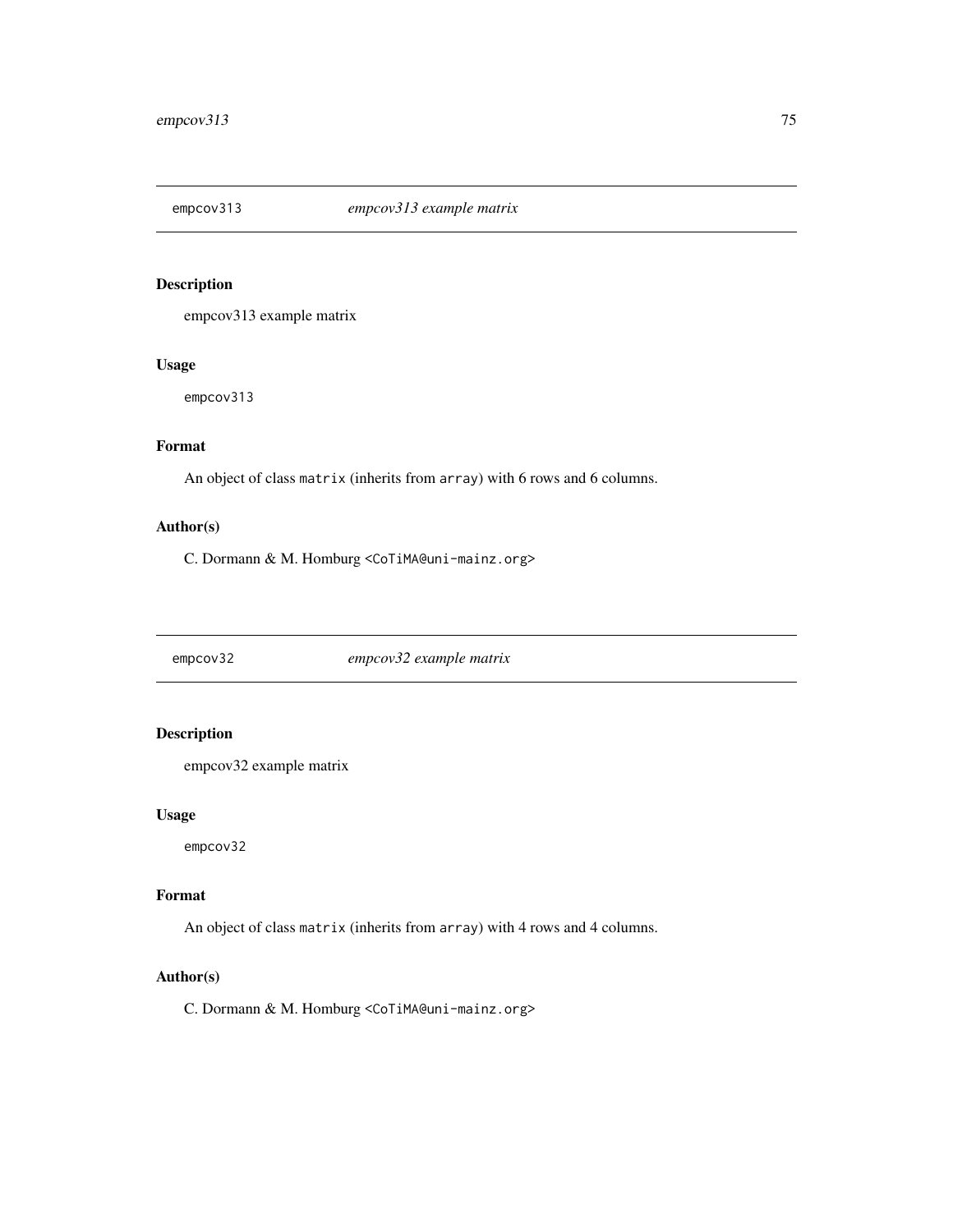<span id="page-74-0"></span>

empcov313 example matrix

#### Usage

empcov313

# Format

An object of class matrix (inherits from array) with 6 rows and 6 columns.

#### Author(s)

C. Dormann & M. Homburg <CoTiMA@uni-mainz.org>

empcov32 *empcov32 example matrix*

## Description

empcov32 example matrix

#### Usage

empcov32

#### Format

An object of class matrix (inherits from array) with 4 rows and 4 columns.

#### Author(s)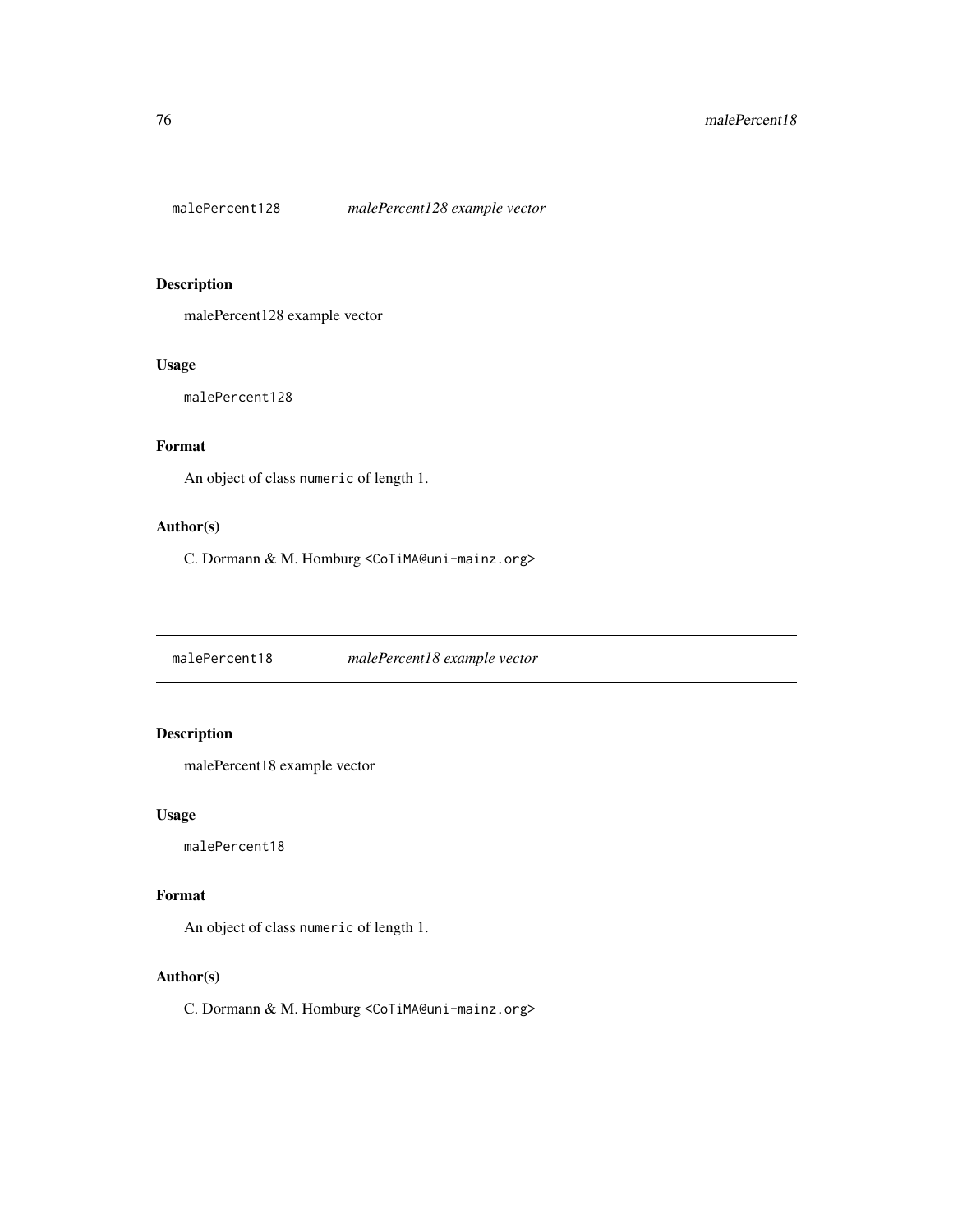<span id="page-75-0"></span>

malePercent128 example vector

#### Usage

malePercent128

# Format

An object of class numeric of length 1.

#### Author(s)

C. Dormann & M. Homburg <CoTiMA@uni-mainz.org>

malePercent18 *malePercent18 example vector*

# Description

malePercent18 example vector

#### Usage

malePercent18

#### Format

An object of class numeric of length 1.

#### Author(s)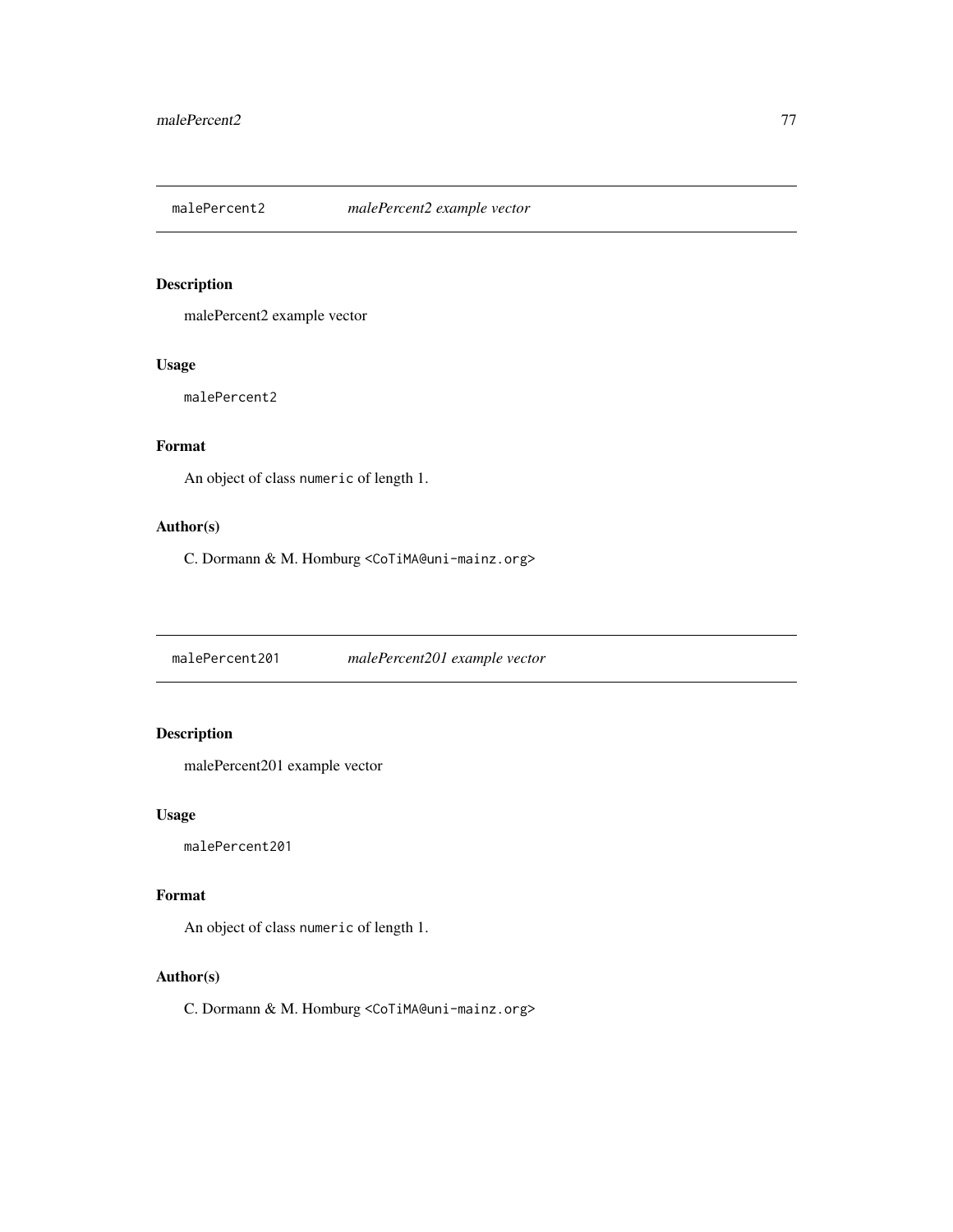<span id="page-76-0"></span>

malePercent2 example vector

#### Usage

malePercent2

# Format

An object of class numeric of length 1.

#### Author(s)

C. Dormann & M. Homburg <CoTiMA@uni-mainz.org>

malePercent201 *malePercent201 example vector*

# Description

malePercent201 example vector

#### Usage

malePercent201

#### Format

An object of class numeric of length 1.

#### Author(s)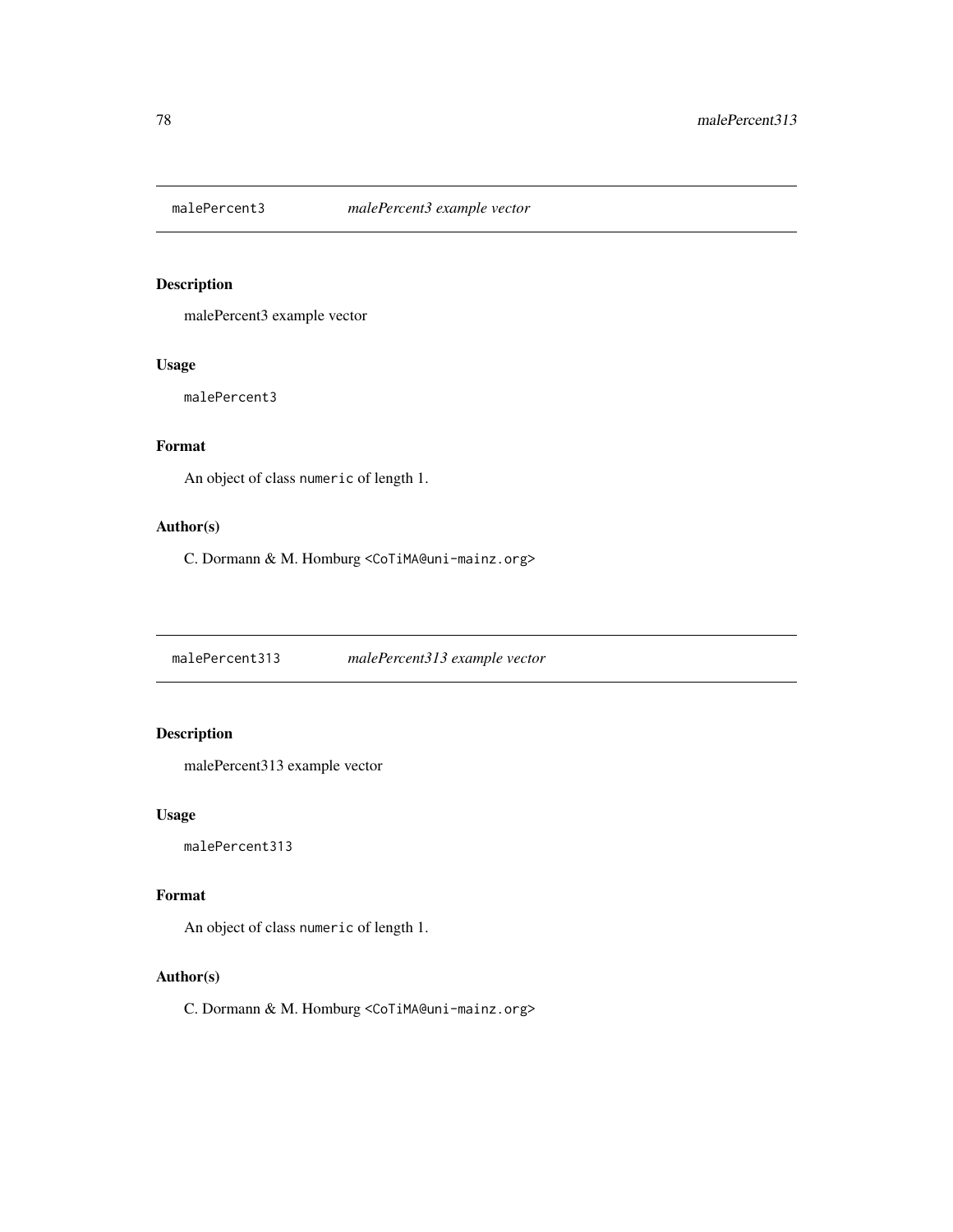<span id="page-77-0"></span>

malePercent3 example vector

#### Usage

malePercent3

# Format

An object of class numeric of length 1.

#### Author(s)

C. Dormann & M. Homburg <CoTiMA@uni-mainz.org>

malePercent313 *malePercent313 example vector*

# Description

malePercent313 example vector

#### Usage

malePercent313

#### Format

An object of class numeric of length 1.

#### Author(s)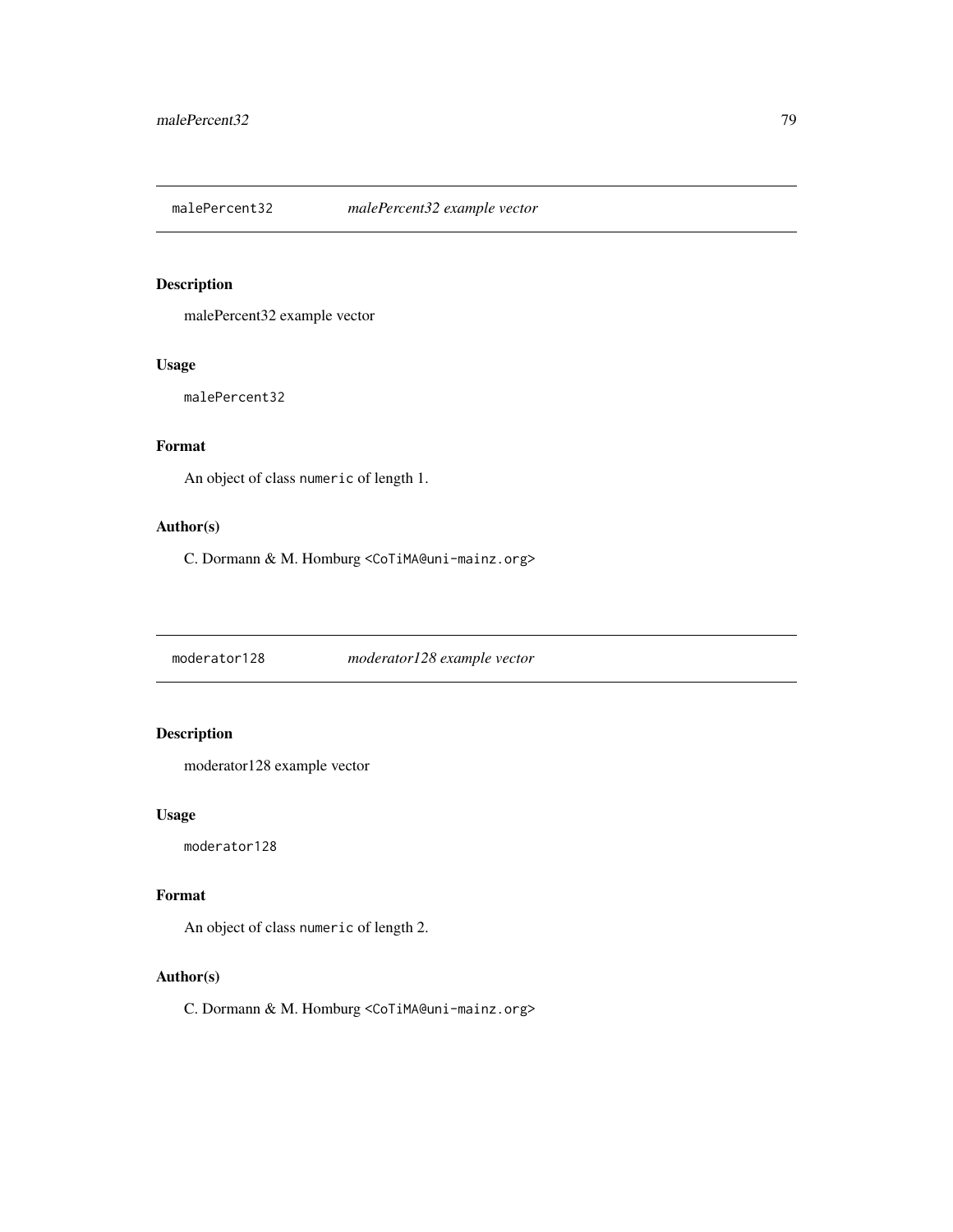<span id="page-78-0"></span>malePercent32 *malePercent32 example vector*

# Description

malePercent32 example vector

#### Usage

malePercent32

# Format

An object of class numeric of length 1.

#### Author(s)

C. Dormann & M. Homburg <CoTiMA@uni-mainz.org>

moderator128 *moderator128 example vector*

# Description

moderator128 example vector

#### Usage

moderator128

#### Format

An object of class numeric of length 2.

#### Author(s)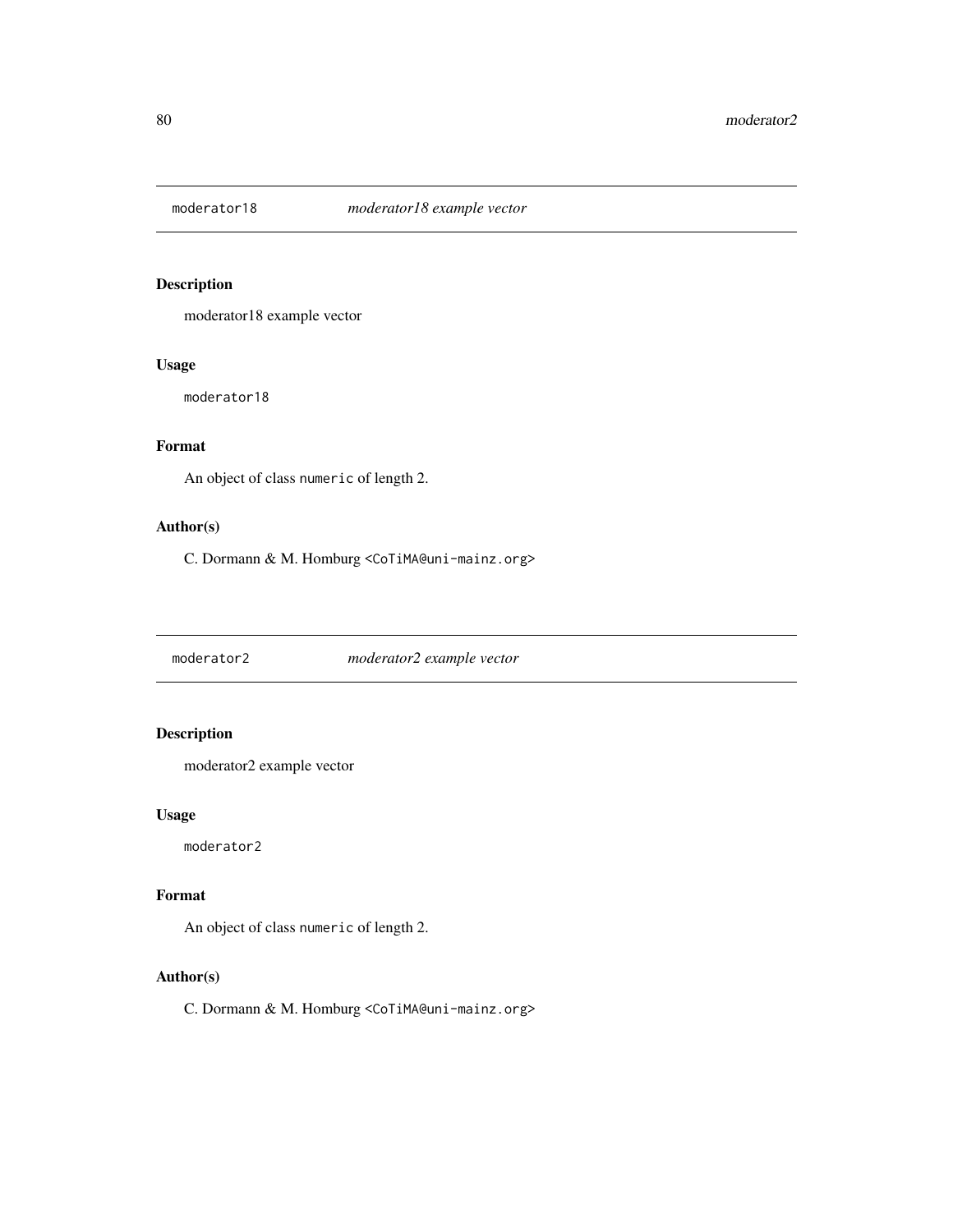<span id="page-79-0"></span>

moderator18 example vector

#### Usage

moderator18

# Format

An object of class numeric of length 2.

#### Author(s)

C. Dormann & M. Homburg <CoTiMA@uni-mainz.org>

moderator2 *moderator2 example vector*

# Description

moderator2 example vector

#### Usage

moderator2

#### Format

An object of class numeric of length 2.

#### Author(s)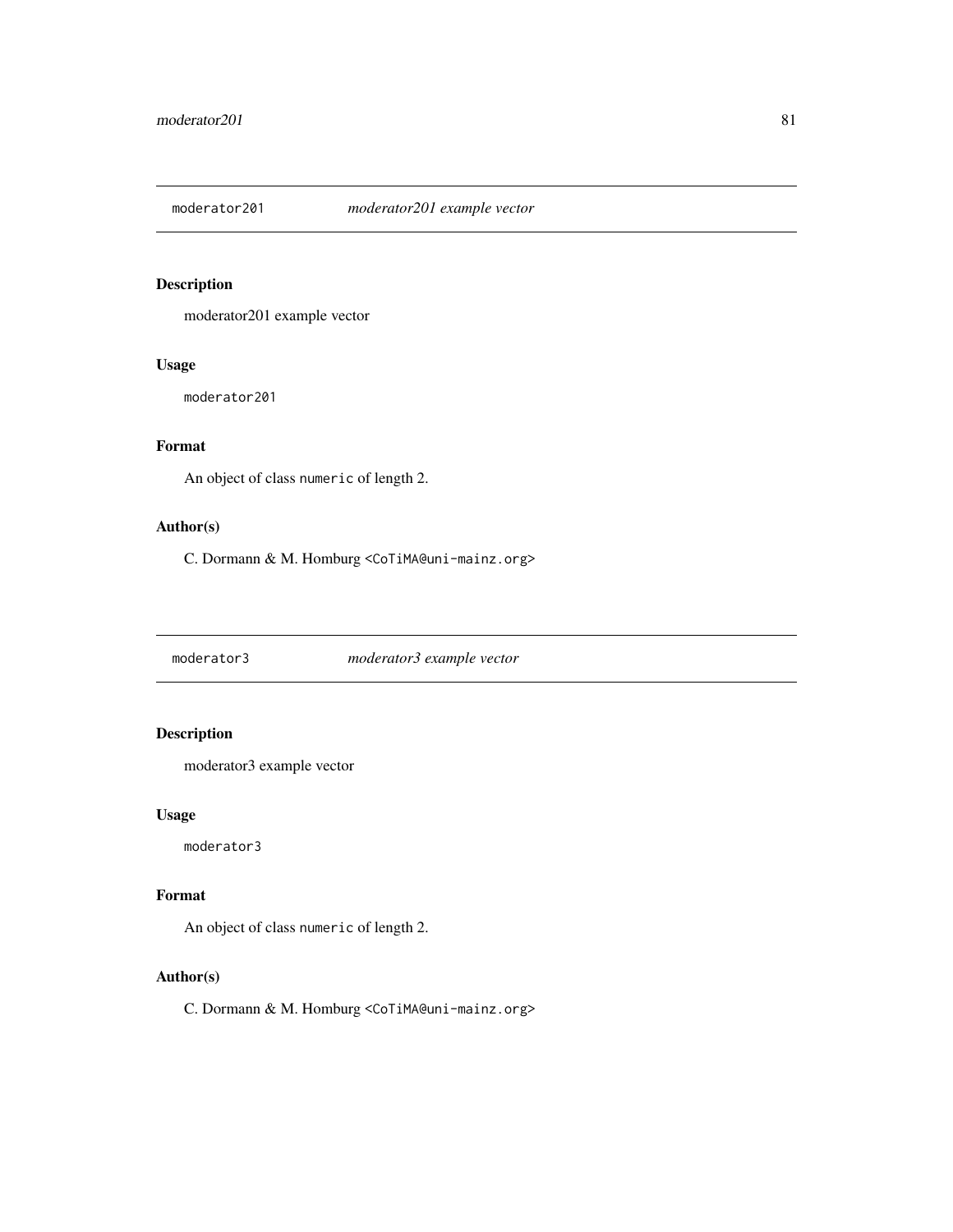<span id="page-80-0"></span>

moderator201 example vector

#### Usage

moderator201

# Format

An object of class numeric of length 2.

#### Author(s)

C. Dormann & M. Homburg <CoTiMA@uni-mainz.org>

moderator3 *moderator3 example vector*

# Description

moderator3 example vector

#### Usage

moderator3

#### Format

An object of class numeric of length 2.

#### Author(s)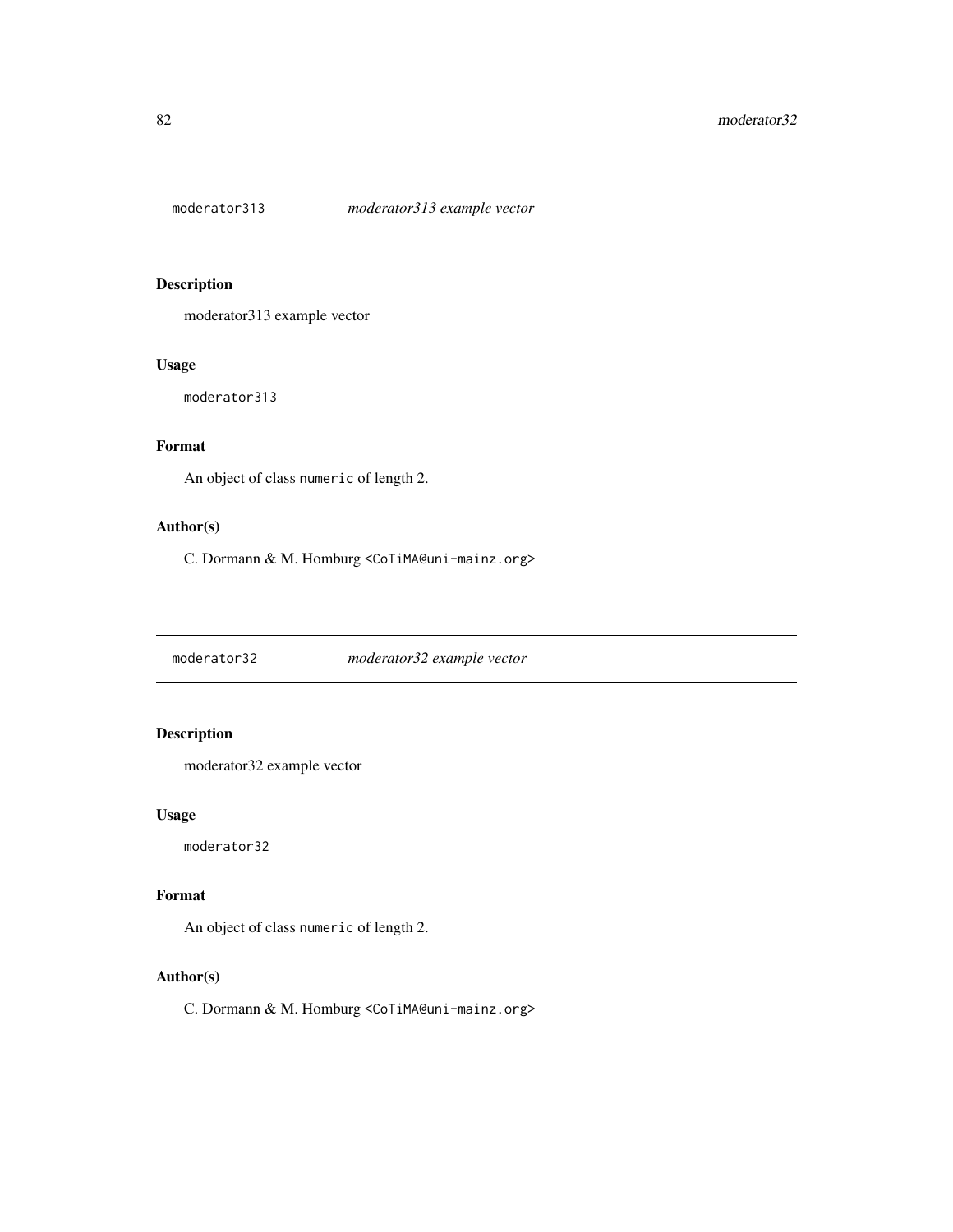<span id="page-81-0"></span>

moderator313 example vector

#### Usage

moderator313

# Format

An object of class numeric of length 2.

#### Author(s)

C. Dormann & M. Homburg <CoTiMA@uni-mainz.org>

moderator32 *moderator32 example vector*

# Description

moderator32 example vector

#### Usage

moderator32

#### Format

An object of class numeric of length 2.

#### Author(s)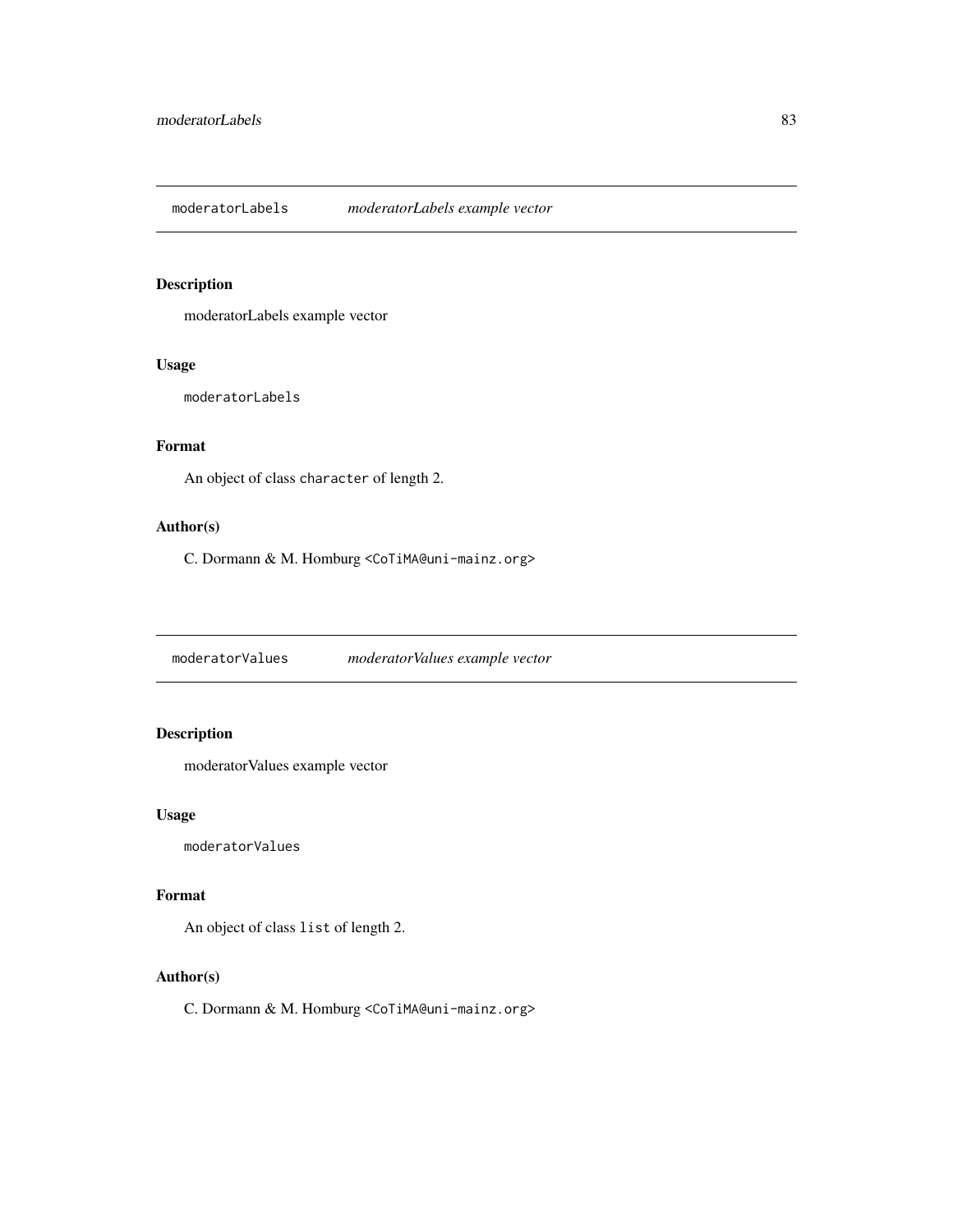<span id="page-82-0"></span>moderatorLabels *moderatorLabels example vector*

#### Description

moderatorLabels example vector

#### Usage

moderatorLabels

# Format

An object of class character of length 2.

#### Author(s)

C. Dormann & M. Homburg <CoTiMA@uni-mainz.org>

moderatorValues *moderatorValues example vector*

# Description

moderatorValues example vector

#### Usage

moderatorValues

#### Format

An object of class list of length 2.

#### Author(s)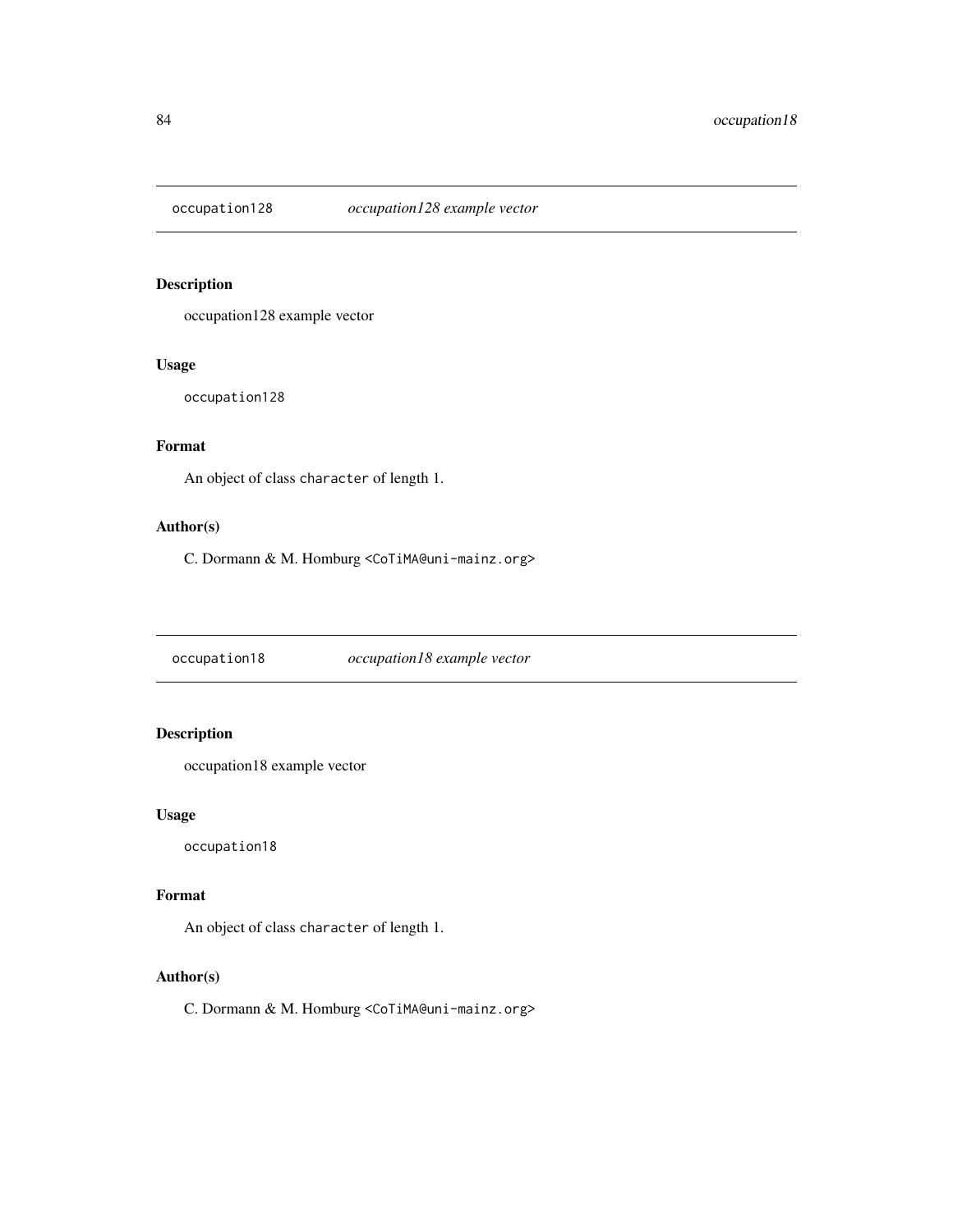<span id="page-83-0"></span>

occupation128 example vector

#### Usage

occupation128

# Format

An object of class character of length 1.

#### Author(s)

C. Dormann & M. Homburg <CoTiMA@uni-mainz.org>

occupation18 *occupation18 example vector*

# Description

occupation18 example vector

#### Usage

occupation18

#### Format

An object of class character of length 1.

#### Author(s)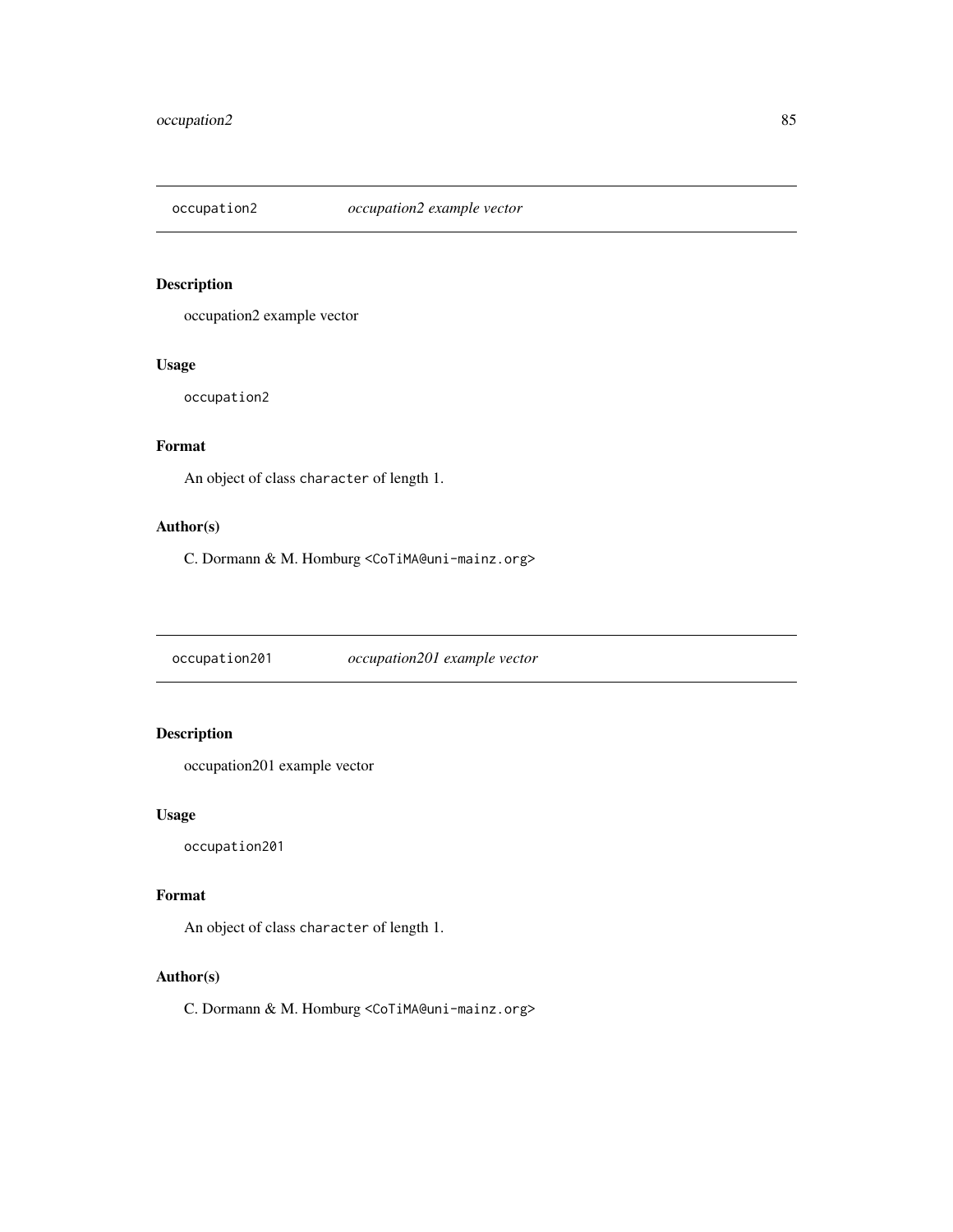<span id="page-84-0"></span>

occupation2 example vector

#### Usage

occupation2

# Format

An object of class character of length 1.

#### Author(s)

C. Dormann & M. Homburg <CoTiMA@uni-mainz.org>

occupation201 *occupation201 example vector*

# Description

occupation201 example vector

#### Usage

occupation201

#### Format

An object of class character of length 1.

#### Author(s)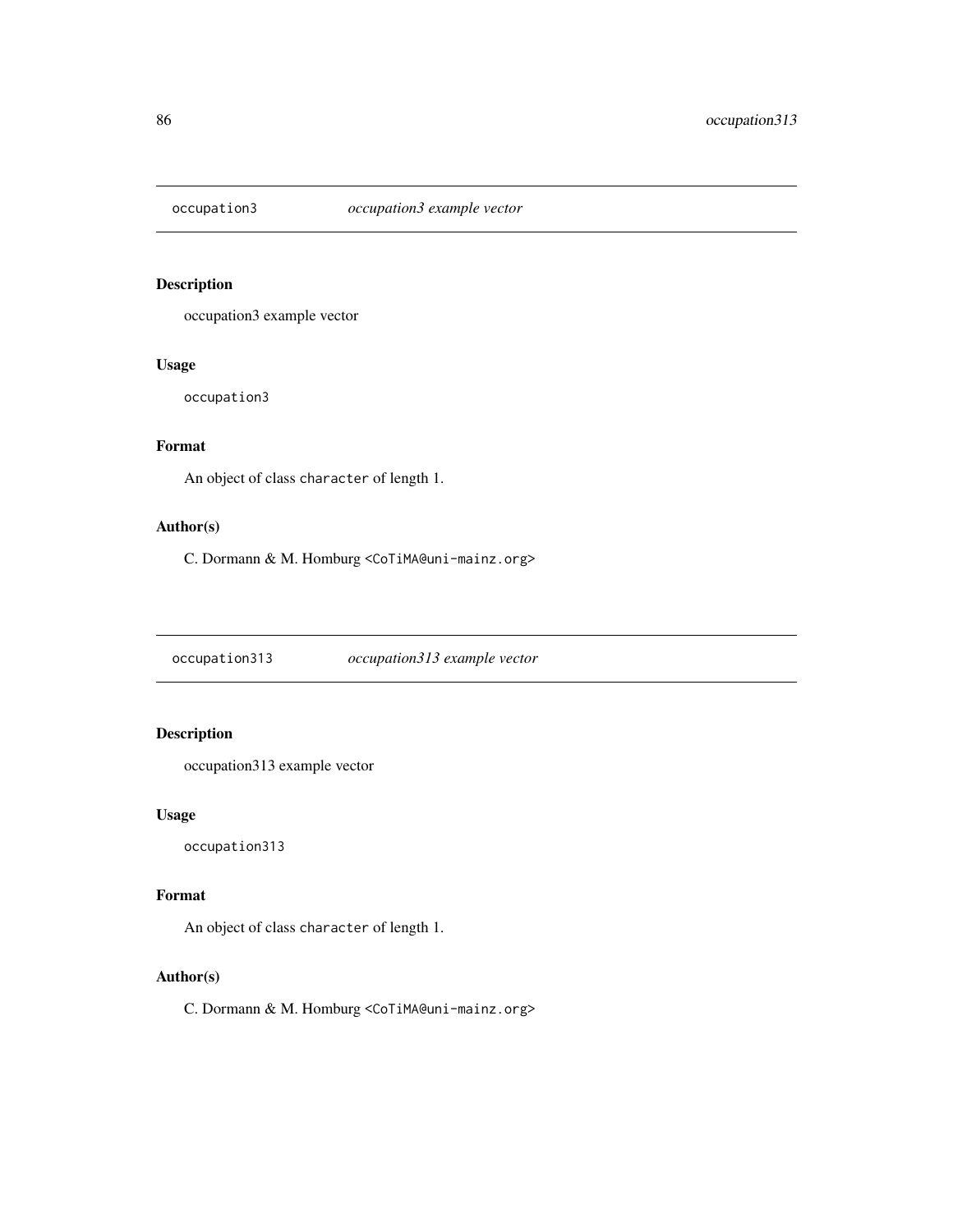<span id="page-85-0"></span>

occupation3 example vector

#### Usage

occupation3

# Format

An object of class character of length 1.

#### Author(s)

C. Dormann & M. Homburg <CoTiMA@uni-mainz.org>

occupation313 *occupation313 example vector*

# Description

occupation313 example vector

#### Usage

occupation313

#### Format

An object of class character of length 1.

#### Author(s)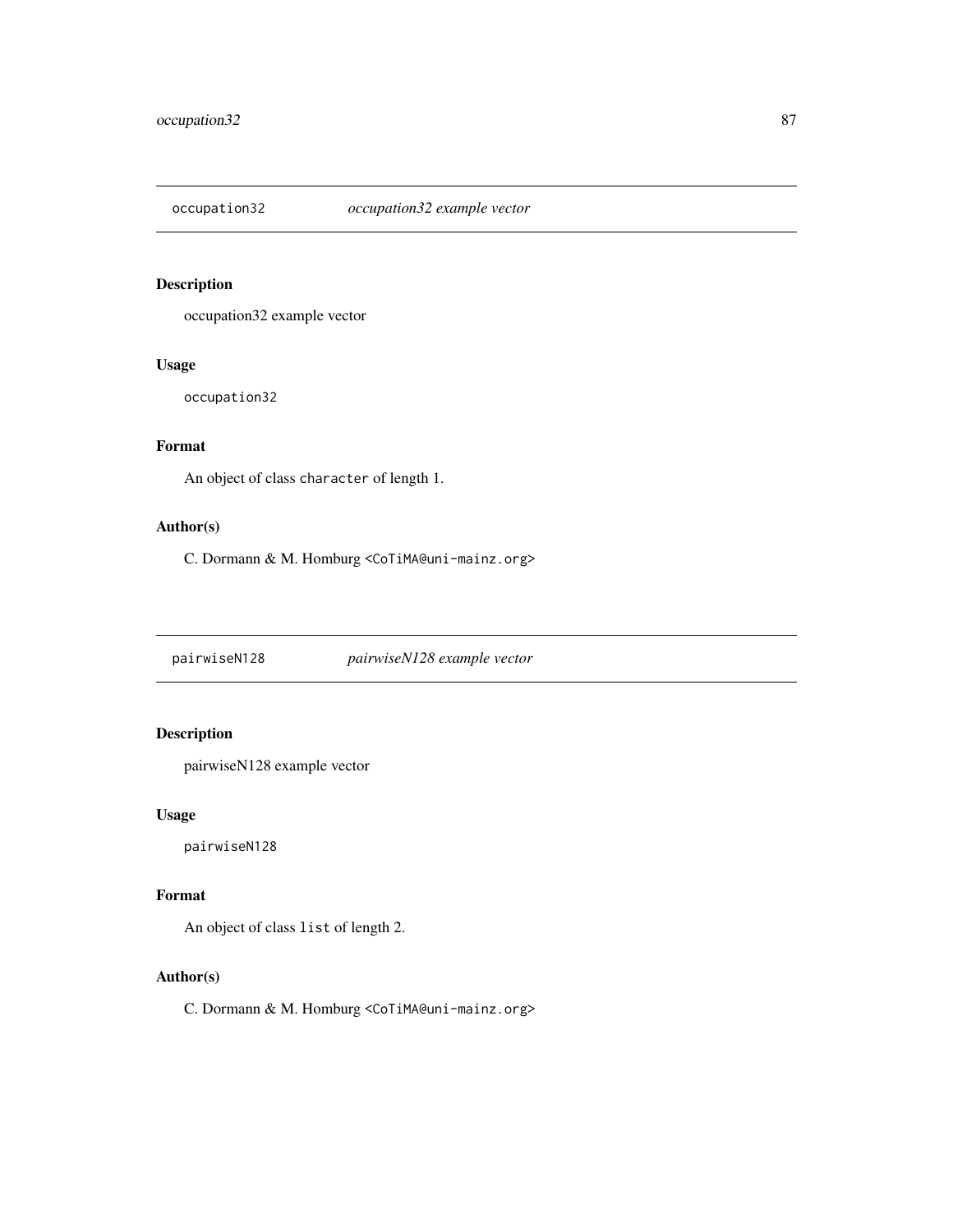<span id="page-86-0"></span>

occupation32 example vector

#### Usage

occupation32

# Format

An object of class character of length 1.

#### Author(s)

C. Dormann & M. Homburg <CoTiMA@uni-mainz.org>

pairwiseN128 *pairwiseN128 example vector*

# Description

pairwiseN128 example vector

#### Usage

pairwiseN128

#### Format

An object of class list of length 2.

#### Author(s)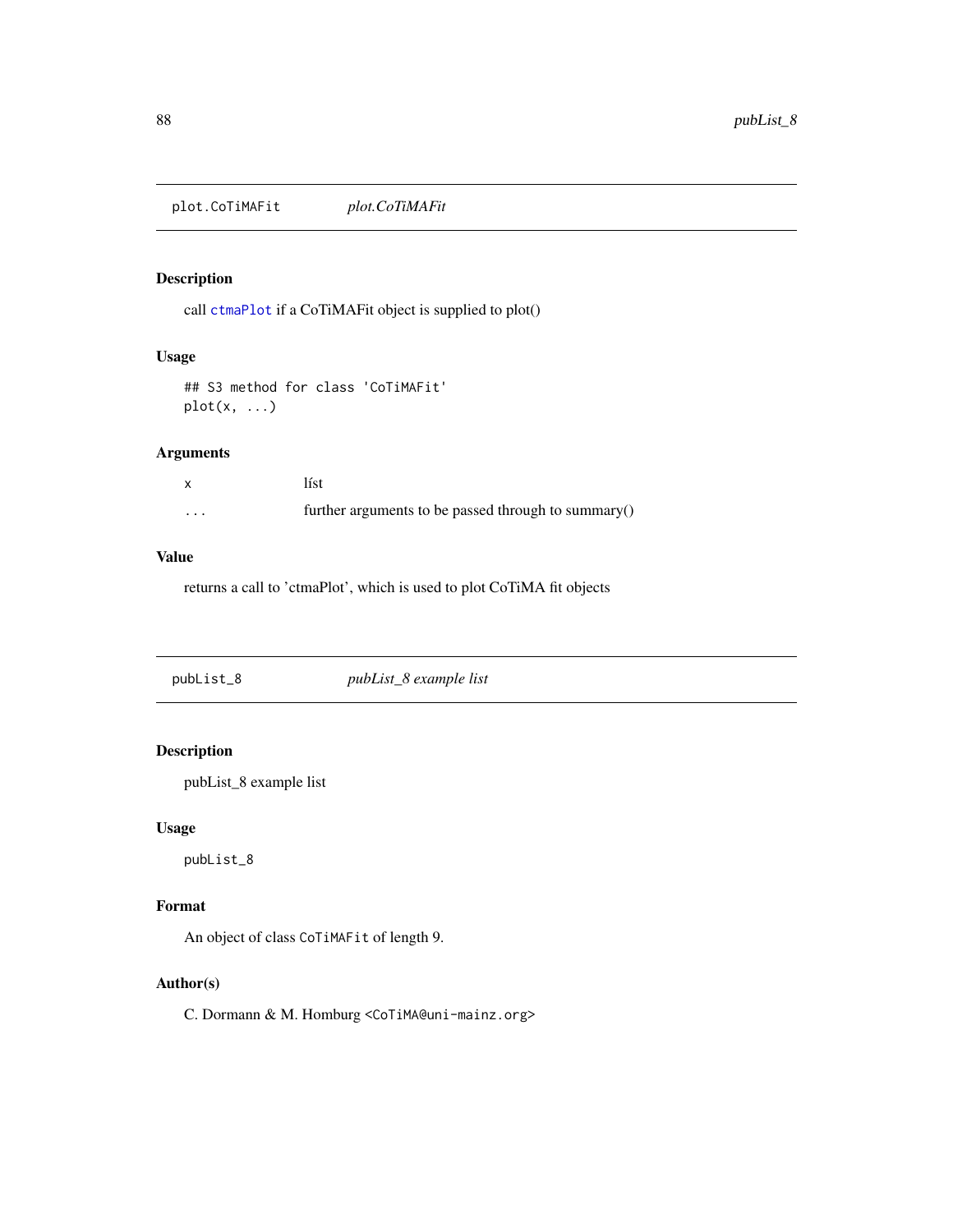<span id="page-87-0"></span>plot.CoTiMAFit *plot.CoTiMAFit*

# Description

call [ctmaPlot](#page-52-0) if a CoTiMAFit object is supplied to plot()

#### Usage

```
## S3 method for class 'CoTiMAFit'
plot(x, \ldots)
```
#### Arguments

|         | líst                                                |
|---------|-----------------------------------------------------|
| $\cdot$ | further arguments to be passed through to summary() |

# Value

returns a call to 'ctmaPlot', which is used to plot CoTiMA fit objects

| pubList_8 | pubList_8 example list |  |
|-----------|------------------------|--|
|           |                        |  |

#### Description

pubList\_8 example list

#### Usage

pubList\_8

### Format

An object of class CoTiMAFit of length 9.

# Author(s)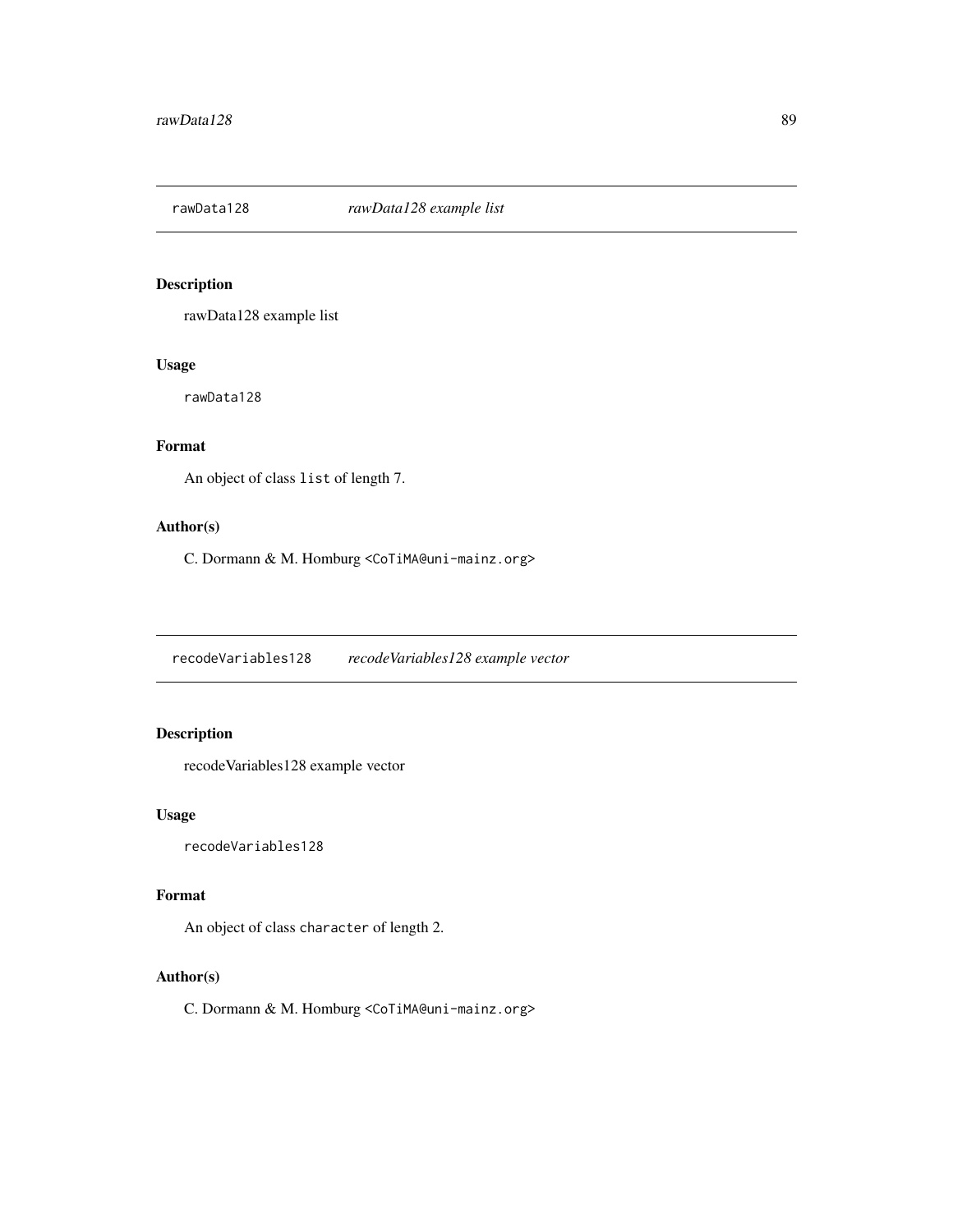<span id="page-88-0"></span>

rawData128 example list

#### Usage

rawData128

# Format

An object of class list of length 7.

#### Author(s)

C. Dormann & M. Homburg <CoTiMA@uni-mainz.org>

recodeVariables128 *recodeVariables128 example vector*

# Description

recodeVariables128 example vector

#### Usage

recodeVariables128

#### Format

An object of class character of length 2.

#### Author(s)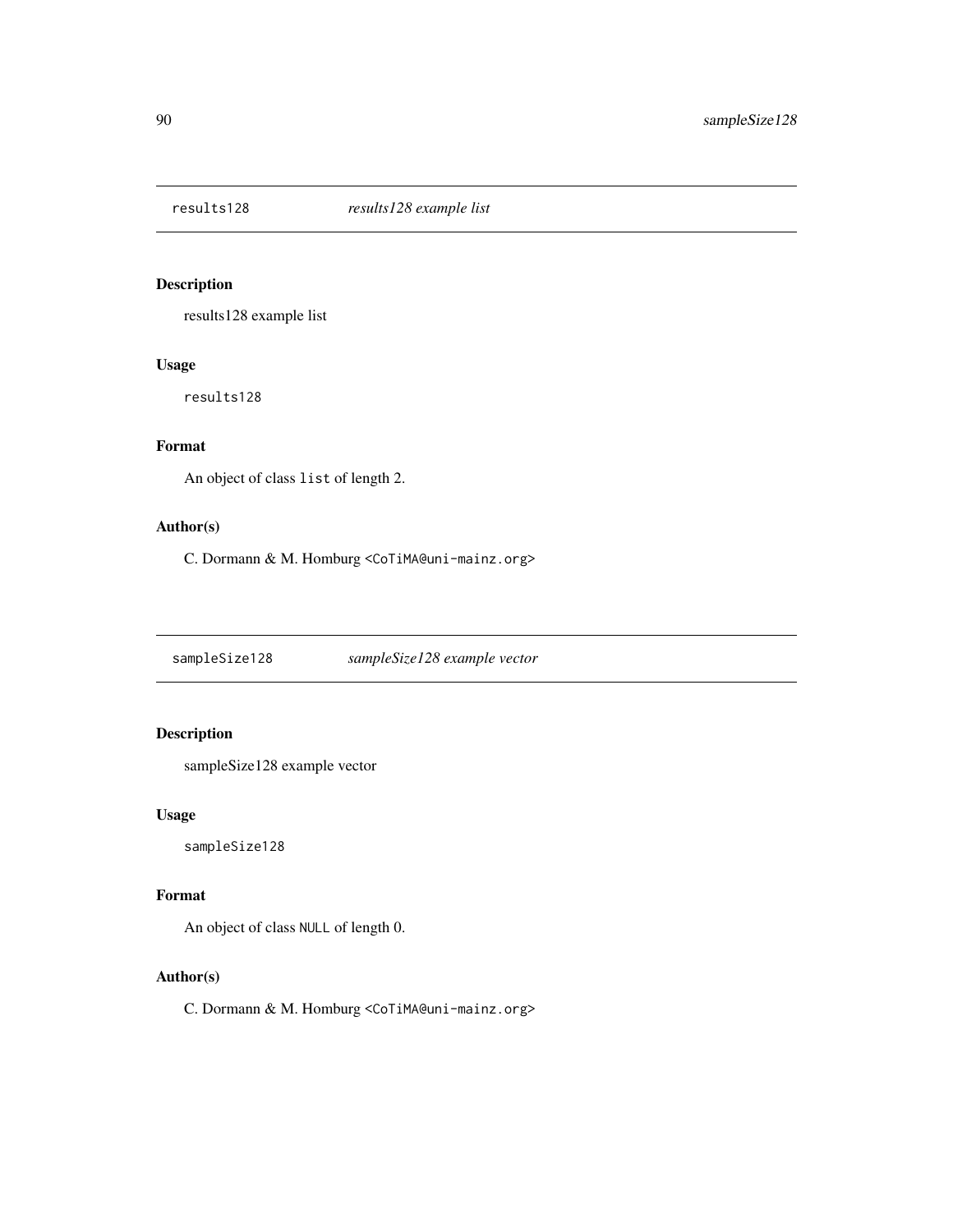<span id="page-89-0"></span>

results128 example list

#### Usage

results128

# Format

An object of class list of length 2.

#### Author(s)

C. Dormann & M. Homburg <CoTiMA@uni-mainz.org>

sampleSize128 *sampleSize128 example vector*

# Description

sampleSize128 example vector

#### Usage

sampleSize128

#### Format

An object of class NULL of length 0.

#### Author(s)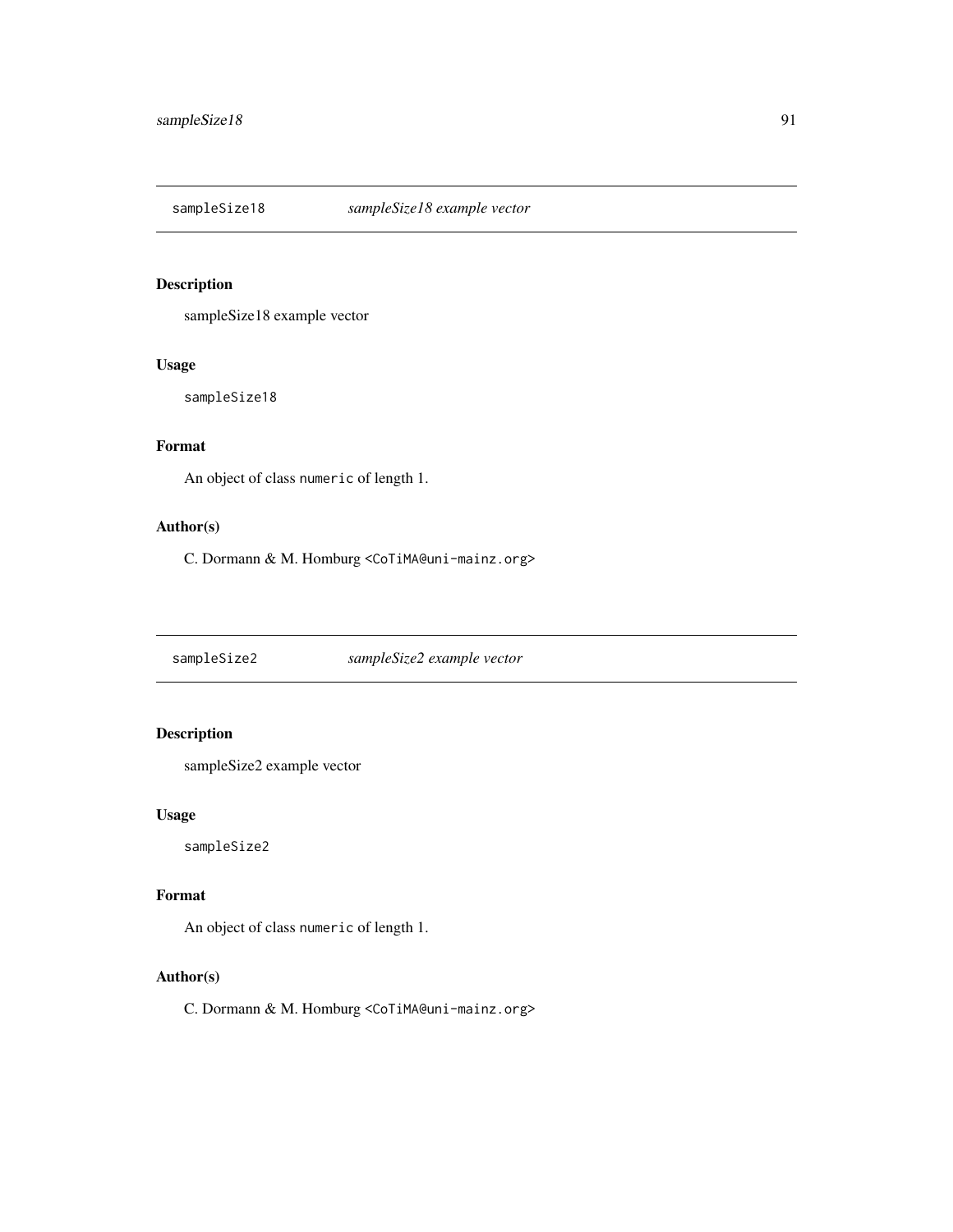<span id="page-90-0"></span>

sampleSize18 example vector

#### Usage

sampleSize18

# Format

An object of class numeric of length 1.

#### Author(s)

C. Dormann & M. Homburg <CoTiMA@uni-mainz.org>

sampleSize2 *sampleSize2 example vector*

# Description

sampleSize2 example vector

#### Usage

sampleSize2

#### Format

An object of class numeric of length 1.

#### Author(s)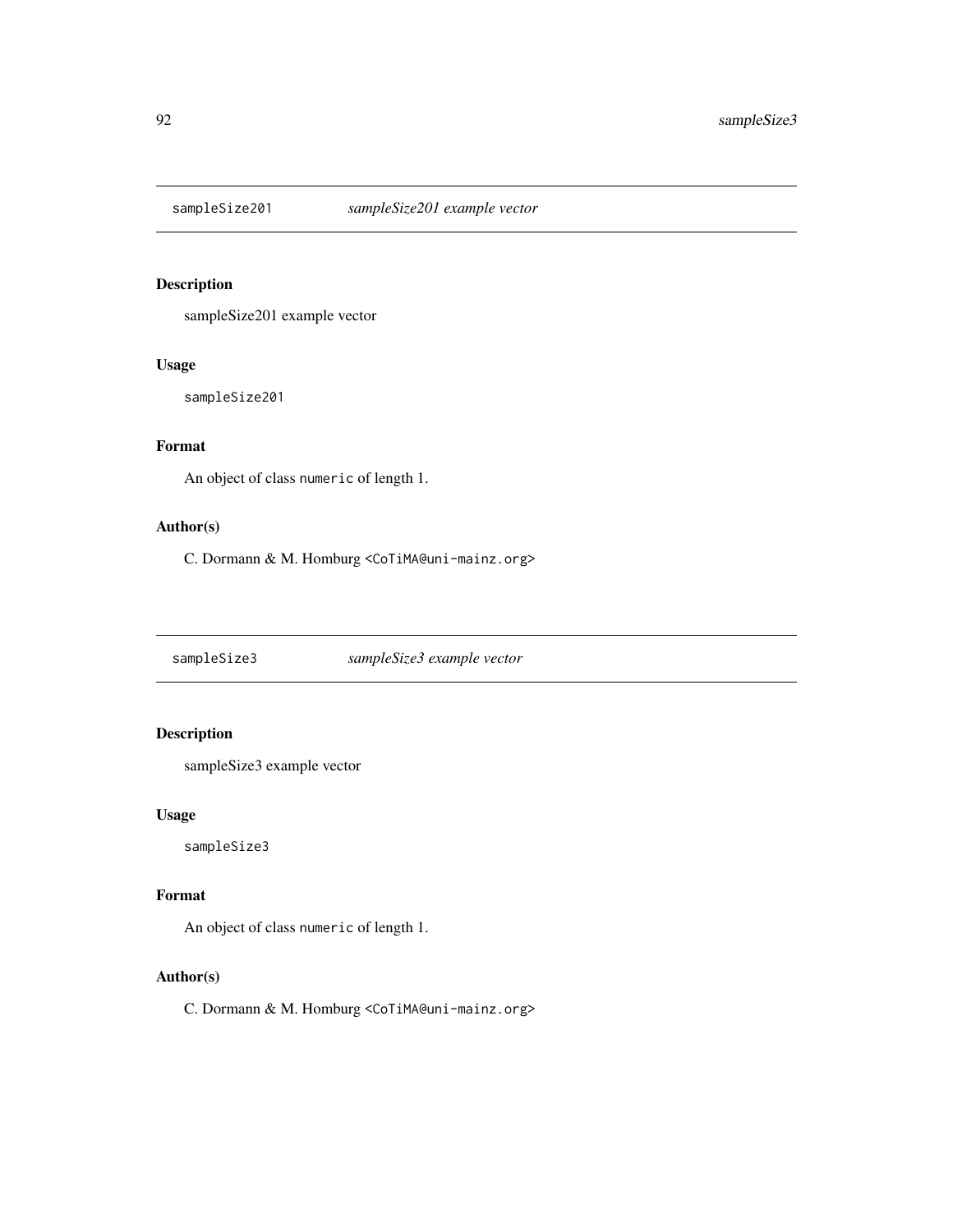<span id="page-91-0"></span>

sampleSize201 example vector

#### Usage

sampleSize201

# Format

An object of class numeric of length 1.

#### Author(s)

C. Dormann & M. Homburg <CoTiMA@uni-mainz.org>

sampleSize3 *sampleSize3 example vector*

# Description

sampleSize3 example vector

#### Usage

sampleSize3

#### Format

An object of class numeric of length 1.

#### Author(s)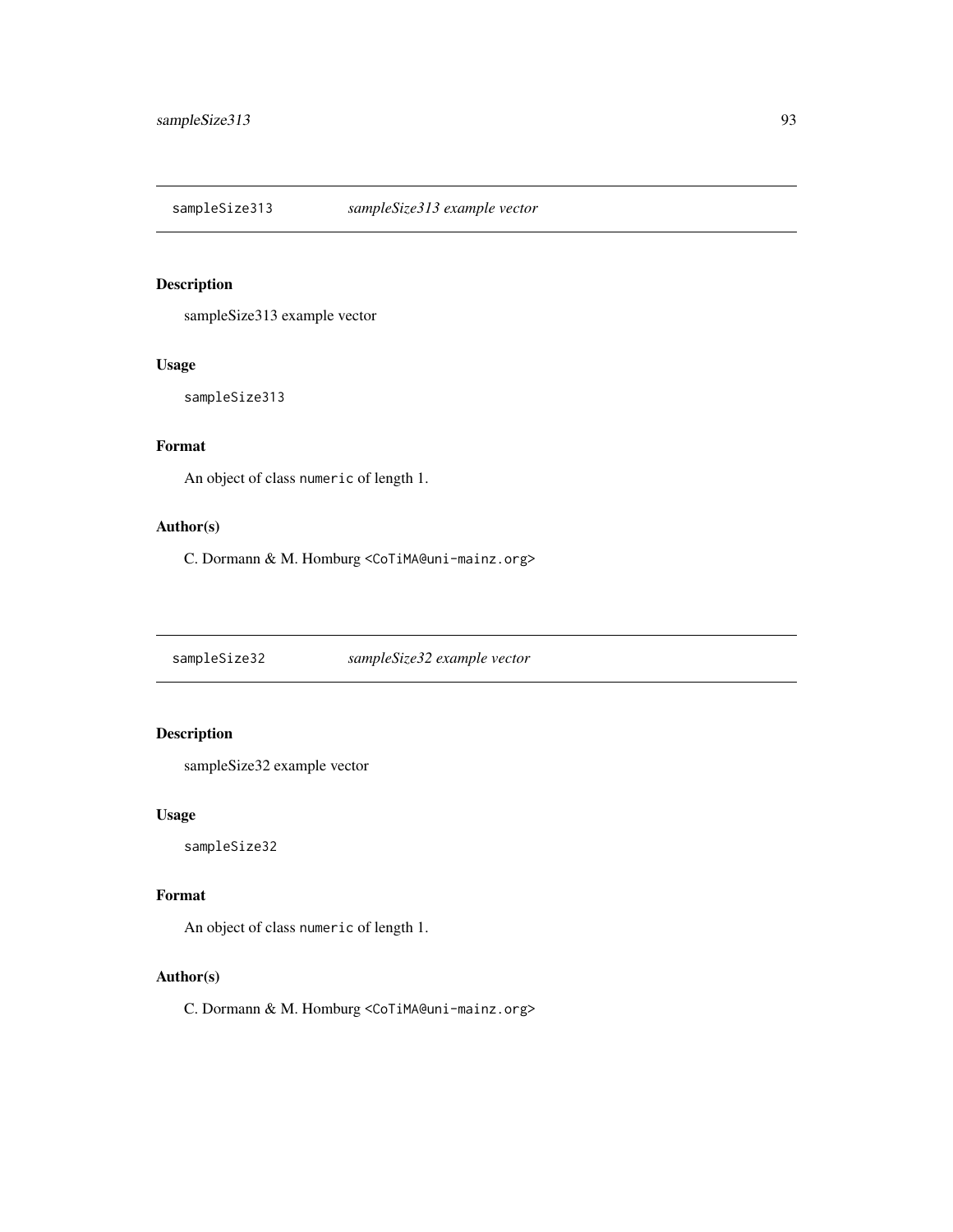<span id="page-92-0"></span>sampleSize313 *sampleSize313 example vector*

#### Description

sampleSize313 example vector

#### Usage

sampleSize313

# Format

An object of class numeric of length 1.

#### Author(s)

C. Dormann & M. Homburg <CoTiMA@uni-mainz.org>

sampleSize32 *sampleSize32 example vector*

# Description

sampleSize32 example vector

#### Usage

sampleSize32

#### Format

An object of class numeric of length 1.

#### Author(s)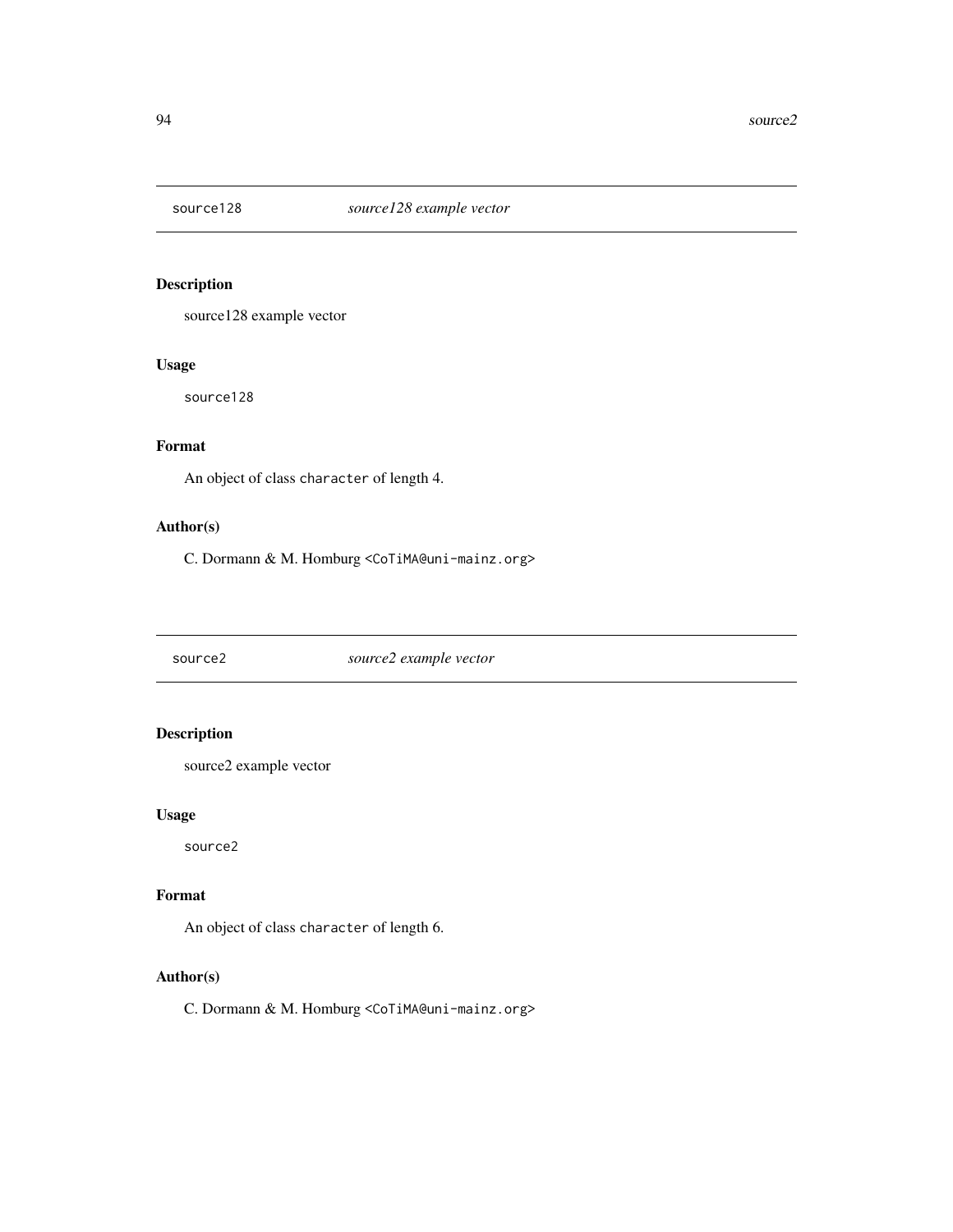<span id="page-93-0"></span>

source128 example vector

#### Usage

source128

# Format

An object of class character of length 4.

#### Author(s)

C. Dormann & M. Homburg <CoTiMA@uni-mainz.org>

source2 *source2 example vector*

# Description

source2 example vector

#### Usage

source2

#### Format

An object of class character of length 6.

#### Author(s)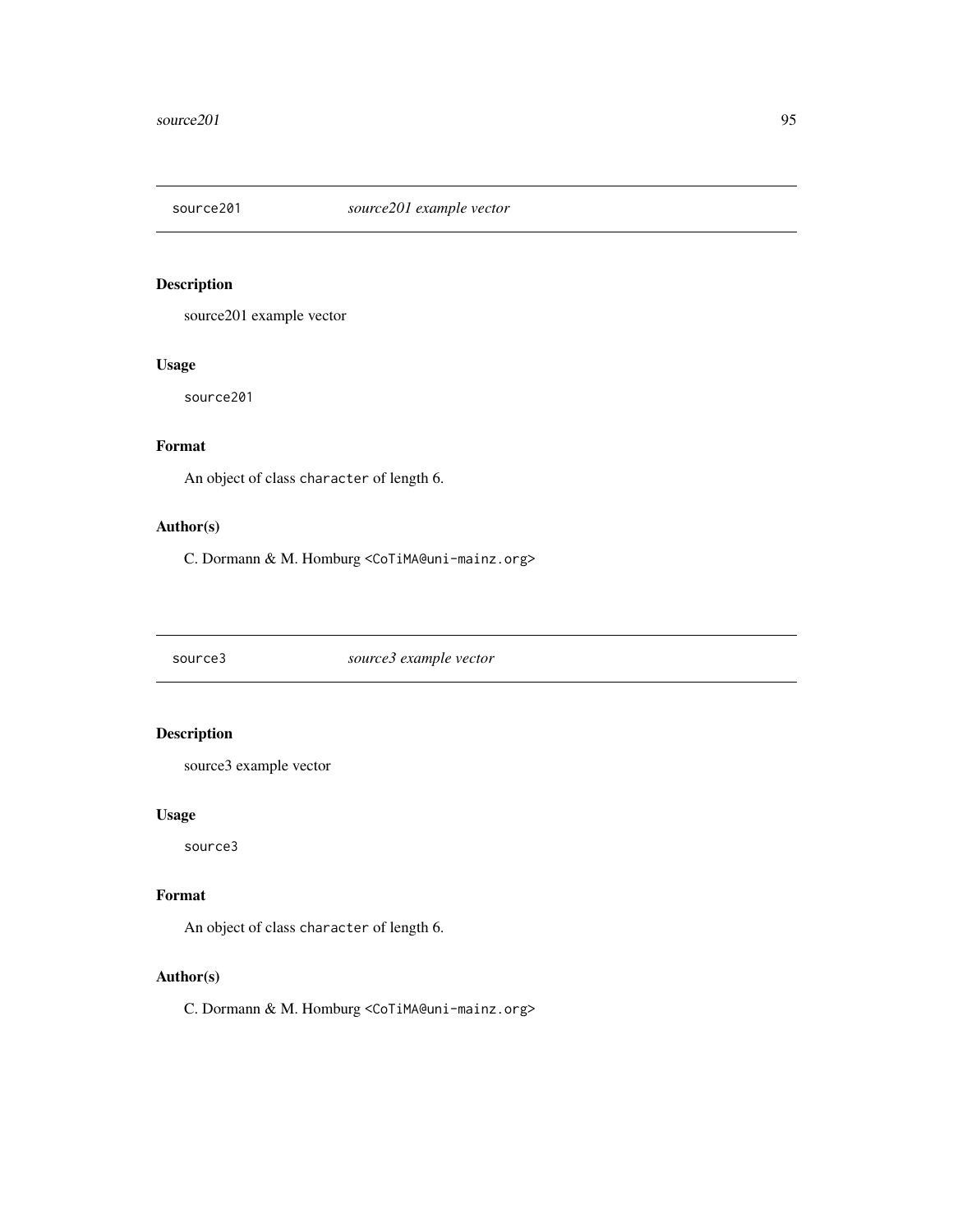<span id="page-94-0"></span>

source201 example vector

#### Usage

source201

# Format

An object of class character of length 6.

#### Author(s)

C. Dormann & M. Homburg <CoTiMA@uni-mainz.org>

source3 *source3 example vector*

# Description

source3 example vector

#### Usage

source3

#### Format

An object of class character of length 6.

#### Author(s)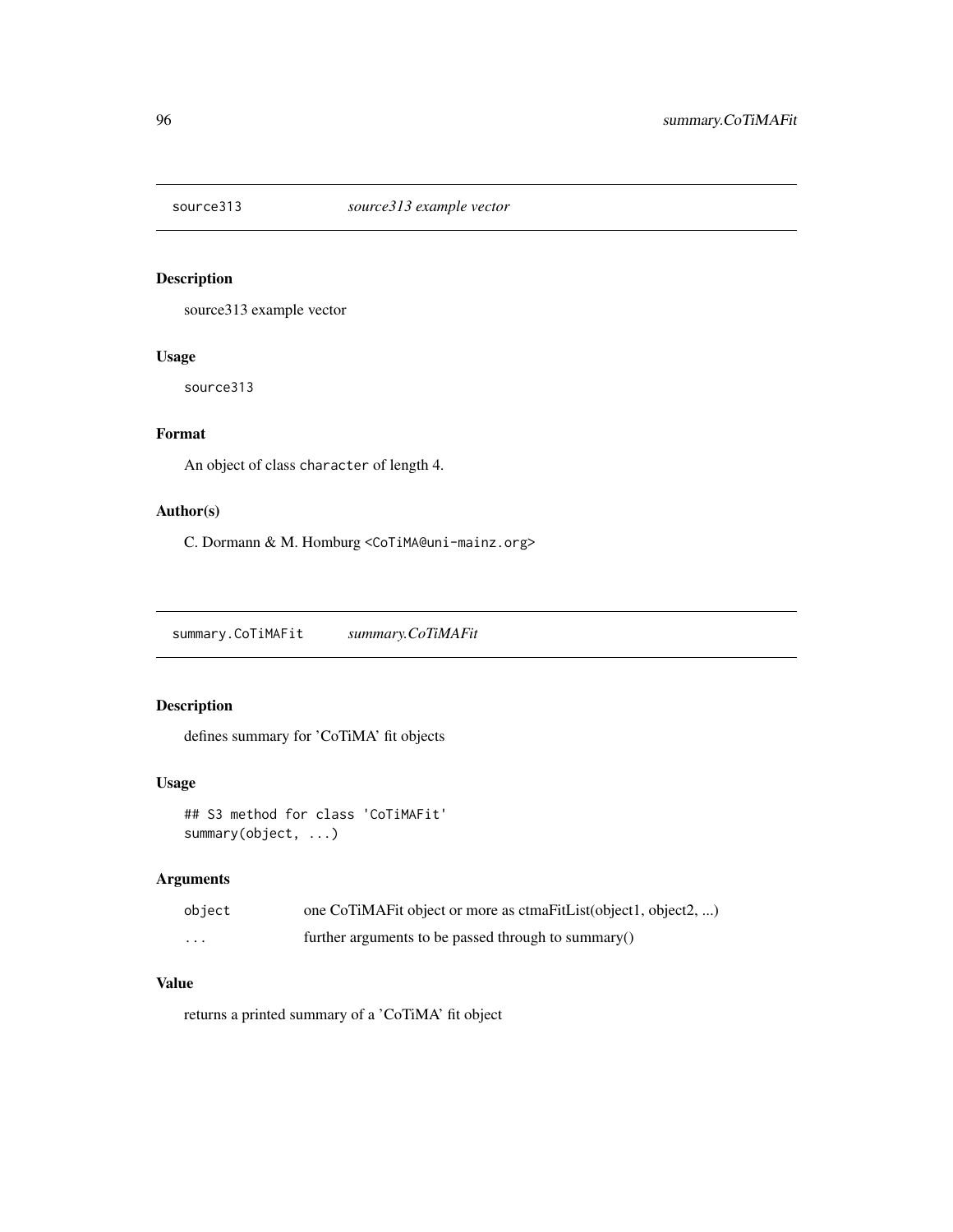<span id="page-95-0"></span>

source313 example vector

#### Usage

source313

# Format

An object of class character of length 4.

#### Author(s)

C. Dormann & M. Homburg <CoTiMA@uni-mainz.org>

summary.CoTiMAFit *summary.CoTiMAFit*

# Description

defines summary for 'CoTiMA' fit objects

#### Usage

```
## S3 method for class 'CoTiMAFit'
summary(object, ...)
```
#### Arguments

| object | one CoTiMAFit object or more as ctmaFitList(object1, object2, ) |
|--------|-----------------------------------------------------------------|
| .      | further arguments to be passed through to summary()             |

# Value

returns a printed summary of a 'CoTiMA' fit object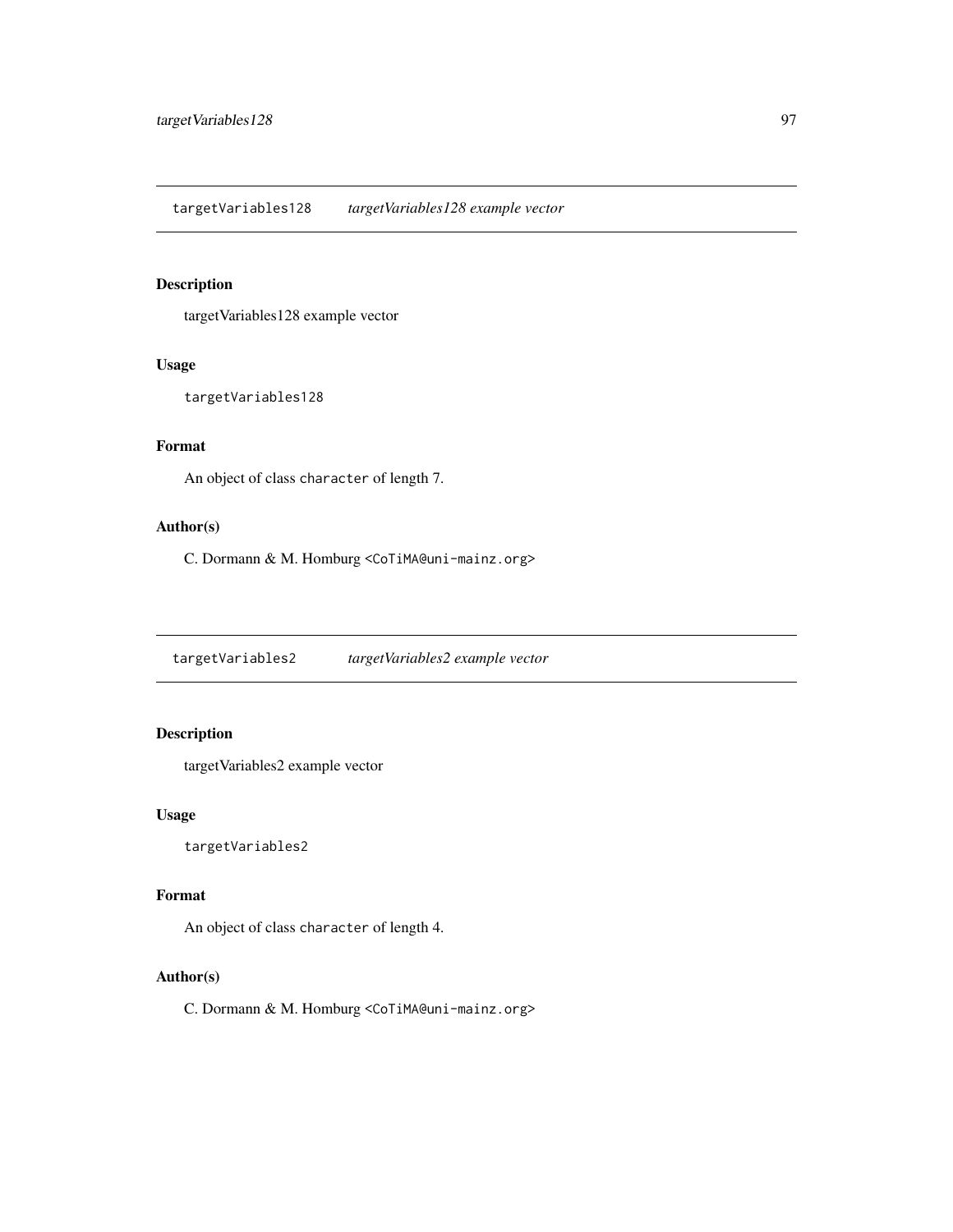<span id="page-96-0"></span>targetVariables128 example vector

#### Usage

targetVariables128

# Format

An object of class character of length 7.

#### Author(s)

C. Dormann & M. Homburg <CoTiMA@uni-mainz.org>

targetVariables2 *targetVariables2 example vector*

#### Description

targetVariables2 example vector

#### Usage

targetVariables2

#### Format

An object of class character of length 4.

#### Author(s)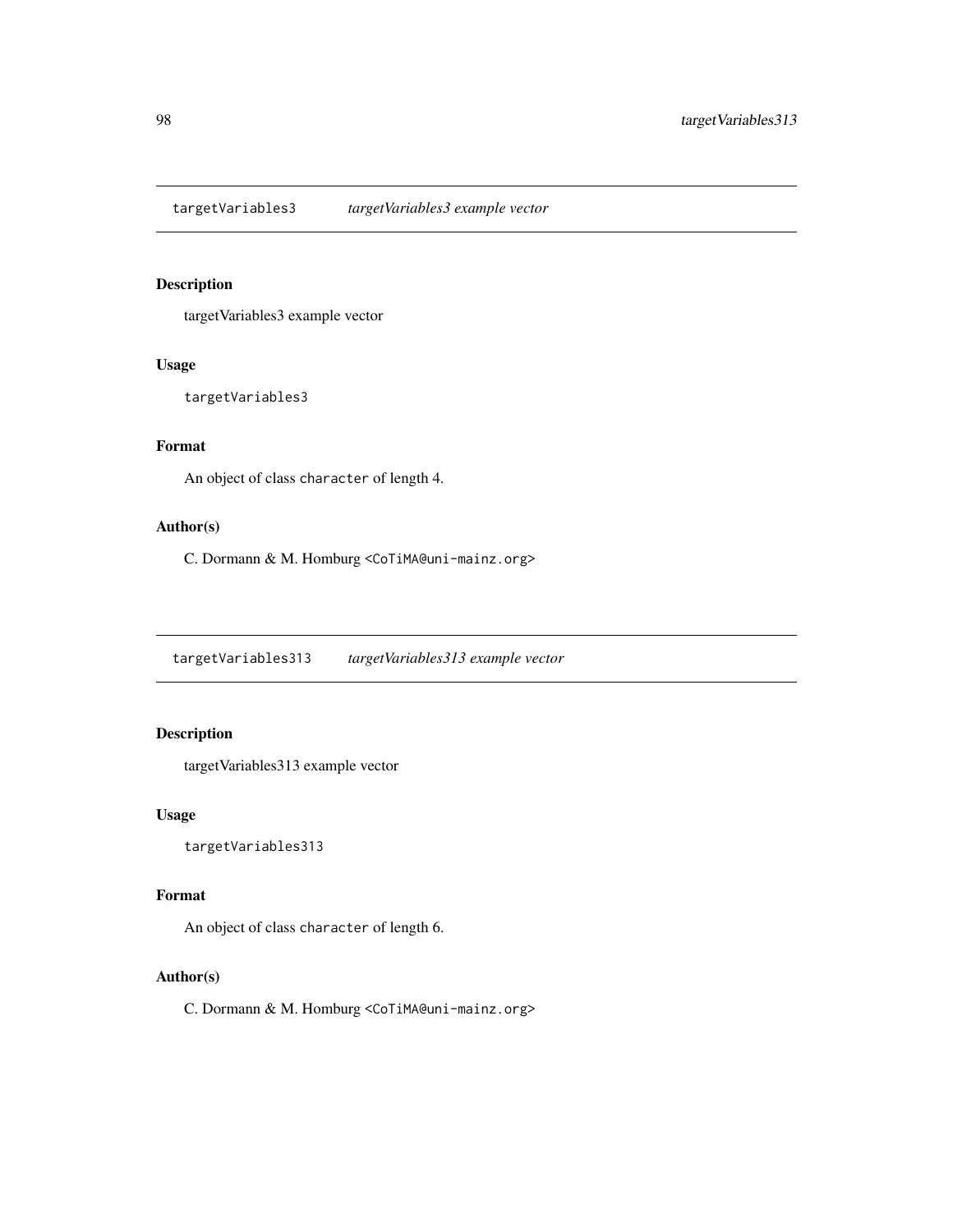<span id="page-97-0"></span>targetVariables3 *targetVariables3 example vector*

#### Description

targetVariables3 example vector

#### Usage

targetVariables3

# Format

An object of class character of length 4.

#### Author(s)

C. Dormann & M. Homburg <CoTiMA@uni-mainz.org>

targetVariables313 *targetVariables313 example vector*

## Description

targetVariables313 example vector

#### Usage

targetVariables313

#### Format

An object of class character of length 6.

#### Author(s)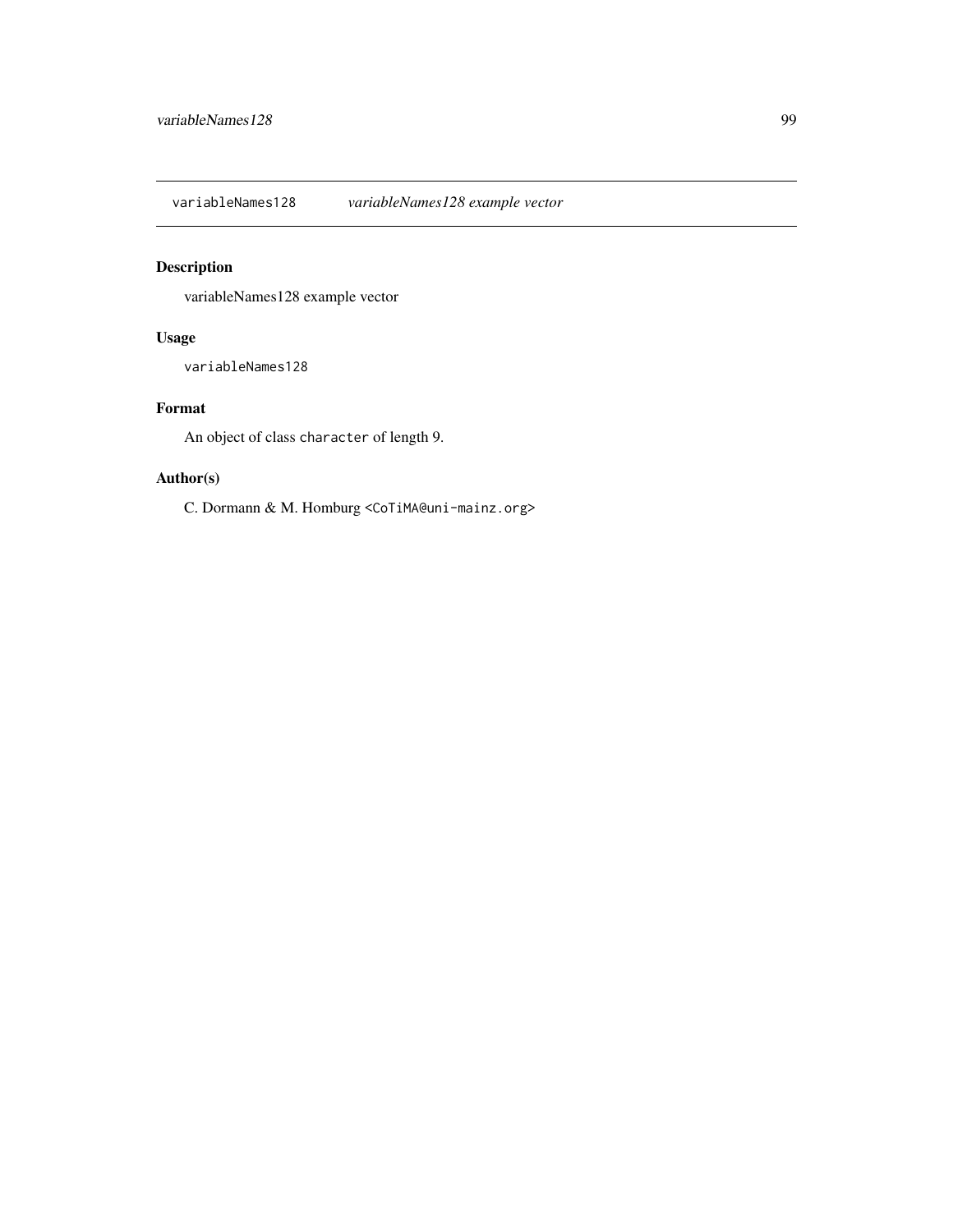<span id="page-98-0"></span>variableNames128 *variableNames128 example vector*

# Description

variableNames128 example vector

#### Usage

variableNames128

# Format

An object of class character of length 9.

#### Author(s)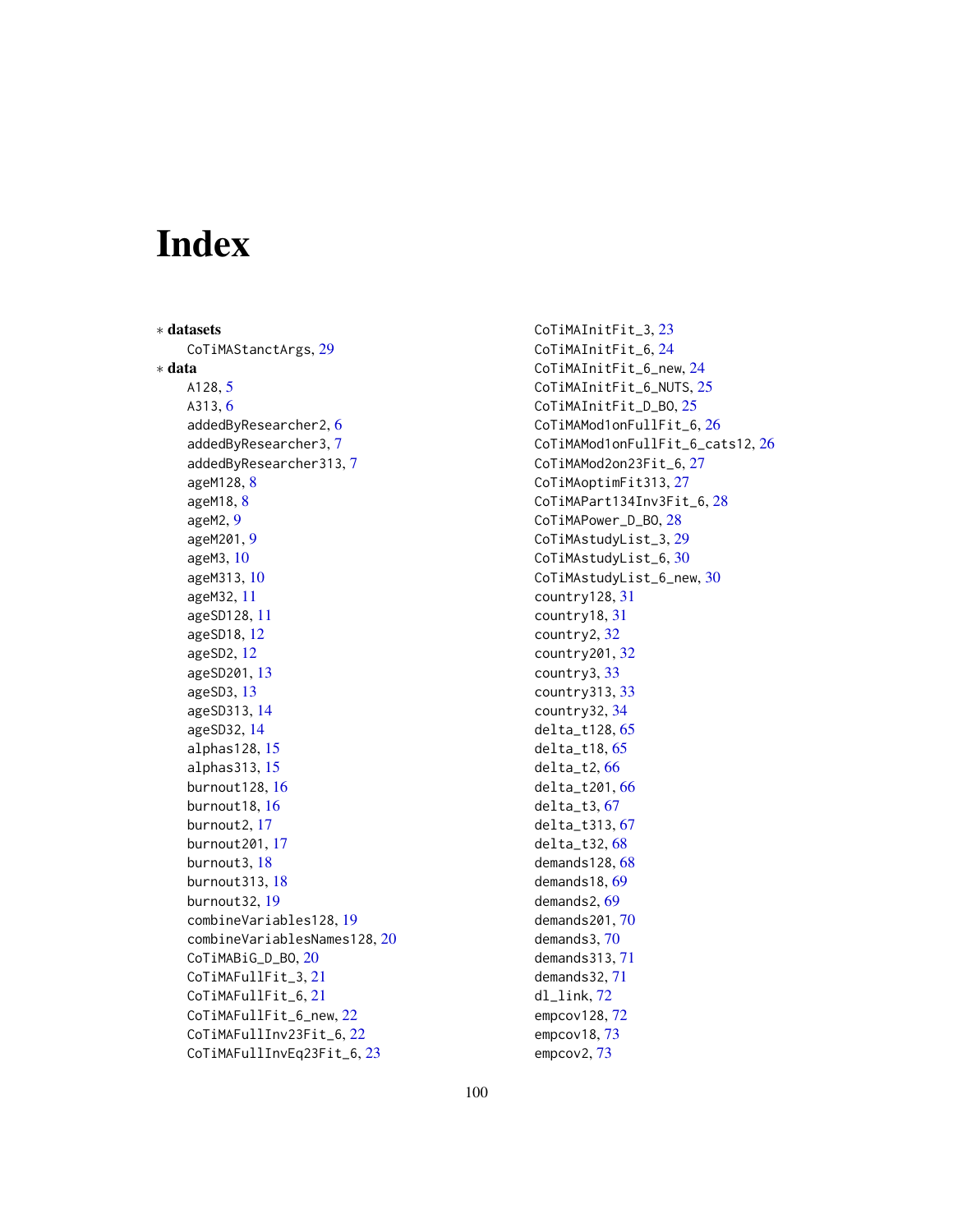# Index

∗ datasets CoTiMAStanctArgs, [29](#page-28-0) ∗ data A128, [5](#page-4-0) A313, [6](#page-5-0) addedByResearcher2, [6](#page-5-0) addedByResearcher3, [7](#page-6-0) addedByResearcher313, [7](#page-6-0) ageM128, [8](#page-7-0) ageM18, [8](#page-7-0) ageM2, [9](#page-8-0) ageM201, [9](#page-8-0) ageM3, [10](#page-9-0) ageM313, [10](#page-9-0) ageM32, [11](#page-10-0) ageSD128, [11](#page-10-0) ageSD18, [12](#page-11-0) ageSD2, [12](#page-11-0) ageSD201, [13](#page-12-0) ageSD3, [13](#page-12-0) ageSD313, [14](#page-13-0) ageSD32, [14](#page-13-0) alphas128, [15](#page-14-0) alphas313, [15](#page-14-0) burnout128, [16](#page-15-0) burnout18, [16](#page-15-0) burnout2, [17](#page-16-0) burnout201, [17](#page-16-0) burnout3, [18](#page-17-0) burnout313, [18](#page-17-0) burnout32, [19](#page-18-0) combineVariables128, [19](#page-18-0) combineVariablesNames128, [20](#page-19-0) CoTiMABiG\_D\_BO, [20](#page-19-0) CoTiMAFullFit\_3, [21](#page-20-0) CoTiMAFullFit\_6, [21](#page-20-0) CoTiMAFullFit\_6\_new, [22](#page-21-0) CoTiMAFullInv23Fit\_6, [22](#page-21-0) CoTiMAFullInvEq23Fit\_6, [23](#page-22-0)

CoTiMAInitFit\_3, [23](#page-22-0) CoTiMAInitFit\_6, [24](#page-23-0) CoTiMAInitFit\_6\_new, [24](#page-23-0) CoTiMAInitFit\_6\_NUTS, [25](#page-24-0) CoTiMAInitFit\_D\_BO, [25](#page-24-0) CoTiMAMod1onFullFit\_6, [26](#page-25-0) CoTiMAMod1onFullFit\_6\_cats12, [26](#page-25-0) CoTiMAMod2on23Fit\_6, [27](#page-26-0) CoTiMAoptimFit313, [27](#page-26-0) CoTiMAPart134Inv3Fit\_6, [28](#page-27-0) CoTiMAPower\_D\_BO, [28](#page-27-0) CoTiMAstudyList\_3, [29](#page-28-0) CoTiMAstudyList\_6, [30](#page-29-0) CoTiMAstudyList\_6\_new, [30](#page-29-0) country128, [31](#page-30-0) country18, [31](#page-30-0) country2, [32](#page-31-0) country201, [32](#page-31-0) country3, [33](#page-32-0) country313, [33](#page-32-0) country32, [34](#page-33-0) delta\_t128, [65](#page-64-0) delta\_t18, [65](#page-64-0) delta\_t2, [66](#page-65-0) delta\_t201, [66](#page-65-0) delta\_t3, [67](#page-66-0) delta\_t313, [67](#page-66-0) delta\_t32, [68](#page-67-0) demands128, [68](#page-67-0) demands18, [69](#page-68-0) demands2, [69](#page-68-0) demands201, [70](#page-69-0) demands3, [70](#page-69-0) demands313, [71](#page-70-0) demands32, [71](#page-70-0) dl\_link, [72](#page-71-0) empcov128, [72](#page-71-0) empcov18, [73](#page-72-0)

empcov2, [73](#page-72-0)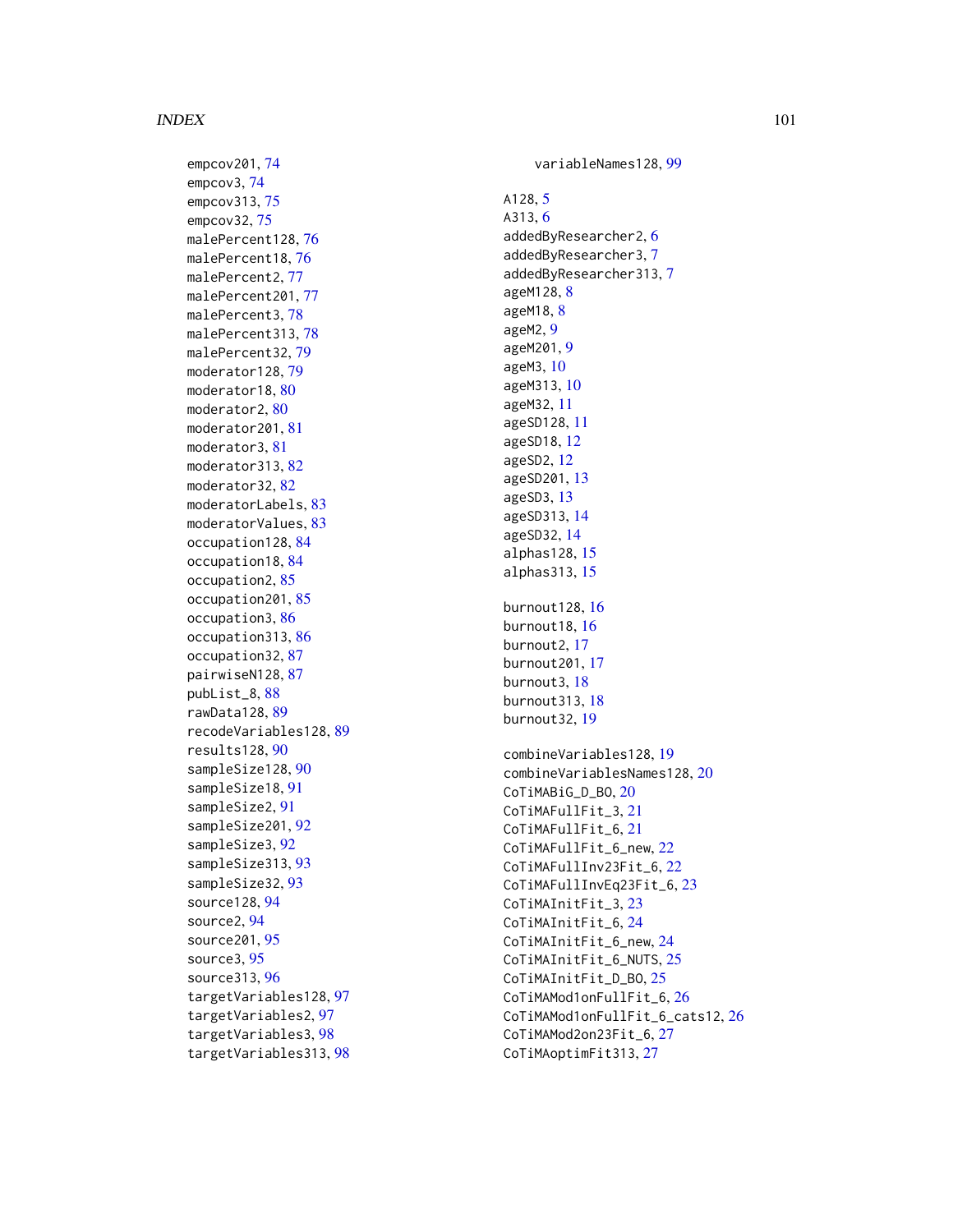empcov201 , [74](#page-73-0) empcov3 , [74](#page-73-0) empcov313 , [75](#page-74-0) empcov32 , [75](#page-74-0) malePercent128,[76](#page-75-0) malePercent18 , [76](#page-75-0) malePercent2,[77](#page-76-0) malePercent201 , [77](#page-76-0) malePercent3,<mark>[78](#page-77-0)</mark> malePercent313 , [78](#page-77-0) malePercent32 , [79](#page-78-0) moderator128,7<mark>9</mark> moderator18,[80](#page-79-0) moderator2, [80](#page-79-0) moderator201,[81](#page-80-0) moderator3 , [81](#page-80-0) moderator313,<mark>[82](#page-81-0)</mark> moderator32, [82](#page-81-0) moderatorLabels , [83](#page-82-0) moderatorValues , [83](#page-82-0) occupation128, [84](#page-83-0) occupation18, [84](#page-83-0) occupation2 , [85](#page-84-0) occupation201, [85](#page-84-0) occupation3 , [86](#page-85-0) occupation313 , [86](#page-85-0) occupation32 , [87](#page-86-0) pairwiseN128,<mark>8</mark>7 pubList\_8 , [88](#page-87-0) rawData128 , [89](#page-88-0) recodeVariables128 , [89](#page-88-0) results128 , [90](#page-89-0) sampleSize128, [90](#page-89-0) sampleSize18 , [91](#page-90-0) sampleSize2 , [91](#page-90-0) sampleSize201, [92](#page-91-0) sampleSize3 , [92](#page-91-0) sampleSize313, [93](#page-92-0) sampleSize32, [93](#page-92-0) source128 , [94](#page-93-0) source2 , [94](#page-93-0) source201 , [95](#page-94-0) source3 , [95](#page-94-0) source313 , [96](#page-95-0) targetVariables128 , [97](#page-96-0) targetVariables2 , [97](#page-96-0) targetVariables3 , [98](#page-97-0) targetVariables313 , [98](#page-97-0)

variableNames128 , [99](#page-98-0) A128, <mark>[5](#page-4-0)</mark> A313 , [6](#page-5-0) addedByResearcher2 , [6](#page-5-0) addedByResearcher3 , [7](#page-6-0) addedByResearcher313 , [7](#page-6-0) ageM12[8](#page-7-0), <mark>8</mark> ageM1[8](#page-7-0), 8 ageM2 , [9](#page-8-0) ageM201 , [9](#page-8-0) ageM3 , [10](#page-9-0) ageM313 , [10](#page-9-0) ageM32 , [11](#page-10-0) ageSD128 , [11](#page-10-0) ageSD18 , [12](#page-11-0) ageSD2 , [12](#page-11-0) ageSD201 , [13](#page-12-0) ageSD3 , [13](#page-12-0) ageSD313 , [14](#page-13-0) ageSD32 , [14](#page-13-0) alphas128 , [15](#page-14-0) alphas313 , [15](#page-14-0) burnout128, [16](#page-15-0) burnout18, [16](#page-15-0) burnout2 , [17](#page-16-0) burnout201 , [17](#page-16-0) burnout3, [18](#page-17-0) burnout313 , [18](#page-17-0) burnout32 , [19](#page-18-0) combineVariables128 , [19](#page-18-0) combineVariablesNames128 , [20](#page-19-0) CoTiMABiG\_D\_BO , [20](#page-19-0) CoTiMAFullFit\_3 , [21](#page-20-0) CoTiMAFullFit\_6 , [21](#page-20-0) CoTiMAFullFit\_6\_new , [22](#page-21-0) CoTiMAFullInv23Fit\_6 , [22](#page-21-0) CoTiMAFullInvEq23Fit\_6 , [23](#page-22-0) CoTiMAInitFit\_3 , [23](#page-22-0) CoTiMAInitFit\_6 , [24](#page-23-0) CoTiMAInitFit\_6\_new , [24](#page-23-0) CoTiMAInitFit\_6\_NUTS , [25](#page-24-0) CoTiMAInitFit\_D\_BO , [25](#page-24-0) <code>CoTiMAMod1onFullFit\_6,  $26$ </code> CoTiMAMod1onFullFit\_6\_cats12 , [26](#page-25-0) CoTiMAMod2on23Fit\_6 , [27](#page-26-0) CoTiMAoptimFit313 , [27](#page-26-0)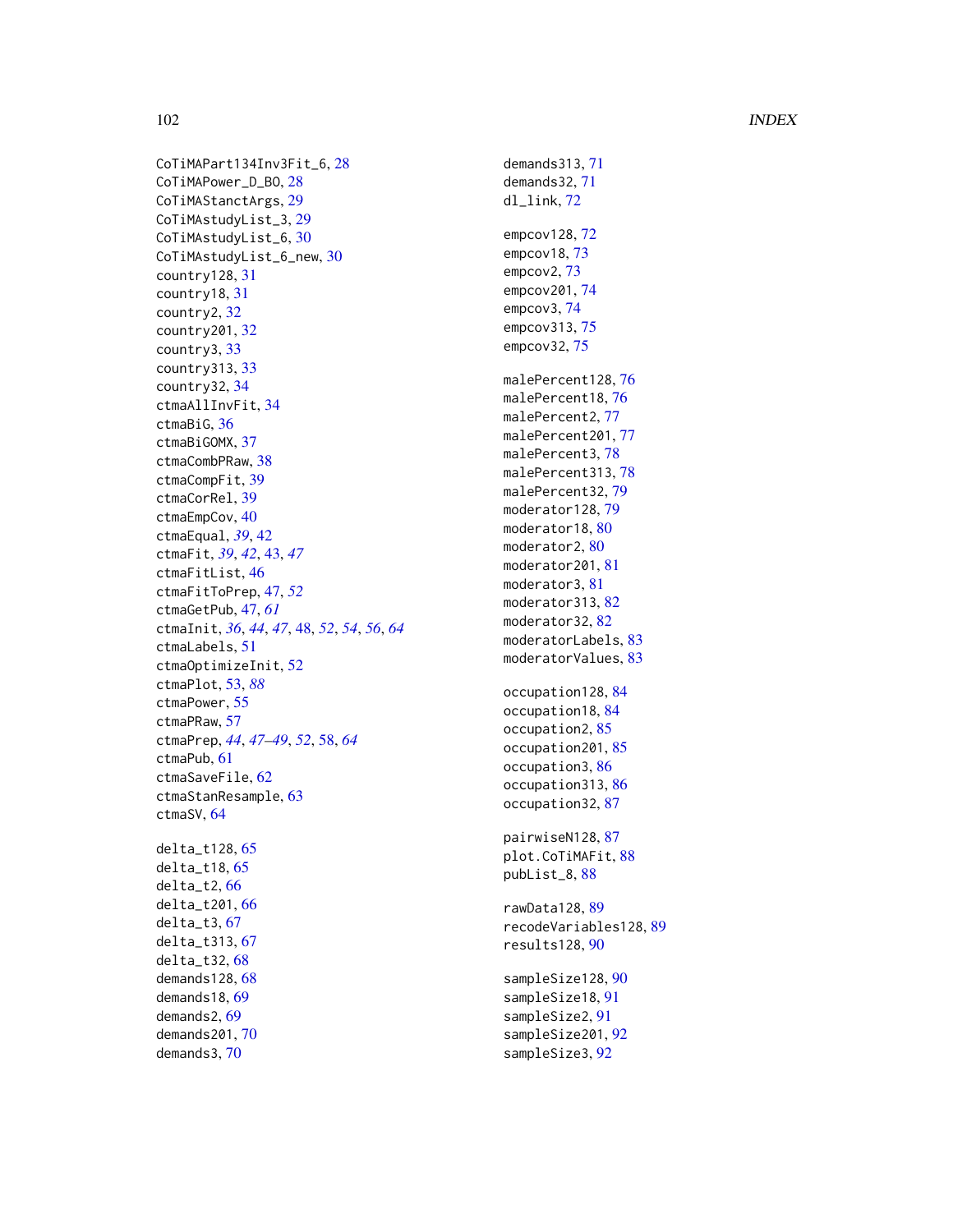#### 102 INDEX

CoTiMAPart134Inv3Fit\_6 , [28](#page-27-0) CoTiMAPower\_D\_BO , [28](#page-27-0) CoTiMAStanctArgs , [29](#page-28-0) CoTiMAstudyList\_3 , [29](#page-28-0) CoTiMAstudyList\_6 , [30](#page-29-0) CoTiMAstudyList\_6\_new , [30](#page-29-0) country128 , [31](#page-30-0) country18 , [31](#page-30-0) country2 , [32](#page-31-0) country201 , [32](#page-31-0) country3 , [33](#page-32-0) country313 , [33](#page-32-0) country32 , [34](#page-33-0) ctmaAllInvFit , [34](#page-33-0) ctmaBiG, [36](#page-35-0) ctmaBiGOMX , [37](#page-36-0) ctmaCombPRaw, [38](#page-37-0) ctmaCompFit , [39](#page-38-0) ctmaCorRel , [39](#page-38-0) ctmaEmpCov , [40](#page-39-0) ctmaEqual , *[39](#page-38-0)* , [42](#page-41-0) ctmaFit , *[39](#page-38-0)* , *[42](#page-41-0)* , [43](#page-42-0) , *[47](#page-46-0)* ctmaFitList , [46](#page-45-0) ctmaFitToPrep , [47](#page-46-0) , *[52](#page-51-0)* ctmaGetPub , [47](#page-46-0) , *[61](#page-60-0)* ctmaInit , *[36](#page-35-0)* , *[44](#page-43-0)* , *[47](#page-46-0)* , [48](#page-47-0) , *[52](#page-51-0)* , *[54](#page-53-0)* , *[56](#page-55-0)* , *[64](#page-63-0)* ctmaLabels , [51](#page-50-0) ctmaOptimizeInit , [52](#page-51-0) ctmaPlot , [53](#page-52-1) , *[88](#page-87-0)* ctmaPower , [55](#page-54-0) ctmaPRaw , [57](#page-56-0) ctmaPrep , *[44](#page-43-0)* , *[47](#page-46-0)[–49](#page-48-0)* , *[52](#page-51-0)* , [58](#page-57-0) , *[64](#page-63-0)* ctmaPub , [61](#page-60-0) ctmaSaveFile , [62](#page-61-0) ctmaStanResample , [63](#page-62-0) ctmaSV , [64](#page-63-0) delta\_t128 , [65](#page-64-0) delta\_t18 , [65](#page-64-0) delta\_t2 , [66](#page-65-0) delta\_t201 , [66](#page-65-0) delta\_t3 , [67](#page-66-0) delta\_t313 , [67](#page-66-0) delta\_t32 , [68](#page-67-0) demands128 , [68](#page-67-0) demands18 , [69](#page-68-0) demands2 , [69](#page-68-0) demands201 , [70](#page-69-0) demands3 , [70](#page-69-0)

demands313 , [71](#page-70-0) demands32 , [71](#page-70-0) dl\_link , [72](#page-71-0) empcov128 , [72](#page-71-0) empcov18 , [73](#page-72-0) empcov2 , [73](#page-72-0) empcov201 , [74](#page-73-0) empcov3 , [74](#page-73-0) empcov313,[75](#page-74-0) empcov32,[75](#page-74-0) malePercent128 , [76](#page-75-0) malePercent18 , [76](#page-75-0) malePercent2,[77](#page-76-0) malePercent201,[77](#page-76-0) malePercent3,[78](#page-77-0) malePercent313,[78](#page-77-0) malePercent32 , [79](#page-78-0) moderator128 , [79](#page-78-0) moderator18,[80](#page-79-0) moderator2,[80](#page-79-0) moderator201 , [81](#page-80-0) moderator3 , [81](#page-80-0) moderator313,[82](#page-81-0) moderator32,[82](#page-81-0) moderatorLabels , [83](#page-82-0) moderatorValues , [83](#page-82-0) occupation128, [84](#page-83-0) occupation18, [84](#page-83-0) occupation2, [85](#page-84-0) occupation201, [85](#page-84-0) occupation3 , [86](#page-85-0) occupation313, [86](#page-85-0) occupation32, [87](#page-86-0) pairwiseN128,[87](#page-86-0) plot.CoTiMAFit, [88](#page-87-0) pubList\_8 , [88](#page-87-0) rawData128 , [89](#page-88-0) recodeVariables128 , [89](#page-88-0) results128 , [90](#page-89-0) sampleSize128, [90](#page-89-0) sampleSize18, [91](#page-90-0) sampleSize2 , [91](#page-90-0) sampleSize201 , [92](#page-91-0) sampleSize3 , [92](#page-91-0)